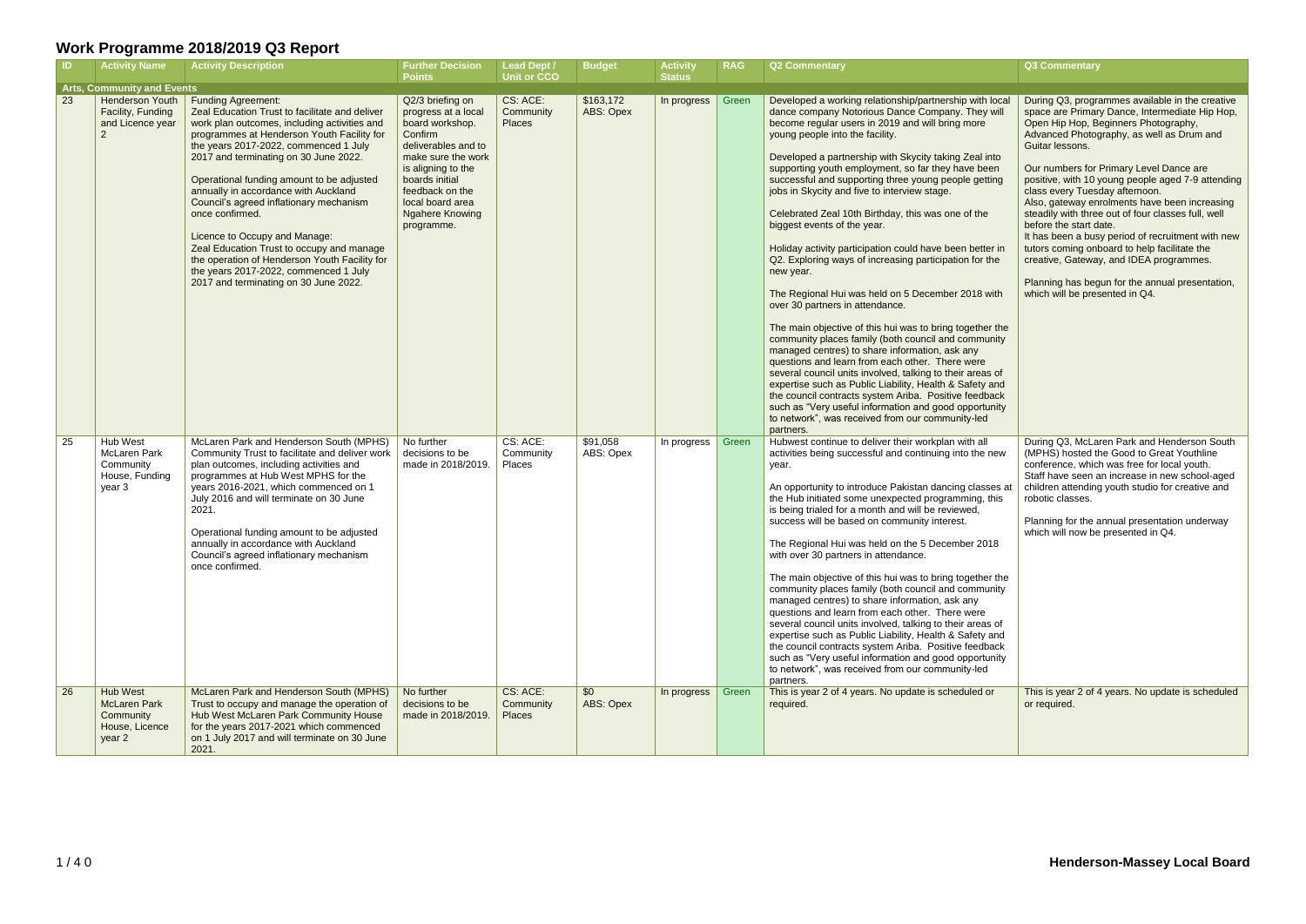| <b>ID</b> | <b>Activity Name</b>                                                     | <b>Activity Description</b>                                                                                                                                                                                                                                                                                                                                                                                                                                                                                                                                                                                                     | <b>Further Decision</b><br><b>Points</b>                                                                                                                                                                                                  | <b>Lead Dept /</b><br><b>Unit or CCO</b> | <b>Budget</b>          | <b>Activity</b><br><b>Status</b> | <b>RAG</b> | <b>Q2 Commentary</b>                                                                                                                                                                                                                                                                                                                                                                                                                                                                                                                                                                                                                                                                                                                                                                                                                                                                                                                                                                                                                                                                                                                                                                                                                                                         | Q3 Commentary                                                                                                                                                                                                                                                                                                                                                                                                                                                                                                                                                                                                                                                                                                     |
|-----------|--------------------------------------------------------------------------|---------------------------------------------------------------------------------------------------------------------------------------------------------------------------------------------------------------------------------------------------------------------------------------------------------------------------------------------------------------------------------------------------------------------------------------------------------------------------------------------------------------------------------------------------------------------------------------------------------------------------------|-------------------------------------------------------------------------------------------------------------------------------------------------------------------------------------------------------------------------------------------|------------------------------------------|------------------------|----------------------------------|------------|------------------------------------------------------------------------------------------------------------------------------------------------------------------------------------------------------------------------------------------------------------------------------------------------------------------------------------------------------------------------------------------------------------------------------------------------------------------------------------------------------------------------------------------------------------------------------------------------------------------------------------------------------------------------------------------------------------------------------------------------------------------------------------------------------------------------------------------------------------------------------------------------------------------------------------------------------------------------------------------------------------------------------------------------------------------------------------------------------------------------------------------------------------------------------------------------------------------------------------------------------------------------------|-------------------------------------------------------------------------------------------------------------------------------------------------------------------------------------------------------------------------------------------------------------------------------------------------------------------------------------------------------------------------------------------------------------------------------------------------------------------------------------------------------------------------------------------------------------------------------------------------------------------------------------------------------------------------------------------------------------------|
|           | <b>Arts, Community and Events</b>                                        |                                                                                                                                                                                                                                                                                                                                                                                                                                                                                                                                                                                                                                 |                                                                                                                                                                                                                                           |                                          |                        |                                  |            |                                                                                                                                                                                                                                                                                                                                                                                                                                                                                                                                                                                                                                                                                                                                                                                                                                                                                                                                                                                                                                                                                                                                                                                                                                                                              |                                                                                                                                                                                                                                                                                                                                                                                                                                                                                                                                                                                                                                                                                                                   |
| 23        | <b>Henderson Youth</b><br>Facility, Funding<br>and Licence year          | <b>Funding Agreement:</b><br>Zeal Education Trust to facilitate and deliver<br>work plan outcomes, including activities and<br>programmes at Henderson Youth Facility for<br>the years 2017-2022, commenced 1 July<br>2017 and terminating on 30 June 2022.<br>Operational funding amount to be adjusted<br>annually in accordance with Auckland<br>Council's agreed inflationary mechanism<br>once confirmed.<br>Licence to Occupy and Manage:<br>Zeal Education Trust to occupy and manage<br>the operation of Henderson Youth Facility for<br>the years 2017-2022, commenced 1 July<br>2017 and terminating on 30 June 2022. | Q2/3 briefing on<br>progress at a local<br>board workshop.<br>Confirm<br>deliverables and to<br>make sure the work<br>is aligning to the<br>boards initial<br>feedback on the<br>local board area<br><b>Ngahere Knowing</b><br>programme. | CS: ACE:<br>Community<br>Places          | \$163,172<br>ABS: Opex | In progress                      | Green      | Developed a working relationship/partnership with local<br>dance company Notorious Dance Company. They will<br>become regular users in 2019 and will bring more<br>young people into the facility.<br>Developed a partnership with Skycity taking Zeal into<br>supporting youth employment, so far they have been<br>successful and supporting three young people getting<br>jobs in Skycity and five to interview stage.<br>Celebrated Zeal 10th Birthday, this was one of the<br>biggest events of the year.<br>Holiday activity participation could have been better in<br>Q2. Exploring ways of increasing participation for the<br>new year.<br>The Regional Hui was held on 5 December 2018 with<br>over 30 partners in attendance.<br>The main objective of this hui was to bring together the<br>community places family (both council and community<br>managed centres) to share information, ask any<br>questions and learn from each other. There were<br>several council units involved, talking to their areas of<br>expertise such as Public Liability, Health & Safety and<br>the council contracts system Ariba. Positive feedback<br>such as "Very useful information and good opportunity<br>to network", was received from our community-led<br>partners. | During Q3, programmes available in the creative<br>space are Primary Dance, Intermediate Hip Hop,<br>Open Hip Hop, Beginners Photography,<br>Advanced Photography, as well as Drum and<br>Guitar lessons.<br>Our numbers for Primary Level Dance are<br>positive, with 10 young people aged 7-9 attending<br>class every Tuesday afternoon.<br>Also, gateway enrolments have been increasing<br>steadily with three out of four classes full, well<br>before the start date.<br>It has been a busy period of recruitment with new<br>tutors coming onboard to help facilitate the<br>creative, Gateway, and IDEA programmes.<br>Planning has begun for the annual presentation,<br>which will be presented in Q4. |
| 25        | Hub West<br><b>McLaren Park</b><br>Community<br>House, Funding<br>year 3 | McLaren Park and Henderson South (MPHS)<br>Community Trust to facilitate and deliver work<br>plan outcomes, including activities and<br>programmes at Hub West MPHS for the<br>years 2016-2021, which commenced on 1<br>July 2016 and will terminate on 30 June<br>2021.<br>Operational funding amount to be adjusted<br>annually in accordance with Auckland<br>Council's agreed inflationary mechanism<br>once confirmed.                                                                                                                                                                                                     | No further<br>decisions to be<br>made in 2018/2019.                                                                                                                                                                                       | CS: ACE:<br>Community<br>Places          | \$91,058<br>ABS: Opex  | In progress                      | Green      | Hubwest continue to deliver their workplan with all<br>activities being successful and continuing into the new<br>year.<br>An opportunity to introduce Pakistan dancing classes at<br>the Hub initiated some unexpected programming, this<br>is being trialed for a month and will be reviewed,<br>success will be based on community interest.<br>The Regional Hui was held on the 5 December 2018<br>with over 30 partners in attendance.<br>The main objective of this hui was to bring together the<br>community places family (both council and community<br>managed centres) to share information, ask any<br>questions and learn from each other. There were<br>several council units involved, talking to their areas of<br>expertise such as Public Liability, Health & Safety and<br>the council contracts system Ariba. Positive feedback<br>such as "Very useful information and good opportunity<br>to network", was received from our community-led<br>partners.                                                                                                                                                                                                                                                                                               | During Q3, McLaren Park and Henderson South<br>(MPHS) hosted the Good to Great Youthline<br>conference, which was free for local youth.<br>Staff have seen an increase in new school-aged<br>children attending youth studio for creative and<br>robotic classes.<br>Planning for the annual presentation underway<br>which will now be presented in Q4.                                                                                                                                                                                                                                                                                                                                                          |
| 26        | Hub West<br><b>McLaren Park</b><br>Community<br>House, Licence<br>year 2 | McLaren Park and Henderson South (MPHS)<br>Trust to occupy and manage the operation of<br>Hub West McLaren Park Community House<br>for the years 2017-2021 which commenced<br>on 1 July 2017 and will terminate on 30 June<br>2021.                                                                                                                                                                                                                                                                                                                                                                                             | No further<br>decisions to be<br>made in 2018/2019.                                                                                                                                                                                       | CS: ACE:<br>Community<br>Places          | \$0<br>ABS: Opex       | In progress                      | Green      | This is year 2 of 4 years. No update is scheduled or<br>required.                                                                                                                                                                                                                                                                                                                                                                                                                                                                                                                                                                                                                                                                                                                                                                                                                                                                                                                                                                                                                                                                                                                                                                                                            | This is year 2 of 4 years. No update is scheduled<br>or required.                                                                                                                                                                                                                                                                                                                                                                                                                                                                                                                                                                                                                                                 |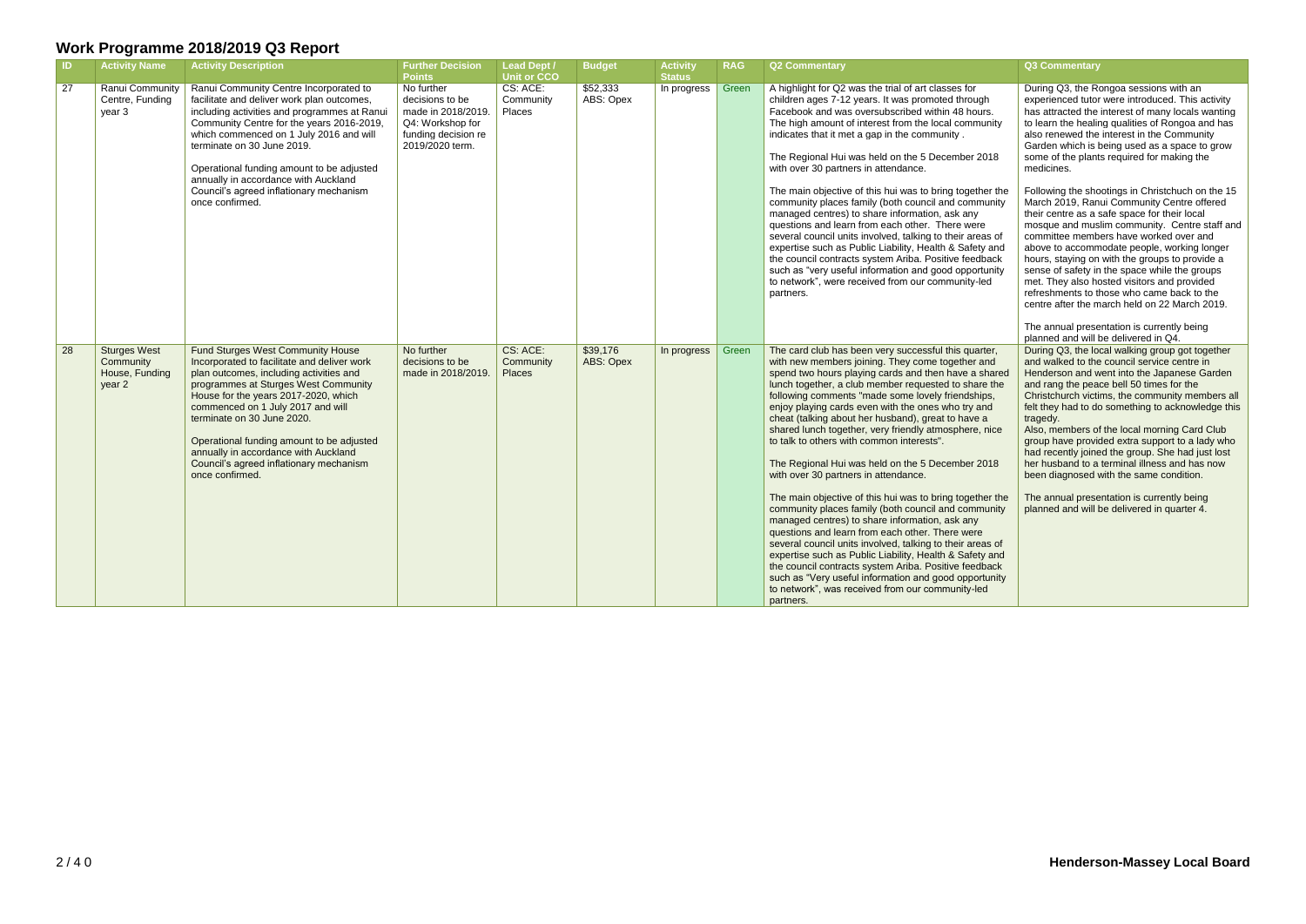| $\blacksquare$ | <b>Activity Name</b>                                         | <b>Activity Description</b>                                                                                                                                                                                                                                                                                                                                                                                                              | <b>Further Decision</b><br><b>Points</b>                                                                          | <b>Lead Dept /</b><br>Unit or CCO      | <b>Budget</b>         | <b>Activity</b><br><b>Status</b> | <b>RAG</b> | <b>Q2 Commentary</b>                                                                                                                                                                                                                                                                                                                                                                                                                                                                                                                                                                                                                                                                                                                                                                                                                                                                                                                                                                                                                                                                                                           | <b>Q3 Commentary</b>                                                                                                                                                                                                                                                                                                                                                                                                                                                                                                                                                                                                                                                                                                                                                                                                                                                                                                                                      |
|----------------|--------------------------------------------------------------|------------------------------------------------------------------------------------------------------------------------------------------------------------------------------------------------------------------------------------------------------------------------------------------------------------------------------------------------------------------------------------------------------------------------------------------|-------------------------------------------------------------------------------------------------------------------|----------------------------------------|-----------------------|----------------------------------|------------|--------------------------------------------------------------------------------------------------------------------------------------------------------------------------------------------------------------------------------------------------------------------------------------------------------------------------------------------------------------------------------------------------------------------------------------------------------------------------------------------------------------------------------------------------------------------------------------------------------------------------------------------------------------------------------------------------------------------------------------------------------------------------------------------------------------------------------------------------------------------------------------------------------------------------------------------------------------------------------------------------------------------------------------------------------------------------------------------------------------------------------|-----------------------------------------------------------------------------------------------------------------------------------------------------------------------------------------------------------------------------------------------------------------------------------------------------------------------------------------------------------------------------------------------------------------------------------------------------------------------------------------------------------------------------------------------------------------------------------------------------------------------------------------------------------------------------------------------------------------------------------------------------------------------------------------------------------------------------------------------------------------------------------------------------------------------------------------------------------|
| 27             | Ranui Community<br>Centre, Funding<br>year 3                 | Ranui Community Centre Incorporated to<br>facilitate and deliver work plan outcomes,<br>including activities and programmes at Ranui<br>Community Centre for the years 2016-2019,<br>which commenced on 1 July 2016 and will<br>terminate on 30 June 2019.<br>Operational funding amount to be adjusted<br>annually in accordance with Auckland<br>Council's agreed inflationary mechanism<br>once confirmed.                            | No further<br>decisions to be<br>made in 2018/2019.<br>Q4: Workshop for<br>funding decision re<br>2019/2020 term. | CS: ACE:<br>Community<br><b>Places</b> | \$52,333<br>ABS: Opex | In progress                      | Green      | A highlight for Q2 was the trial of art classes for<br>children ages 7-12 years. It was promoted through<br>Facebook and was oversubscribed within 48 hours.<br>The high amount of interest from the local community<br>indicates that it met a gap in the community.<br>The Regional Hui was held on the 5 December 2018<br>with over 30 partners in attendance.<br>The main objective of this hui was to bring together the<br>community places family (both council and community<br>managed centres) to share information, ask any<br>questions and learn from each other. There were<br>several council units involved, talking to their areas of<br>expertise such as Public Liability, Health & Safety and<br>the council contracts system Ariba. Positive feedback<br>such as "very useful information and good opportunity<br>to network", were received from our community-led<br>partners.                                                                                                                                                                                                                          | During Q3, the Rongoa sessions with an<br>experienced tutor were introduced. This activity<br>has attracted the interest of many locals wanting<br>to learn the healing qualities of Rongoa and has<br>also renewed the interest in the Community<br>Garden which is being used as a space to grow<br>some of the plants required for making the<br>medicines.<br>Following the shootings in Christchuch on the 15<br>March 2019, Ranui Community Centre offered<br>their centre as a safe space for their local<br>mosque and muslim community. Centre staff and<br>committee members have worked over and<br>above to accommodate people, working longer<br>hours, staying on with the groups to provide a<br>sense of safety in the space while the groups<br>met. They also hosted visitors and provided<br>refreshments to those who came back to the<br>centre after the march held on 22 March 2019.<br>The annual presentation is currently being |
| $\boxed{28}$   | <b>Sturges West</b><br>Community<br>House, Funding<br>year 2 | <b>Fund Sturges West Community House</b><br>Incorporated to facilitate and deliver work<br>plan outcomes, including activities and<br>programmes at Sturges West Community<br>House for the years 2017-2020, which<br>commenced on 1 July 2017 and will<br>terminate on 30 June 2020.<br>Operational funding amount to be adjusted<br>annually in accordance with Auckland<br>Council's agreed inflationary mechanism<br>once confirmed. | No further<br>decisions to be<br>made in 2018/2019.                                                               | CS: ACE:<br>Community<br><b>Places</b> | \$39,176<br>ABS: Opex | In progress                      | Green      | The card club has been very successful this quarter,<br>with new members joining. They come together and<br>spend two hours playing cards and then have a shared<br>lunch together, a club member requested to share the<br>following comments "made some lovely friendships,<br>enjoy playing cards even with the ones who try and<br>cheat (talking about her husband), great to have a<br>shared lunch together, very friendly atmosphere, nice<br>to talk to others with common interests".<br>The Regional Hui was held on the 5 December 2018<br>with over 30 partners in attendance.<br>The main objective of this hui was to bring together the<br>community places family (both council and community<br>managed centres) to share information, ask any<br>questions and learn from each other. There were<br>several council units involved, talking to their areas of<br>expertise such as Public Liability, Health & Safety and<br>the council contracts system Ariba. Positive feedback<br>such as "Very useful information and good opportunity<br>to network", was received from our community-led<br>partners. | planned and will be delivered in Q4.<br>During Q3, the local walking group got together<br>and walked to the council service centre in<br>Henderson and went into the Japanese Garden<br>and rang the peace bell 50 times for the<br>Christchurch victims, the community members all<br>felt they had to do something to acknowledge this<br>tragedy.<br>Also, members of the local morning Card Club<br>group have provided extra support to a lady who<br>had recently joined the group. She had just lost<br>her husband to a terminal illness and has now<br>been diagnosed with the same condition.<br>The annual presentation is currently being<br>planned and will be delivered in quarter 4.                                                                                                                                                                                                                                                     |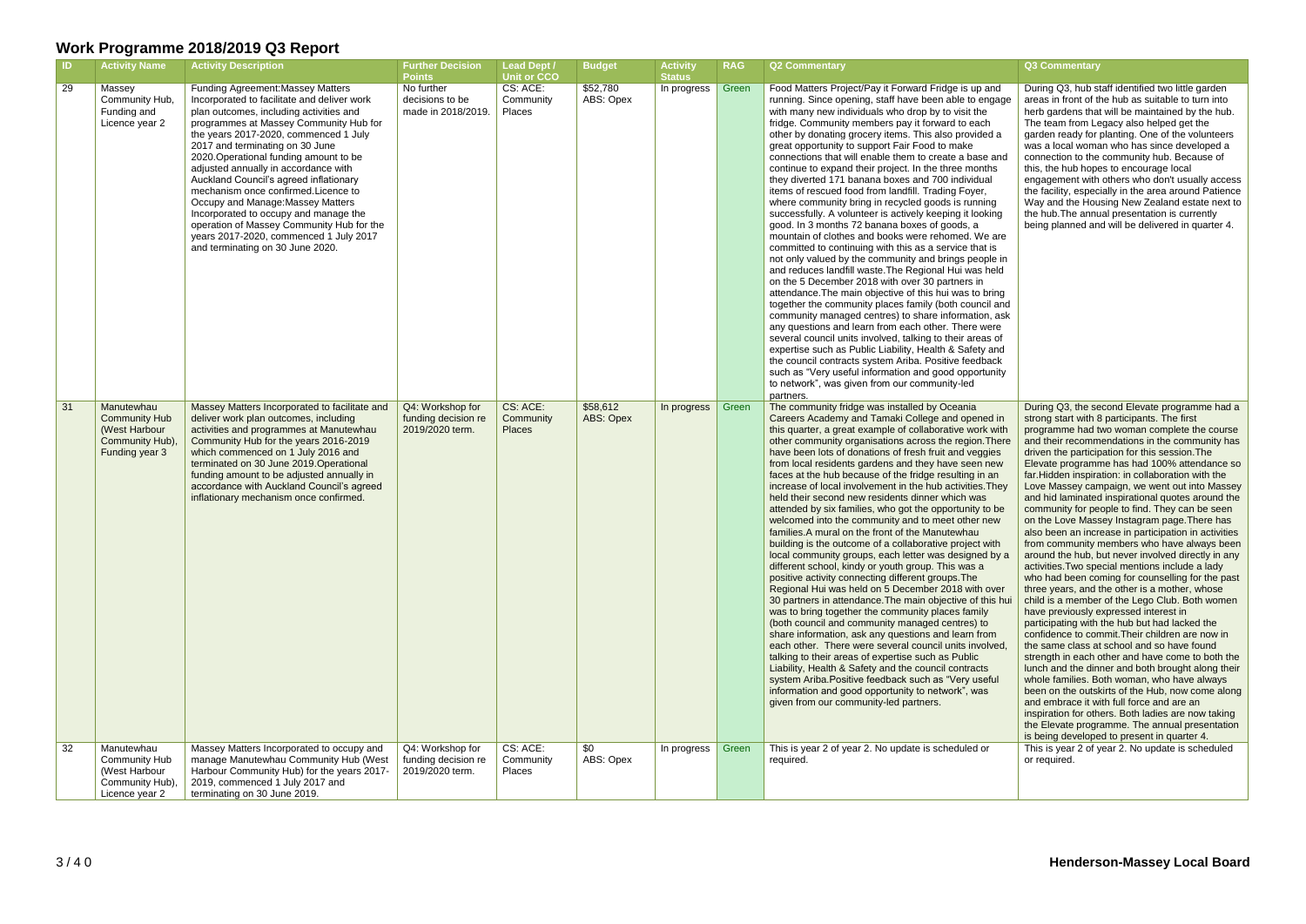| CS: ACE:<br>\$52,780<br>29<br>Green<br>Food Matters Project/Pay it Forward Fridge is up and<br>Massey<br><b>Funding Agreement: Massey Matters</b><br>No further<br>In progress<br>ABS: Opex<br>Community Hub,<br>Incorporated to facilitate and deliver work<br>decisions to be<br>Community<br>running. Since opening, staff have been able to engage<br>plan outcomes, including activities and<br>with many new individuals who drop by to visit the<br>Funding and<br>made in 2018/2019.<br><b>Places</b><br>programmes at Massey Community Hub for<br>fridge. Community members pay it forward to each<br>Licence year 2<br>the years 2017-2020, commenced 1 July<br>other by donating grocery items. This also provided a<br>2017 and terminating on 30 June<br>great opportunity to support Fair Food to make<br>2020. Operational funding amount to be<br>connections that will enable them to create a base and<br>adjusted annually in accordance with<br>continue to expand their project. In the three months<br>Auckland Council's agreed inflationary<br>they diverted 171 banana boxes and 700 individual<br>mechanism once confirmed. Licence to<br>items of rescued food from landfill. Trading Foyer,<br>Occupy and Manage: Massey Matters<br>where community bring in recycled goods is running<br>Incorporated to occupy and manage the<br>successfully. A volunteer is actively keeping it looking<br>operation of Massey Community Hub for the<br>good. In 3 months 72 banana boxes of goods, a<br>mountain of clothes and books were rehomed. We are<br>years 2017-2020, commenced 1 July 2017<br>and terminating on 30 June 2020.<br>committed to continuing with this as a service that is<br>not only valued by the community and brings people in<br>and reduces landfill waste. The Regional Hui was held<br>on the 5 December 2018 with over 30 partners in<br>attendance. The main objective of this hui was to bring<br>together the community places family (both council and<br>community managed centres) to share information, ask<br>any questions and learn from each other. There were<br>several council units involved, talking to their areas of<br>expertise such as Public Liability, Health & Safety and<br>the council contracts system Ariba. Positive feedback<br>such as "Very useful information and good opportunity<br>to network", was given from our community-led<br>partners.<br>CS: ACE:<br>\$58,612<br>The community fridge was installed by Oceania<br>31<br>Manutewhau<br>Q4: Workshop for<br>Massey Matters Incorporated to facilitate and<br>Green<br>In progress<br><b>Community Hub</b><br>funding decision re<br>Community<br>ABS: Opex<br>Careers Academy and Tamaki College and opened in<br>deliver work plan outcomes, including<br>2019/2020 term.<br>(West Harbour<br>activities and programmes at Manutewhau<br>this quarter, a great example of collaborative work with<br><b>Places</b><br>Community Hub),<br>Community Hub for the years 2016-2019<br>other community organisations across the region. There<br>which commenced on 1 July 2016 and<br>have been lots of donations of fresh fruit and veggies<br>Funding year 3<br>terminated on 30 June 2019. Operational<br>from local residents gardens and they have seen new<br>funding amount to be adjusted annually in<br>faces at the hub because of the fridge resulting in an<br>accordance with Auckland Council's agreed<br>increase of local involvement in the hub activities. They<br>inflationary mechanism once confirmed.<br>held their second new residents dinner which was<br>attended by six families, who got the opportunity to be<br>welcomed into the community and to meet other new<br>families. A mural on the front of the Manutewhau<br>building is the outcome of a collaborative project with<br>local community groups, each letter was designed by a<br>different school, kindy or youth group. This was a<br>positive activity connecting different groups. The<br>Regional Hui was held on 5 December 2018 with over<br>30 partners in attendance. The main objective of this hui<br>was to bring together the community places family<br>(both council and community managed centres) to<br>share information, ask any questions and learn from<br>each other. There were several council units involved,<br>talking to their areas of expertise such as Public<br>Liability, Health & Safety and the council contracts<br>system Ariba. Positive feedback such as "Very useful<br>information and good opportunity to network", was<br>given from our community-led partners.<br>32<br>Manutewhau<br>Massey Matters Incorporated to occupy and<br>CS: ACE:<br>This is year 2 of year 2. No update is scheduled or<br>Q4: Workshop for<br>\$0<br>In progress<br>Green<br>ABS: Opex<br>manage Manutewhau Community Hub (West<br>funding decision re<br>or required.<br>Community Hub<br>Community<br>required.<br>Harbour Community Hub) for the years 2017-<br>(West Harbour<br>2019/2020 term.<br>Places<br>2019, commenced 1 July 2017 and | - ID. | <b>Activity Name</b> | <b>Activity Description</b> | Further Decision<br><b>Points</b> | <b>Lead Dept /</b><br><b>Unit or CCO</b> | <b>Budget</b> | <b>Activity</b><br><b>Status</b> | <b>RAG</b> | <b>Q2 Commentary</b> | <b>Q3 Commentary</b>                                                                                                                                                                                                                                                                                                                                                                                                                                                                                                                                                                                                                                                                                                                                                                                                                                                                                                                                                                                                                                                                                                                                                                                                                                                                                                                                                                                                                                                                                                                           |
|--------------------------------------------------------------------------------------------------------------------------------------------------------------------------------------------------------------------------------------------------------------------------------------------------------------------------------------------------------------------------------------------------------------------------------------------------------------------------------------------------------------------------------------------------------------------------------------------------------------------------------------------------------------------------------------------------------------------------------------------------------------------------------------------------------------------------------------------------------------------------------------------------------------------------------------------------------------------------------------------------------------------------------------------------------------------------------------------------------------------------------------------------------------------------------------------------------------------------------------------------------------------------------------------------------------------------------------------------------------------------------------------------------------------------------------------------------------------------------------------------------------------------------------------------------------------------------------------------------------------------------------------------------------------------------------------------------------------------------------------------------------------------------------------------------------------------------------------------------------------------------------------------------------------------------------------------------------------------------------------------------------------------------------------------------------------------------------------------------------------------------------------------------------------------------------------------------------------------------------------------------------------------------------------------------------------------------------------------------------------------------------------------------------------------------------------------------------------------------------------------------------------------------------------------------------------------------------------------------------------------------------------------------------------------------------------------------------------------------------------------------------------------------------------------------------------------------------------------------------------------------------------------------------------------------------------------------------------------------------------------------------------------------------------------------------------------------------------------------------------------------------------------------------------------------------------------------------------------------------------------------------------------------------------------------------------------------------------------------------------------------------------------------------------------------------------------------------------------------------------------------------------------------------------------------------------------------------------------------------------------------------------------------------------------------------------------------------------------------------------------------------------------------------------------------------------------------------------------------------------------------------------------------------------------------------------------------------------------------------------------------------------------------------------------------------------------------------------------------------------------------------------------------------------------------------------------------------------------------------------------------------------------------------------------------------------------------------------------------------------------------------------------------------------------------------------------------------------------------------------------------------------------------------------------------------------------------------------------------------------------------------------------------------------------------------------------------------------------------------------------------------------------------------------------------------------------------------------------------------------------------------------------------------------------------------------------------------------------------------------------------------------------------------------------------------------------------------------------------------|-------|----------------------|-----------------------------|-----------------------------------|------------------------------------------|---------------|----------------------------------|------------|----------------------|------------------------------------------------------------------------------------------------------------------------------------------------------------------------------------------------------------------------------------------------------------------------------------------------------------------------------------------------------------------------------------------------------------------------------------------------------------------------------------------------------------------------------------------------------------------------------------------------------------------------------------------------------------------------------------------------------------------------------------------------------------------------------------------------------------------------------------------------------------------------------------------------------------------------------------------------------------------------------------------------------------------------------------------------------------------------------------------------------------------------------------------------------------------------------------------------------------------------------------------------------------------------------------------------------------------------------------------------------------------------------------------------------------------------------------------------------------------------------------------------------------------------------------------------|
|                                                                                                                                                                                                                                                                                                                                                                                                                                                                                                                                                                                                                                                                                                                                                                                                                                                                                                                                                                                                                                                                                                                                                                                                                                                                                                                                                                                                                                                                                                                                                                                                                                                                                                                                                                                                                                                                                                                                                                                                                                                                                                                                                                                                                                                                                                                                                                                                                                                                                                                                                                                                                                                                                                                                                                                                                                                                                                                                                                                                                                                                                                                                                                                                                                                                                                                                                                                                                                                                                                                                                                                                                                                                                                                                                                                                                                                                                                                                                                                                                                                                                                                                                                                                                                                                                                                                                                                                                                                                                                                                                                                                                                                                                                                                                                                                                                                                                                                                                                                                                                                                                                              |       |                      |                             |                                   |                                          |               |                                  |            |                      | During Q3, hub staff identified two little garden<br>areas in front of the hub as suitable to turn into<br>herb gardens that will be maintained by the hub.<br>The team from Legacy also helped get the<br>garden ready for planting. One of the volunteers<br>was a local woman who has since developed a<br>connection to the community hub. Because of<br>this, the hub hopes to encourage local<br>engagement with others who don't usually access<br>the facility, especially in the area around Patience<br>Way and the Housing New Zealand estate next to<br>the hub. The annual presentation is currently<br>being planned and will be delivered in quarter 4.                                                                                                                                                                                                                                                                                                                                                                                                                                                                                                                                                                                                                                                                                                                                                                                                                                                                         |
|                                                                                                                                                                                                                                                                                                                                                                                                                                                                                                                                                                                                                                                                                                                                                                                                                                                                                                                                                                                                                                                                                                                                                                                                                                                                                                                                                                                                                                                                                                                                                                                                                                                                                                                                                                                                                                                                                                                                                                                                                                                                                                                                                                                                                                                                                                                                                                                                                                                                                                                                                                                                                                                                                                                                                                                                                                                                                                                                                                                                                                                                                                                                                                                                                                                                                                                                                                                                                                                                                                                                                                                                                                                                                                                                                                                                                                                                                                                                                                                                                                                                                                                                                                                                                                                                                                                                                                                                                                                                                                                                                                                                                                                                                                                                                                                                                                                                                                                                                                                                                                                                                                              |       |                      |                             |                                   |                                          |               |                                  |            |                      | During Q3, the second Elevate programme had a<br>strong start with 8 participants. The first<br>programme had two woman complete the course<br>and their recommendations in the community has<br>driven the participation for this session. The<br>Elevate programme has had 100% attendance so<br>far.Hidden inspiration: in collaboration with the<br>Love Massey campaign, we went out into Massey<br>and hid laminated inspirational quotes around the<br>community for people to find. They can be seen<br>on the Love Massey Instagram page. There has<br>also been an increase in participation in activities<br>from community members who have always been<br>around the hub, but never involved directly in any<br>activities. Two special mentions include a lady<br>who had been coming for counselling for the past<br>three years, and the other is a mother, whose<br>child is a member of the Lego Club. Both women<br>have previously expressed interest in<br>participating with the hub but had lacked the<br>confidence to commit. Their children are now in<br>the same class at school and so have found<br>strength in each other and have come to both the<br>lunch and the dinner and both brought along their<br>whole families. Both woman, who have always<br>been on the outskirts of the Hub, now come along<br>and embrace it with full force and are an<br>inspiration for others. Both ladies are now taking<br>the Elevate programme. The annual presentation<br>is being developed to present in quarter 4. |
| terminating on 30 June 2019.<br>Licence year 2                                                                                                                                                                                                                                                                                                                                                                                                                                                                                                                                                                                                                                                                                                                                                                                                                                                                                                                                                                                                                                                                                                                                                                                                                                                                                                                                                                                                                                                                                                                                                                                                                                                                                                                                                                                                                                                                                                                                                                                                                                                                                                                                                                                                                                                                                                                                                                                                                                                                                                                                                                                                                                                                                                                                                                                                                                                                                                                                                                                                                                                                                                                                                                                                                                                                                                                                                                                                                                                                                                                                                                                                                                                                                                                                                                                                                                                                                                                                                                                                                                                                                                                                                                                                                                                                                                                                                                                                                                                                                                                                                                                                                                                                                                                                                                                                                                                                                                                                                                                                                                                               |       | Community Hub),      |                             |                                   |                                          |               |                                  |            |                      | This is year 2 of year 2. No update is scheduled                                                                                                                                                                                                                                                                                                                                                                                                                                                                                                                                                                                                                                                                                                                                                                                                                                                                                                                                                                                                                                                                                                                                                                                                                                                                                                                                                                                                                                                                                               |

| Q3 Commentary |  |
|---------------|--|
|               |  |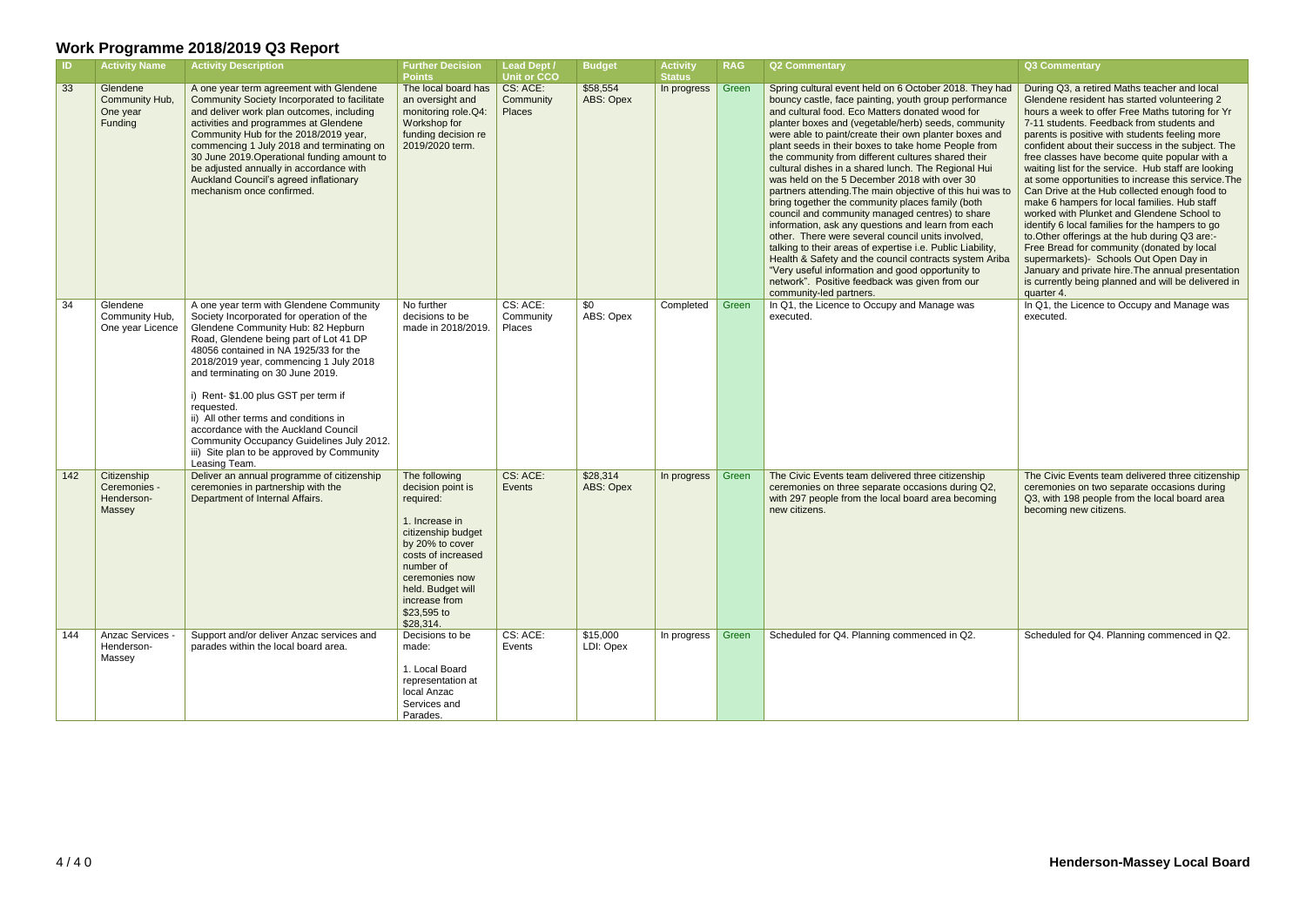|     | <b>Activity Name</b>                                | <b>Activity Description</b>                                                                                                                                                                                                                                                                                                                                                                                                                                                                                                                    | <b>Further Decision</b><br><b>Points</b>                                                                                                                                                                                          | <b>Lead Dept /</b><br><b>Unit or CCO</b> | <b>Budget</b>         | <b>Activity</b><br><b>Status</b> | <b>RAG</b> | <b>Q2 Commentary</b>                                                                                                                                                                                                                                                                                                                                                                                                                                                                                                                                                                                                                                                                                                                                                                                                                                                                                                                                                                                                                           | Q3 Commentary                                                                                                                                                                                                                                                                                                                                                                                                                                                                                                                                                                                                                                                                                                                                                                                                                                                                                                                             |
|-----|-----------------------------------------------------|------------------------------------------------------------------------------------------------------------------------------------------------------------------------------------------------------------------------------------------------------------------------------------------------------------------------------------------------------------------------------------------------------------------------------------------------------------------------------------------------------------------------------------------------|-----------------------------------------------------------------------------------------------------------------------------------------------------------------------------------------------------------------------------------|------------------------------------------|-----------------------|----------------------------------|------------|------------------------------------------------------------------------------------------------------------------------------------------------------------------------------------------------------------------------------------------------------------------------------------------------------------------------------------------------------------------------------------------------------------------------------------------------------------------------------------------------------------------------------------------------------------------------------------------------------------------------------------------------------------------------------------------------------------------------------------------------------------------------------------------------------------------------------------------------------------------------------------------------------------------------------------------------------------------------------------------------------------------------------------------------|-------------------------------------------------------------------------------------------------------------------------------------------------------------------------------------------------------------------------------------------------------------------------------------------------------------------------------------------------------------------------------------------------------------------------------------------------------------------------------------------------------------------------------------------------------------------------------------------------------------------------------------------------------------------------------------------------------------------------------------------------------------------------------------------------------------------------------------------------------------------------------------------------------------------------------------------|
| 33  | Glendene<br>Community Hub,<br>One year<br>Funding   | A one year term agreement with Glendene<br>Community Society Incorporated to facilitate<br>and deliver work plan outcomes, including<br>activities and programmes at Glendene<br>Community Hub for the 2018/2019 year,<br>commencing 1 July 2018 and terminating on<br>30 June 2019. Operational funding amount to<br>be adjusted annually in accordance with<br>Auckland Council's agreed inflationary<br>mechanism once confirmed.                                                                                                           | The local board has<br>an oversight and<br>monitoring role.Q4:<br>Workshop for<br>funding decision re<br>2019/2020 term.                                                                                                          | CS: ACE:<br>Community<br><b>Places</b>   | \$58,554<br>ABS: Opex | In progress                      | Green      | Spring cultural event held on 6 October 2018. They had<br>bouncy castle, face painting, youth group performance<br>and cultural food. Eco Matters donated wood for<br>planter boxes and (vegetable/herb) seeds, community<br>were able to paint/create their own planter boxes and<br>plant seeds in their boxes to take home People from<br>the community from different cultures shared their<br>cultural dishes in a shared lunch. The Regional Hui<br>was held on the 5 December 2018 with over 30<br>partners attending. The main objective of this hui was to<br>bring together the community places family (both<br>council and community managed centres) to share<br>information, ask any questions and learn from each<br>other. There were several council units involved,<br>talking to their areas of expertise i.e. Public Liability,<br>Health & Safety and the council contracts system Ariba<br>"Very useful information and good opportunity to<br>network". Positive feedback was given from our<br>community-led partners. | During Q3, a retired Maths teacher and local<br>Glendene resident has started volunteering 2<br>hours a week to offer Free Maths tutoring for Yr<br>7-11 students. Feedback from students and<br>parents is positive with students feeling more<br>confident about their success in the subject. The<br>free classes have become quite popular with a<br>waiting list for the service. Hub staff are looking<br>at some opportunities to increase this service. The<br>Can Drive at the Hub collected enough food to<br>make 6 hampers for local families. Hub staff<br>worked with Plunket and Glendene School to<br>identify 6 local families for the hampers to go<br>to. Other offerings at the hub during Q3 are:-<br>Free Bread for community (donated by local<br>supermarkets)- Schools Out Open Day in<br>January and private hire. The annual presentation<br>is currently being planned and will be delivered in<br>quarter 4. |
| 34  | Glendene<br>Community Hub,<br>One year Licence      | A one year term with Glendene Community<br>Society Incorporated for operation of the<br>Glendene Community Hub: 82 Hepburn<br>Road, Glendene being part of Lot 41 DP<br>48056 contained in NA 1925/33 for the<br>2018/2019 year, commencing 1 July 2018<br>and terminating on 30 June 2019.<br>i) Rent- \$1.00 plus GST per term if<br>requested.<br>ii) All other terms and conditions in<br>accordance with the Auckland Council<br>Community Occupancy Guidelines July 2012.<br>iii) Site plan to be approved by Community<br>Leasing Team. | No further<br>decisions to be<br>made in 2018/2019.                                                                                                                                                                               | CS: ACE:<br>Community<br>Places          | \$0<br>ABS: Opex      | Completed                        | Green      | In Q1, the Licence to Occupy and Manage was<br>executed.                                                                                                                                                                                                                                                                                                                                                                                                                                                                                                                                                                                                                                                                                                                                                                                                                                                                                                                                                                                       | In Q1, the Licence to Occupy and Manage was<br>executed.                                                                                                                                                                                                                                                                                                                                                                                                                                                                                                                                                                                                                                                                                                                                                                                                                                                                                  |
| 142 | Citizenship<br>Ceremonies -<br>Henderson-<br>Massey | Deliver an annual programme of citizenship<br>ceremonies in partnership with the<br>Department of Internal Affairs.                                                                                                                                                                                                                                                                                                                                                                                                                            | The following<br>decision point is<br>required:<br>1. Increase in<br>citizenship budget<br>by 20% to cover<br>costs of increased<br>number of<br>ceremonies now<br>held. Budget will<br>increase from<br>\$23,595 to<br>\$28,314. | CS: ACE:<br>Events                       | \$28,314<br>ABS: Opex | In progress                      | Green      | The Civic Events team delivered three citizenship<br>ceremonies on three separate occasions during Q2,<br>with 297 people from the local board area becoming<br>new citizens.                                                                                                                                                                                                                                                                                                                                                                                                                                                                                                                                                                                                                                                                                                                                                                                                                                                                  | The Civic Events team delivered three citizenship<br>ceremonies on two separate occasions during<br>Q3, with 198 people from the local board area<br>becoming new citizens.                                                                                                                                                                                                                                                                                                                                                                                                                                                                                                                                                                                                                                                                                                                                                               |
| 144 | Anzac Services -<br>Henderson-<br>Massey            | Support and/or deliver Anzac services and<br>parades within the local board area.                                                                                                                                                                                                                                                                                                                                                                                                                                                              | Decisions to be<br>made:<br>1. Local Board<br>representation at<br>local Anzac<br>Services and<br>Parades.                                                                                                                        | CS: ACE:<br>Events                       | \$15,000<br>LDI: Opex | In progress   Green              |            | Scheduled for Q4. Planning commenced in Q2.                                                                                                                                                                                                                                                                                                                                                                                                                                                                                                                                                                                                                                                                                                                                                                                                                                                                                                                                                                                                    | Scheduled for Q4. Planning commenced in Q2.                                                                                                                                                                                                                                                                                                                                                                                                                                                                                                                                                                                                                                                                                                                                                                                                                                                                                               |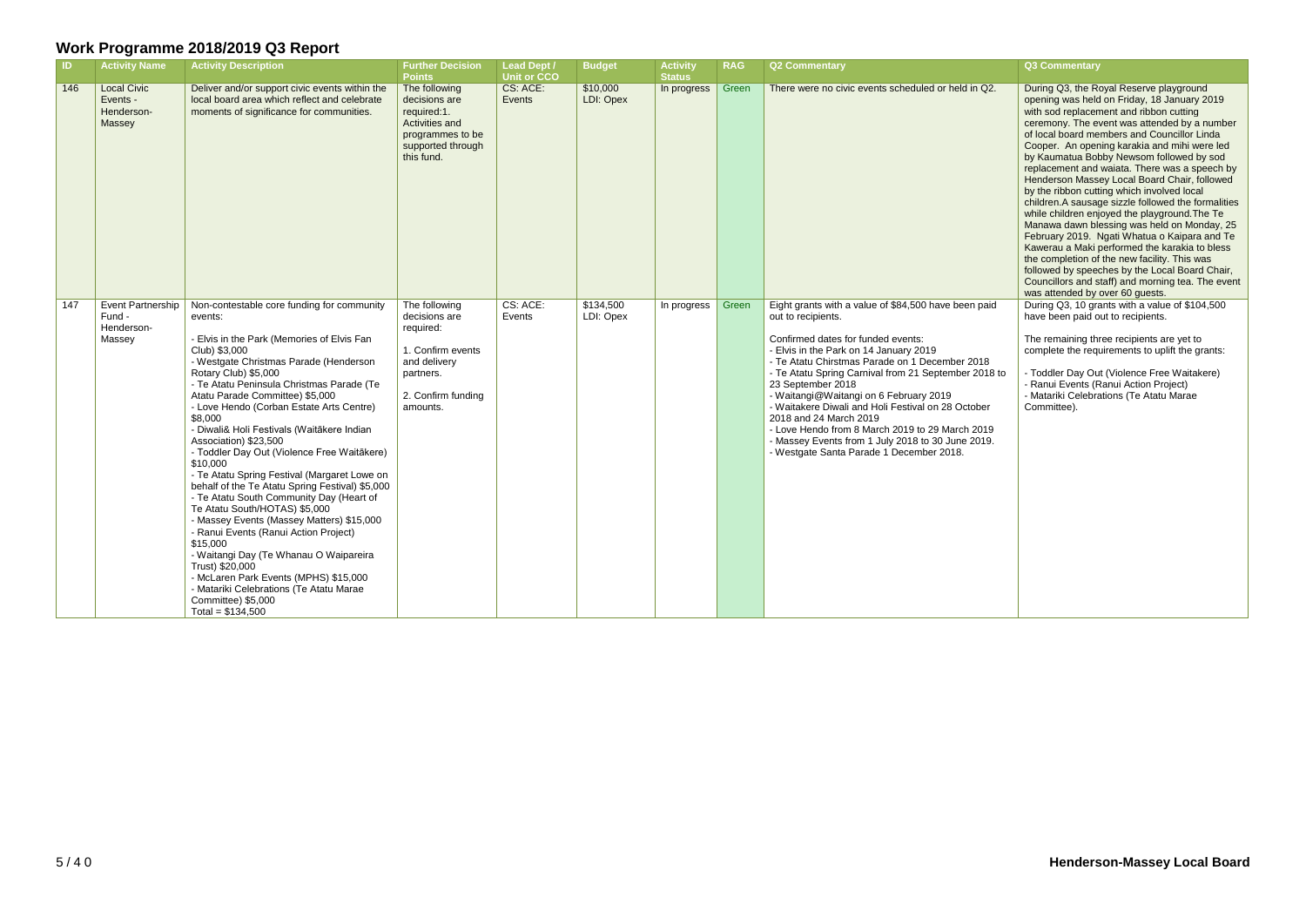| $\overline{1}$ | <b>Activity Name</b>                                   | <b>Activity Description</b>                                                                                                                                                                                                                                                                                                                                                                                                                                                                                                                                                                                                                                                                                                                                                                                                                                                                                                                    | <b>Further Decision</b><br><b>Points</b>                                                                                        | <b>Lead Dept /</b><br><b>Unit or CCO</b> | <b>Budget</b>          | <b>Activity</b><br><b>Status</b> | <b>RAG</b> | <b>Q2 Commentary</b>                                                                                                                                                                                                                                                                                                                                                                                                                                                                                                                                                    | <b>Q3 Commentary</b>                                                                                                                                                                                                                                                                                                                                                                                                                                                                                                                                                                                                                                                                                                                                                                                                                                                                                                         |
|----------------|--------------------------------------------------------|------------------------------------------------------------------------------------------------------------------------------------------------------------------------------------------------------------------------------------------------------------------------------------------------------------------------------------------------------------------------------------------------------------------------------------------------------------------------------------------------------------------------------------------------------------------------------------------------------------------------------------------------------------------------------------------------------------------------------------------------------------------------------------------------------------------------------------------------------------------------------------------------------------------------------------------------|---------------------------------------------------------------------------------------------------------------------------------|------------------------------------------|------------------------|----------------------------------|------------|-------------------------------------------------------------------------------------------------------------------------------------------------------------------------------------------------------------------------------------------------------------------------------------------------------------------------------------------------------------------------------------------------------------------------------------------------------------------------------------------------------------------------------------------------------------------------|------------------------------------------------------------------------------------------------------------------------------------------------------------------------------------------------------------------------------------------------------------------------------------------------------------------------------------------------------------------------------------------------------------------------------------------------------------------------------------------------------------------------------------------------------------------------------------------------------------------------------------------------------------------------------------------------------------------------------------------------------------------------------------------------------------------------------------------------------------------------------------------------------------------------------|
| 146            | <b>Local Civic</b><br>Events -<br>Henderson-<br>Massey | Deliver and/or support civic events within the<br>local board area which reflect and celebrate<br>moments of significance for communities.                                                                                                                                                                                                                                                                                                                                                                                                                                                                                                                                                                                                                                                                                                                                                                                                     | The following<br>decisions are<br>required:1.<br>Activities and<br>programmes to be<br>supported through<br>this fund.          | CS: ACE:<br>Events                       | \$10,000<br>LDI: Opex  | In progress                      | Green      | There were no civic events scheduled or held in Q2.                                                                                                                                                                                                                                                                                                                                                                                                                                                                                                                     | During Q3, the Royal Reserve playground<br>opening was held on Friday, 18 January 2019<br>with sod replacement and ribbon cutting<br>ceremony. The event was attended by a number<br>of local board members and Councillor Linda<br>Cooper. An opening karakia and mihi were led<br>by Kaumatua Bobby Newsom followed by sod<br>replacement and waiata. There was a speech by<br>Henderson Massey Local Board Chair, followed<br>by the ribbon cutting which involved local<br>children.A sausage sizzle followed the formalities<br>while children enjoyed the playground. The Te<br>Manawa dawn blessing was held on Monday, 25<br>February 2019. Ngati Whatua o Kaipara and Te<br>Kawerau a Maki performed the karakia to bless<br>the completion of the new facility. This was<br>followed by speeches by the Local Board Chair,<br>Councillors and staff) and morning tea. The event<br>was attended by over 60 guests. |
| 147            | Event Partnership<br>Fund -<br>Henderson-<br>Massey    | Non-contestable core funding for community<br>events:<br>- Elvis in the Park (Memories of Elvis Fan<br>Club) \$3,000<br>- Westgate Christmas Parade (Henderson<br>Rotary Club) \$5,000<br>- Te Atatu Peninsula Christmas Parade (Te<br>Atatu Parade Committee) \$5,000<br>- Love Hendo (Corban Estate Arts Centre)<br>\$8,000<br>- Diwali& Holi Festivals (Waitākere Indian<br>Association) \$23,500<br>- Toddler Day Out (Violence Free Waitākere)<br>\$10,000<br>- Te Atatu Spring Festival (Margaret Lowe on<br>behalf of the Te Atatu Spring Festival) \$5,000<br>- Te Atatu South Community Day (Heart of<br>Te Atatu South/HOTAS) \$5,000<br>- Massey Events (Massey Matters) \$15,000<br>- Ranui Events (Ranui Action Project)<br>\$15,000<br>- Waitangi Day (Te Whanau O Waipareira<br>Trust) \$20,000<br>- McLaren Park Events (MPHS) \$15,000<br>- Matariki Celebrations (Te Atatu Marae<br>Committee) \$5,000<br>Total = $$134,500$ | The following<br>decisions are<br>required:<br>1. Confirm events<br>and delivery<br>partners.<br>2. Confirm funding<br>amounts. | CS: ACE:<br>Events                       | \$134,500<br>LDI: Opex | In progress                      | Green      | Eight grants with a value of \$84,500 have been paid<br>out to recipients.<br>Confirmed dates for funded events:<br>- Elvis in the Park on 14 January 2019<br>- Te Atatu Chirstmas Parade on 1 December 2018<br>- Te Atatu Spring Carnival from 21 September 2018 to<br>23 September 2018<br>- Waitangi@Waitangi on 6 February 2019<br>- Waitakere Diwali and Holi Festival on 28 October<br>2018 and 24 March 2019<br>- Love Hendo from 8 March 2019 to 29 March 2019<br>- Massey Events from 1 July 2018 to 30 June 2019.<br>- Westgate Santa Parade 1 December 2018. | During Q3, 10 grants with a value of \$104,500<br>have been paid out to recipients.<br>The remaining three recipients are yet to<br>complete the requirements to uplift the grants:<br>- Toddler Day Out (Violence Free Waitakere)<br>- Ranui Events (Ranui Action Project)<br>- Matariki Celebrations (Te Atatu Marae<br>Committee).                                                                                                                                                                                                                                                                                                                                                                                                                                                                                                                                                                                        |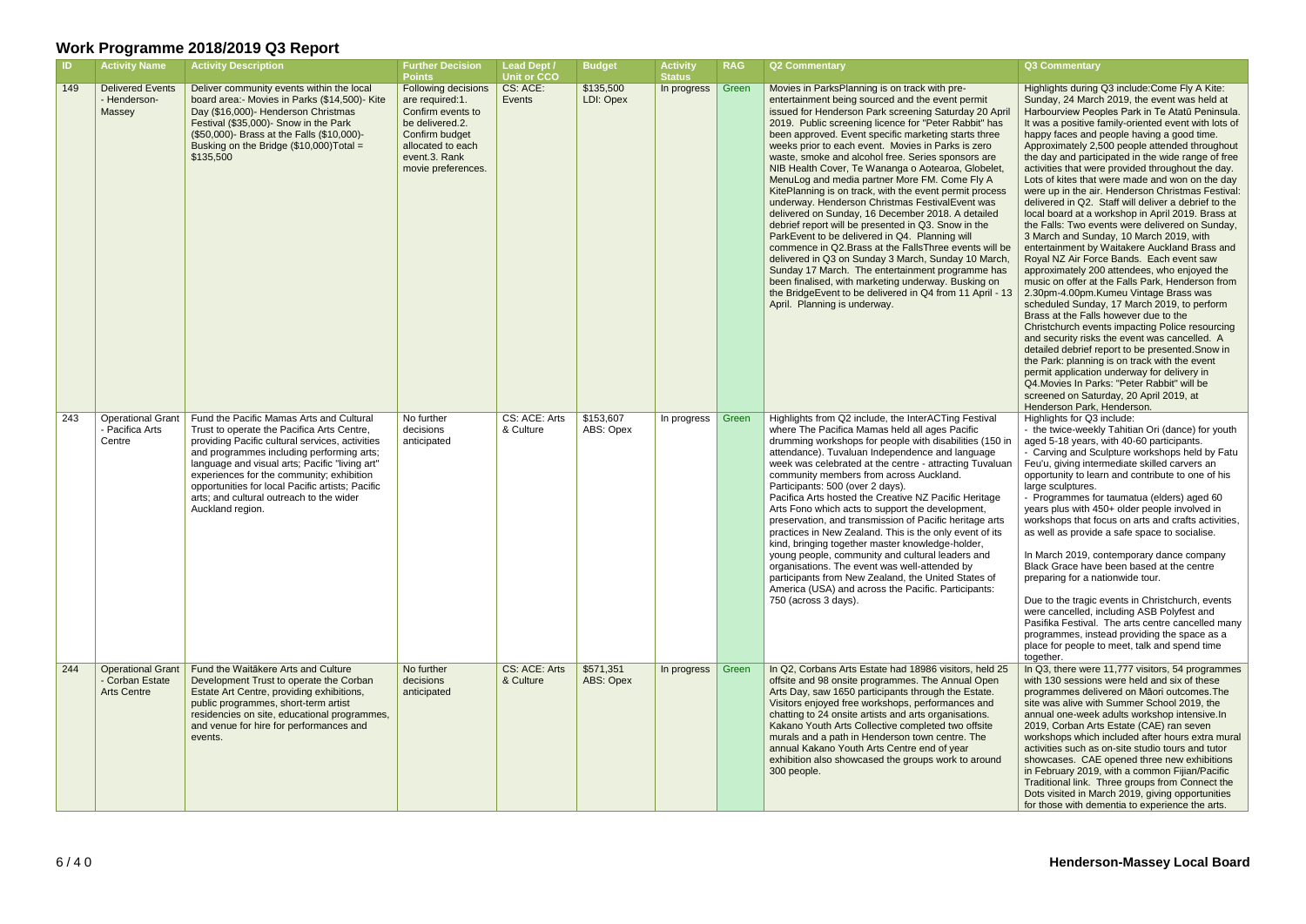#### **RAG Q2 Commentary Q3 Commentary**

| ID  | <b>Activity Name</b>                                              | <b>Activity Description</b>                                                                                                                                                                                                                                                                                                                                                                               | <b>Further Decision</b><br><b>Points</b>                                                                                                                     | <b>Lead Dept /</b><br><b>Unit or CCO</b> | <b>Budget</b>          | <b>Activity</b><br><b>Status</b> | <b>RAG</b> | <b>Q2 Commentary</b>                                                                                                                                                                                                                                                                                                                                                                                                                                                                                                                                                                                                                                                                                                                                                                                                                                                                                                                                                                                                                                                                                |
|-----|-------------------------------------------------------------------|-----------------------------------------------------------------------------------------------------------------------------------------------------------------------------------------------------------------------------------------------------------------------------------------------------------------------------------------------------------------------------------------------------------|--------------------------------------------------------------------------------------------------------------------------------------------------------------|------------------------------------------|------------------------|----------------------------------|------------|-----------------------------------------------------------------------------------------------------------------------------------------------------------------------------------------------------------------------------------------------------------------------------------------------------------------------------------------------------------------------------------------------------------------------------------------------------------------------------------------------------------------------------------------------------------------------------------------------------------------------------------------------------------------------------------------------------------------------------------------------------------------------------------------------------------------------------------------------------------------------------------------------------------------------------------------------------------------------------------------------------------------------------------------------------------------------------------------------------|
| 149 | <b>Delivered Events</b><br>- Henderson-<br>Massey                 | Deliver community events within the local<br>board area:- Movies in Parks (\$14,500)- Kite<br>Day (\$16,000)- Henderson Christmas<br>Festival (\$35,000)- Snow in the Park<br>(\$50,000)- Brass at the Falls (\$10,000)-<br>Busking on the Bridge (\$10,000) Total =<br>\$135,500                                                                                                                         | Following decisions<br>are required:1.<br>Confirm events to<br>be delivered.2.<br>Confirm budget<br>allocated to each<br>event.3. Rank<br>movie preferences. | CS: ACE:<br>Events                       | \$135,500<br>LDI: Opex | In progress                      | Green      | Movies in ParksPlanning is on track with pre-<br>entertainment being sourced and the event permit<br>issued for Henderson Park screening Saturday 20 April<br>2019. Public screening licence for "Peter Rabbit" has<br>been approved. Event specific marketing starts three<br>weeks prior to each event. Movies in Parks is zero<br>waste, smoke and alcohol free. Series sponsors are<br>NIB Health Cover, Te Wananga o Aotearoa, Globelet,<br>MenuLog and media partner More FM. Come Fly A<br>KitePlanning is on track, with the event permit process<br>underway. Henderson Christmas FestivalEvent was<br>delivered on Sunday, 16 December 2018. A detailed<br>debrief report will be presented in Q3. Snow in the<br>ParkEvent to be delivered in Q4. Planning will<br>commence in Q2. Brass at the Falls Three events will be<br>delivered in Q3 on Sunday 3 March, Sunday 10 March,<br>Sunday 17 March. The entertainment programme has<br>been finalised, with marketing underway. Busking on<br>the BridgeEvent to be delivered in Q4 from 11 April - 13<br>April. Planning is underway. |
| 243 | <b>Operational Grant</b><br>- Pacifica Arts<br>Centre             | Fund the Pacific Mamas Arts and Cultural<br>Trust to operate the Pacifica Arts Centre,<br>providing Pacific cultural services, activities<br>and programmes including performing arts;<br>language and visual arts; Pacific "living art"<br>experiences for the community; exhibition<br>opportunities for local Pacific artists; Pacific<br>arts; and cultural outreach to the wider<br>Auckland region. | No further<br>decisions<br>anticipated                                                                                                                       | CS: ACE: Arts<br>& Culture               | \$153,607<br>ABS: Opex | In progress                      | Green      | Highlights from Q2 include, the InterACTing Festival<br>where The Pacifica Mamas held all ages Pacific<br>drumming workshops for people with disabilities (150 in<br>attendance). Tuvaluan Independence and language<br>week was celebrated at the centre - attracting Tuvaluan<br>community members from across Auckland.<br>Participants: 500 (over 2 days).<br>Pacifica Arts hosted the Creative NZ Pacific Heritage<br>Arts Fono which acts to support the development,<br>preservation, and transmission of Pacific heritage arts<br>practices in New Zealand. This is the only event of its<br>kind, bringing together master knowledge-holder,<br>young people, community and cultural leaders and<br>organisations. The event was well-attended by<br>participants from New Zealand, the United States of<br>America (USA) and across the Pacific. Participants:<br>750 (across 3 days).                                                                                                                                                                                                    |
| 244 | <b>Operational Grant</b><br>- Corban Estate<br><b>Arts Centre</b> | Fund the Waitākere Arts and Culture<br>Development Trust to operate the Corban<br>Estate Art Centre, providing exhibitions,<br>public programmes, short-term artist<br>residencies on site, educational programmes,<br>and venue for hire for performances and<br>events.                                                                                                                                 | No further<br>decisions<br>anticipated                                                                                                                       | CS: ACE: Arts<br>& Culture               | \$571,351<br>ABS: Opex | In progress                      | Green      | In Q2, Corbans Arts Estate had 18986 visitors, held 25<br>offsite and 98 onsite programmes. The Annual Open<br>Arts Day, saw 1650 participants through the Estate.<br>Visitors enjoyed free workshops, performances and<br>chatting to 24 onsite artists and arts organisations.<br>Kakano Youth Arts Collective completed two offsite<br>murals and a path in Henderson town centre. The<br>annual Kakano Youth Arts Centre end of year<br>exhibition also showcased the groups work to around<br>300 people.                                                                                                                                                                                                                                                                                                                                                                                                                                                                                                                                                                                      |

|              | Highlights during Q3 include: Come Fly A Kite:                                                      |
|--------------|-----------------------------------------------------------------------------------------------------|
|              | Sunday, 24 March 2019, the event was held at                                                        |
|              |                                                                                                     |
| <b>April</b> | Harbourview Peoples Park in Te Atatū Peninsula.                                                     |
| has          | It was a positive family-oriented event with lots of                                                |
| ree          | happy faces and people having a good time.                                                          |
| О            | Approximately 2,500 people attended throughout                                                      |
| re           | the day and participated in the wide range of free                                                  |
|              |                                                                                                     |
| elet.        | activities that were provided throughout the day.                                                   |
| A            | Lots of kites that were made and won on the day                                                     |
| cess         | were up in the air. Henderson Christmas Festival:                                                   |
| ЭS           | delivered in Q2. Staff will deliver a debrief to the                                                |
| ed           | local board at a workshop in April 2019. Brass at                                                   |
|              | the Falls: Two events were delivered on Sunday,                                                     |
|              |                                                                                                     |
|              | 3 March and Sunday, 10 March 2019, with                                                             |
| vill be      | entertainment by Waitakere Auckland Brass and                                                       |
| larch,       | Royal NZ Air Force Bands. Each event saw                                                            |
| has ؛        | approximately 200 attendees, who enjoyed the                                                        |
| <b>on</b>    | music on offer at the Falls Park, Henderson from                                                    |
| il - 13      | 2.30pm-4.00pm.Kumeu Vintage Brass was                                                               |
|              |                                                                                                     |
|              | scheduled Sunday, 17 March 2019, to perform                                                         |
|              | Brass at the Falls however due to the                                                               |
|              | Christchurch events impacting Police resourcing                                                     |
|              | and security risks the event was cancelled. A                                                       |
|              | detailed debrief report to be presented. Snow in                                                    |
|              | the Park: planning is on track with the event                                                       |
|              | permit application underway for delivery in                                                         |
|              | Q4. Movies In Parks: "Peter Rabbit" will be                                                         |
|              |                                                                                                     |
|              | screened on Saturday, 20 April 2019, at                                                             |
|              | Henderson Park, Henderson.                                                                          |
| /al          | Highlights for Q3 include:                                                                          |
|              | - the twice-weekly Tahitian Ori (dance) for youth                                                   |
| 150 in       | aged 5-18 years, with 40-60 participants.                                                           |
|              |                                                                                                     |
|              |                                                                                                     |
| Jе           | - Carving and Sculpture workshops held by Fatu                                                      |
| aluan        | Feu'u, giving intermediate skilled carvers an                                                       |
|              | opportunity to learn and contribute to one of his                                                   |
|              | large sculptures.                                                                                   |
| age          | - Programmes for taumatua (elders) aged 60                                                          |
|              | years plus with 450+ older people involved in                                                       |
| arts         |                                                                                                     |
|              | workshops that focus on arts and crafts activities,                                                 |
| f its        | as well as provide a safe space to socialise.                                                       |
|              |                                                                                                     |
| J            | In March 2019, contemporary dance company                                                           |
|              | Black Grace have been based at the centre                                                           |
| οf           | preparing for a nationwide tour.                                                                    |
| s:           |                                                                                                     |
|              | Due to the tragic events in Christchurch, events                                                    |
|              |                                                                                                     |
|              | were cancelled, including ASB Polyfest and                                                          |
|              | Pasifika Festival. The arts centre cancelled many                                                   |
|              | programmes, instead providing the space as a                                                        |
|              | place for people to meet, talk and spend time                                                       |
|              | together.                                                                                           |
| ld 25        | In Q3, there were 11,777 visitors, 54 programmes                                                    |
| en           | with 130 sessions were held and six of these                                                        |
| e.           | programmes delivered on Māori outcomes. The                                                         |
| ıd           |                                                                                                     |
|              | site was alive with Summer School 2019, the                                                         |
|              | annual one-week adults workshop intensive.In                                                        |
| е            | 2019, Corban Arts Estate (CAE) ran seven                                                            |
|              | workshops which included after hours extra mural                                                    |
|              | activities such as on-site studio tours and tutor                                                   |
| und          | showcases. CAE opened three new exhibitions                                                         |
|              | in February 2019, with a common Fijian/Pacific                                                      |
|              |                                                                                                     |
|              | Traditional link. Three groups from Connect the                                                     |
|              | Dots visited in March 2019, giving opportunities<br>for those with dementia to experience the arts. |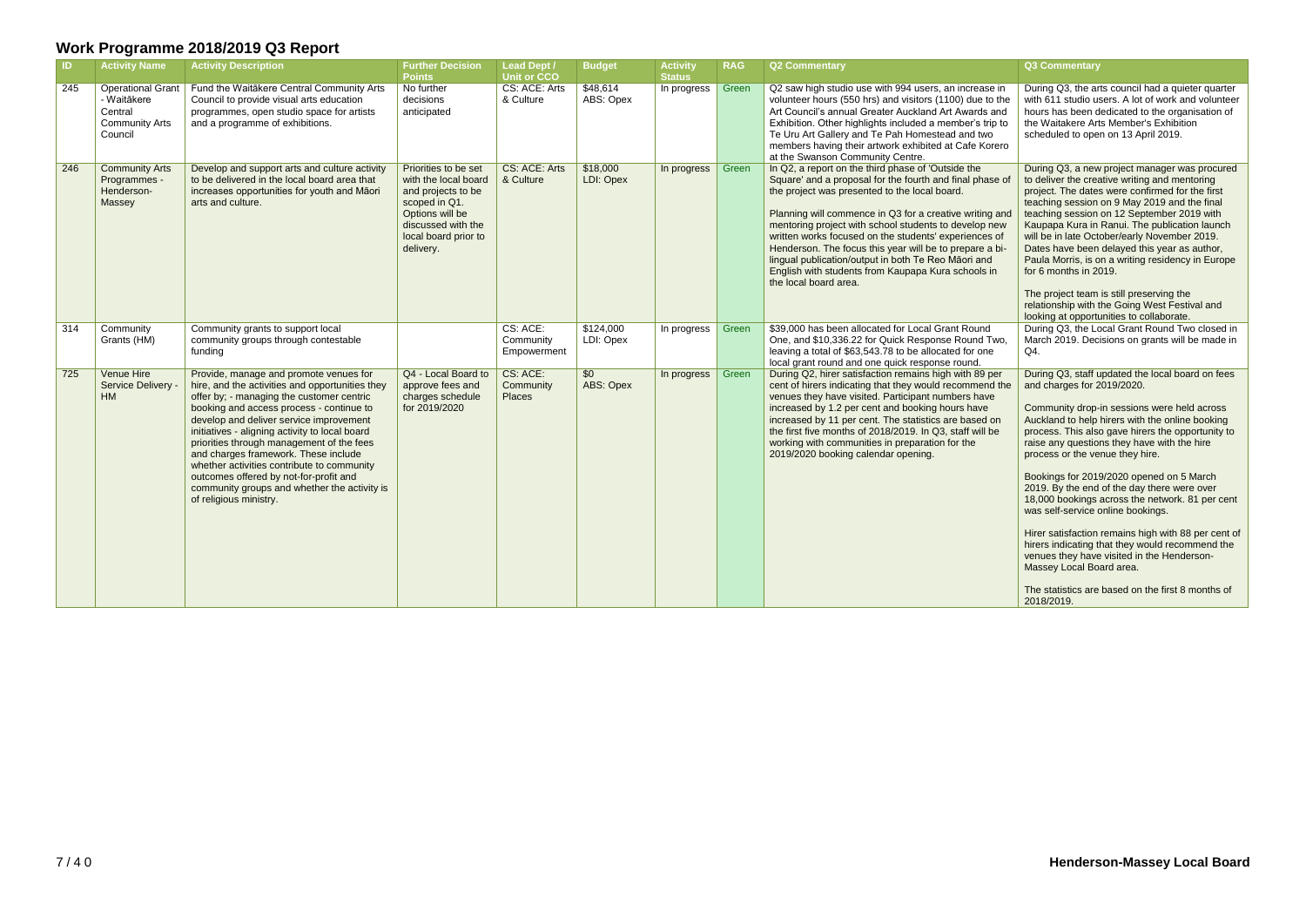| <b>ID</b> | <b>Activity Name</b>                                                                   | <b>Activity Description</b>                                                                                                                                                                                                                                                                                                                                                                                                                                                                                                            | <b>Further Decision</b><br><b>Points</b>                                                                                                                          | <b>Lead Dept /</b><br><b>Unit or CCO</b> | <b>Budget</b>          | <b>Activity</b><br><b>Status</b> | <b>RAG</b> | <b>Q2 Commentary</b>                                                                                                                                                                                                                                                                                                                                                                                                                                                                                                                          | <b>Q3 Commentary</b>                                                                                                                                                                                                                                                                                                                                                                                                                                                                                                                                                                                                                                                                                                                                              |
|-----------|----------------------------------------------------------------------------------------|----------------------------------------------------------------------------------------------------------------------------------------------------------------------------------------------------------------------------------------------------------------------------------------------------------------------------------------------------------------------------------------------------------------------------------------------------------------------------------------------------------------------------------------|-------------------------------------------------------------------------------------------------------------------------------------------------------------------|------------------------------------------|------------------------|----------------------------------|------------|-----------------------------------------------------------------------------------------------------------------------------------------------------------------------------------------------------------------------------------------------------------------------------------------------------------------------------------------------------------------------------------------------------------------------------------------------------------------------------------------------------------------------------------------------|-------------------------------------------------------------------------------------------------------------------------------------------------------------------------------------------------------------------------------------------------------------------------------------------------------------------------------------------------------------------------------------------------------------------------------------------------------------------------------------------------------------------------------------------------------------------------------------------------------------------------------------------------------------------------------------------------------------------------------------------------------------------|
| 245       | <b>Operational Grant</b><br>- Waitākere<br>Central<br><b>Community Arts</b><br>Council | Fund the Waitākere Central Community Arts<br>Council to provide visual arts education<br>programmes, open studio space for artists<br>and a programme of exhibitions.                                                                                                                                                                                                                                                                                                                                                                  | No further<br>decisions<br>anticipated                                                                                                                            | CS: ACE: Arts<br>& Culture               | \$48,614<br>ABS: Opex  | In progress                      | Green      | Q2 saw high studio use with 994 users, an increase in<br>volunteer hours (550 hrs) and visitors (1100) due to the<br>Art Council's annual Greater Auckland Art Awards and<br>Exhibition. Other highlights included a member's trip to<br>Te Uru Art Gallery and Te Pah Homestead and two<br>members having their artwork exhibited at Cafe Korero<br>at the Swanson Community Centre.                                                                                                                                                         | During Q3, the arts council had a quieter quarter<br>with 611 studio users. A lot of work and volunteer<br>hours has been dedicated to the organisation of<br>the Waitakere Arts Member's Exhibition<br>scheduled to open on 13 April 2019.                                                                                                                                                                                                                                                                                                                                                                                                                                                                                                                       |
| 246       | <b>Community Arts</b><br>Programmes -<br>Henderson-<br>Massey                          | Develop and support arts and culture activity<br>to be delivered in the local board area that<br>increases opportunities for youth and Māori<br>arts and culture.                                                                                                                                                                                                                                                                                                                                                                      | Priorities to be set<br>with the local board<br>and projects to be<br>scoped in Q1.<br>Options will be<br>discussed with the<br>local board prior to<br>delivery. | CS: ACE: Arts<br>& Culture               | \$18,000<br>LDI: Opex  | In progress                      | Green      | In Q2, a report on the third phase of 'Outside the<br>Square' and a proposal for the fourth and final phase of<br>the project was presented to the local board.<br>Planning will commence in Q3 for a creative writing and<br>mentoring project with school students to develop new<br>written works focused on the students' experiences of<br>Henderson. The focus this year will be to prepare a bi-<br>lingual publication/output in both Te Reo Māori and<br>English with students from Kaupapa Kura schools in<br>the local board area. | During Q3, a new project manager was procured<br>to deliver the creative writing and mentoring<br>project. The dates were confirmed for the first<br>teaching session on 9 May 2019 and the final<br>teaching session on 12 September 2019 with<br>Kaupapa Kura in Ranui. The publication launch<br>will be in late October/early November 2019.<br>Dates have been delayed this year as author,<br>Paula Morris, is on a writing residency in Europe<br>for 6 months in 2019.<br>The project team is still preserving the<br>relationship with the Going West Festival and<br>looking at opportunities to collaborate.                                                                                                                                           |
| 314       | Community<br>Grants (HM)                                                               | Community grants to support local<br>community groups through contestable<br>fundina                                                                                                                                                                                                                                                                                                                                                                                                                                                   |                                                                                                                                                                   | CS: ACE:<br>Community<br>Empowerment     | \$124,000<br>LDI: Opex | In progress                      | Green      | \$39,000 has been allocated for Local Grant Round<br>One, and \$10,336.22 for Quick Response Round Two,<br>leaving a total of \$63,543.78 to be allocated for one<br>local grant round and one quick response round.                                                                                                                                                                                                                                                                                                                          | During Q3, the Local Grant Round Two closed in<br>March 2019. Decisions on grants will be made in<br>Q4.                                                                                                                                                                                                                                                                                                                                                                                                                                                                                                                                                                                                                                                          |
| 725       | Venue Hire<br>Service Delivery -<br>HM                                                 | Provide, manage and promote venues for<br>hire, and the activities and opportunities they<br>offer by; - managing the customer centric<br>booking and access process - continue to<br>develop and deliver service improvement<br>initiatives - aligning activity to local board<br>priorities through management of the fees<br>and charges framework. These include<br>whether activities contribute to community<br>outcomes offered by not-for-profit and<br>community groups and whether the activity is<br>of religious ministry. | Q4 - Local Board to<br>approve fees and<br>charges schedule<br>for 2019/2020                                                                                      | CS: ACE:<br>Community<br><b>Places</b>   | \$0<br>ABS: Opex       | In progress                      | Green      | During Q2, hirer satisfaction remains high with 89 per<br>cent of hirers indicating that they would recommend the<br>venues they have visited. Participant numbers have<br>increased by 1.2 per cent and booking hours have<br>increased by 11 per cent. The statistics are based on<br>the first five months of 2018/2019. In Q3, staff will be<br>working with communities in preparation for the<br>2019/2020 booking calendar opening.                                                                                                    | During Q3, staff updated the local board on fees<br>and charges for 2019/2020.<br>Community drop-in sessions were held across<br>Auckland to help hirers with the online booking<br>process. This also gave hirers the opportunity to<br>raise any questions they have with the hire<br>process or the venue they hire.<br>Bookings for 2019/2020 opened on 5 March<br>2019. By the end of the day there were over<br>18,000 bookings across the network. 81 per cent<br>was self-service online bookings.<br>Hirer satisfaction remains high with 88 per cent of<br>hirers indicating that they would recommend the<br>venues they have visited in the Henderson-<br>Massey Local Board area.<br>The statistics are based on the first 8 months of<br>2018/2019. |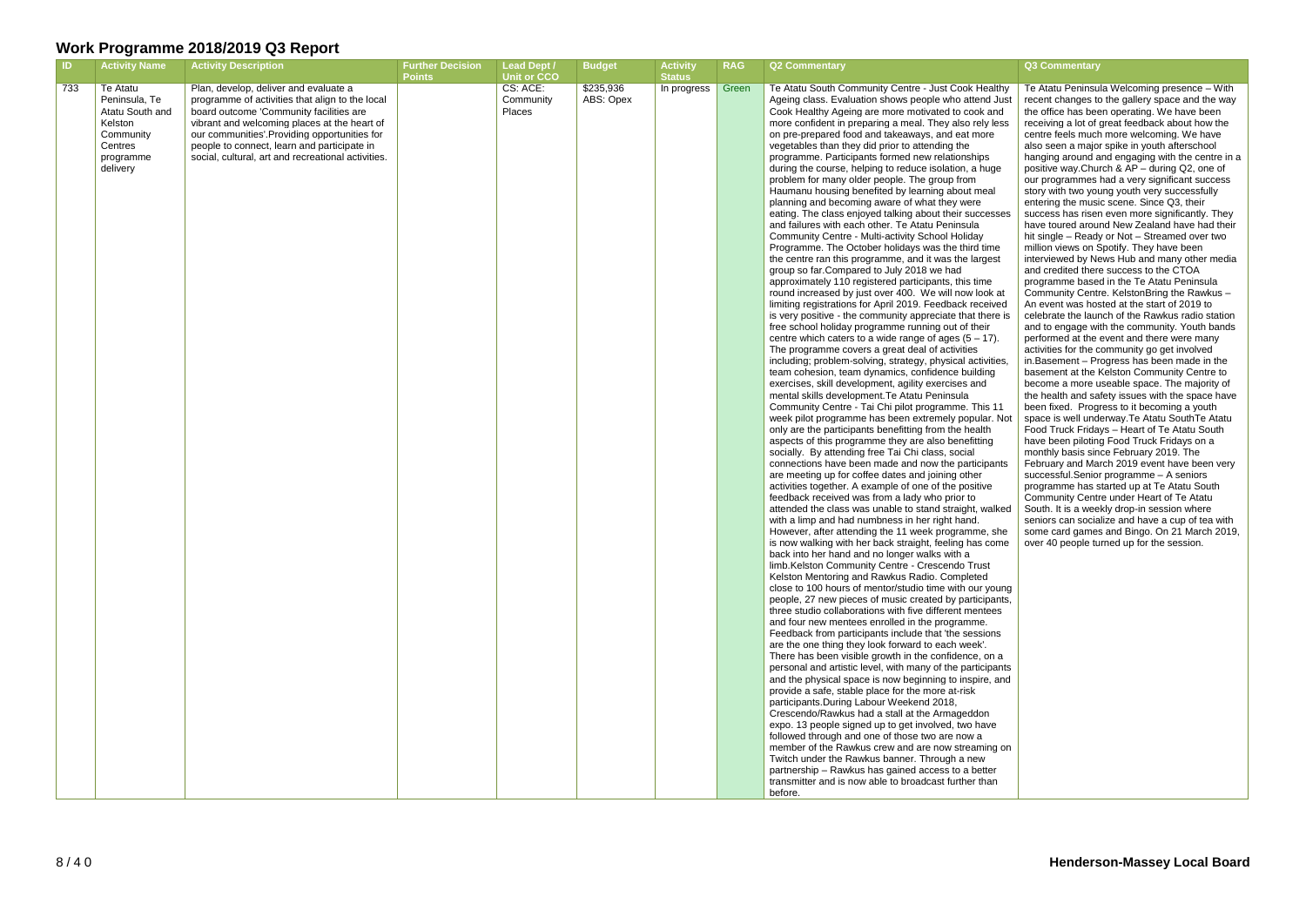#### **RAG Q2 Commentary Q3 Commentary**

hd Just ly less

cesses

here is

ar. Not

walked

e, she come

goung ipants,

ning on

| ID  | <b>Activity Name</b>                                                                                     | <b>Activity Description</b>                                                                                                                                                                                                                                                                                                              | <b>Further Decision</b><br><b>Points</b> | <b>Lead Dept /</b><br><b>Unit or CCO</b> | <b>Budget</b>          | <b>Activity</b><br><b>Status</b> | <b>RAG</b> | <b>Q2 Commentary</b>                                                                                                                                                                                                                                                                                                                                                                                                                                                                                                                                                                                                                                                                                                                                                                                                                                                                                                                                                                                                                                                                                                                                                                                                                                                                                                                                                                                                                                                                                                                                                                                                                                                                                                                                                                                                                                                                                                                                                                                                                                                                                                                                                                                                                                                                                                                                                                                                                                                                                                                                                                                                                                                                                                                                                                                                                                                                                                                                                                                                                                                                                                                                                                                                               |
|-----|----------------------------------------------------------------------------------------------------------|------------------------------------------------------------------------------------------------------------------------------------------------------------------------------------------------------------------------------------------------------------------------------------------------------------------------------------------|------------------------------------------|------------------------------------------|------------------------|----------------------------------|------------|------------------------------------------------------------------------------------------------------------------------------------------------------------------------------------------------------------------------------------------------------------------------------------------------------------------------------------------------------------------------------------------------------------------------------------------------------------------------------------------------------------------------------------------------------------------------------------------------------------------------------------------------------------------------------------------------------------------------------------------------------------------------------------------------------------------------------------------------------------------------------------------------------------------------------------------------------------------------------------------------------------------------------------------------------------------------------------------------------------------------------------------------------------------------------------------------------------------------------------------------------------------------------------------------------------------------------------------------------------------------------------------------------------------------------------------------------------------------------------------------------------------------------------------------------------------------------------------------------------------------------------------------------------------------------------------------------------------------------------------------------------------------------------------------------------------------------------------------------------------------------------------------------------------------------------------------------------------------------------------------------------------------------------------------------------------------------------------------------------------------------------------------------------------------------------------------------------------------------------------------------------------------------------------------------------------------------------------------------------------------------------------------------------------------------------------------------------------------------------------------------------------------------------------------------------------------------------------------------------------------------------------------------------------------------------------------------------------------------------------------------------------------------------------------------------------------------------------------------------------------------------------------------------------------------------------------------------------------------------------------------------------------------------------------------------------------------------------------------------------------------------------------------------------------------------------------------------------------------------|
| 733 | Te Atatu<br>Peninsula, Te<br>Atatu South and<br>Kelston<br>Community<br>Centres<br>programme<br>delivery | Plan, develop, deliver and evaluate a<br>programme of activities that align to the local<br>board outcome 'Community facilities are<br>vibrant and welcoming places at the heart of<br>our communities'.Providing opportunities for<br>people to connect, learn and participate in<br>social, cultural, art and recreational activities. |                                          | CS: ACE:<br>Community<br><b>Places</b>   | \$235,936<br>ABS: Opex | In progress                      | Green      | Te Atatu South Community Centre - Just Cook Healthy<br>Ageing class. Evaluation shows people who attend Just<br>Cook Healthy Ageing are more motivated to cook and<br>more confident in preparing a meal. They also rely less<br>on pre-prepared food and takeaways, and eat more<br>vegetables than they did prior to attending the<br>programme. Participants formed new relationships<br>during the course, helping to reduce isolation, a huge<br>problem for many older people. The group from<br>Haumanu housing benefited by learning about meal<br>planning and becoming aware of what they were<br>eating. The class enjoyed talking about their successes<br>and failures with each other. Te Atatu Peninsula<br>Community Centre - Multi-activity School Holiday<br>Programme. The October holidays was the third time<br>the centre ran this programme, and it was the largest<br>group so far. Compared to July 2018 we had<br>approximately 110 registered participants, this time<br>round increased by just over 400. We will now look at<br>limiting registrations for April 2019. Feedback received<br>is very positive - the community appreciate that there is<br>free school holiday programme running out of their<br>centre which caters to a wide range of ages $(5 - 17)$ .<br>The programme covers a great deal of activities<br>including; problem-solving, strategy, physical activities,<br>team cohesion, team dynamics, confidence building<br>exercises, skill development, agility exercises and<br>mental skills development. Te Atatu Peninsula<br>Community Centre - Tai Chi pilot programme. This 11<br>week pilot programme has been extremely popular. Not<br>only are the participants benefitting from the health<br>aspects of this programme they are also benefitting<br>socially. By attending free Tai Chi class, social<br>connections have been made and now the participants<br>are meeting up for coffee dates and joining other<br>activities together. A example of one of the positive<br>feedback received was from a lady who prior to<br>attended the class was unable to stand straight, walked<br>with a limp and had numbness in her right hand.<br>However, after attending the 11 week programme, she<br>is now walking with her back straight, feeling has come<br>back into her hand and no longer walks with a<br>limb.Kelston Community Centre - Crescendo Trust<br>Kelston Mentoring and Rawkus Radio. Completed<br>close to 100 hours of mentor/studio time with our young<br>people, 27 new pieces of music created by participants,<br>three studio collaborations with five different mentees<br>and four new mentees enrolled in the programme.<br>Feedback from participants include that 'the sessions<br>are the one thing they look forward to each week'.<br>There has been visible growth in the confidence, on a<br>personal and artistic level, with many of the participants<br>and the physical space is now beginning to inspire, and<br>provide a safe, stable place for the more at-risk<br>participants. During Labour Weekend 2018,<br>Crescendo/Rawkus had a stall at the Armageddon<br>expo. 13 people signed up to get involved, two have |
|     |                                                                                                          |                                                                                                                                                                                                                                                                                                                                          |                                          |                                          |                        |                                  |            | followed through and one of those two are now a<br>member of the Rawkus crew and are now streaming on<br>Twitch under the Rawkus banner. Through a new<br>partnership - Rawkus has gained access to a better<br>transmitter and is now able to broadcast further than<br>before.                                                                                                                                                                                                                                                                                                                                                                                                                                                                                                                                                                                                                                                                                                                                                                                                                                                                                                                                                                                                                                                                                                                                                                                                                                                                                                                                                                                                                                                                                                                                                                                                                                                                                                                                                                                                                                                                                                                                                                                                                                                                                                                                                                                                                                                                                                                                                                                                                                                                                                                                                                                                                                                                                                                                                                                                                                                                                                                                                   |

Te Atatu Peninsula Welcoming presence – With recent changes to the gallery space and the way the office has been operating. We have been receiving a lot of great feedback about how the centre feels much more welcoming. We have also seen a major spike in youth afterschool hanging around and engaging with the centre in a positive way.Church & AP – during Q2, one of our programmes had a very significant success story with two young youth very successfully entering the music scene. Since Q3, their success has risen even more significantly. They have toured around New Zealand have had their hit single – Ready or Not – Streamed over two million views on Spotify. They have been interviewed by News Hub and many other media and credited there success to the CTOA programme based in the Te Atatu Peninsula Community Centre. KelstonBring the Rawkus – An event was hosted at the start of 2019 to celebrate the launch of the Rawkus radio station and to engage with the community. Youth bands performed at the event and there were many activities for the community go get involved in.Basement – Progress has been made in the basement at the Kelston Community Centre to become a more useable space. The majority of the health and safety issues with the space have been fixed. Progress to it becoming a youth space is well underway.Te Atatu SouthTe Atatu Food Truck Fridays – Heart of Te Atatu South have been piloting Food Truck Fridays on a monthly basis since February 2019. The February and March 2019 event have been very successful.Senior programme – A seniors programme has started up at Te Atatu South Community Centre under Heart of Te Atatu South. It is a weekly drop-in session where seniors can socialize and have a cup of tea with some card games and Bingo. On 21 March 2019, over 40 people turned up for the session.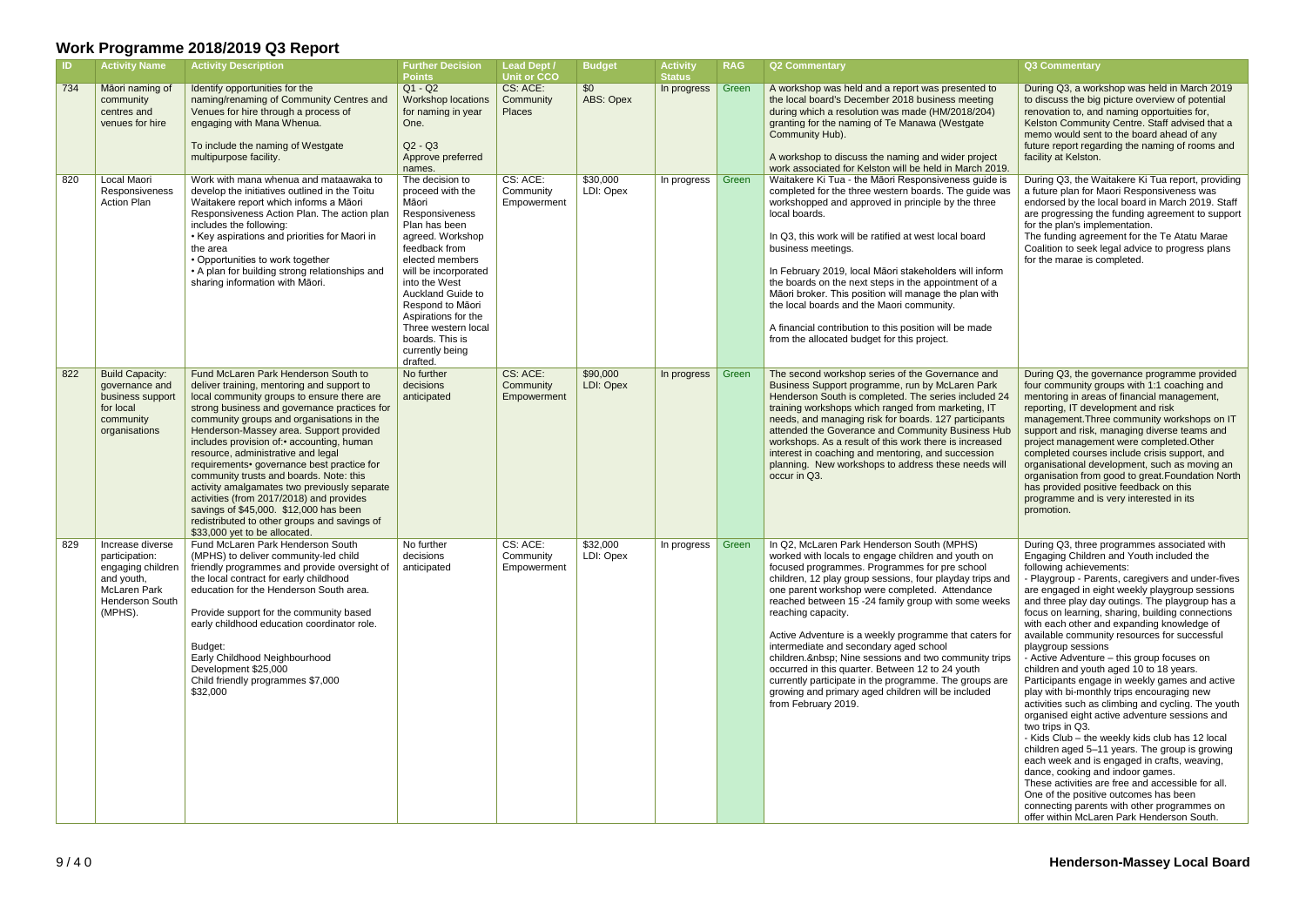| ID. | <b>Activity Name</b>                                                                                                | <b>Activity Description</b>                                                                                                                                                                                                                                                                                                                                                                                                                                                                                                                                                                                                                                                 | <b>Further Decision</b><br><b>Points</b>                                                                                                                                                                                                                                                                                  | <b>Lead Dept /</b><br><b>Unit or CCO</b> | <b>Budget</b>         | <b>Activity</b><br><b>Status</b> | <b>RAG</b> | Q2 Commentary                                                                                                                                                                                                                                                                                                                                                                                                                                                                                                                                                                                                                                                                                   | Q3 Commentary                                                                                                                                                                                                                                                                                                                                                                                                                                                                                                                             |
|-----|---------------------------------------------------------------------------------------------------------------------|-----------------------------------------------------------------------------------------------------------------------------------------------------------------------------------------------------------------------------------------------------------------------------------------------------------------------------------------------------------------------------------------------------------------------------------------------------------------------------------------------------------------------------------------------------------------------------------------------------------------------------------------------------------------------------|---------------------------------------------------------------------------------------------------------------------------------------------------------------------------------------------------------------------------------------------------------------------------------------------------------------------------|------------------------------------------|-----------------------|----------------------------------|------------|-------------------------------------------------------------------------------------------------------------------------------------------------------------------------------------------------------------------------------------------------------------------------------------------------------------------------------------------------------------------------------------------------------------------------------------------------------------------------------------------------------------------------------------------------------------------------------------------------------------------------------------------------------------------------------------------------|-------------------------------------------------------------------------------------------------------------------------------------------------------------------------------------------------------------------------------------------------------------------------------------------------------------------------------------------------------------------------------------------------------------------------------------------------------------------------------------------------------------------------------------------|
| 734 | Māori naming of<br>community<br>centres and<br>venues for hire                                                      | Identify opportunities for the<br>naming/renaming of Community Centres and<br>Venues for hire through a process of<br>engaging with Mana Whenua.<br>To include the naming of Westgate<br>multipurpose facility.                                                                                                                                                                                                                                                                                                                                                                                                                                                             | $Q1 - Q2$<br><b>Workshop locations</b><br>for naming in year<br>One.<br>$Q2 - Q3$<br>Approve preferred<br>names.                                                                                                                                                                                                          | CS: ACE:<br>Community<br><b>Places</b>   | \$0<br>ABS: Opex      | In progress                      | Green      | A workshop was held and a report was presented to<br>the local board's December 2018 business meeting<br>during which a resolution was made (HM/2018/204)<br>granting for the naming of Te Manawa (Westgate<br>Community Hub).<br>A workshop to discuss the naming and wider project<br>work associated for Kelston will be held in March 2019.                                                                                                                                                                                                                                                                                                                                                 | During Q3, a worl<br>to discuss the big<br>renovation to, and<br><b>Kelston Commun</b><br>memo would sen<br>future report rega<br>facility at Kelston                                                                                                                                                                                                                                                                                                                                                                                     |
| 820 | Local Maori<br>Responsiveness<br><b>Action Plan</b>                                                                 | Work with mana whenua and mataawaka to<br>develop the initiatives outlined in the Toitu<br>Waitakere report which informs a Māori<br>Responsiveness Action Plan. The action plan<br>includes the following:<br>• Key aspirations and priorities for Maori in<br>the area<br>• Opportunities to work together<br>• A plan for building strong relationships and<br>sharing information with Māori.                                                                                                                                                                                                                                                                           | The decision to<br>proceed with the<br>Māori<br>Responsiveness<br>Plan has been<br>agreed. Workshop<br>feedback from<br>elected members<br>will be incorporated<br>into the West<br>Auckland Guide to<br>Respond to Māori<br>Aspirations for the<br>Three western local<br>boards. This is<br>currently being<br>drafted. | CS: ACE:<br>Community<br>Empowerment     | \$30,000<br>LDI: Opex | In progress                      | Green      | Waitakere Ki Tua - the Māori Responsiveness guide is<br>completed for the three western boards. The guide was<br>workshopped and approved in principle by the three<br>local boards.<br>In Q3, this work will be ratified at west local board<br>business meetings.<br>In February 2019, local Māori stakeholders will inform<br>the boards on the next steps in the appointment of a<br>Māori broker. This position will manage the plan with<br>the local boards and the Maori community.<br>A financial contribution to this position will be made<br>from the allocated budget for this project.                                                                                            | During Q3, the W<br>a future plan for N<br>endorsed by the I<br>are progressing t<br>for the plan's imp<br>The funding agre<br>Coalition to seek<br>for the marae is o                                                                                                                                                                                                                                                                                                                                                                    |
| 822 | <b>Build Capacity:</b><br>governance and<br>business support<br>for local<br>community<br>organisations             | Fund McLaren Park Henderson South to<br>deliver training, mentoring and support to<br>local community groups to ensure there are<br>strong business and governance practices for<br>community groups and organisations in the<br>Henderson-Massey area. Support provided<br>includes provision of:• accounting, human<br>resource, administrative and legal<br>requirements• governance best practice for<br>community trusts and boards. Note: this<br>activity amalgamates two previously separate<br>activities (from 2017/2018) and provides<br>savings of \$45,000. \$12,000 has been<br>redistributed to other groups and savings of<br>\$33,000 yet to be allocated. | No further<br>decisions<br>anticipated                                                                                                                                                                                                                                                                                    | CS: ACE:<br>Community<br>Empowerment     | \$90,000<br>LDI: Opex | In progress                      | Green      | The second workshop series of the Governance and<br>Business Support programme, run by McLaren Park<br>Henderson South is completed. The series included 24<br>training workshops which ranged from marketing, IT<br>needs, and managing risk for boards. 127 participants<br>attended the Goverance and Community Business Hub<br>workshops. As a result of this work there is increased<br>interest in coaching and mentoring, and succession<br>planning. New workshops to address these needs will<br>occur in Q3.                                                                                                                                                                          | During Q3, the go<br>four community g<br>mentoring in area<br>reporting, IT deve<br>management. Thr<br>support and risk,<br>project managem<br>completed course<br>organisational de<br>organisation from<br>has provided pos<br>programme and i<br>promotion.                                                                                                                                                                                                                                                                            |
| 829 | Increase diverse<br>participation:<br>engaging children<br>and youth,<br>McLaren Park<br>Henderson South<br>(MPHS). | Fund McLaren Park Henderson South<br>(MPHS) to deliver community-led child<br>friendly programmes and provide oversight of<br>the local contract for early childhood<br>education for the Henderson South area.<br>Provide support for the community based<br>early childhood education coordinator role.<br>Budget:<br>Early Childhood Neighbourhood<br>Development \$25,000<br>Child friendly programmes \$7,000<br>\$32,000                                                                                                                                                                                                                                              | No further<br>decisions<br>anticipated                                                                                                                                                                                                                                                                                    | CS: ACE:<br>Community<br>Empowerment     | \$32,000<br>LDI: Opex | In progress                      | Green      | In Q2, McLaren Park Henderson South (MPHS)<br>worked with locals to engage children and youth on<br>focused programmes. Programmes for pre school<br>children, 12 play group sessions, four playday trips and<br>one parent workshop were completed. Attendance<br>reached between 15 -24 family group with some weeks<br>reaching capacity.<br>Active Adventure is a weekly programme that caters for<br>intermediate and secondary aged school<br>children.  Nine sessions and two community trips<br>occurred in this quarter. Between 12 to 24 youth<br>currently participate in the programme. The groups are<br>growing and primary aged children will be included<br>from February 2019. | During Q3, three<br><b>Engaging Childre</b><br>following achieve<br>- Playgroup - Par<br>are engaged in ei<br>and three play da<br>focus on learning<br>with each other a<br>available commu<br>playgroup sessio<br>- Active Adventur<br>children and yout<br>Participants enga<br>play with bi-mont<br>activities such as<br>organised eight a<br>two trips in Q3.<br>- Kids Club - the<br>children aged 5-<br>each week and is<br>dance, cooking a<br>These activities a<br>One of the positiv<br>connecting paren<br>offer within McLa |

|                                                                               | Q3 Commentary                                                                                                                                                                                                                                                                                                                                                                                                                                                                                                                                                                                                                                                                                                                                                                                                                                                                                                                                                                                                                                                                                                                                                |
|-------------------------------------------------------------------------------|--------------------------------------------------------------------------------------------------------------------------------------------------------------------------------------------------------------------------------------------------------------------------------------------------------------------------------------------------------------------------------------------------------------------------------------------------------------------------------------------------------------------------------------------------------------------------------------------------------------------------------------------------------------------------------------------------------------------------------------------------------------------------------------------------------------------------------------------------------------------------------------------------------------------------------------------------------------------------------------------------------------------------------------------------------------------------------------------------------------------------------------------------------------|
| d to<br>ing<br>(04)<br>e<br>pject<br>.2019 ו                                  | During Q3, a workshop was held in March 2019<br>to discuss the big picture overview of potential<br>renovation to, and naming opportuities for,<br>Kelston Community Centre. Staff advised that a<br>memo would sent to the board ahead of any<br>future report regarding the naming of rooms and<br>facility at Kelston.                                                                                                                                                                                                                                                                                                                                                                                                                                                                                                                                                                                                                                                                                                                                                                                                                                    |
| uide is<br>de was<br><b>nree</b><br>d<br>าform<br>of a<br>with<br>ıde         | During Q3, the Waitakere Ki Tua report, providing<br>a future plan for Maori Responsiveness was<br>endorsed by the local board in March 2019. Staff<br>are progressing the funding agreement to support<br>for the plan's implementation.<br>The funding agreement for the Te Atatu Marae<br>Coalition to seek legal advice to progress plans<br>for the marae is completed.                                                                                                                                                                                                                                                                                                                                                                                                                                                                                                                                                                                                                                                                                                                                                                                 |
| and<br>Park<br>ded 24<br>, 1T<br>ipants<br>ss Hub<br>ased<br>ion<br>ds will   | During Q3, the governance programme provided<br>four community groups with 1:1 coaching and<br>mentoring in areas of financial management,<br>reporting, IT development and risk<br>management. Three community workshops on IT<br>support and risk, managing diverse teams and<br>project management were completed. Other<br>completed courses include crisis support, and<br>organisational development, such as moving an<br>organisation from good to great. Foundation North<br>has provided positive feedback on this<br>programme and is very interested in its<br>promotion.                                                                                                                                                                                                                                                                                                                                                                                                                                                                                                                                                                        |
| on<br>ol<br>ips and<br>ıce<br>weeks<br>ters for<br>ity trips<br>ips are<br>ed | During Q3, three programmes associated with<br>Engaging Children and Youth included the<br>following achievements:<br>- Playgroup - Parents, caregivers and under-fives<br>are engaged in eight weekly playgroup sessions<br>and three play day outings. The playgroup has a<br>focus on learning, sharing, building connections<br>with each other and expanding knowledge of<br>available community resources for successful<br>playgroup sessions<br>- Active Adventure - this group focuses on<br>children and youth aged 10 to 18 years.<br>Participants engage in weekly games and active<br>play with bi-monthly trips encouraging new<br>activities such as climbing and cycling. The youth<br>organised eight active adventure sessions and<br>two trips in Q3.<br>- Kids Club - the weekly kids club has 12 local<br>children aged 5-11 years. The group is growing<br>each week and is engaged in crafts, weaving,<br>dance, cooking and indoor games.<br>These activities are free and accessible for all.<br>One of the positive outcomes has been<br>connecting parents with other programmes on<br>offer within McLaren Park Henderson South. |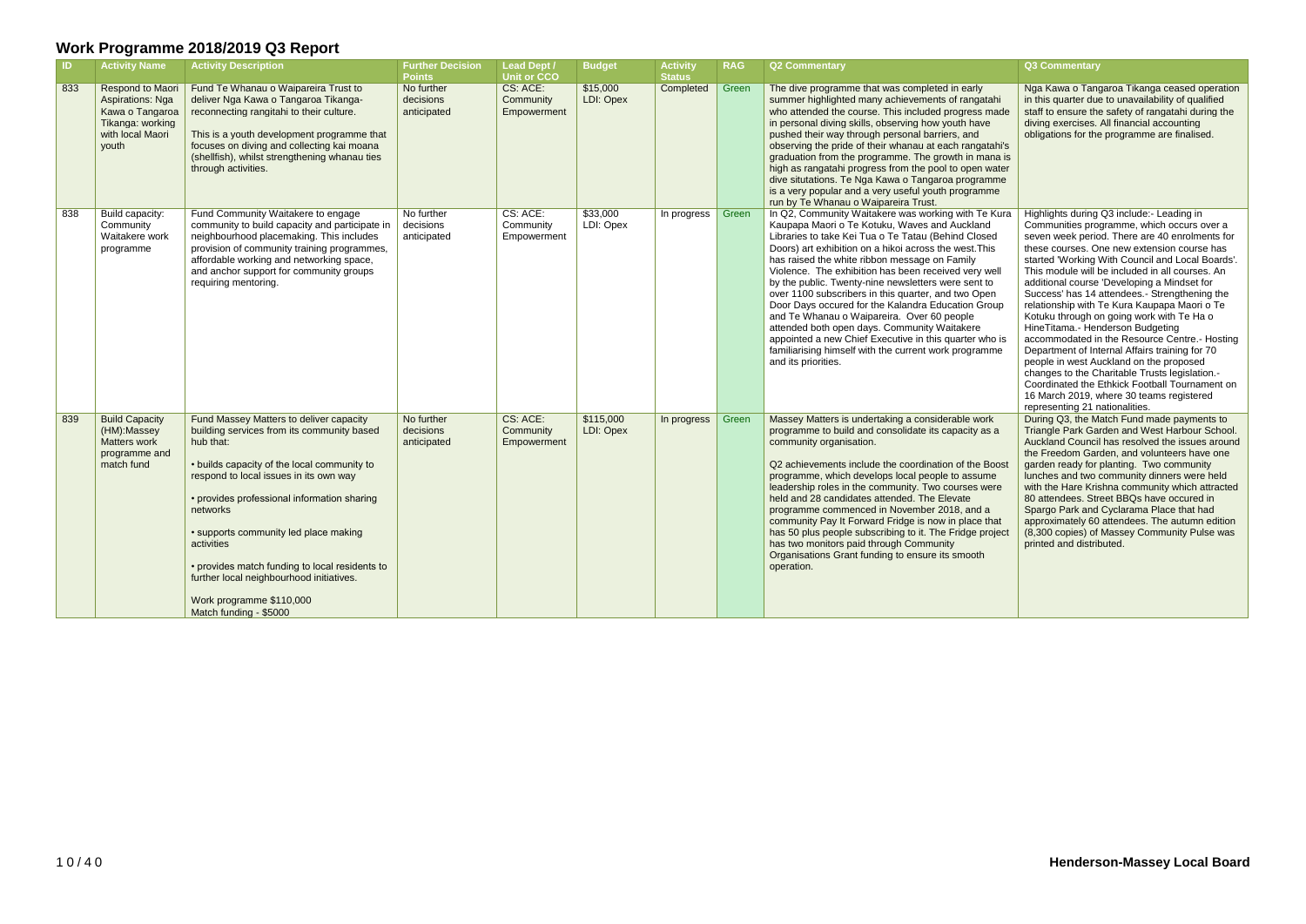| $\blacksquare$ | <b>Activity Name</b>                                                                                     | <b>Activity Description</b>                                                                                                                                                                                                                                                                                                                                                                                                                                       | <b>Further Decision</b><br><b>Points</b> | <b>Lead Dept /</b><br><b>Unit or CCO</b> | <b>Budget</b>          | <b>Activity</b><br><b>Status</b> | <b>RAG</b> | <b>Q2 Commentary</b>                                                                                                                                                                                                                                                                                                                                                                                                                                                                                                                                                                                                                                                                                                                       | <b>Q3 Commentary</b>                                                                                                                                                                                                                                                                                                                                                                                                                                                                                                                                                                                                                                                                                                                                                                                                                                             |
|----------------|----------------------------------------------------------------------------------------------------------|-------------------------------------------------------------------------------------------------------------------------------------------------------------------------------------------------------------------------------------------------------------------------------------------------------------------------------------------------------------------------------------------------------------------------------------------------------------------|------------------------------------------|------------------------------------------|------------------------|----------------------------------|------------|--------------------------------------------------------------------------------------------------------------------------------------------------------------------------------------------------------------------------------------------------------------------------------------------------------------------------------------------------------------------------------------------------------------------------------------------------------------------------------------------------------------------------------------------------------------------------------------------------------------------------------------------------------------------------------------------------------------------------------------------|------------------------------------------------------------------------------------------------------------------------------------------------------------------------------------------------------------------------------------------------------------------------------------------------------------------------------------------------------------------------------------------------------------------------------------------------------------------------------------------------------------------------------------------------------------------------------------------------------------------------------------------------------------------------------------------------------------------------------------------------------------------------------------------------------------------------------------------------------------------|
| 833            | Respond to Maori<br>Aspirations: Nga<br>Kawa o Tangaroa<br>Tikanga: working<br>with local Maori<br>youth | Fund Te Whanau o Waipareira Trust to<br>deliver Nga Kawa o Tangaroa Tikanga-<br>reconnecting rangitahi to their culture.<br>This is a youth development programme that<br>focuses on diving and collecting kai moana<br>(shellfish), whilst strengthening whanau ties<br>through activities.                                                                                                                                                                      | No further<br>decisions<br>anticipated   | CS: ACE:<br>Community<br>Empowerment     | \$15,000<br>LDI: Opex  | Completed                        | Green      | The dive programme that was completed in early<br>summer highlighted many achievements of rangatahi<br>who attended the course. This included progress made<br>in personal diving skills, observing how youth have<br>pushed their way through personal barriers, and<br>observing the pride of their whanau at each rangatahi's<br>graduation from the programme. The growth in mana is<br>high as rangatahi progress from the pool to open water<br>dive situtations. Te Nga Kawa o Tangaroa programme<br>is a very popular and a very useful youth programme<br>run by Te Whanau o Waipareira Trust.                                                                                                                                    | Nga Kawa o Tangaroa Tikanga ceased operation<br>in this quarter due to unavailability of qualified<br>staff to ensure the safety of rangatahi during the<br>diving exercises. All financial accounting<br>obligations for the programme are finalised.                                                                                                                                                                                                                                                                                                                                                                                                                                                                                                                                                                                                           |
| 838            | Build capacity:<br>Community<br>Waitakere work<br>programme                                              | Fund Community Waitakere to engage<br>community to build capacity and participate in<br>neighbourhood placemaking. This includes<br>provision of community training programmes,<br>affordable working and networking space,<br>and anchor support for community groups<br>requiring mentoring.                                                                                                                                                                    | No further<br>decisions<br>anticipated   | CS: ACE:<br>Community<br>Empowerment     | \$33,000<br>LDI: Opex  | In progress $\vert$              | Green      | In Q2, Community Waitakere was working with Te Kura<br>Kaupapa Maori o Te Kotuku, Waves and Auckland<br>Libraries to take Kei Tua o Te Tatau (Behind Closed<br>Doors) art exhibition on a hikoi across the west. This<br>has raised the white ribbon message on Family<br>Violence. The exhibition has been received very well<br>by the public. Twenty-nine newsletters were sent to<br>over 1100 subscribers in this quarter, and two Open<br>Door Days occured for the Kalandra Education Group<br>and Te Whanau o Waipareira. Over 60 people<br>attended both open days. Community Waitakere<br>appointed a new Chief Executive in this quarter who is<br>familiarising himself with the current work programme<br>and its priorities. | Highlights during Q3 include:- Leading in<br>Communities programme, which occurs over a<br>seven week period. There are 40 enrolments for<br>these courses. One new extension course has<br>started 'Working With Council and Local Boards'.<br>This module will be included in all courses. An<br>additional course 'Developing a Mindset for<br>Success' has 14 attendees.- Strengthening the<br>relationship with Te Kura Kaupapa Maori o Te<br>Kotuku through on going work with Te Ha o<br>HineTitama.- Henderson Budgeting<br>accommodated in the Resource Centre.- Hosting<br>Department of Internal Affairs training for 70<br>people in west Auckland on the proposed<br>changes to the Charitable Trusts legislation.-<br>Coordinated the Ethkick Football Tournament on<br>16 March 2019, where 30 teams registered<br>representing 21 nationalities. |
| 839            | <b>Build Capacity</b><br>(HM):Massey<br>Matters work<br>programme and<br>match fund                      | Fund Massey Matters to deliver capacity<br>building services from its community based<br>hub that:<br>• builds capacity of the local community to<br>respond to local issues in its own way<br>• provides professional information sharing<br>networks<br>• supports community led place making<br>activities<br>• provides match funding to local residents to<br>further local neighbourhood initiatives.<br>Work programme \$110,000<br>Match funding - \$5000 | No further<br>decisions<br>anticipated   | CS: ACE:<br>Community<br>Empowerment     | \$115,000<br>LDI: Opex | In progress                      | Green      | Massey Matters is undertaking a considerable work<br>programme to build and consolidate its capacity as a<br>community organisation.<br>Q2 achievements include the coordination of the Boost<br>programme, which develops local people to assume<br>leadership roles in the community. Two courses were<br>held and 28 candidates attended. The Elevate<br>programme commenced in November 2018, and a<br>community Pay It Forward Fridge is now in place that<br>has 50 plus people subscribing to it. The Fridge project<br>has two monitors paid through Community<br>Organisations Grant funding to ensure its smooth<br>operation.                                                                                                   | During Q3, the Match Fund made payments to<br>Triangle Park Garden and West Harbour School.<br>Auckland Council has resolved the issues around<br>the Freedom Garden, and volunteers have one<br>garden ready for planting. Two community<br>lunches and two community dinners were held<br>with the Hare Krishna community which attracted<br>80 attendees. Street BBQs have occured in<br>Spargo Park and Cyclarama Place that had<br>approximately 60 attendees. The autumn edition<br>(8,300 copies) of Massey Community Pulse was<br>printed and distributed.                                                                                                                                                                                                                                                                                               |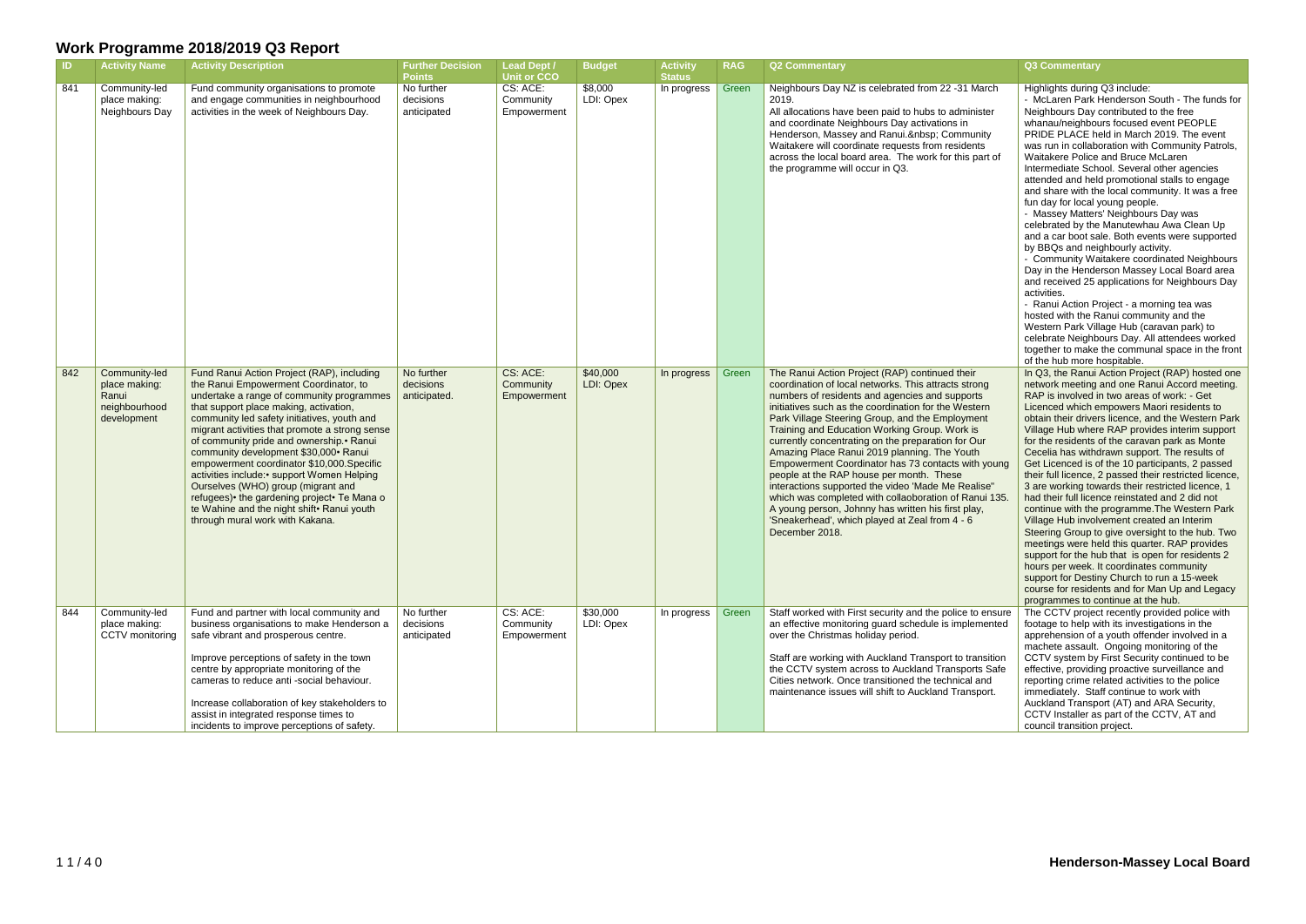| <b>ID</b> | <b>Activity Name</b>                                                    | <b>Activity Description</b>                                                                                                                                                                                                                                                                                                                                                                                                                                                                                                                                                                                                             | <b>Further Decision</b><br><b>Points</b> | <b>Lead Dept /</b><br><b>Unit or CCO</b> | <b>Budget</b>         | <b>Activity</b><br><b>Status</b> | <b>RAG</b> | <b>Q2 Commentary</b>                                                                                                                                                                                                                                                                                                                                                                                                                                                                                                                                                                                                                                                                                                                                                  | Q3 Commentary                                                                                                                                                                                                                                                                                                                                                                                                                                                                                                                                                                                                                                                                                                                                                                                                                                                                                                                                                                                                                                                                                                                  |
|-----------|-------------------------------------------------------------------------|-----------------------------------------------------------------------------------------------------------------------------------------------------------------------------------------------------------------------------------------------------------------------------------------------------------------------------------------------------------------------------------------------------------------------------------------------------------------------------------------------------------------------------------------------------------------------------------------------------------------------------------------|------------------------------------------|------------------------------------------|-----------------------|----------------------------------|------------|-----------------------------------------------------------------------------------------------------------------------------------------------------------------------------------------------------------------------------------------------------------------------------------------------------------------------------------------------------------------------------------------------------------------------------------------------------------------------------------------------------------------------------------------------------------------------------------------------------------------------------------------------------------------------------------------------------------------------------------------------------------------------|--------------------------------------------------------------------------------------------------------------------------------------------------------------------------------------------------------------------------------------------------------------------------------------------------------------------------------------------------------------------------------------------------------------------------------------------------------------------------------------------------------------------------------------------------------------------------------------------------------------------------------------------------------------------------------------------------------------------------------------------------------------------------------------------------------------------------------------------------------------------------------------------------------------------------------------------------------------------------------------------------------------------------------------------------------------------------------------------------------------------------------|
| 841       | Community-led<br>place making:<br>Neighbours Day                        | Fund community organisations to promote<br>and engage communities in neighbourhood<br>activities in the week of Neighbours Day.                                                                                                                                                                                                                                                                                                                                                                                                                                                                                                         | No further<br>decisions<br>anticipated   | CS: ACE:<br>Community<br>Empowerment     | \$8,000<br>LDI: Opex  | In progress                      | Green      | Neighbours Day NZ is celebrated from 22 -31 March<br>2019.<br>All allocations have been paid to hubs to administer<br>and coordinate Neighbours Day activations in<br>Henderson, Massey and Ranui.  Community<br>Waitakere will coordinate requests from residents<br>across the local board area. The work for this part of<br>the programme will occur in Q3.                                                                                                                                                                                                                                                                                                                                                                                                       | Highlights during Q3 include:<br>- McLaren Park Henderson South - The funds for<br>Neighbours Day contributed to the free<br>whanau/neighbours focused event PEOPLE<br>PRIDE PLACE held in March 2019. The event<br>was run in collaboration with Community Patrols,<br>Waitakere Police and Bruce McLaren<br>Intermediate School. Several other agencies<br>attended and held promotional stalls to engage<br>and share with the local community. It was a free<br>fun day for local young people.<br>- Massey Matters' Neighbours Day was<br>celebrated by the Manutewhau Awa Clean Up<br>and a car boot sale. Both events were supported<br>by BBQs and neighbourly activity.<br>- Community Waitakere coordinated Neighbours<br>Day in the Henderson Massey Local Board area<br>and received 25 applications for Neighbours Day<br>activities.<br>- Ranui Action Project - a morning tea was<br>hosted with the Ranui community and the<br>Western Park Village Hub (caravan park) to<br>celebrate Neighbours Day. All attendees worked<br>together to make the communal space in the front<br>of the hub more hospitable. |
| 842       | Community-led<br>place making:<br>Ranui<br>neighbourhood<br>development | Fund Ranui Action Project (RAP), including<br>the Ranui Empowerment Coordinator, to<br>undertake a range of community programmes<br>that support place making, activation,<br>community led safety initiatives, youth and<br>migrant activities that promote a strong sense<br>of community pride and ownership. • Ranui<br>community development \$30,000 · Ranui<br>empowerment coordinator \$10,000.Specific<br>activities include: • support Women Helping<br>Ourselves (WHO) group (migrant and<br>refugees) • the gardening project • Te Mana o<br>te Wahine and the night shift · Ranui youth<br>through mural work with Kakana. | No further<br>decisions<br>anticipated.  | CS: ACE:<br>Community<br>Empowerment     | \$40,000<br>LDI: Opex | In progress                      | Green      | The Ranui Action Project (RAP) continued their<br>coordination of local networks. This attracts strong<br>numbers of residents and agencies and supports<br>initiatives such as the coordination for the Western<br>Park Village Steering Group, and the Employment<br>Training and Education Working Group. Work is<br>currently concentrating on the preparation for Our<br>Amazing Place Ranui 2019 planning. The Youth<br>Empowerment Coordinator has 73 contacts with young<br>people at the RAP house per month. These<br>interactions supported the video 'Made Me Realise"<br>which was completed with collaoboration of Ranui 135.<br>A young person, Johnny has written his first play,<br>'Sneakerhead', which played at Zeal from 4 - 6<br>December 2018. | In Q3, the Ranui Action Project (RAP) hosted one<br>network meeting and one Ranui Accord meeting.<br>RAP is involved in two areas of work: - Get<br>Licenced which empowers Maori residents to<br>obtain their drivers licence, and the Western Park<br>Village Hub where RAP provides interim support<br>for the residents of the caravan park as Monte<br>Cecelia has withdrawn support. The results of<br>Get Licenced is of the 10 participants, 2 passed<br>their full licence, 2 passed their restricted licence,<br>3 are working towards their restricted licence, 1<br>had their full licence reinstated and 2 did not<br>continue with the programme. The Western Park<br>Village Hub involvement created an Interim<br>Steering Group to give oversight to the hub. Two<br>meetings were held this quarter. RAP provides<br>support for the hub that is open for residents 2<br>hours per week. It coordinates community<br>support for Destiny Church to run a 15-week<br>course for residents and for Man Up and Legacy<br>programmes to continue at the hub.                                                     |
| 844       | Community-led<br>place making:<br>CCTV monitoring                       | Fund and partner with local community and<br>business organisations to make Henderson a<br>safe vibrant and prosperous centre.<br>Improve perceptions of safety in the town<br>centre by appropriate monitoring of the<br>cameras to reduce anti-social behaviour.<br>Increase collaboration of key stakeholders to<br>assist in integrated response times to<br>incidents to improve perceptions of safety.                                                                                                                                                                                                                            | No further<br>decisions<br>anticipated   | CS: ACE:<br>Community<br>Empowerment     | \$30,000<br>LDI: Opex | In progress                      | Green      | Staff worked with First security and the police to ensure<br>an effective monitoring guard schedule is implemented<br>over the Christmas holiday period.<br>Staff are working with Auckland Transport to transition<br>the CCTV system across to Auckland Transports Safe<br>Cities network. Once transitioned the technical and<br>maintenance issues will shift to Auckland Transport.                                                                                                                                                                                                                                                                                                                                                                              | The CCTV project recently provided police with<br>footage to help with its investigations in the<br>apprehension of a youth offender involved in a<br>machete assault. Ongoing monitoring of the<br>CCTV system by First Security continued to be<br>effective, providing proactive surveillance and<br>reporting crime related activities to the police<br>immediately. Staff continue to work with<br>Auckland Transport (AT) and ARA Security,<br>CCTV Installer as part of the CCTV, AT and<br>council transition project.                                                                                                                                                                                                                                                                                                                                                                                                                                                                                                                                                                                                 |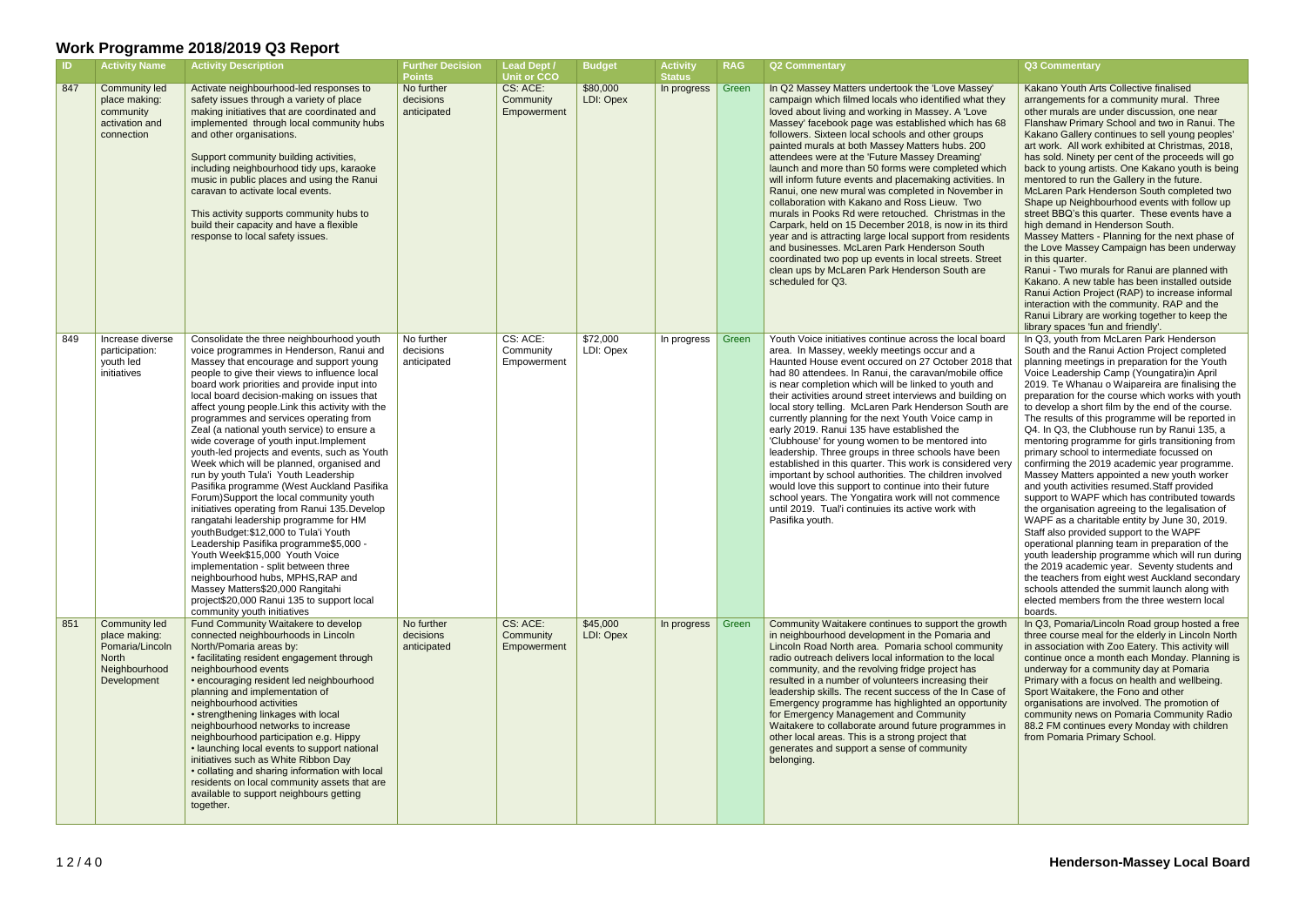| -ID | <b>Activity Name</b>                                                                              | <b>Activity Description</b>                                                                                                                                                                                                                                                                                                                                                                                                                                                                                                                                                                                                                                                                                                                                                                                                                                                                                                                                                                                                                                                                                       | <b>Further Decision</b><br><b>Points</b> | <b>Lead Dept /</b><br><b>Unit or CCO</b> | <b>Budget</b>         | <b>Activity</b><br><b>Status</b> | <b>RAG</b> | <b>Q2 Commentary</b>                                                                                                                                                                                                                                                                                                                                                                                                                                                                                                                                                                                                                                                                                                                                                                                                                                                                                                                                                 | Q3 Commentary                                                                                                                                                                                                                                                                                                                                                                                                                                                                                                                                                                                                                                                                                                                                                                                                                                                                                                                                                                                                                                                                                                                                                                                                                      |
|-----|---------------------------------------------------------------------------------------------------|-------------------------------------------------------------------------------------------------------------------------------------------------------------------------------------------------------------------------------------------------------------------------------------------------------------------------------------------------------------------------------------------------------------------------------------------------------------------------------------------------------------------------------------------------------------------------------------------------------------------------------------------------------------------------------------------------------------------------------------------------------------------------------------------------------------------------------------------------------------------------------------------------------------------------------------------------------------------------------------------------------------------------------------------------------------------------------------------------------------------|------------------------------------------|------------------------------------------|-----------------------|----------------------------------|------------|----------------------------------------------------------------------------------------------------------------------------------------------------------------------------------------------------------------------------------------------------------------------------------------------------------------------------------------------------------------------------------------------------------------------------------------------------------------------------------------------------------------------------------------------------------------------------------------------------------------------------------------------------------------------------------------------------------------------------------------------------------------------------------------------------------------------------------------------------------------------------------------------------------------------------------------------------------------------|------------------------------------------------------------------------------------------------------------------------------------------------------------------------------------------------------------------------------------------------------------------------------------------------------------------------------------------------------------------------------------------------------------------------------------------------------------------------------------------------------------------------------------------------------------------------------------------------------------------------------------------------------------------------------------------------------------------------------------------------------------------------------------------------------------------------------------------------------------------------------------------------------------------------------------------------------------------------------------------------------------------------------------------------------------------------------------------------------------------------------------------------------------------------------------------------------------------------------------|
| 847 | <b>Community led</b><br>place making:<br>community<br>activation and<br>connection                | Activate neighbourhood-led responses to<br>safety issues through a variety of place<br>making initiatives that are coordinated and<br>implemented through local community hubs<br>and other organisations.<br>Support community building activities,<br>including neighbourhood tidy ups, karaoke<br>music in public places and using the Ranui<br>caravan to activate local events.<br>This activity supports community hubs to<br>build their capacity and have a flexible<br>response to local safety issues.                                                                                                                                                                                                                                                                                                                                                                                                                                                                                                                                                                                                  | No further<br>decisions<br>anticipated   | CS: ACE:<br>Community<br>Empowerment     | \$80,000<br>LDI: Opex | In progress                      | Green      | In Q2 Massey Matters undertook the 'Love Massey'<br>campaign which filmed locals who identified what they<br>loved about living and working in Massey. A 'Love<br>Massey' facebook page was established which has 68<br>followers. Sixteen local schools and other groups<br>painted murals at both Massey Matters hubs. 200<br>attendees were at the 'Future Massey Dreaming'<br>launch and more than 50 forms were completed which<br>will inform future events and placemaking activities. In<br>Ranui, one new mural was completed in November in<br>collaboration with Kakano and Ross Lieuw. Two<br>murals in Pooks Rd were retouched. Christmas in the<br>Carpark, held on 15 December 2018, is now in its third<br>year and is attracting large local support from residents<br>and businesses. McLaren Park Henderson South<br>coordinated two pop up events in local streets. Street<br>clean ups by McLaren Park Henderson South are<br>scheduled for Q3. | Kakano Youth Arts Collective finalised<br>arrangements for a community mural. Three<br>other murals are under discussion, one near<br>Flanshaw Primary School and two in Ranui. The<br>Kakano Gallery continues to sell young peoples'<br>art work. All work exhibited at Christmas, 2018,<br>has sold. Ninety per cent of the proceeds will go<br>back to young artists. One Kakano youth is being<br>mentored to run the Gallery in the future.<br>McLaren Park Henderson South completed two<br>Shape up Neighbourhood events with follow up<br>street BBQ's this quarter. These events have a<br>high demand in Henderson South.<br>Massey Matters - Planning for the next phase of<br>the Love Massey Campaign has been underway<br>in this quarter.<br>Ranui - Two murals for Ranui are planned with<br>Kakano. A new table has been installed outside<br>Ranui Action Project (RAP) to increase informal<br>interaction with the community. RAP and the<br>Ranui Library are working together to keep the<br>library spaces 'fun and friendly'.                                                                                                                                                                             |
| 849 | Increase diverse<br>participation:<br>youth led<br>initiatives                                    | Consolidate the three neighbourhood youth<br>voice programmes in Henderson, Ranui and<br>Massey that encourage and support young<br>people to give their views to influence local<br>board work priorities and provide input into<br>local board decision-making on issues that<br>affect young people. Link this activity with the<br>programmes and services operating from<br>Zeal (a national youth service) to ensure a<br>wide coverage of youth input. Implement<br>youth-led projects and events, such as Youth<br>Week which will be planned, organised and<br>run by youth Tula'i Youth Leadership<br>Pasifika programme (West Auckland Pasifika<br>Forum)Support the local community youth<br>initiatives operating from Ranui 135. Develop<br>rangatahi leadership programme for HM<br>youthBudget:\$12,000 to Tula'i Youth<br>Leadership Pasifika programme\$5,000 -<br>Youth Week\$15,000 Youth Voice<br>implementation - split between three<br>neighbourhood hubs, MPHS, RAP and<br>Massey Matters\$20,000 Rangitahi<br>project\$20,000 Ranui 135 to support local<br>community youth initiatives | No further<br>decisions<br>anticipated   | CS: ACE:<br>Community<br>Empowerment     | \$72,000<br>LDI: Opex | In progress                      | Green      | Youth Voice initiatives continue across the local board<br>area. In Massey, weekly meetings occur and a<br>Haunted House event occured on 27 October 2018 that<br>had 80 attendees. In Ranui, the caravan/mobile office<br>is near completion which will be linked to youth and<br>their activities around street interviews and building on<br>local story telling. McLaren Park Henderson South are<br>currently planning for the next Youth Voice camp in<br>early 2019. Ranui 135 have established the<br>'Clubhouse' for young women to be mentored into<br>leadership. Three groups in three schools have been<br>established in this quarter. This work is considered very<br>important by school authorities. The children involved<br>would love this support to continue into their future<br>school years. The Yongatira work will not commence<br>until 2019. Tual'i continuies its active work with<br>Pasifika youth.                                  | In Q3, youth from McLaren Park Henderson<br>South and the Ranui Action Project completed<br>planning meetings in preparation for the Youth<br>Voice Leadership Camp (Youngatira)in April<br>2019. Te Whanau o Waipareira are finalising the<br>preparation for the course which works with youth<br>to develop a short film by the end of the course.<br>The results of this programme will be reported in<br>Q4. In Q3, the Clubhouse run by Ranui 135, a<br>mentoring programme for girls transitioning from<br>primary school to intermediate focussed on<br>confirming the 2019 academic year programme.<br>Massey Matters appointed a new youth worker<br>and youth activities resumed. Staff provided<br>support to WAPF which has contributed towards<br>the organisation agreeing to the legalisation of<br>WAPF as a charitable entity by June 30, 2019.<br>Staff also provided support to the WAPF<br>operational planning team in preparation of the<br>youth leadership programme which will run during<br>the 2019 academic year. Seventy students and<br>the teachers from eight west Auckland secondary<br>schools attended the summit launch along with<br>elected members from the three western local<br>boards. |
| 851 | Community led<br>place making:<br>Pomaria/Lincoln<br><b>North</b><br>Neighbourhood<br>Development | Fund Community Waitakere to develop<br>connected neighbourhoods in Lincoln<br>North/Pomaria areas by:<br>• facilitating resident engagement through<br>neighbourhood events<br>• encouraging resident led neighbourhood<br>planning and implementation of<br>neighbourhood activities<br>• strengthening linkages with local<br>neighbourhood networks to increase<br>neighbourhood participation e.g. Hippy<br>• launching local events to support national<br>initiatives such as White Ribbon Day<br>• collating and sharing information with local<br>residents on local community assets that are<br>available to support neighbours getting<br>together.                                                                                                                                                                                                                                                                                                                                                                                                                                                    | No further<br>decisions<br>anticipated   | CS: ACE:<br>Community<br>Empowerment     | \$45,000<br>LDI: Opex | In progress                      | Green      | Community Waitakere continues to support the growth<br>in neighbourhood development in the Pomaria and<br>Lincoln Road North area. Pomaria school community<br>radio outreach delivers local information to the local<br>community, and the revolving fridge project has<br>resulted in a number of volunteers increasing their<br>leadership skills. The recent success of the In Case of<br>Emergency programme has highlighted an opportunity<br>for Emergency Management and Community<br>Waitakere to collaborate around future programmes in<br>other local areas. This is a strong project that<br>generates and support a sense of community<br>belonging.                                                                                                                                                                                                                                                                                                   | In Q3, Pomaria/Lincoln Road group hosted a free<br>three course meal for the elderly in Lincoln North<br>in association with Zoo Eatery. This activity will<br>continue once a month each Monday. Planning is<br>underway for a community day at Pomaria<br>Primary with a focus on health and wellbeing.<br>Sport Waitakere, the Fono and other<br>organisations are involved. The promotion of<br>community news on Pomaria Community Radio<br>88.2 FM continues every Monday with children<br>from Pomaria Primary School.                                                                                                                                                                                                                                                                                                                                                                                                                                                                                                                                                                                                                                                                                                      |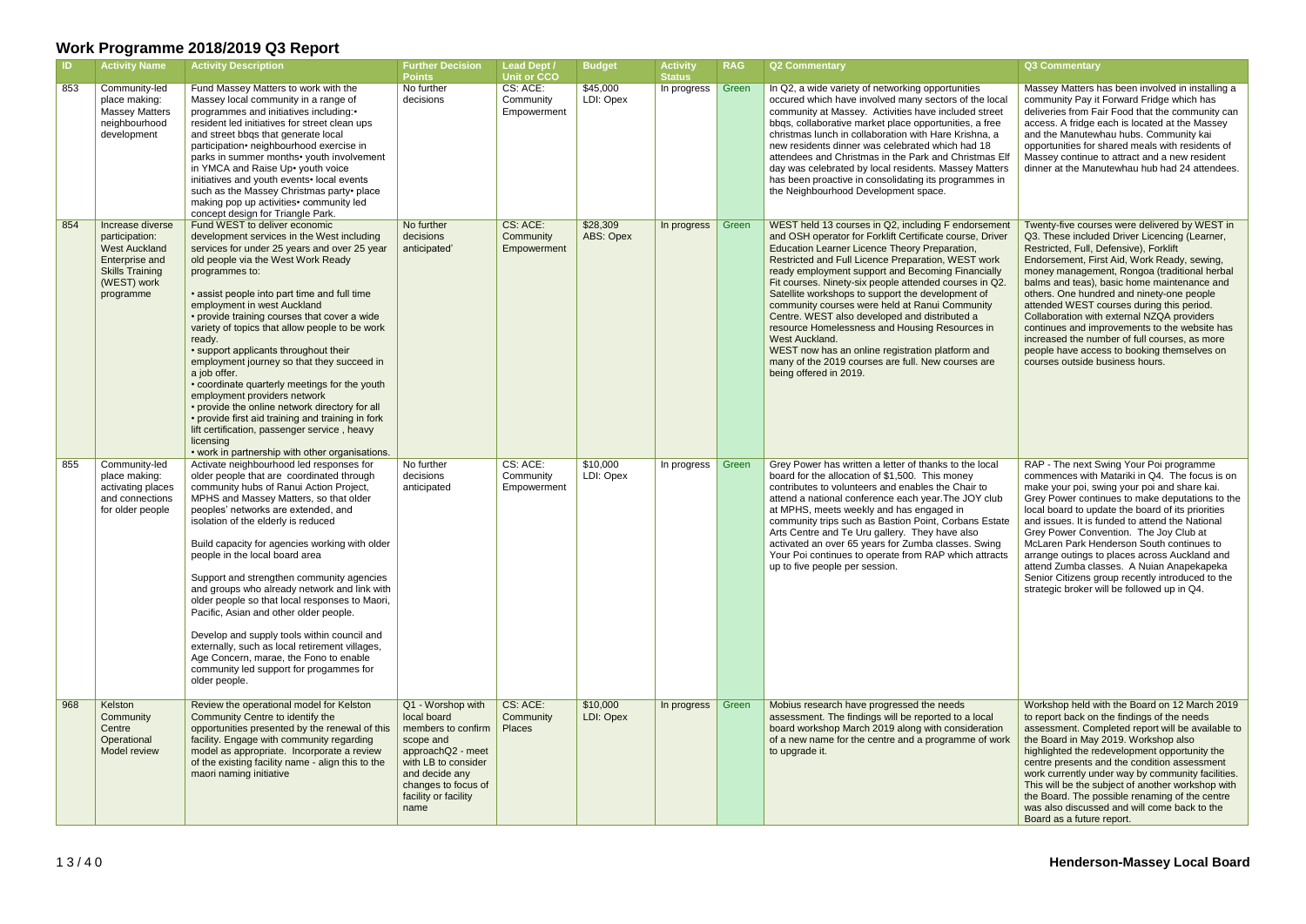|     | <b>Activity Name</b>                                                                                                                      | <b>Activity Description</b>                                                                                                                                                                                                                                                                                                                                                                                                                                                                                                                                                                                                                                                                                                                                                                   | <b>Further Decision</b><br><b>Points</b>                                                                                                                                                 | Lead Dept /<br><b>Unit or CCO</b>      | <b>Budget</b>         | <b>Activity</b><br><b>Status</b> | <b>RAG</b> | <b>Q2 Commentary</b>                                                                                                                                                                                                                                                                                                                                                                                                                                                                                                                                                                                                                                                                                  | <b>Q3 Commentary</b>                                                                                                                                                                                                                                                                                                                                                                                                                                                                                                                                                                                               |
|-----|-------------------------------------------------------------------------------------------------------------------------------------------|-----------------------------------------------------------------------------------------------------------------------------------------------------------------------------------------------------------------------------------------------------------------------------------------------------------------------------------------------------------------------------------------------------------------------------------------------------------------------------------------------------------------------------------------------------------------------------------------------------------------------------------------------------------------------------------------------------------------------------------------------------------------------------------------------|------------------------------------------------------------------------------------------------------------------------------------------------------------------------------------------|----------------------------------------|-----------------------|----------------------------------|------------|-------------------------------------------------------------------------------------------------------------------------------------------------------------------------------------------------------------------------------------------------------------------------------------------------------------------------------------------------------------------------------------------------------------------------------------------------------------------------------------------------------------------------------------------------------------------------------------------------------------------------------------------------------------------------------------------------------|--------------------------------------------------------------------------------------------------------------------------------------------------------------------------------------------------------------------------------------------------------------------------------------------------------------------------------------------------------------------------------------------------------------------------------------------------------------------------------------------------------------------------------------------------------------------------------------------------------------------|
| 853 | Community-led<br>place making:<br><b>Massey Matters</b><br>neighbourhood<br>development                                                   | Fund Massey Matters to work with the<br>Massey local community in a range of<br>programmes and initiatives including:•<br>resident led initiatives for street clean ups<br>and street bbqs that generate local<br>participation• neighbourhood exercise in<br>parks in summer months• youth involvement<br>in YMCA and Raise Up• youth voice<br>initiatives and youth events• local events<br>such as the Massey Christmas party• place<br>making pop up activities• community led<br>concept design for Triangle Park.                                                                                                                                                                                                                                                                       | No further<br>decisions                                                                                                                                                                  | CS: ACE:<br>Community<br>Empowerment   | \$45,000<br>LDI: Opex | In progress                      | Green      | In Q2, a wide variety of networking opportunities<br>occured which have involved many sectors of the local<br>community at Massey. Activities have included street<br>bbqs, collaborative market place opportunities, a free<br>christmas lunch in collaboration with Hare Krishna, a<br>new residents dinner was celebrated which had 18<br>attendees and Christmas in the Park and Christmas Elf<br>day was celebrated by local residents. Massey Matters<br>has been proactive in consolidating its programmes in<br>the Neighbourhood Development space.                                                                                                                                          | Massey Matters has been involved in installing a<br>community Pay it Forward Fridge which has<br>deliveries from Fair Food that the community can<br>access. A fridge each is located at the Massey<br>and the Manutewhau hubs. Community kai<br>opportunities for shared meals with residents of<br>Massey continue to attract and a new resident<br>dinner at the Manutewhau hub had 24 attendees.                                                                                                                                                                                                               |
| 854 | Increase diverse<br>participation:<br><b>West Auckland</b><br><b>Enterprise and</b><br><b>Skills Training</b><br>(WEST) work<br>programme | Fund WEST to deliver economic<br>development services in the West including<br>services for under 25 years and over 25 year<br>old people via the West Work Ready<br>programmes to:<br>• assist people into part time and full time<br>employment in west Auckland<br>• provide training courses that cover a wide<br>variety of topics that allow people to be work<br>ready.<br>• support applicants throughout their<br>employment journey so that they succeed in<br>a job offer.<br>• coordinate quarterly meetings for the youth<br>employment providers network<br>• provide the online network directory for all<br>• provide first aid training and training in fork<br>lift certification, passenger service, heavy<br>licensing<br>• work in partnership with other organisations. | No further<br>decisions<br>anticipated'                                                                                                                                                  | CS: ACE:<br>Community<br>Empowerment   | \$28,309<br>ABS: Opex | In progress                      | Green      | WEST held 13 courses in Q2, including F endorsement<br>and OSH operator for Forklift Certificate course, Driver<br>Education Learner Licence Theory Preparation,<br>Restricted and Full Licence Preparation, WEST work<br>ready employment support and Becoming Financially<br>Fit courses. Ninety-six people attended courses in Q2.<br>Satellite workshops to support the development of<br>community courses were held at Ranui Community<br>Centre. WEST also developed and distributed a<br>resource Homelessness and Housing Resources in<br>West Auckland.<br>WEST now has an online registration platform and<br>many of the 2019 courses are full. New courses are<br>being offered in 2019. | Twenty-five courses were delivered by WEST in<br>Q3. These included Driver Licencing (Learner,<br>Restricted, Full, Defensive), Forklift<br>Endorsement, First Aid, Work Ready, sewing,<br>money management, Rongoa (traditional herbal<br>balms and teas), basic home maintenance and<br>others. One hundred and ninety-one people<br>attended WEST courses during this period.<br>Collaboration with external NZQA providers<br>continues and improvements to the website has<br>increased the number of full courses, as more<br>people have access to booking themselves on<br>courses outside business hours. |
| 855 | Community-led<br>place making:<br>activating places<br>and connections<br>for older people                                                | Activate neighbourhood led responses for<br>older people that are coordinated through<br>community hubs of Ranui Action Project,<br>MPHS and Massey Matters, so that older<br>peoples' networks are extended, and<br>isolation of the elderly is reduced<br>Build capacity for agencies working with older<br>people in the local board area<br>Support and strengthen community agencies<br>and groups who already network and link with<br>older people so that local responses to Maori,<br>Pacific, Asian and other older people.<br>Develop and supply tools within council and<br>externally, such as local retirement villages,<br>Age Concern, marae, the Fono to enable<br>community led support for progammes for<br>older people.                                                  | No further<br>decisions<br>anticipated                                                                                                                                                   | CS: ACE:<br>Community<br>Empowerment   | \$10,000<br>LDI: Opex | In progress                      | Green      | Grey Power has written a letter of thanks to the local<br>board for the allocation of \$1,500. This money<br>contributes to volunteers and enables the Chair to<br>attend a national conference each year. The JOY club<br>at MPHS, meets weekly and has engaged in<br>community trips such as Bastion Point, Corbans Estate<br>Arts Centre and Te Uru gallery. They have also<br>activated an over 65 years for Zumba classes. Swing<br>Your Poi continues to operate from RAP which attracts<br>up to five people per session.                                                                                                                                                                      | RAP - The next Swing Your Poi programme<br>commences with Matariki in Q4. The focus is on<br>make your poi, swing your poi and share kai.<br>Grey Power continues to make deputations to the<br>local board to update the board of its priorities<br>and issues. It is funded to attend the National<br>Grey Power Convention. The Joy Club at<br>McLaren Park Henderson South continues to<br>arrange outings to places across Auckland and<br>attend Zumba classes. A Nuian Anapekapeka<br>Senior Citizens group recently introduced to the<br>strategic broker will be followed up in Q4.                       |
| 968 | Kelston<br>Community<br>Centre<br>Operational<br>Model review                                                                             | Review the operational model for Kelston<br>Community Centre to identify the<br>opportunities presented by the renewal of this<br>facility. Engage with community regarding<br>model as appropriate. Incorporate a review<br>of the existing facility name - align this to the<br>maori naming initiative                                                                                                                                                                                                                                                                                                                                                                                                                                                                                     | Q1 - Worshop with<br>local board<br>members to confirm<br>scope and<br>approachQ2 - meet<br>with LB to consider<br>and decide any<br>changes to focus of<br>facility or facility<br>name | CS: ACE:<br>Community<br><b>Places</b> | \$10,000<br>LDI: Opex | In progress                      | Green      | Mobius research have progressed the needs<br>assessment. The findings will be reported to a local<br>board workshop March 2019 along with consideration<br>of a new name for the centre and a programme of work<br>to upgrade it.                                                                                                                                                                                                                                                                                                                                                                                                                                                                     | Workshop held with the Board on 12 March 2019<br>to report back on the findings of the needs<br>assessment. Completed report will be available to<br>the Board in May 2019. Workshop also<br>highlighted the redevelopment opportunity the<br>centre presents and the condition assessment<br>work currently under way by community facilities.<br>This will be the subject of another workshop with<br>the Board. The possible renaming of the centre<br>was also discussed and will come back to the<br>Board as a future report.                                                                                |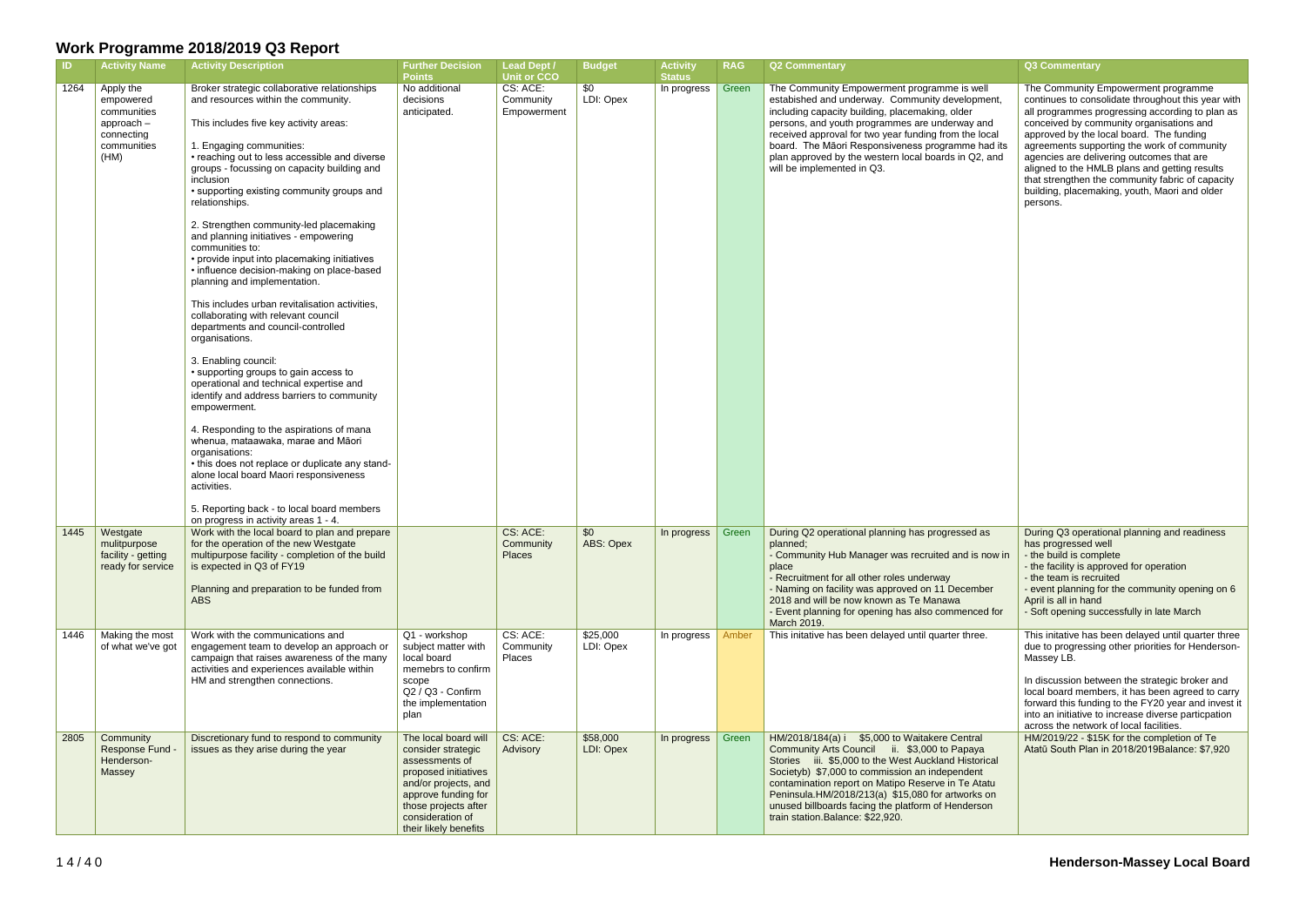| $\blacksquare$ | <b>Activity Name</b>                                                                     | <b>Activity Description</b>                                                                                                                                                                                                                                                                                                                                                                                                                                                                                                                                                                                                                                                                                                                                                                                                                                                                                                                                                                                                                                                                                                                                                                                  | <b>Further Decision</b><br><b>Points</b>                                                                                                                                                                 | <b>Lead Dept /</b><br><b>Unit or CCO</b> | <b>Budget</b>         | <b>Activity</b><br><b>Status</b> | <b>RAG</b> | <b>Q2 Commentary</b>                                                                                                                                                                                                                                                                                                                                                                                          | Q3 Commentary                                                                                                                                                                                                                                                                                                                                                                                                                                                                                      |
|----------------|------------------------------------------------------------------------------------------|--------------------------------------------------------------------------------------------------------------------------------------------------------------------------------------------------------------------------------------------------------------------------------------------------------------------------------------------------------------------------------------------------------------------------------------------------------------------------------------------------------------------------------------------------------------------------------------------------------------------------------------------------------------------------------------------------------------------------------------------------------------------------------------------------------------------------------------------------------------------------------------------------------------------------------------------------------------------------------------------------------------------------------------------------------------------------------------------------------------------------------------------------------------------------------------------------------------|----------------------------------------------------------------------------------------------------------------------------------------------------------------------------------------------------------|------------------------------------------|-----------------------|----------------------------------|------------|---------------------------------------------------------------------------------------------------------------------------------------------------------------------------------------------------------------------------------------------------------------------------------------------------------------------------------------------------------------------------------------------------------------|----------------------------------------------------------------------------------------------------------------------------------------------------------------------------------------------------------------------------------------------------------------------------------------------------------------------------------------------------------------------------------------------------------------------------------------------------------------------------------------------------|
| 1264           | Apply the<br>empowered<br>communities<br>approach -<br>connecting<br>communities<br>(HM) | Broker strategic collaborative relationships<br>and resources within the community.<br>This includes five key activity areas:<br>1. Engaging communities:<br>• reaching out to less accessible and diverse<br>groups - focussing on capacity building and<br>inclusion<br>• supporting existing community groups and<br>relationships.<br>2. Strengthen community-led placemaking<br>and planning initiatives - empowering<br>communities to:<br>• provide input into placemaking initiatives<br>· influence decision-making on place-based<br>planning and implementation.<br>This includes urban revitalisation activities,<br>collaborating with relevant council<br>departments and council-controlled<br>organisations.<br>3. Enabling council:<br>• supporting groups to gain access to<br>operational and technical expertise and<br>identify and address barriers to community<br>empowerment.<br>4. Responding to the aspirations of mana<br>whenua, mataawaka, marae and Māori<br>organisations:<br>• this does not replace or duplicate any stand-<br>alone local board Maori responsiveness<br>activities.<br>5. Reporting back - to local board members<br>on progress in activity areas 1 - 4. | No additional<br>decisions<br>anticipated.                                                                                                                                                               | CS: ACE:<br>Community<br>Empowerment     | \$0<br>LDI: Opex      | In progress                      | Green      | The Community Empowerment programme is well<br>estabished and underway. Community development,<br>including capacity building, placemaking, older<br>persons, and youth programmes are underway and<br>received approval for two year funding from the local<br>board. The Māori Responsiveness programme had its<br>plan approved by the western local boards in Q2, and<br>will be implemented in Q3.       | The Community Empowerment programme<br>continues to consolidate throughout this year with<br>all programmes progressing according to plan as<br>conceived by community organisations and<br>approved by the local board. The funding<br>agreements supporting the work of community<br>agencies are delivering outcomes that are<br>aligned to the HMLB plans and getting results<br>that strengthen the community fabric of capacity<br>building, placemaking, youth, Maori and older<br>persons. |
| 1445           | Westgate<br>mulitpurpose<br>facility - getting<br>ready for service                      | Work with the local board to plan and prepare<br>for the operation of the new Westgate<br>multipurpose facility - completion of the build<br>is expected in Q3 of FY19<br>Planning and preparation to be funded from<br><b>ABS</b>                                                                                                                                                                                                                                                                                                                                                                                                                                                                                                                                                                                                                                                                                                                                                                                                                                                                                                                                                                           |                                                                                                                                                                                                          | CS: ACE:<br>Community<br>Places          | \$0<br>ABS: Opex      | In progress                      | Green      | During Q2 operational planning has progressed as<br>planned;<br>- Community Hub Manager was recruited and is now in<br>place<br>- Recruitment for all other roles underway<br>- Naming on facility was approved on 11 December<br>2018 and will be now known as Te Manawa<br>- Event planning for opening has also commenced for<br>March 2019.                                                               | During Q3 operational planning and readiness<br>has progressed well<br>- the build is complete<br>- the facility is approved for operation<br>- the team is recruited<br>- event planning for the community opening on 6<br>April is all in hand<br>- Soft opening successfully in late March                                                                                                                                                                                                      |
| 1446           | Making the most<br>of what we've got                                                     | Work with the communications and<br>engagement team to develop an approach or<br>campaign that raises awareness of the many<br>activities and experiences available within<br>HM and strengthen connections.                                                                                                                                                                                                                                                                                                                                                                                                                                                                                                                                                                                                                                                                                                                                                                                                                                                                                                                                                                                                 | Q1 - workshop<br>subject matter with<br>local board<br>memebrs to confirm<br>scope<br>Q2 / Q3 - Confirm<br>the implementation<br>plan                                                                    | CS: ACE:<br>Community<br>Places          | \$25,000<br>LDI: Opex | In progress   Amber              |            | This initative has been delayed until quarter three.                                                                                                                                                                                                                                                                                                                                                          | This initative has been delayed until quarter three<br>due to progressing other priorities for Henderson-<br>Massey LB.<br>In discussion between the strategic broker and<br>local board members, it has been agreed to carry<br>forward this funding to the FY20 year and invest it<br>into an initiative to increase diverse particpation<br>across the network of local facilities.                                                                                                             |
| 2805           | Community<br>Response Fund -<br>Henderson-<br>Massey                                     | Discretionary fund to respond to community<br>issues as they arise during the year                                                                                                                                                                                                                                                                                                                                                                                                                                                                                                                                                                                                                                                                                                                                                                                                                                                                                                                                                                                                                                                                                                                           | The local board will<br>consider strategic<br>assessments of<br>proposed initiatives<br>and/or projects, and<br>approve funding for<br>those projects after<br>consideration of<br>their likely benefits | CS: ACE:<br>Advisory                     | \$58,000<br>LDI: Opex | In progress                      | Green      | HM/2018/184(a) i \$5,000 to Waitakere Central<br>Community Arts Council ii. \$3,000 to Papaya<br>Stories iii. \$5,000 to the West Auckland Historical<br>Societyb) \$7,000 to commission an independent<br>contamination report on Matipo Reserve in Te Atatu<br>Peninsula.HM/2018/213(a) \$15,080 for artworks on<br>unused billboards facing the platform of Henderson<br>train station. Balance: \$22,920. | HM/2019/22 - \$15K for the completion of Te<br>Atatū South Plan in 2018/2019Balance: \$7,920                                                                                                                                                                                                                                                                                                                                                                                                       |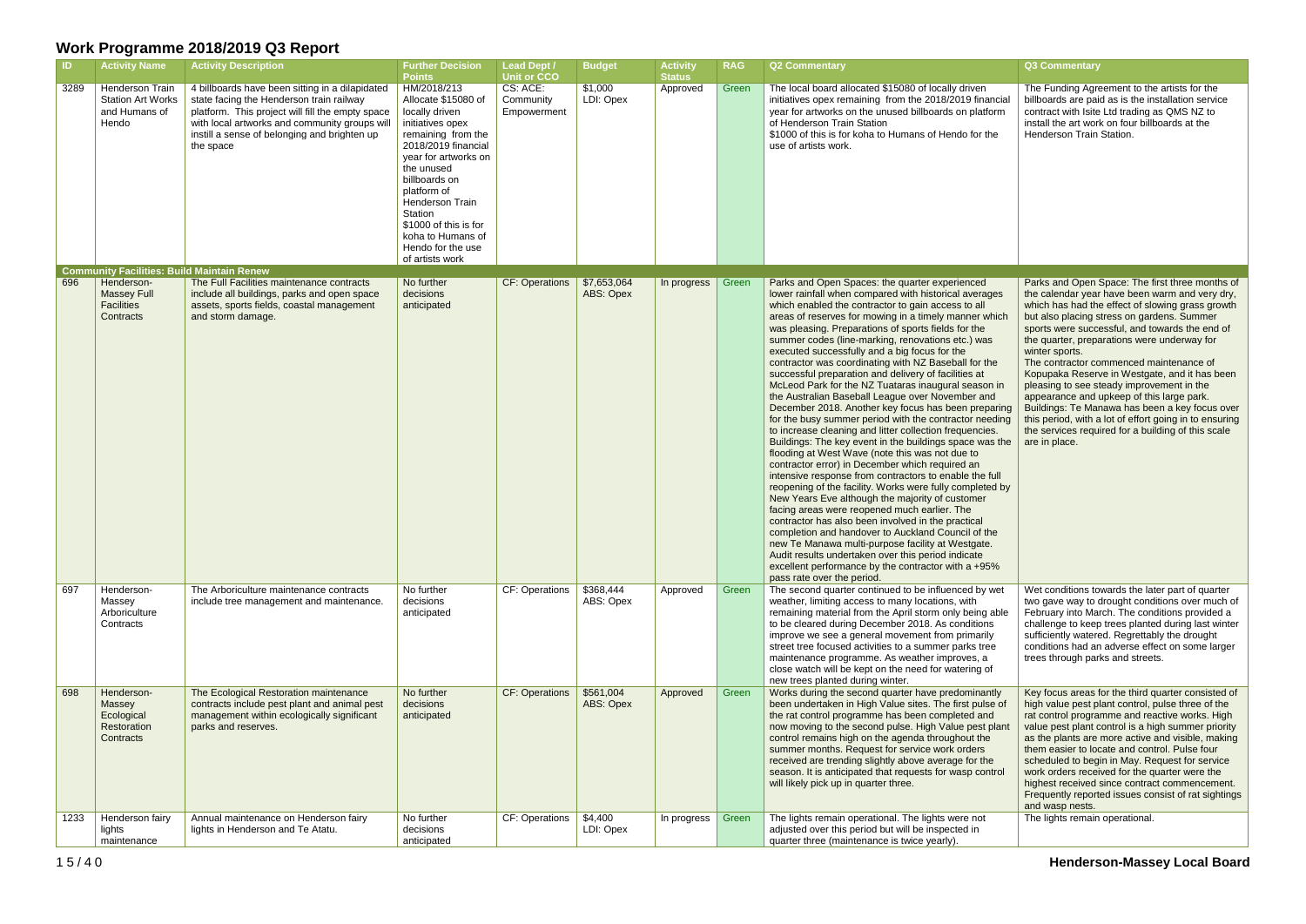| ID   | <b>Activity Name</b>                                                                                                       | <b>Activity Description</b>                                                                                                                                                                                                                                   | <b>Further Decision</b><br><b>Points</b>                                                                                                                                                                                                                                                                        | <b>Lead Dept /</b><br><b>Unit or CCO</b> | <b>Budget</b>            | <b>Activity</b><br><b>Status</b> | <b>RAG</b> | <b>Q2 Commentary</b>                                                                                                                                                                                                                                                                                                                                                                                                                                                                                                                                                                                                                                                                                                                                                                                                                                                                                                                                                                                                                                                                                                                                                                                                                                                                                                                                                                                                                                                                             | Q3 Commentary                                                                                                                                                                                                                                                                                                     |
|------|----------------------------------------------------------------------------------------------------------------------------|---------------------------------------------------------------------------------------------------------------------------------------------------------------------------------------------------------------------------------------------------------------|-----------------------------------------------------------------------------------------------------------------------------------------------------------------------------------------------------------------------------------------------------------------------------------------------------------------|------------------------------------------|--------------------------|----------------------------------|------------|--------------------------------------------------------------------------------------------------------------------------------------------------------------------------------------------------------------------------------------------------------------------------------------------------------------------------------------------------------------------------------------------------------------------------------------------------------------------------------------------------------------------------------------------------------------------------------------------------------------------------------------------------------------------------------------------------------------------------------------------------------------------------------------------------------------------------------------------------------------------------------------------------------------------------------------------------------------------------------------------------------------------------------------------------------------------------------------------------------------------------------------------------------------------------------------------------------------------------------------------------------------------------------------------------------------------------------------------------------------------------------------------------------------------------------------------------------------------------------------------------|-------------------------------------------------------------------------------------------------------------------------------------------------------------------------------------------------------------------------------------------------------------------------------------------------------------------|
| 3289 | Henderson Train<br><b>Station Art Works</b><br>and Humans of<br>Hendo<br><b>Community Facilities: Build Maintain Renew</b> | 4 billboards have been sitting in a dilapidated<br>state facing the Henderson train railway<br>platform. This project will fill the empty space<br>with local artworks and community groups will<br>instill a sense of belonging and brighten up<br>the space | HM/2018/213<br>Allocate \$15080 of<br>locally driven<br>initiatives opex<br>remaining from the<br>2018/2019 financial<br>year for artworks on<br>the unused<br>billboards on<br>platform of<br>Henderson Train<br>Station<br>\$1000 of this is for<br>koha to Humans of<br>Hendo for the use<br>of artists work | CS: ACE:<br>Community<br>Empowerment     | \$1,000<br>LDI: Opex     | Approved                         | Green      | The local board allocated \$15080 of locally driven<br>initiatives opex remaining from the 2018/2019 financial<br>year for artworks on the unused billboards on platform<br>of Henderson Train Station<br>\$1000 of this is for koha to Humans of Hendo for the<br>use of artists work.                                                                                                                                                                                                                                                                                                                                                                                                                                                                                                                                                                                                                                                                                                                                                                                                                                                                                                                                                                                                                                                                                                                                                                                                          | The Funding Agre<br>billboards are pai<br>contract with Isite<br>install the art wor<br>Henderson Train                                                                                                                                                                                                           |
| 696  | Henderson-<br><b>Massey Full</b><br><b>Facilities</b><br>Contracts                                                         | The Full Facilities maintenance contracts<br>include all buildings, parks and open space<br>assets, sports fields, coastal management<br>and storm damage.                                                                                                    | No further<br>decisions<br>anticipated                                                                                                                                                                                                                                                                          | <b>CF: Operations</b>                    | \$7,653,064<br>ABS: Opex | In progress                      | Green      | Parks and Open Spaces: the quarter experienced<br>lower rainfall when compared with historical averages<br>which enabled the contractor to gain access to all<br>areas of reserves for mowing in a timely manner which<br>was pleasing. Preparations of sports fields for the<br>summer codes (line-marking, renovations etc.) was<br>executed successfully and a big focus for the<br>contractor was coordinating with NZ Baseball for the<br>successful preparation and delivery of facilities at<br>McLeod Park for the NZ Tuataras inaugural season in<br>the Australian Baseball League over November and<br>December 2018. Another key focus has been preparing<br>for the busy summer period with the contractor needing<br>to increase cleaning and litter collection frequencies.<br>Buildings: The key event in the buildings space was the<br>flooding at West Wave (note this was not due to<br>contractor error) in December which required an<br>intensive response from contractors to enable the full<br>reopening of the facility. Works were fully completed by<br>New Years Eve although the majority of customer<br>facing areas were reopened much earlier. The<br>contractor has also been involved in the practical<br>completion and handover to Auckland Council of the<br>new Te Manawa multi-purpose facility at Westgate.<br>Audit results undertaken over this period indicate<br>excellent performance by the contractor with a +95%<br>pass rate over the period. | Parks and Open<br>the calendar year<br>which has had the<br>but also placing s<br>sports were succ<br>the quarter, prepa<br>winter sports.<br>The contractor co<br>Kopupaka Reser<br>pleasing to see s<br>appearance and<br><b>Buildings: Te Mar</b><br>this period, with a<br>the services requ<br>are in place. |
| 697  | Henderson-<br>Massey<br>Arboriculture<br>Contracts                                                                         | The Arboriculture maintenance contracts<br>include tree management and maintenance.                                                                                                                                                                           | No further<br>decisions<br>anticipated                                                                                                                                                                                                                                                                          | CF: Operations                           | \$368,444<br>ABS: Opex   | Approved                         | Green      | The second quarter continued to be influenced by wet<br>weather, limiting access to many locations, with<br>remaining material from the April storm only being able<br>to be cleared during December 2018. As conditions<br>improve we see a general movement from primarily<br>street tree focused activities to a summer parks tree<br>maintenance programme. As weather improves, a<br>close watch will be kept on the need for watering of<br>new trees planted during winter.                                                                                                                                                                                                                                                                                                                                                                                                                                                                                                                                                                                                                                                                                                                                                                                                                                                                                                                                                                                                               | Wet conditions to<br>two gave way to<br>February into Ma<br>challenge to keep<br>sufficiently water<br>conditions had ar<br>trees through par                                                                                                                                                                     |
| 698  | Henderson-<br>Massey<br>Ecological<br>Restoration<br>Contracts                                                             | The Ecological Restoration maintenance<br>contracts include pest plant and animal pest<br>management within ecologically significant<br>parks and reserves.                                                                                                   | No further<br>decisions<br>anticipated                                                                                                                                                                                                                                                                          | <b>CF: Operations</b>                    | \$561,004<br>ABS: Opex   | Approved                         | Green      | Works during the second quarter have predominantly<br>been undertaken in High Value sites. The first pulse of<br>the rat control programme has been completed and<br>now moving to the second pulse. High Value pest plant<br>control remains high on the agenda throughout the<br>summer months. Request for service work orders<br>received are trending slightly above average for the<br>season. It is anticipated that requests for wasp control<br>will likely pick up in quarter three.                                                                                                                                                                                                                                                                                                                                                                                                                                                                                                                                                                                                                                                                                                                                                                                                                                                                                                                                                                                                   | Key focus areas t<br>high value pest p<br>rat control progra<br>value pest plant o<br>as the plants are<br>them easier to loo<br>scheduled to beg<br>work orders recei<br>highest received<br>Frequently report<br>and wasp nests.                                                                                |
| 1233 | Henderson fairy<br>lights<br>maintenance                                                                                   | Annual maintenance on Henderson fairy<br>lights in Henderson and Te Atatu.                                                                                                                                                                                    | No further<br>decisions<br>anticipated                                                                                                                                                                                                                                                                          | CF: Operations                           | \$4,400<br>LDI: Opex     | In progress                      | Green      | The lights remain operational. The lights were not<br>adjusted over this period but will be inspected in<br>quarter three (maintenance is twice yearly).                                                                                                                                                                                                                                                                                                                                                                                                                                                                                                                                                                                                                                                                                                                                                                                                                                                                                                                                                                                                                                                                                                                                                                                                                                                                                                                                         | The lights remain                                                                                                                                                                                                                                                                                                 |

|                      | Q3 Commentary                                                                                                                                                                                                                    |
|----------------------|----------------------------------------------------------------------------------------------------------------------------------------------------------------------------------------------------------------------------------|
| ancial<br>orm.<br>he | The Funding Agreement to the artists for the<br>billboards are paid as is the installation service<br>contract with Isite Ltd trading as QMS NZ to<br>install the art work on four billboards at the<br>Henderson Train Station. |
|                      | Parks and Open Space: The first three months of                                                                                                                                                                                  |
| ges                  | the calendar year have been warm and very dry,                                                                                                                                                                                   |
| vhich                | which has had the effect of slowing grass growth<br>but also placing stress on gardens. Summer                                                                                                                                   |
| S                    | sports were successful, and towards the end of<br>the quarter, preparations were underway for                                                                                                                                    |
|                      | winter sports.                                                                                                                                                                                                                   |
| he                   | The contractor commenced maintenance of<br>Kopupaka Reserve in Westgate, and it has been                                                                                                                                         |
| n in<br>١d           | pleasing to see steady improvement in the<br>appearance and upkeep of this large park.                                                                                                                                           |
| paring               | Buildings: Te Manawa has been a key focus over                                                                                                                                                                                   |
| eding<br>эs.         | this period, with a lot of effort going in to ensuring<br>the services required for a building of this scale                                                                                                                     |
| as the               | are in place.                                                                                                                                                                                                                    |
| full<br>ed by<br>he  |                                                                                                                                                                                                                                  |
| Э.                   |                                                                                                                                                                                                                                  |
| 5%                   |                                                                                                                                                                                                                                  |
|                      |                                                                                                                                                                                                                                  |
| wet                  | Wet conditions towards the later part of quarter<br>two gave way to drought conditions over much of                                                                                                                              |
| able<br>١S           | February into March. The conditions provided a<br>challenge to keep trees planted during last winter                                                                                                                             |
| ly                   | sufficiently watered. Regrettably the drought                                                                                                                                                                                    |
| эе                   | conditions had an adverse effect on some larger<br>trees through parks and streets.                                                                                                                                              |
| эf                   |                                                                                                                                                                                                                                  |
| ntly                 | Key focus areas for the third quarter consisted of                                                                                                                                                                               |
| se of<br>ıd          | high value pest plant control, pulse three of the<br>rat control programme and reactive works. High                                                                                                                              |
| plant<br>Э           | value pest plant control is a high summer priority<br>as the plants are more active and visible, making                                                                                                                          |
|                      | them easier to locate and control. Pulse four                                                                                                                                                                                    |
| e<br>าtrol           | scheduled to begin in May. Request for service<br>work orders received for the quarter were the                                                                                                                                  |
|                      | highest received since contract commencement.<br>Frequently reported issues consist of rat sightings                                                                                                                             |
|                      | and wasp nests.                                                                                                                                                                                                                  |
|                      | The lights remain operational.                                                                                                                                                                                                   |
|                      |                                                                                                                                                                                                                                  |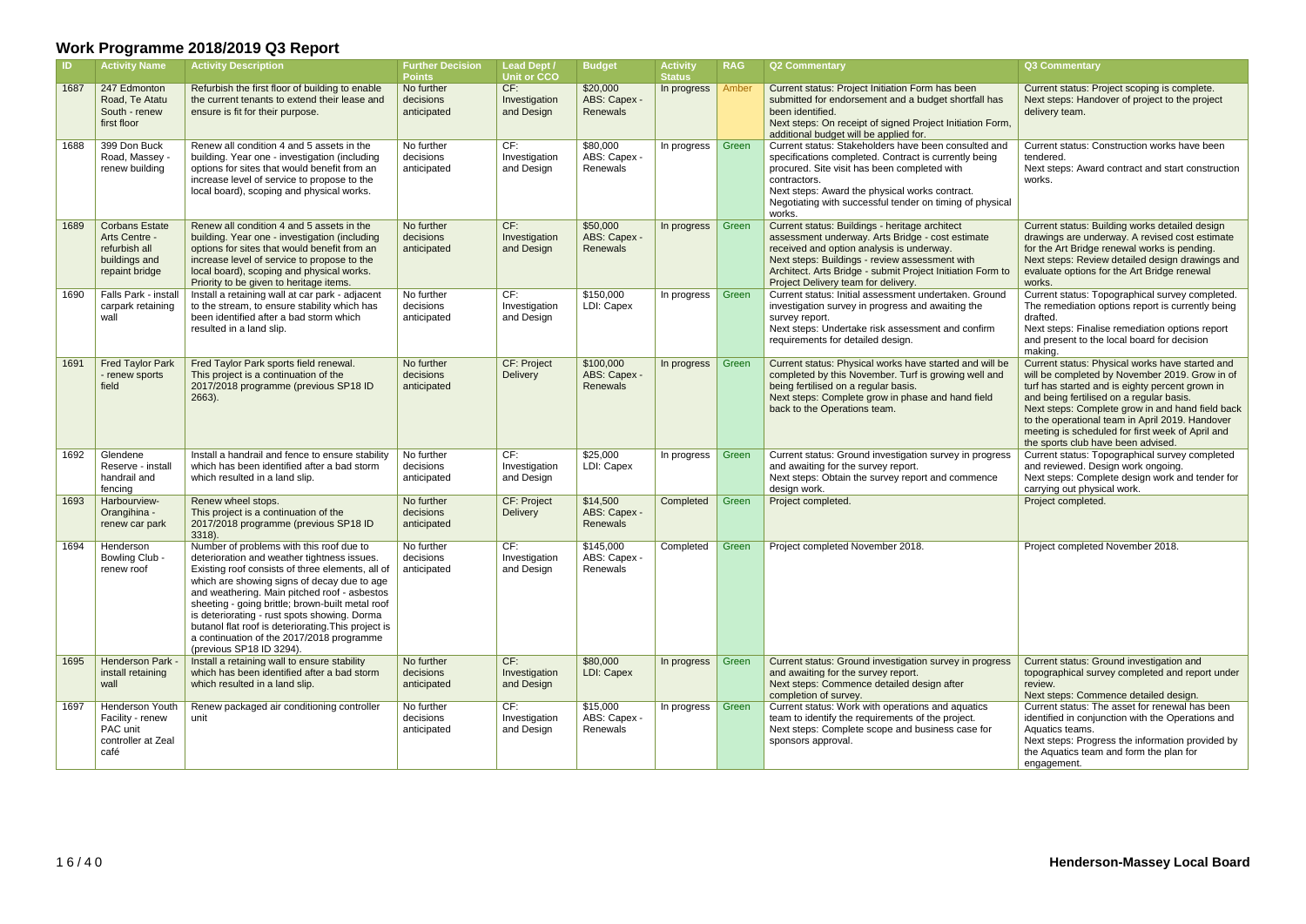| -ID  | <b>Activity Name</b>                                                                       | <b>Activity Description</b>                                                                                                                                                                                                                                                                                                                                                                                                                                                    | <b>Further Decision</b><br><b>Points</b> | <b>Lead Dept /</b><br>Unit or CCO. | <b>Budget</b>                               | <b>Activity</b><br><b>Status</b> | <b>RAG</b> | <b>Q2 Commentary</b>                                                                                                                                                                                                                                                                                   | Q3 Commentary                                                                                                                                                                                                                                                                                                                                                                                     |
|------|--------------------------------------------------------------------------------------------|--------------------------------------------------------------------------------------------------------------------------------------------------------------------------------------------------------------------------------------------------------------------------------------------------------------------------------------------------------------------------------------------------------------------------------------------------------------------------------|------------------------------------------|------------------------------------|---------------------------------------------|----------------------------------|------------|--------------------------------------------------------------------------------------------------------------------------------------------------------------------------------------------------------------------------------------------------------------------------------------------------------|---------------------------------------------------------------------------------------------------------------------------------------------------------------------------------------------------------------------------------------------------------------------------------------------------------------------------------------------------------------------------------------------------|
| 1687 | 247 Edmonton<br>Road, Te Atatu<br>South - renew<br>first floor                             | Refurbish the first floor of building to enable<br>the current tenants to extend their lease and<br>ensure is fit for their purpose.                                                                                                                                                                                                                                                                                                                                           | No further<br>decisions<br>anticipated   | CF:<br>Investigation<br>and Design | \$20,000<br>ABS: Capex -<br>Renewals        | In progress                      | Amber      | Current status: Project Initiation Form has been<br>submitted for endorsement and a budget shortfall has<br>been identified.<br>Next steps: On receipt of signed Project Initiation Form,<br>additional budget will be applied for.                                                                    | Current status: Project scoping is complete.<br>Next steps: Handover of project to the project<br>delivery team.                                                                                                                                                                                                                                                                                  |
| 1688 | 399 Don Buck<br>Road, Massey -<br>renew building                                           | Renew all condition 4 and 5 assets in the<br>building. Year one - investigation (including<br>options for sites that would benefit from an<br>increase level of service to propose to the<br>local board), scoping and physical works.                                                                                                                                                                                                                                         | No further<br>decisions<br>anticipated   | CF:<br>Investigation<br>and Design | \$80,000<br>ABS: Capex -<br>Renewals        | In progress                      | Green      | Current status: Stakeholders have been consulted and<br>specifications completed. Contract is currently being<br>procured. Site visit has been completed with<br>contractors.<br>Next steps: Award the physical works contract.<br>Negotiating with successful tender on timing of physical<br>works.  | Current status: Construction works have been<br>tendered.<br>Next steps: Award contract and start construction<br>works.                                                                                                                                                                                                                                                                          |
| 1689 | <b>Corbans Estate</b><br>Arts Centre -<br>refurbish all<br>buildings and<br>repaint bridge | Renew all condition 4 and 5 assets in the<br>building. Year one - investigation (including<br>options for sites that would benefit from an<br>increase level of service to propose to the<br>local board), scoping and physical works.<br>Priority to be given to heritage items.                                                                                                                                                                                              | No further<br>decisions<br>anticipated   | CF:<br>Investigation<br>and Design | \$50,000<br>ABS: Capex -<br><b>Renewals</b> | In progress                      | Green      | Current status: Buildings - heritage architect<br>assessment underway. Arts Bridge - cost estimate<br>received and option analysis is underway.<br>Next steps: Buildings - review assessment with<br>Architect. Arts Bridge - submit Project Initiation Form to<br>Project Delivery team for delivery. | Current status: Building works detailed design<br>drawings are underway. A revised cost estimate<br>for the Art Bridge renewal works is pending.<br>Next steps: Review detailed design drawings and<br>evaluate options for the Art Bridge renewal<br>works.                                                                                                                                      |
| 1690 | Falls Park - install<br>carpark retaining<br>wall                                          | Install a retaining wall at car park - adjacent<br>to the stream, to ensure stability which has<br>been identified after a bad storm which<br>resulted in a land slip.                                                                                                                                                                                                                                                                                                         | No further<br>decisions<br>anticipated   | CF:<br>Investigation<br>and Design | \$150,000<br>LDI: Capex                     | In progress                      | Green      | Current status: Initial assessment undertaken. Ground<br>investigation survey in progress and awaiting the<br>survey report.<br>Next steps: Undertake risk assessment and confirm<br>requirements for detailed design.                                                                                 | Current status: Topographical survey completed.<br>The remediation options report is currently being<br>drafted.<br>Next steps: Finalise remediation options report<br>and present to the local board for decision<br>making.                                                                                                                                                                     |
| 1691 | <b>Fred Taylor Park</b><br>- renew sports<br>field                                         | Fred Taylor Park sports field renewal.<br>This project is a continuation of the<br>2017/2018 programme (previous SP18 ID<br>$2663$ ).                                                                                                                                                                                                                                                                                                                                          | No further<br>decisions<br>anticipated   | CF: Project<br>Delivery            | \$100,000<br>ABS: Capex -<br>Renewals       | In progress                      | Green      | Current status: Physical works have started and will be<br>completed by this November. Turf is growing well and<br>being fertilised on a regular basis.<br>Next steps: Complete grow in phase and hand field<br>back to the Operations team.                                                           | Current status: Physical works have started and<br>will be completed by November 2019. Grow in of<br>turf has started and is eighty percent grown in<br>and being fertilised on a regular basis.<br>Next steps: Complete grow in and hand field back<br>to the operational team in April 2019. Handover<br>meeting is scheduled for first week of April and<br>the sports club have been advised. |
| 1692 | Glendene<br>Reserve - install<br>handrail and<br>fencing                                   | Install a handrail and fence to ensure stability<br>which has been identified after a bad storm<br>which resulted in a land slip.                                                                                                                                                                                                                                                                                                                                              | No further<br>decisions<br>anticipated   | CF:<br>Investigation<br>and Design | \$25,000<br>LDI: Capex                      | In progress                      | Green      | Current status: Ground investigation survey in progress<br>and awaiting for the survey report.<br>Next steps: Obtain the survey report and commence<br>design work.                                                                                                                                    | Current status: Topographical survey completed<br>and reviewed. Design work ongoing.<br>Next steps: Complete design work and tender for<br>carrying out physical work.                                                                                                                                                                                                                            |
| 1693 | Harbourview-<br>Orangihina -<br>renew car park                                             | Renew wheel stops.<br>This project is a continuation of the<br>2017/2018 programme (previous SP18 ID<br>3318).                                                                                                                                                                                                                                                                                                                                                                 | No further<br>decisions<br>anticipated   | CF: Project<br>Delivery            | \$14,500<br>ABS: Capex -<br>Renewals        | Completed                        | Green      | Project completed.                                                                                                                                                                                                                                                                                     | Project completed.                                                                                                                                                                                                                                                                                                                                                                                |
| 1694 | Henderson<br>Bowling Club -<br>renew roof                                                  | Number of problems with this roof due to<br>deterioration and weather tightness issues.<br>Existing roof consists of three elements, all of<br>which are showing signs of decay due to age<br>and weathering. Main pitched roof - asbestos<br>sheeting - going brittle; brown-built metal roof<br>is deteriorating - rust spots showing. Dorma<br>butanol flat roof is deteriorating. This project is<br>a continuation of the 2017/2018 programme<br>(previous SP18 ID 3294). | No further<br>decisions<br>anticipated   | CF:<br>Investigation<br>and Design | \$145,000<br>ABS: Capex -<br>Renewals       | Completed                        | Green      | Project completed November 2018.                                                                                                                                                                                                                                                                       | Project completed November 2018.                                                                                                                                                                                                                                                                                                                                                                  |
| 1695 | Henderson Park -<br>install retaining<br>wall                                              | Install a retaining wall to ensure stability<br>which has been identified after a bad storm<br>which resulted in a land slip.                                                                                                                                                                                                                                                                                                                                                  | No further<br>decisions<br>anticipated   | CF:<br>Investigation<br>and Design | \$80,000<br>LDI: Capex                      | In progress                      | Green      | Current status: Ground investigation survey in progress<br>and awaiting for the survey report.<br>Next steps: Commence detailed design after<br>completion of survey.                                                                                                                                  | Current status: Ground investigation and<br>topographical survey completed and report under<br>review.<br>Next steps: Commence detailed design.                                                                                                                                                                                                                                                   |
| 1697 | <b>Henderson Youth</b><br>Facility - renew<br>PAC unit<br>controller at Zeal<br>café       | Renew packaged air conditioning controller<br>unit                                                                                                                                                                                                                                                                                                                                                                                                                             | No further<br>decisions<br>anticipated   | CF:<br>Investigation<br>and Design | \$15,000<br>ABS: Capex -<br>Renewals        | In progress                      | Green      | Current status: Work with operations and aquatics<br>team to identify the requirements of the project.<br>Next steps: Complete scope and business case for<br>sponsors approval.                                                                                                                       | Current status: The asset for renewal has been<br>identified in conjunction with the Operations and<br>Aquatics teams.<br>Next steps: Progress the information provided by<br>the Aquatics team and form the plan for<br>engagement.                                                                                                                                                              |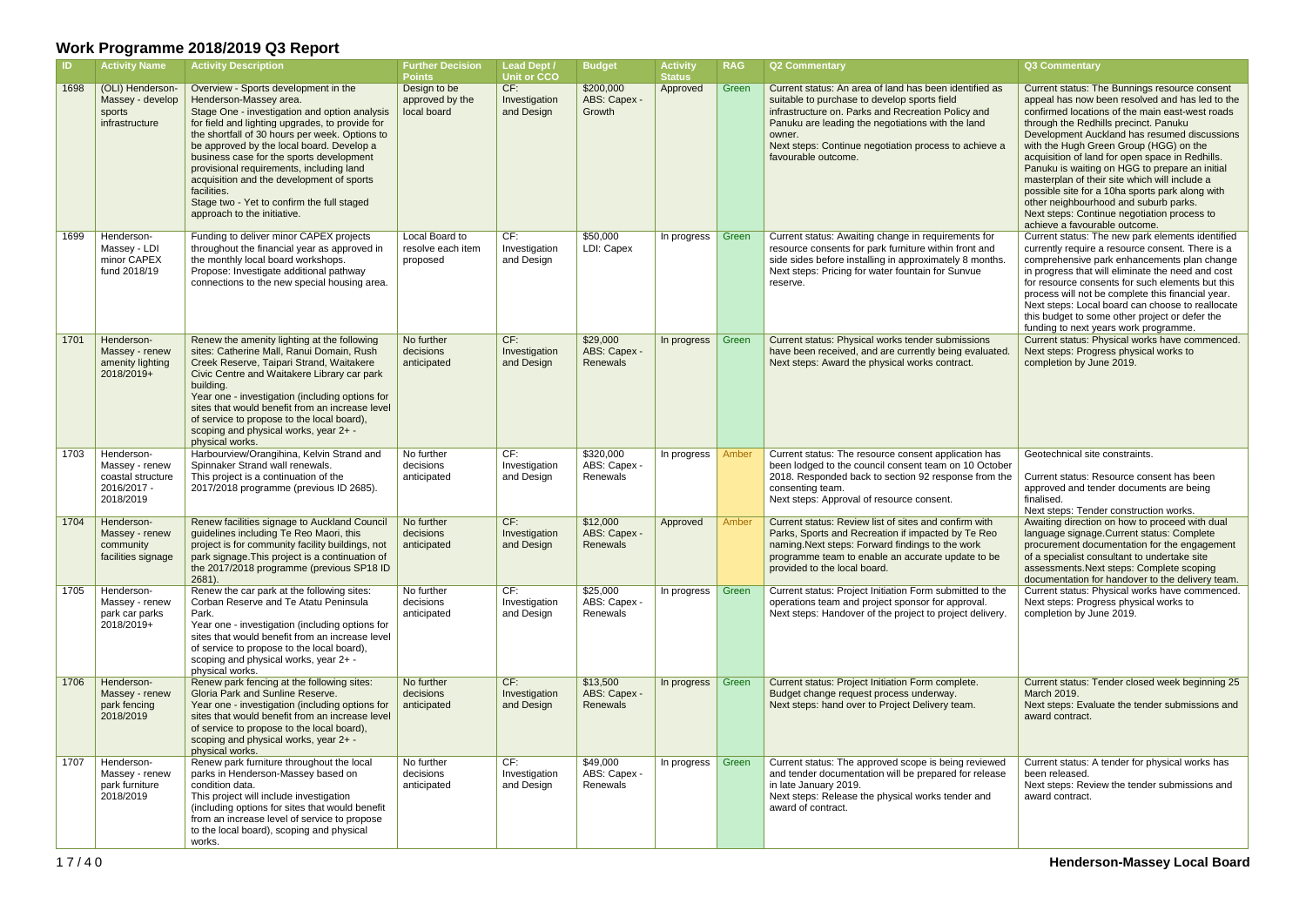| -ID. | <b>Activity Name</b>                                                          | <b>Activity Description</b>                                                                                                                                                                                                                                                                                                                                                                                                                                                                        | <b>Further Decision</b><br><b>Points</b>        | <b>Lead Dept /</b><br><b>Unit or CCO</b> | <b>Budget</b>                         | <b>Activity</b><br><b>Status</b> | <b>RAG</b> | <b>Q2 Commentary</b>                                                                                                                                                                                                                                                                                        | <b>Q3 Commentary</b>                                                                                                                                                                                                                                                                                                                                                                                                                                                                                                                                                                                                     |
|------|-------------------------------------------------------------------------------|----------------------------------------------------------------------------------------------------------------------------------------------------------------------------------------------------------------------------------------------------------------------------------------------------------------------------------------------------------------------------------------------------------------------------------------------------------------------------------------------------|-------------------------------------------------|------------------------------------------|---------------------------------------|----------------------------------|------------|-------------------------------------------------------------------------------------------------------------------------------------------------------------------------------------------------------------------------------------------------------------------------------------------------------------|--------------------------------------------------------------------------------------------------------------------------------------------------------------------------------------------------------------------------------------------------------------------------------------------------------------------------------------------------------------------------------------------------------------------------------------------------------------------------------------------------------------------------------------------------------------------------------------------------------------------------|
| 1698 | (OLI) Henderson-<br>Massey - develop<br>sports<br>infrastructure              | Overview - Sports development in the<br>Henderson-Massey area.<br>Stage One - investigation and option analysis<br>for field and lighting upgrades, to provide for<br>the shortfall of 30 hours per week. Options to<br>be approved by the local board. Develop a<br>business case for the sports development<br>provisional requirements, including land<br>acquisition and the development of sports<br>facilities.<br>Stage two - Yet to confirm the full staged<br>approach to the initiative. | Design to be<br>approved by the<br>local board  | CF:<br>Investigation<br>and Design       | \$200,000<br>ABS: Capex -<br>Growth   | Approved                         | Green      | Current status: An area of land has been identified as<br>suitable to purchase to develop sports field<br>infrastructure on. Parks and Recreation Policy and<br>Panuku are leading the negotiations with the land<br>owner.<br>Next steps: Continue negotiation process to achieve a<br>favourable outcome. | Current status: The Bunnings resource consent<br>appeal has now been resolved and has led to the<br>confirmed locations of the main east-west roads<br>through the Redhills precinct. Panuku<br>Development Auckland has resumed discussions<br>with the Hugh Green Group (HGG) on the<br>acquisition of land for open space in Redhills.<br>Panuku is waiting on HGG to prepare an initial<br>masterplan of their site which will include a<br>possible site for a 10ha sports park along with<br>other neighbourhood and suburb parks.<br>Next steps: Continue negotiation process to<br>achieve a favourable outcome. |
| 1699 | Henderson-<br>Massey - LDI<br>minor CAPEX<br>fund 2018/19                     | Funding to deliver minor CAPEX projects<br>throughout the financial year as approved in<br>the monthly local board workshops.<br>Propose: Investigate additional pathway<br>connections to the new special housing area.                                                                                                                                                                                                                                                                           | Local Board to<br>resolve each item<br>proposed | CF:<br>Investigation<br>and Design       | \$50,000<br>LDI: Capex                | In progress                      | Green      | Current status: Awaiting change in requirements for<br>resource consents for park furniture within front and<br>side sides before installing in approximately 8 months.<br>Next steps: Pricing for water fountain for Sunvue<br>reserve.                                                                    | Current status: The new park elements identified<br>currently require a resource consent. There is a<br>comprehensive park enhancements plan change<br>in progress that will eliminate the need and cost<br>for resource consents for such elements but this<br>process will not be complete this financial year.<br>Next steps: Local board can choose to reallocate<br>this budget to some other project or defer the<br>funding to next years work programme.                                                                                                                                                         |
| 1701 | Henderson-<br>Massey - renew<br>amenity lighting<br>2018/2019+                | Renew the amenity lighting at the following<br>sites: Catherine Mall, Ranui Domain, Rush<br>Creek Reserve, Taipari Strand, Waitakere<br>Civic Centre and Waitakere Library car park<br>building.<br>Year one - investigation (including options for<br>sites that would benefit from an increase level<br>of service to propose to the local board),<br>scoping and physical works, year 2+ -<br>physical works.                                                                                   | No further<br>decisions<br>anticipated          | CF:<br>Investigation<br>and Design       | \$29,000<br>ABS: Capex -<br>Renewals  | In progress                      | Green      | Current status: Physical works tender submissions<br>have been received, and are currently being evaluated.<br>Next steps: Award the physical works contract.                                                                                                                                               | Current status: Physical works have commenced.<br>Next steps: Progress physical works to<br>completion by June 2019.                                                                                                                                                                                                                                                                                                                                                                                                                                                                                                     |
| 1703 | Henderson-<br>Massey - renew<br>coastal structure<br>2016/2017 -<br>2018/2019 | Harbourview/Orangihina, Kelvin Strand and<br>Spinnaker Strand wall renewals.<br>This project is a continuation of the<br>2017/2018 programme (previous ID 2685).                                                                                                                                                                                                                                                                                                                                   | No further<br>decisions<br>anticipated          | CF:<br>Investigation<br>and Design       | \$320,000<br>ABS: Capex -<br>Renewals | In progress                      | Amber      | Current status: The resource consent application has<br>been lodged to the council consent team on 10 October<br>2018. Responded back to section 92 response from the<br>consenting team.<br>Next steps: Approval of resource consent.                                                                      | Geotechnical site constraints.<br>Current status: Resource consent has been<br>approved and tender documents are being<br>finalised.<br>Next steps: Tender construction works.                                                                                                                                                                                                                                                                                                                                                                                                                                           |
| 1704 | Henderson-<br>Massey - renew<br>community<br>facilities signage               | Renew facilities signage to Auckland Council<br>guidelines including Te Reo Maori, this<br>project is for community facility buildings, not<br>park signage. This project is a continuation of<br>the 2017/2018 programme (previous SP18 ID<br>2681).                                                                                                                                                                                                                                              | No further<br>decisions<br>anticipated          | CF:<br>Investigation<br>and Design       | \$12,000<br>ABS: Capex -<br>Renewals  | Approved                         | Amber      | Current status: Review list of sites and confirm with<br>Parks, Sports and Recreation if impacted by Te Reo<br>naming. Next steps: Forward findings to the work<br>programme team to enable an accurate update to be<br>provided to the local board.                                                        | Awaiting direction on how to proceed with dual<br>language signage. Current status: Complete<br>procurement documentation for the engagement<br>of a specialist consultant to undertake site<br>assessments. Next steps: Complete scoping<br>documentation for handover to the delivery team.                                                                                                                                                                                                                                                                                                                            |
| 1705 | Henderson-<br>Massey - renew<br>park car parks<br>2018/2019+                  | Renew the car park at the following sites:<br>Corban Reserve and Te Atatu Peninsula<br>Park.<br>Year one - investigation (including options for<br>sites that would benefit from an increase level<br>of service to propose to the local board),<br>scoping and physical works, year 2+ -<br>physical works.                                                                                                                                                                                       | No further<br>decisions<br>anticipated          | CF:<br>Investigation<br>and Design       | \$25,000<br>ABS: Capex -<br>Renewals  | In progress                      | Green      | Current status: Project Initiation Form submitted to the<br>operations team and project sponsor for approval.<br>Next steps: Handover of the project to project delivery.                                                                                                                                   | Current status: Physical works have commenced.<br>Next steps: Progress physical works to<br>completion by June 2019.                                                                                                                                                                                                                                                                                                                                                                                                                                                                                                     |
| 1706 | Henderson-<br>Massey - renew<br>park fencing<br>2018/2019                     | Renew park fencing at the following sites:<br>Gloria Park and Sunline Reserve.<br>Year one - investigation (including options for<br>sites that would benefit from an increase level<br>of service to propose to the local board),<br>scoping and physical works, year 2+ -<br>physical works.                                                                                                                                                                                                     | No further<br>decisions<br>anticipated          | CF:<br>Investigation<br>and Design       | \$13,500<br>ABS: Capex -<br>Renewals  | In progress                      | Green      | Current status: Project Initiation Form complete.<br>Budget change request process underway.<br>Next steps: hand over to Project Delivery team.                                                                                                                                                             | Current status: Tender closed week beginning 25<br>March 2019.<br>Next steps: Evaluate the tender submissions and<br>award contract.                                                                                                                                                                                                                                                                                                                                                                                                                                                                                     |
| 1707 | Henderson-<br>Massey - renew<br>park furniture<br>2018/2019                   | Renew park furniture throughout the local<br>parks in Henderson-Massey based on<br>condition data.<br>This project will include investigation<br>(including options for sites that would benefit<br>from an increase level of service to propose<br>to the local board), scoping and physical<br>works.                                                                                                                                                                                            | No further<br>decisions<br>anticipated          | CF:<br>Investigation<br>and Design       | \$49,000<br>ABS: Capex -<br>Renewals  | In progress $\vert$              | Green      | Current status: The approved scope is being reviewed<br>and tender documentation will be prepared for release<br>in late January 2019.<br>Next steps: Release the physical works tender and<br>award of contract.                                                                                           | Current status: A tender for physical works has<br>been released.<br>Next steps: Review the tender submissions and<br>award contract.                                                                                                                                                                                                                                                                                                                                                                                                                                                                                    |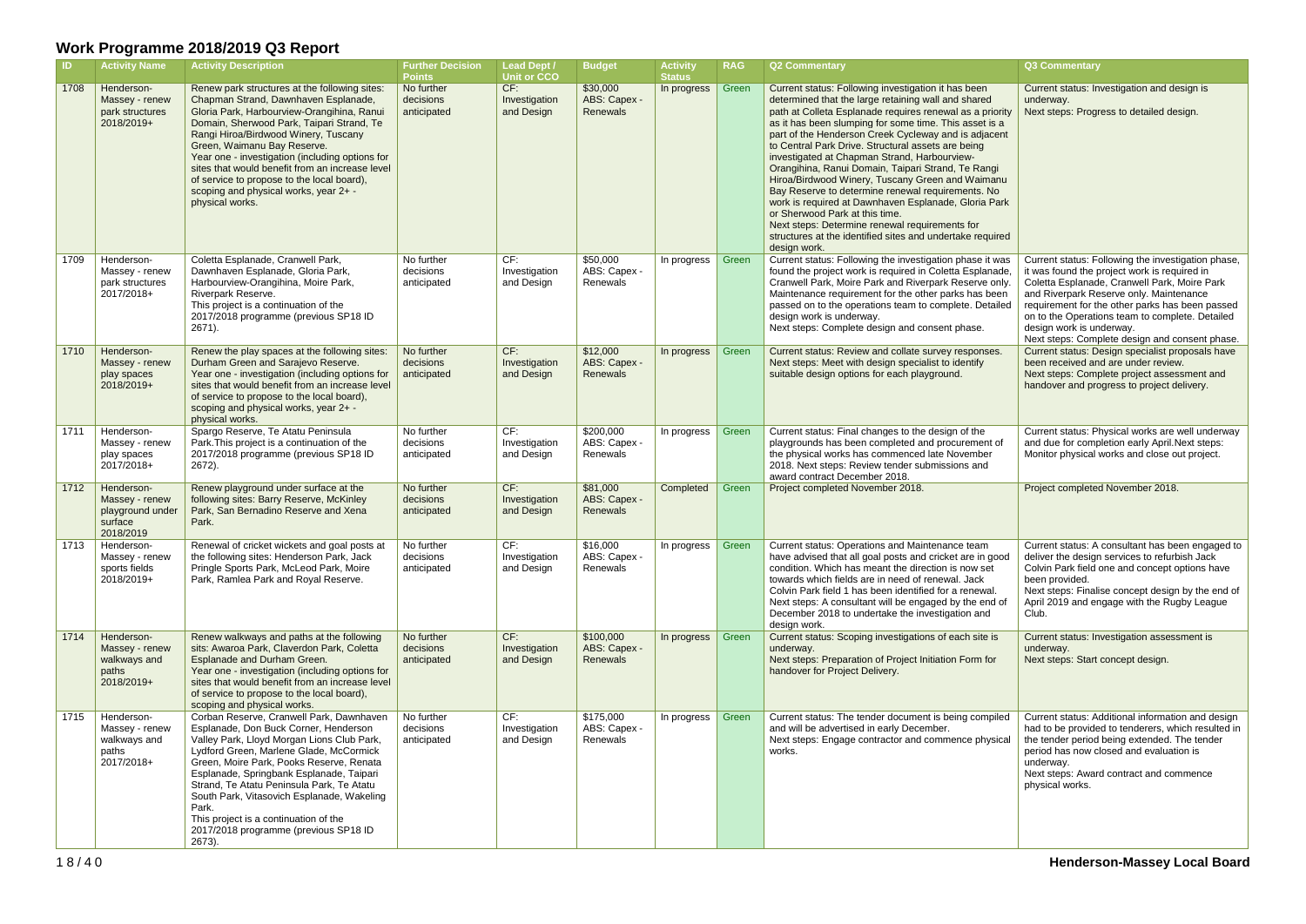| <b>ID</b> | <b>Activity Name</b>                                                     | <b>Activity Description</b>                                                                                                                                                                                                                                                                                                                                                                                                                                             | <b>Further Decision</b><br><b>Points</b> | <b>Lead Dept /</b><br><b>Unit or CCO</b> | <b>Budget</b>                         | <b>Activity</b><br><b>Status</b> | <b>RAG</b> | <b>Q2 Commentary</b>                                                                                                                                                                                                                                                                                                                                                                                                                                                                                                                                                                                                                                                                                                                                                                   | Q3 Commentary                                                                                                                                                                                                                                                                                                                                                                     |
|-----------|--------------------------------------------------------------------------|-------------------------------------------------------------------------------------------------------------------------------------------------------------------------------------------------------------------------------------------------------------------------------------------------------------------------------------------------------------------------------------------------------------------------------------------------------------------------|------------------------------------------|------------------------------------------|---------------------------------------|----------------------------------|------------|----------------------------------------------------------------------------------------------------------------------------------------------------------------------------------------------------------------------------------------------------------------------------------------------------------------------------------------------------------------------------------------------------------------------------------------------------------------------------------------------------------------------------------------------------------------------------------------------------------------------------------------------------------------------------------------------------------------------------------------------------------------------------------------|-----------------------------------------------------------------------------------------------------------------------------------------------------------------------------------------------------------------------------------------------------------------------------------------------------------------------------------------------------------------------------------|
| 1708      | Henderson-<br>Massey - renew<br>park structures<br>2018/2019+            | Renew park structures at the following sites:<br>Chapman Strand, Dawnhaven Esplanade,<br>Gloria Park, Harbourview-Orangihina, Ranui<br>Domain, Sherwood Park, Taipari Strand, Te<br>Rangi Hiroa/Birdwood Winery, Tuscany<br>Green, Waimanu Bay Reserve.<br>Year one - investigation (including options for<br>sites that would benefit from an increase level<br>of service to propose to the local board),<br>scoping and physical works, year 2+ -<br>physical works. | No further<br>decisions<br>anticipated   | CF:<br>Investigation<br>and Design       | \$30,000<br>ABS: Capex -<br>Renewals  | In progress                      | Green      | Current status: Following investigation it has been<br>determined that the large retaining wall and shared<br>path at Colleta Esplanade requires renewal as a priority<br>as it has been slumping for some time. This asset is a<br>part of the Henderson Creek Cycleway and is adjacent<br>to Central Park Drive. Structural assets are being<br>investigated at Chapman Strand, Harbourview-<br>Orangihina, Ranui Domain, Taipari Strand, Te Rangi<br>Hiroa/Birdwood Winery, Tuscany Green and Waimanu<br>Bay Reserve to determine renewal requirements. No<br>work is required at Dawnhaven Esplanade, Gloria Park<br>or Sherwood Park at this time.<br>Next steps: Determine renewal requirements for<br>structures at the identified sites and undertake required<br>design work. | Current status: Investigation and design is<br>underway.<br>Next steps: Progress to detailed design.                                                                                                                                                                                                                                                                              |
| 1709      | Henderson-<br>Massey - renew<br>park structures<br>2017/2018+            | Coletta Esplanade, Cranwell Park,<br>Dawnhaven Esplanade, Gloria Park,<br>Harbourview-Orangihina, Moire Park,<br>Riverpark Reserve.<br>This project is a continuation of the<br>2017/2018 programme (previous SP18 ID<br>2671).                                                                                                                                                                                                                                         | No further<br>decisions<br>anticipated   | CF:<br>Investigation<br>and Design       | \$50,000<br>ABS: Capex -<br>Renewals  | In progress   Green              |            | Current status: Following the investigation phase it was<br>found the project work is required in Coletta Esplanade,<br>Cranwell Park, Moire Park and Riverpark Reserve only.<br>Maintenance requirement for the other parks has been<br>passed on to the operations team to complete. Detailed<br>design work is underway.<br>Next steps: Complete design and consent phase.                                                                                                                                                                                                                                                                                                                                                                                                          | Current status: Following the investigation phase,<br>it was found the project work is required in<br>Coletta Esplanade, Cranwell Park, Moire Park<br>and Riverpark Reserve only. Maintenance<br>requirement for the other parks has been passed<br>on to the Operations team to complete. Detailed<br>design work is underway.<br>Next steps: Complete design and consent phase. |
| 1710      | Henderson-<br>Massey - renew<br>play spaces<br>2018/2019+                | Renew the play spaces at the following sites:<br>Durham Green and Sarajevo Reserve.<br>Year one - investigation (including options for<br>sites that would benefit from an increase level<br>of service to propose to the local board),<br>scoping and physical works, year 2+ -<br>physical works.                                                                                                                                                                     | No further<br>decisions<br>anticipated   | CF:<br>Investigation<br>and Design       | \$12,000<br>ABS: Capex -<br>Renewals  | In progress                      | Green      | Current status: Review and collate survey responses.<br>Next steps: Meet with design specialist to identify<br>suitable design options for each playground.                                                                                                                                                                                                                                                                                                                                                                                                                                                                                                                                                                                                                            | Current status: Design specialist proposals have<br>been received and are under review.<br>Next steps: Complete project assessment and<br>handover and progress to project delivery.                                                                                                                                                                                              |
| 1711      | Henderson-<br>Massey - renew<br>play spaces<br>2017/2018+                | Spargo Reserve, Te Atatu Peninsula<br>Park. This project is a continuation of the<br>2017/2018 programme (previous SP18 ID<br>2672).                                                                                                                                                                                                                                                                                                                                    | No further<br>decisions<br>anticipated   | CF:<br>Investigation<br>and Design       | \$200,000<br>ABS: Capex -<br>Renewals | In progress                      | Green      | Current status: Final changes to the design of the<br>playgrounds has been completed and procurement of<br>the physical works has commenced late November<br>2018. Next steps: Review tender submissions and<br>award contract December 2018.                                                                                                                                                                                                                                                                                                                                                                                                                                                                                                                                          | Current status: Physical works are well underway<br>and due for completion early April. Next steps:<br>Monitor physical works and close out project.                                                                                                                                                                                                                              |
| 1712      | Henderson-<br>Massey - renew<br>playground under<br>surface<br>2018/2019 | Renew playground under surface at the<br>following sites: Barry Reserve, McKinley<br>Park, San Bernadino Reserve and Xena<br>Park.                                                                                                                                                                                                                                                                                                                                      | No further<br>decisions<br>anticipated   | CF:<br>Investigation<br>and Design       | \$81,000<br>ABS: Capex -<br>Renewals  | Completed                        | Green      | Project completed November 2018.                                                                                                                                                                                                                                                                                                                                                                                                                                                                                                                                                                                                                                                                                                                                                       | Project completed November 2018.                                                                                                                                                                                                                                                                                                                                                  |
| 1713      | Henderson-<br>Massey - renew<br>sports fields<br>2018/2019+              | Renewal of cricket wickets and goal posts at<br>the following sites: Henderson Park, Jack<br>Pringle Sports Park, McLeod Park, Moire<br>Park, Ramlea Park and Royal Reserve.                                                                                                                                                                                                                                                                                            | No further<br>decisions<br>anticipated   | CF:<br>Investigation<br>and Design       | \$16,000<br>ABS: Capex -<br>Renewals  | In progress                      | Green      | Current status: Operations and Maintenance team<br>have advised that all goal posts and cricket are in good<br>condition. Which has meant the direction is now set<br>towards which fields are in need of renewal. Jack<br>Colvin Park field 1 has been identified for a renewal.<br>Next steps: A consultant will be engaged by the end of<br>December 2018 to undertake the investigation and<br>design work.                                                                                                                                                                                                                                                                                                                                                                        | Current status: A consultant has been engaged to<br>deliver the design services to refurbish Jack<br>Colvin Park field one and concept options have<br>been provided.<br>Next steps: Finalise concept design by the end of<br>April 2019 and engage with the Rugby League<br>Club.                                                                                                |
| 1714      | Henderson-<br>Massey - renew<br>walkways and<br>paths<br>2018/2019+      | Renew walkways and paths at the following<br>sits: Awaroa Park, Claverdon Park, Coletta<br>Esplanade and Durham Green.<br>Year one - investigation (including options for<br>sites that would benefit from an increase level<br>of service to propose to the local board),<br>scoping and physical works.                                                                                                                                                               | No further<br>decisions<br>anticipated   | CF:<br>Investigation<br>and Design       | \$100,000<br>ABS: Capex -<br>Renewals | In progress                      | Green      | Current status: Scoping investigations of each site is<br>underway.<br>Next steps: Preparation of Project Initiation Form for<br>handover for Project Delivery.                                                                                                                                                                                                                                                                                                                                                                                                                                                                                                                                                                                                                        | Current status: Investigation assessment is<br>underway.<br>Next steps: Start concept design.                                                                                                                                                                                                                                                                                     |
| 1715      | Henderson-<br>Massey - renew<br>walkways and<br>paths<br>2017/2018+      | Corban Reserve, Cranwell Park, Dawnhaven<br>Esplanade, Don Buck Corner, Henderson<br>Valley Park, Lloyd Morgan Lions Club Park,<br>Lydford Green, Marlene Glade, McCormick<br>Green, Moire Park, Pooks Reserve, Renata<br>Esplanade, Springbank Esplanade, Taipari<br>Strand, Te Atatu Peninsula Park, Te Atatu<br>South Park, Vitasovich Esplanade, Wakeling<br>Park.<br>This project is a continuation of the<br>2017/2018 programme (previous SP18 ID<br>2673).      | No further<br>decisions<br>anticipated   | CF:<br>Investigation<br>and Design       | \$175,000<br>ABS: Capex -<br>Renewals | In progress                      | Green      | Current status: The tender document is being compiled<br>and will be advertised in early December.<br>Next steps: Engage contractor and commence physical<br>works.                                                                                                                                                                                                                                                                                                                                                                                                                                                                                                                                                                                                                    | Current status: Additional information and design<br>had to be provided to tenderers, which resulted in<br>the tender period being extended. The tender<br>period has now closed and evaluation is<br>underway.<br>Next steps: Award contract and commence<br>physical works.                                                                                                     |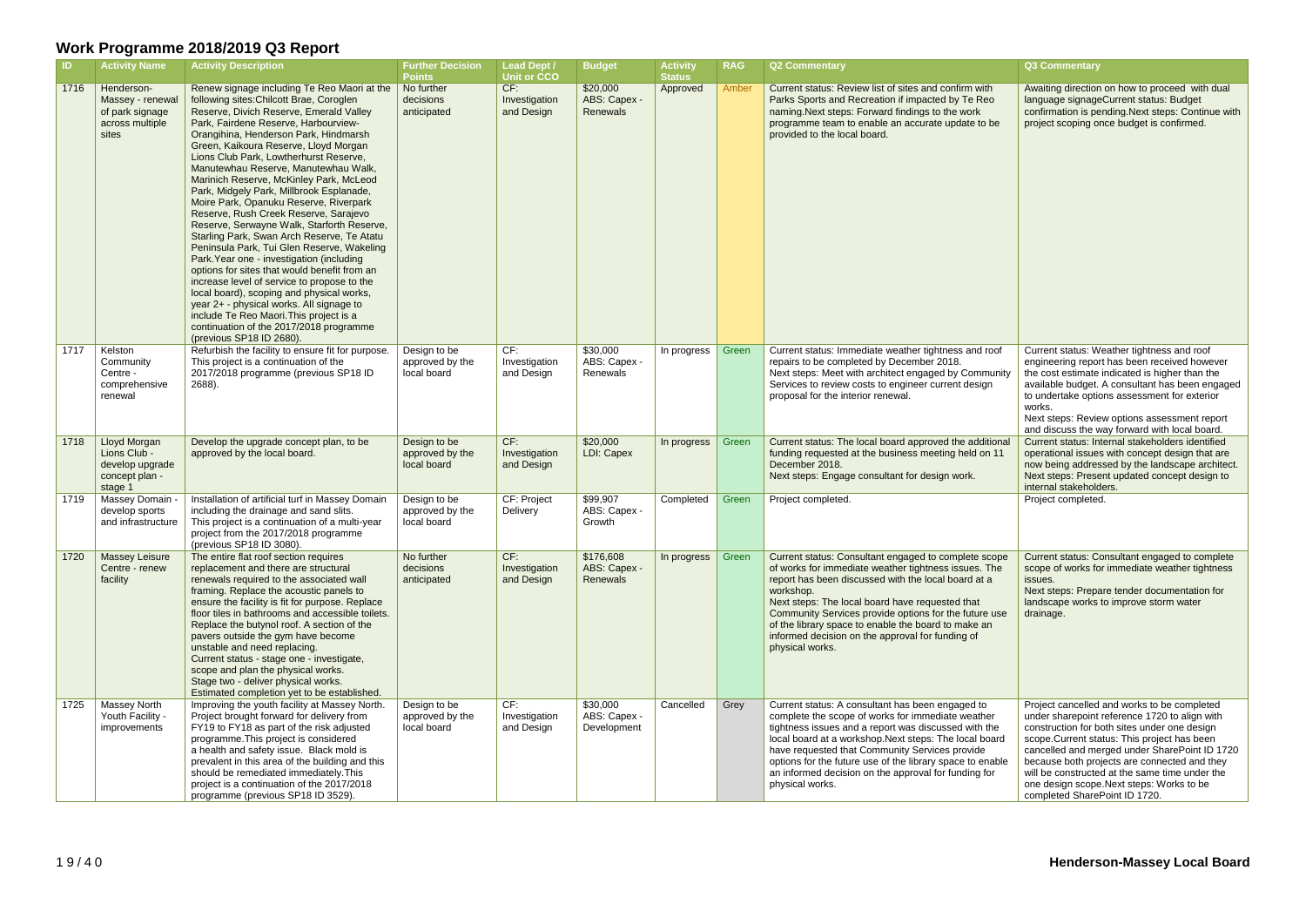| $\blacksquare$ | <b>Activity Name</b>                                                          | <b>Activity Description</b>                                                                                                                                                                                                                                                                                                                                                                                                                                                                                                                                                                                                                                                                                                                                                                                                                                                                                                                                                                                               | <b>Further Decision</b><br><b>Points</b>       | <b>Lead Dept /</b><br><b>Unit or CCO</b> | <b>Budget</b>                           | <b>Activity</b><br><b>Status</b> | <b>RAG</b> | <b>Q2 Commentary</b>                                                                                                                                                                                                                                                                                                                                                                                                       | <b>Q3 Commentary</b>                                                                                                                                                                              |
|----------------|-------------------------------------------------------------------------------|---------------------------------------------------------------------------------------------------------------------------------------------------------------------------------------------------------------------------------------------------------------------------------------------------------------------------------------------------------------------------------------------------------------------------------------------------------------------------------------------------------------------------------------------------------------------------------------------------------------------------------------------------------------------------------------------------------------------------------------------------------------------------------------------------------------------------------------------------------------------------------------------------------------------------------------------------------------------------------------------------------------------------|------------------------------------------------|------------------------------------------|-----------------------------------------|----------------------------------|------------|----------------------------------------------------------------------------------------------------------------------------------------------------------------------------------------------------------------------------------------------------------------------------------------------------------------------------------------------------------------------------------------------------------------------------|---------------------------------------------------------------------------------------------------------------------------------------------------------------------------------------------------|
| 1716           | Henderson-<br>Massey - renewal<br>of park signage<br>across multiple<br>sites | Renew signage including Te Reo Maori at the<br>following sites: Chilcott Brae, Coroglen<br>Reserve, Divich Reserve, Emerald Valley<br>Park, Fairdene Reserve, Harbourview-<br>Orangihina, Henderson Park, Hindmarsh<br>Green, Kaikoura Reserve, Lloyd Morgan<br>Lions Club Park, Lowtherhurst Reserve,<br>Manutewhau Reserve, Manutewhau Walk,<br>Marinich Reserve, McKinley Park, McLeod<br>Park, Midgely Park, Millbrook Esplanade,<br>Moire Park, Opanuku Reserve, Riverpark<br>Reserve, Rush Creek Reserve, Sarajevo<br>Reserve, Serwayne Walk, Starforth Reserve,<br>Starling Park, Swan Arch Reserve, Te Atatu<br>Peninsula Park, Tui Glen Reserve, Wakeling<br>Park. Year one - investigation (including<br>options for sites that would benefit from an<br>increase level of service to propose to the<br>local board), scoping and physical works,<br>year 2+ - physical works. All signage to<br>include Te Reo Maori. This project is a<br>continuation of the 2017/2018 programme<br>(previous SP18 ID 2680). | No further<br>decisions<br>anticipated         | CF:<br>Investigation<br>and Design       | \$20,000<br>ABS: Capex -<br>Renewals    | Approved                         | Amber      | Current status: Review list of sites and confirm with<br>Parks Sports and Recreation if impacted by Te Reo<br>naming. Next steps: Forward findings to the work<br>programme team to enable an accurate update to be<br>provided to the local board.                                                                                                                                                                        | Awaiting direction<br>language signage<br>confirmation is per<br>project scoping on                                                                                                               |
| 1717           | Kelston<br>Community<br>Centre -<br>comprehensive<br>renewal                  | Refurbish the facility to ensure fit for purpose.<br>This project is a continuation of the<br>2017/2018 programme (previous SP18 ID<br>2688).                                                                                                                                                                                                                                                                                                                                                                                                                                                                                                                                                                                                                                                                                                                                                                                                                                                                             | Design to be<br>approved by the<br>local board | CF:<br>Investigation<br>and Design       | \$30,000<br>ABS: Capex -<br>Renewals    | In progress                      | Green      | Current status: Immediate weather tightness and roof<br>repairs to be completed by December 2018.<br>Next steps: Meet with architect engaged by Community<br>Services to review costs to engineer current design<br>proposal for the interior renewal.                                                                                                                                                                     | Current status: We<br>engineering report<br>the cost estimate i<br>available budget. /<br>to undertake optio<br>works.<br>Next steps: Reviev<br>and discuss the wa                                |
| 1718           | Lloyd Morgan<br>Lions Club -<br>develop upgrade<br>concept plan -<br>stage 1  | Develop the upgrade concept plan, to be<br>approved by the local board.                                                                                                                                                                                                                                                                                                                                                                                                                                                                                                                                                                                                                                                                                                                                                                                                                                                                                                                                                   | Design to be<br>approved by the<br>local board | CF:<br>Investigation<br>and Design       | \$20,000<br>LDI: Capex                  | In progress                      | Green      | Current status: The local board approved the additional<br>funding requested at the business meeting held on 11<br>December 2018.<br>Next steps: Engage consultant for design work.                                                                                                                                                                                                                                        | Current status: Inte<br>operational issues<br>now being address<br><b>Next steps: Preser</b><br>internal stakeholde                                                                               |
| 1719           | Massey Domain -<br>develop sports<br>and infrastructure                       | Installation of artificial turf in Massey Domain<br>including the drainage and sand slits.<br>This project is a continuation of a multi-year<br>project from the 2017/2018 programme<br>(previous SP18 ID 3080).                                                                                                                                                                                                                                                                                                                                                                                                                                                                                                                                                                                                                                                                                                                                                                                                          | Design to be<br>approved by the<br>local board | CF: Project<br>Delivery                  | \$99,907<br>ABS: Capex -<br>Growth      | Completed                        | Green      | Project completed.                                                                                                                                                                                                                                                                                                                                                                                                         | Project completed.                                                                                                                                                                                |
| 1720           | <b>Massey Leisure</b><br>Centre - renew<br>facility                           | The entire flat roof section requires<br>replacement and there are structural<br>renewals required to the associated wall<br>framing. Replace the acoustic panels to<br>ensure the facility is fit for purpose. Replace<br>floor tiles in bathrooms and accessible toilets.<br>Replace the butynol roof. A section of the<br>pavers outside the gym have become<br>unstable and need replacing.<br>Current status - stage one - investigate,<br>scope and plan the physical works.<br>Stage two - deliver physical works.<br>Estimated completion yet to be established.                                                                                                                                                                                                                                                                                                                                                                                                                                                  | No further<br>decisions<br>anticipated         | CF:<br>Investigation<br>and Design       | \$176,608<br>ABS: Capex -<br>Renewals   | In progress                      | Green      | Current status: Consultant engaged to complete scope<br>of works for immediate weather tightness issues. The<br>report has been discussed with the local board at a<br>workshop.<br>Next steps: The local board have requested that<br>Community Services provide options for the future use<br>of the library space to enable the board to make an<br>informed decision on the approval for funding of<br>physical works. | <b>Current status: Co</b><br>scope of works for<br>issues.<br>Next steps: Prepar<br>landscape works to<br>drainage.                                                                               |
| 1725           | Massey North<br>Youth Facility -<br>improvements                              | Improving the youth facility at Massey North.<br>Project brought forward for delivery from<br>FY19 to FY18 as part of the risk adjusted<br>programme. This project is considered<br>a health and safety issue. Black mold is<br>prevalent in this area of the building and this<br>should be remediated immediately. This<br>project is a continuation of the 2017/2018<br>programme (previous SP18 ID 3529).                                                                                                                                                                                                                                                                                                                                                                                                                                                                                                                                                                                                             | Design to be<br>approved by the<br>local board | CF:<br>Investigation<br>and Design       | \$30,000<br>ABS: Capex -<br>Development | Cancelled                        | Grey       | Current status: A consultant has been engaged to<br>complete the scope of works for immediate weather<br>tightness issues and a report was discussed with the<br>local board at a workshop. Next steps: The local board<br>have requested that Community Services provide<br>options for the future use of the library space to enable<br>an informed decision on the approval for funding for<br>physical works.          | Project cancelled a<br>under sharepoint r<br>construction for bo<br>scope.Current stat<br>cancelled and mer<br>because both proje<br>will be constructed<br>one design scope.<br>completed ShareP |

|                                  | Q3 Commentary                                                                                                                                                                                                                                                                                                                                                                                                                |
|----------------------------------|------------------------------------------------------------------------------------------------------------------------------------------------------------------------------------------------------------------------------------------------------------------------------------------------------------------------------------------------------------------------------------------------------------------------------|
| :h<br>ЭO<br>be                   | Awaiting direction on how to proceed with dual<br>language signageCurrent status: Budget<br>confirmation is pending. Next steps: Continue with<br>project scoping once budget is confirmed.                                                                                                                                                                                                                                  |
| roof<br>nunity<br>n              | Current status: Weather tightness and roof<br>engineering report has been received however<br>the cost estimate indicated is higher than the<br>available budget. A consultant has been engaged<br>to undertake options assessment for exterior<br>works.<br>Next steps: Review options assessment report<br>and discuss the way forward with local board.                                                                   |
| tional<br>n 11                   | Current status: Internal stakeholders identified<br>operational issues with concept design that are<br>now being addressed by the landscape architect.<br>Next steps: Present updated concept design to<br>internal stakeholders.                                                                                                                                                                                            |
|                                  | Project completed.                                                                                                                                                                                                                                                                                                                                                                                                           |
| cope<br>The<br>a<br>e use<br>'n  | Current status: Consultant engaged to complete<br>scope of works for immediate weather tightness<br>issues.<br>Next steps: Prepare tender documentation for<br>landscape works to improve storm water<br>drainage.                                                                                                                                                                                                           |
| er<br>the<br>oard<br>าable<br>or | Project cancelled and works to be completed<br>under sharepoint reference 1720 to align with<br>construction for both sites under one design<br>scope. Current status: This project has been<br>cancelled and merged under SharePoint ID 1720<br>because both projects are connected and they<br>will be constructed at the same time under the<br>one design scope.Next steps: Works to be<br>completed SharePoint ID 1720. |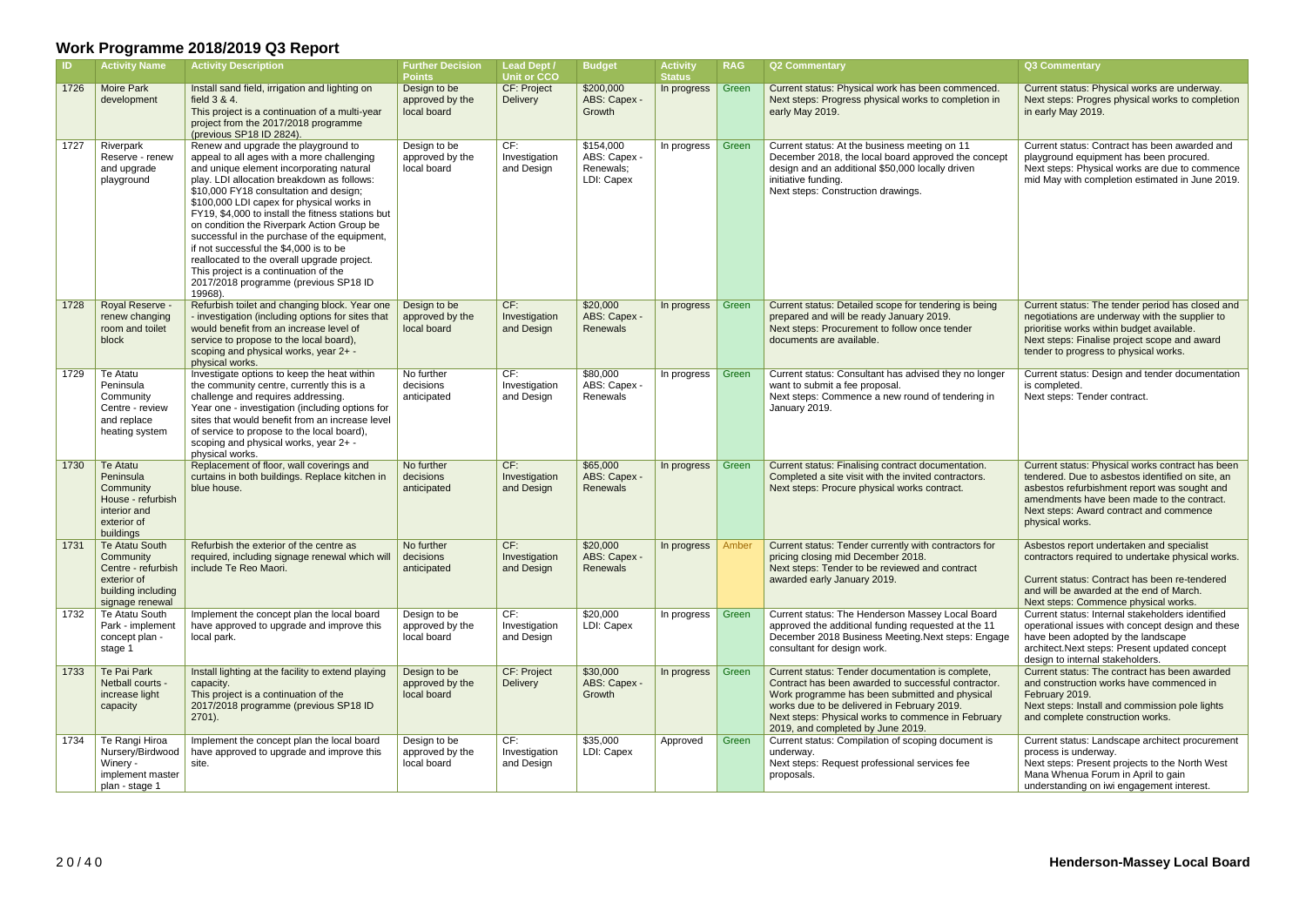| ID   | <b>Activity Name</b>                                                                                             | <b>Activity Description</b>                                                                                                                                                                                                                                                                                                                                                                                                                                                                                                                                                                                 | <b>Further Decision</b><br><b>Points</b>       | <b>Lead Dept /</b><br><b>Unit or CCO</b> | <b>Budget</b>                                        | <b>Activity</b><br><b>Status</b> | <b>RAG</b> | <b>Q2 Commentary</b>                                                                                                                                                                                                                                                                                 | Q3 Commentary                                                                                                       |
|------|------------------------------------------------------------------------------------------------------------------|-------------------------------------------------------------------------------------------------------------------------------------------------------------------------------------------------------------------------------------------------------------------------------------------------------------------------------------------------------------------------------------------------------------------------------------------------------------------------------------------------------------------------------------------------------------------------------------------------------------|------------------------------------------------|------------------------------------------|------------------------------------------------------|----------------------------------|------------|------------------------------------------------------------------------------------------------------------------------------------------------------------------------------------------------------------------------------------------------------------------------------------------------------|---------------------------------------------------------------------------------------------------------------------|
| 1726 | <b>Moire Park</b><br>development                                                                                 | Install sand field, irrigation and lighting on<br>field 3 & 4.<br>This project is a continuation of a multi-year<br>project from the 2017/2018 programme<br>(previous SP18 ID 2824).                                                                                                                                                                                                                                                                                                                                                                                                                        | Design to be<br>approved by the<br>local board | CF: Project<br>Delivery                  | \$200,000<br>ABS: Capex -<br>Growth                  | In progress                      | Green      | Current status: Physical work has been commenced.<br>Next steps: Progress physical works to completion in<br>early May 2019.                                                                                                                                                                         | <b>Current status: P</b><br>Next steps: Progr<br>in early May 2019                                                  |
| 1727 | Riverpark<br>Reserve - renew<br>and upgrade<br>playground                                                        | Renew and upgrade the playground to<br>appeal to all ages with a more challenging<br>and unique element incorporating natural<br>play. LDI allocation breakdown as follows:<br>\$10,000 FY18 consultation and design;<br>\$100,000 LDI capex for physical works in<br>FY19, \$4,000 to install the fitness stations but<br>on condition the Riverpark Action Group be<br>successful in the purchase of the equipment,<br>if not successful the \$4,000 is to be<br>reallocated to the overall upgrade project.<br>This project is a continuation of the<br>2017/2018 programme (previous SP18 ID<br>19968). | Design to be<br>approved by the<br>local board | CF:<br>Investigation<br>and Design       | \$154,000<br>ABS: Capex -<br>Renewals;<br>LDI: Capex | In progress                      | Green      | Current status: At the business meeting on 11<br>December 2018, the local board approved the concept<br>design and an additional \$50,000 locally driven<br>initiative funding.<br>Next steps: Construction drawings.                                                                                | Current status: C<br>playground equip<br>Next steps: Physi<br>mid May with con                                      |
| 1728 | Royal Reserve -<br>renew changing<br>room and toilet<br>block                                                    | Refurbish toilet and changing block. Year one<br>- investigation (including options for sites that<br>would benefit from an increase level of<br>service to propose to the local board),<br>scoping and physical works, year 2+ -<br>physical works.                                                                                                                                                                                                                                                                                                                                                        | Design to be<br>approved by the<br>local board | CF:<br>Investigation<br>and Design       | \$20,000<br>ABS: Capex -<br>Renewals                 | In progress                      | Green      | Current status: Detailed scope for tendering is being<br>prepared and will be ready January 2019.<br>Next steps: Procurement to follow once tender<br>documents are available.                                                                                                                       | Current status: TI<br>negotiations are u<br>prioritise works w<br>Next steps: Finali<br>tender to progres           |
| 1729 | Te Atatu<br>Peninsula<br>Community<br>Centre - review<br>and replace<br>heating system                           | Investigate options to keep the heat within<br>the community centre, currently this is a<br>challenge and requires addressing.<br>Year one - investigation (including options for<br>sites that would benefit from an increase level<br>of service to propose to the local board),<br>scoping and physical works, year 2+ -<br>physical works.                                                                                                                                                                                                                                                              | No further<br>decisions<br>anticipated         | CF:<br>Investigation<br>and Design       | \$80,000<br>ABS: Capex -<br>Renewals                 | In progress                      | Green      | Current status: Consultant has advised they no longer<br>want to submit a fee proposal.<br>Next steps: Commence a new round of tendering in<br>January 2019.                                                                                                                                         | Current status: D<br>is completed.<br>Next steps: Tend                                                              |
| 1730 | Te Atatu<br>Peninsula<br>Community<br>House - refurbish<br>interior and<br>exterior of<br>buildings              | Replacement of floor, wall coverings and<br>curtains in both buildings. Replace kitchen in<br>blue house.                                                                                                                                                                                                                                                                                                                                                                                                                                                                                                   | No further<br>decisions<br>anticipated         | CF:<br>Investigation<br>and Design       | \$65,000<br>ABS: Capex -<br>Renewals                 | In progress                      | Green      | Current status: Finalising contract documentation.<br>Completed a site visit with the invited contractors.<br>Next steps: Procure physical works contract.                                                                                                                                           | Current status: P<br>tendered. Due to<br>asbestos refurbis<br>amendments hav<br>Next steps: Awar<br>physical works. |
| 1731 | <b>Te Atatu South</b><br>Community<br>Centre - refurbish<br>exterior of<br>building including<br>signage renewal | Refurbish the exterior of the centre as<br>required, including signage renewal which will<br>include Te Reo Maori.                                                                                                                                                                                                                                                                                                                                                                                                                                                                                          | No further<br>decisions<br>anticipated         | CF:<br>Investigation<br>and Design       | \$20,000<br>ABS: Capex -<br>Renewals                 | In progress                      | Amber      | Current status: Tender currently with contractors for<br>pricing closing mid December 2018.<br>Next steps: Tender to be reviewed and contract<br>awarded early January 2019.                                                                                                                         | Asbestos report u<br>contractors requir<br>Current status: C<br>and will be award<br>Next steps: Comr               |
| 1732 | Te Atatu South<br>Park - implement<br>concept plan -<br>stage 1                                                  | Implement the concept plan the local board<br>have approved to upgrade and improve this<br>local park.                                                                                                                                                                                                                                                                                                                                                                                                                                                                                                      | Design to be<br>approved by the<br>local board | CF:<br>Investigation<br>and Design       | \$20,000<br>LDI: Capex                               | In progress                      | Green      | Current status: The Henderson Massey Local Board<br>approved the additional funding requested at the 11<br>December 2018 Business Meeting. Next steps: Engage<br>consultant for design work.                                                                                                         | Current status: In<br>operational issue<br>have been adopt<br>architect.Next ste<br>design to internal              |
| 1733 | Te Pai Park<br>Netball courts -<br>increase light<br>capacity                                                    | Install lighting at the facility to extend playing<br>capacity.<br>This project is a continuation of the<br>2017/2018 programme (previous SP18 ID<br>2701).                                                                                                                                                                                                                                                                                                                                                                                                                                                 | Design to be<br>approved by the<br>local board | <b>CF: Project</b><br>Delivery           | \$30,000<br>ABS: Capex -<br>Growth                   | In progress                      | Green      | Current status: Tender documentation is complete,<br>Contract has been awarded to successful contractor.<br>Work programme has been submitted and physical<br>works due to be delivered in February 2019.<br>Next steps: Physical works to commence in February<br>2019, and completed by June 2019. | <b>Current status: TI</b><br>and construction<br>February 2019.<br>Next steps: Instal<br>and complete cor           |
| 1734 | Te Rangi Hiroa<br>Nursery/Birdwood<br>Winery -<br>implement master<br>plan - stage 1                             | Implement the concept plan the local board<br>have approved to upgrade and improve this<br>site.                                                                                                                                                                                                                                                                                                                                                                                                                                                                                                            | Design to be<br>approved by the<br>local board | CF:<br>Investigation<br>and Design       | \$35,000<br>LDI: Capex                               | Approved                         | Green      | Current status: Compilation of scoping document is<br>underway.<br>Next steps: Request professional services fee<br>proposals.                                                                                                                                                                       | Current status: La<br>process is under<br>Next steps: Prese<br>Mana Whenua Fo<br>understanding or                   |

|                          | <b>Q3 Commentary</b>                                                                                                                                                                                                                                             |
|--------------------------|------------------------------------------------------------------------------------------------------------------------------------------------------------------------------------------------------------------------------------------------------------------|
| ed.<br>in ו              | Current status: Physical works are underway.<br>Next steps: Progres physical works to completion<br>in early May 2019.                                                                                                                                           |
| cept                     | Current status: Contract has been awarded and<br>playground equipment has been procured.<br>Next steps: Physical works are due to commence<br>mid May with completion estimated in June 2019.                                                                    |
| ng                       | Current status: The tender period has closed and<br>negotiations are underway with the supplier to<br>prioritise works within budget available.<br>Next steps: Finalise project scope and award<br>tender to progress to physical works.                         |
| ager<br>in               | Current status: Design and tender documentation<br>is completed.<br>Next steps: Tender contract.                                                                                                                                                                 |
|                          | Current status: Physical works contract has been<br>tendered. Due to asbestos identified on site, an<br>asbestos refurbishment report was sought and<br>amendments have been made to the contract.<br>Next steps: Award contract and commence<br>physical works. |
| or                       | Asbestos report undertaken and specialist<br>contractors required to undertake physical works.<br>Current status: Contract has been re-tendered<br>and will be awarded at the end of March.<br>Next steps: Commence physical works.                              |
| ırd<br>$\vert$ 1<br>gage | Current status: Internal stakeholders identified<br>operational issues with concept design and these<br>have been adopted by the landscape<br>architect. Next steps: Present updated concept<br>design to internal stakeholders.                                 |
| ۰,<br>or.<br>al<br>ary   | Current status: The contract has been awarded<br>and construction works have commenced in<br>February 2019.<br>Next steps: Install and commission pole lights<br>and complete construction works.                                                                |
| s                        | Current status: Landscape architect procurement<br>process is underway.<br>Next steps: Present projects to the North West<br>Mana Whenua Forum in April to gain<br>understanding on iwi engagement interest.                                                     |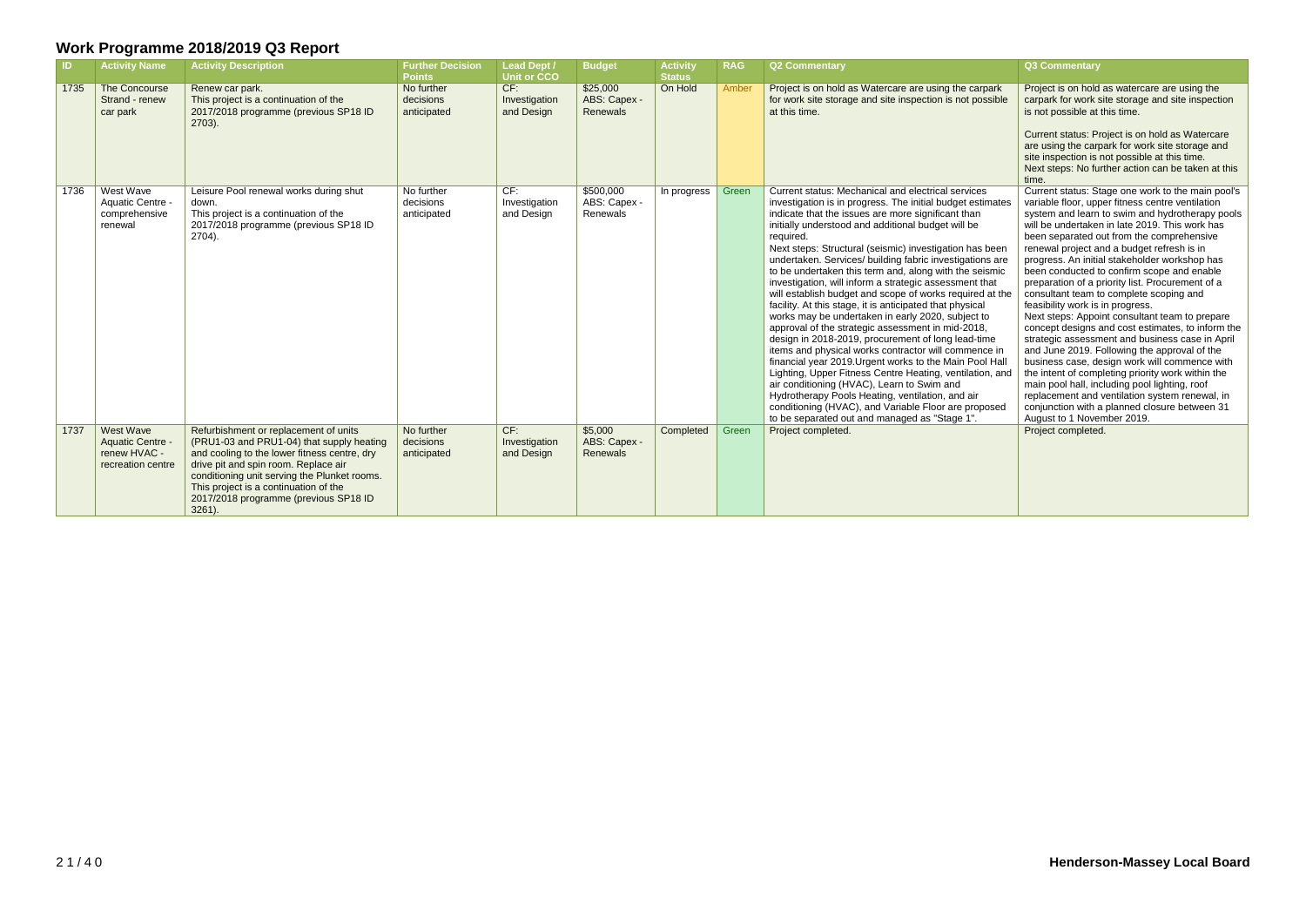| -ID- | <b>Activity Name</b>                                               | <b>Activity Description</b>                                                                                                                                                                                                                                                                                               | <b>Further Decision</b><br><b>Points</b> | <b>Lead Dept /</b><br><b>Unit or CCO</b> | <b>Budget</b>                         | <b>Activity</b><br><b>Status</b> | <b>RAG</b> | <b>Q2 Commentary</b>                                                                                                                                                                                                                                                                                                                                                                                                                                                                                                                                                                                                                                                                                                                                                                                                                                                                                                                                                                                                                                                                                                                                                   | Q3 Commentary                                                                                                                                                                                                                                                                                                                                                                                                                                                                                                                                                                                                                                                                                                                                                                                                                                                                                                                                                                                                                             |
|------|--------------------------------------------------------------------|---------------------------------------------------------------------------------------------------------------------------------------------------------------------------------------------------------------------------------------------------------------------------------------------------------------------------|------------------------------------------|------------------------------------------|---------------------------------------|----------------------------------|------------|------------------------------------------------------------------------------------------------------------------------------------------------------------------------------------------------------------------------------------------------------------------------------------------------------------------------------------------------------------------------------------------------------------------------------------------------------------------------------------------------------------------------------------------------------------------------------------------------------------------------------------------------------------------------------------------------------------------------------------------------------------------------------------------------------------------------------------------------------------------------------------------------------------------------------------------------------------------------------------------------------------------------------------------------------------------------------------------------------------------------------------------------------------------------|-------------------------------------------------------------------------------------------------------------------------------------------------------------------------------------------------------------------------------------------------------------------------------------------------------------------------------------------------------------------------------------------------------------------------------------------------------------------------------------------------------------------------------------------------------------------------------------------------------------------------------------------------------------------------------------------------------------------------------------------------------------------------------------------------------------------------------------------------------------------------------------------------------------------------------------------------------------------------------------------------------------------------------------------|
| 1735 | The Concourse<br>Strand - renew<br>car park                        | Renew car park.<br>This project is a continuation of the<br>2017/2018 programme (previous SP18 ID<br>$2703$ ).                                                                                                                                                                                                            | No further<br>decisions<br>anticipated   | CF:<br>Investigation<br>and Design       | \$25,000<br>ABS: Capex -<br>Renewals  | On Hold                          | Amber      | Project is on hold as Watercare are using the carpark<br>for work site storage and site inspection is not possible<br>at this time.                                                                                                                                                                                                                                                                                                                                                                                                                                                                                                                                                                                                                                                                                                                                                                                                                                                                                                                                                                                                                                    | Project is on hold as watercare are using the<br>carpark for work site storage and site inspection<br>is not possible at this time.<br>Current status: Project is on hold as Watercare<br>are using the carpark for work site storage and<br>site inspection is not possible at this time.<br>Next steps: No further action can be taken at this<br>time.                                                                                                                                                                                                                                                                                                                                                                                                                                                                                                                                                                                                                                                                                 |
| 1736 | West Wave<br>Aquatic Centre<br>comprehensive<br>renewal            | Leisure Pool renewal works during shut<br>down.<br>This project is a continuation of the<br>2017/2018 programme (previous SP18 ID<br>2704).                                                                                                                                                                               | No further<br>decisions<br>anticipated   | CF:<br>Investigation<br>and Design       | \$500,000<br>ABS: Capex -<br>Renewals | In progress                      | Green      | Current status: Mechanical and electrical services<br>investigation is in progress. The initial budget estimates<br>indicate that the issues are more significant than<br>initially understood and additional budget will be<br>required.<br>Next steps: Structural (seismic) investigation has been<br>undertaken. Services/ building fabric investigations are<br>to be undertaken this term and, along with the seismic<br>investigation, will inform a strategic assessment that<br>will establish budget and scope of works required at the<br>facility. At this stage, it is anticipated that physical<br>works may be undertaken in early 2020, subject to<br>approval of the strategic assessment in mid-2018,<br>design in 2018-2019, procurement of long lead-time<br>items and physical works contractor will commence in<br>financial year 2019. Urgent works to the Main Pool Hall<br>Lighting, Upper Fitness Centre Heating, ventilation, and<br>air conditioning (HVAC), Learn to Swim and<br>Hydrotherapy Pools Heating, ventilation, and air<br>conditioning (HVAC), and Variable Floor are proposed<br>to be separated out and managed as "Stage 1". | Current status: Stage one work to the main pool's<br>variable floor, upper fitness centre ventilation<br>system and learn to swim and hydrotherapy pools<br>will be undertaken in late 2019. This work has<br>been separated out from the comprehensive<br>renewal project and a budget refresh is in<br>progress. An initial stakeholder workshop has<br>been conducted to confirm scope and enable<br>preparation of a priority list. Procurement of a<br>consultant team to complete scoping and<br>feasibility work is in progress.<br>Next steps: Appoint consultant team to prepare<br>concept designs and cost estimates, to inform the<br>strategic assessment and business case in April<br>and June 2019. Following the approval of the<br>business case, design work will commence with<br>the intent of completing priority work within the<br>main pool hall, including pool lighting, roof<br>replacement and ventilation system renewal, in<br>conjunction with a planned closure between 31<br>August to 1 November 2019. |
| 1737 | West Wave<br>Aquatic Centre -<br>renew HVAC -<br>recreation centre | Refurbishment or replacement of units<br>(PRU1-03 and PRU1-04) that supply heating<br>and cooling to the lower fitness centre, dry<br>drive pit and spin room. Replace air<br>conditioning unit serving the Plunket rooms.<br>This project is a continuation of the<br>2017/2018 programme (previous SP18 ID<br>$3261$ ). | No further<br>decisions<br>anticipated   | CF:<br>Investigation<br>and Design       | \$5,000<br>ABS: Capex -<br>Renewals   | Completed                        | Green      | Project completed.                                                                                                                                                                                                                                                                                                                                                                                                                                                                                                                                                                                                                                                                                                                                                                                                                                                                                                                                                                                                                                                                                                                                                     | Project completed.                                                                                                                                                                                                                                                                                                                                                                                                                                                                                                                                                                                                                                                                                                                                                                                                                                                                                                                                                                                                                        |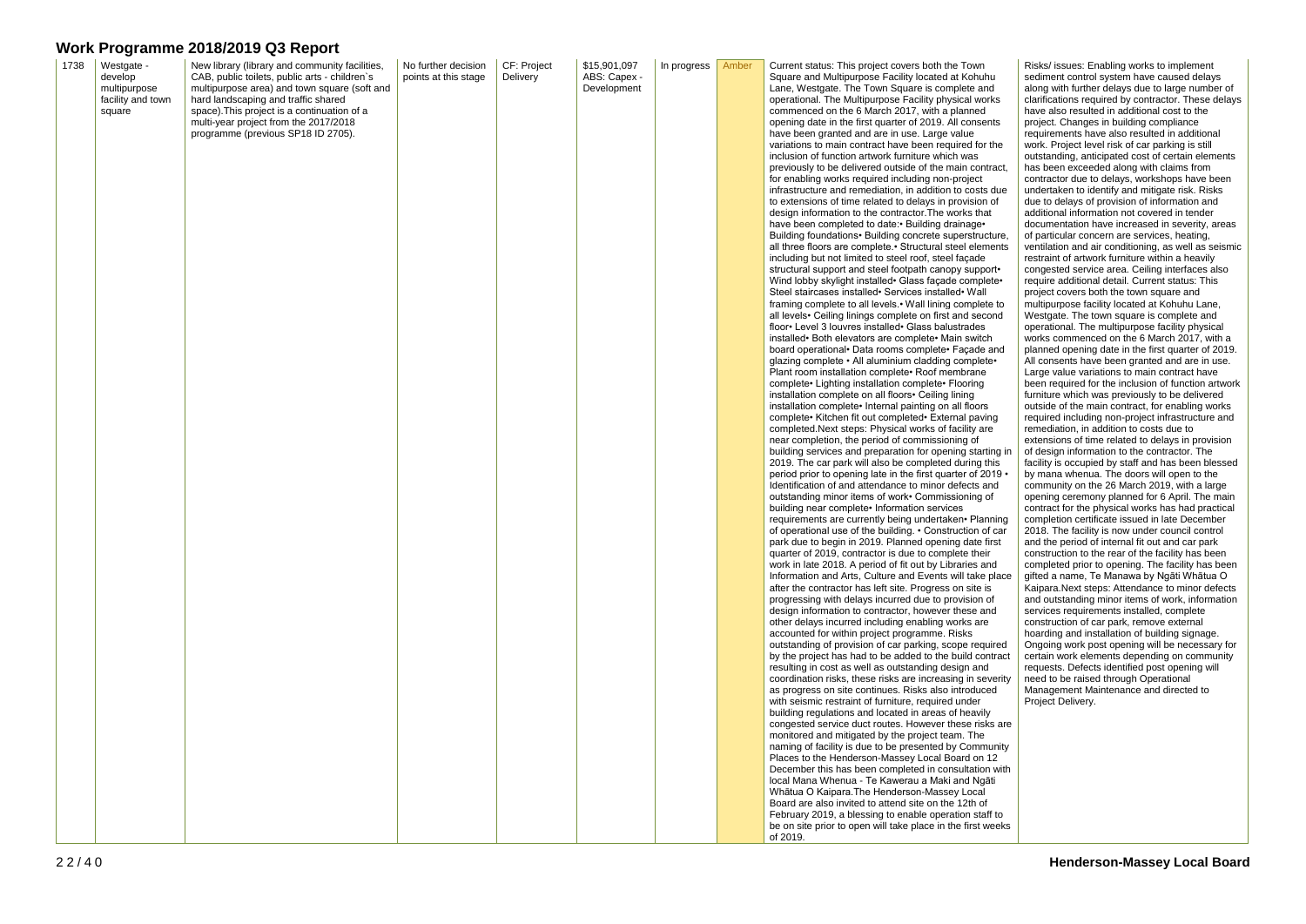| 1738 | Westgate -              | New library (library and community facilities,                                                | No further decision  | CF: Project | \$15,901,097                | In progress | Amber | Current status: This project covers both the Town                                                                  |
|------|-------------------------|-----------------------------------------------------------------------------------------------|----------------------|-------------|-----------------------------|-------------|-------|--------------------------------------------------------------------------------------------------------------------|
|      | develop<br>multipurpose | CAB, public toilets, public arts - children's<br>multipurpose area) and town square (soft and | points at this stage | Delivery    | ABS: Capex -<br>Development |             |       | Square and Multipurpose Facility located at Kohuhu<br>Lane, Westgate. The Town Square is complete and              |
|      | facility and town       | hard landscaping and traffic shared                                                           |                      |             |                             |             |       | operational. The Multipurpose Facility physical works                                                              |
|      | square                  | space). This project is a continuation of a                                                   |                      |             |                             |             |       | commenced on the 6 March 2017, with a planned                                                                      |
|      |                         | multi-year project from the 2017/2018<br>programme (previous SP18 ID 2705).                   |                      |             |                             |             |       | opening date in the first quarter of 2019. All consents<br>have been granted and are in use. Large value           |
|      |                         |                                                                                               |                      |             |                             |             |       | variations to main contract have been required for the                                                             |
|      |                         |                                                                                               |                      |             |                             |             |       | inclusion of function artwork furniture which was                                                                  |
|      |                         |                                                                                               |                      |             |                             |             |       | previously to be delivered outside of the main contract<br>for enabling works required including non-project       |
|      |                         |                                                                                               |                      |             |                             |             |       | infrastructure and remediation, in addition to costs due                                                           |
|      |                         |                                                                                               |                      |             |                             |             |       | to extensions of time related to delays in provision of                                                            |
|      |                         |                                                                                               |                      |             |                             |             |       | design information to the contractor. The works that                                                               |
|      |                         |                                                                                               |                      |             |                             |             |       | have been completed to date: • Building drainage •<br>Building foundations • Building concrete superstructure      |
|      |                         |                                                                                               |                      |             |                             |             |       | all three floors are complete.• Structural steel elements                                                          |
|      |                         |                                                                                               |                      |             |                             |             |       | including but not limited to steel roof, steel façade                                                              |
|      |                         |                                                                                               |                      |             |                             |             |       | structural support and steel footpath canopy support.<br>Wind lobby skylight installed Glass façade complete ·     |
|      |                         |                                                                                               |                      |             |                             |             |       | Steel staircases installed• Services installed• Wall                                                               |
|      |                         |                                                                                               |                      |             |                             |             |       | framing complete to all levels. • Wall lining complete to                                                          |
|      |                         |                                                                                               |                      |             |                             |             |       | all levels • Ceiling linings complete on first and second                                                          |
|      |                         |                                                                                               |                      |             |                             |             |       | floor Level 3 louvres installed Glass balustrades<br>installed • Both elevators are complete • Main switch         |
|      |                         |                                                                                               |                      |             |                             |             |       | board operational · Data rooms complete · Façade and                                                               |
|      |                         |                                                                                               |                      |             |                             |             |       | glazing complete • All aluminium cladding complete•                                                                |
|      |                         |                                                                                               |                      |             |                             |             |       | Plant room installation complete• Roof membrane<br>complete• Lighting installation complete• Flooring              |
|      |                         |                                                                                               |                      |             |                             |             |       | installation complete on all floors• Ceiling lining                                                                |
|      |                         |                                                                                               |                      |             |                             |             |       | installation complete• Internal painting on all floors                                                             |
|      |                         |                                                                                               |                      |             |                             |             |       | complete• Kitchen fit out completed• External paving<br>completed. Next steps: Physical works of facility are      |
|      |                         |                                                                                               |                      |             |                             |             |       | near completion, the period of commissioning of                                                                    |
|      |                         |                                                                                               |                      |             |                             |             |       | building services and preparation for opening starting i                                                           |
|      |                         |                                                                                               |                      |             |                             |             |       | 2019. The car park will also be completed during this                                                              |
|      |                         |                                                                                               |                      |             |                             |             |       | period prior to opening late in the first quarter of 2019<br>Identification of and attendance to minor defects and |
|      |                         |                                                                                               |                      |             |                             |             |       | outstanding minor items of work. Commissioning of                                                                  |
|      |                         |                                                                                               |                      |             |                             |             |       | building near complete • Information services                                                                      |
|      |                         |                                                                                               |                      |             |                             |             |       | requirements are currently being undertaken• Planning<br>of operational use of the building. . Construction of car |
|      |                         |                                                                                               |                      |             |                             |             |       | park due to begin in 2019. Planned opening date first                                                              |
|      |                         |                                                                                               |                      |             |                             |             |       | quarter of 2019, contractor is due to complete their                                                               |
|      |                         |                                                                                               |                      |             |                             |             |       | work in late 2018. A period of fit out by Libraries and                                                            |
|      |                         |                                                                                               |                      |             |                             |             |       | Information and Arts, Culture and Events will take plac<br>after the contractor has left site. Progress on site is |
|      |                         |                                                                                               |                      |             |                             |             |       | progressing with delays incurred due to provision of                                                               |
|      |                         |                                                                                               |                      |             |                             |             |       | design information to contractor, however these and                                                                |
|      |                         |                                                                                               |                      |             |                             |             |       | other delays incurred including enabling works are<br>accounted for within project programme. Risks                |
|      |                         |                                                                                               |                      |             |                             |             |       | outstanding of provision of car parking, scope required                                                            |
|      |                         |                                                                                               |                      |             |                             |             |       | by the project has had to be added to the build contrac                                                            |
|      |                         |                                                                                               |                      |             |                             |             |       | resulting in cost as well as outstanding design and                                                                |
|      |                         |                                                                                               |                      |             |                             |             |       | coordination risks, these risks are increasing in severit<br>as progress on site continues. Risks also introduced  |
|      |                         |                                                                                               |                      |             |                             |             |       | with seismic restraint of furniture, required under                                                                |
|      |                         |                                                                                               |                      |             |                             |             |       | building regulations and located in areas of heavily                                                               |
|      |                         |                                                                                               |                      |             |                             |             |       | congested service duct routes. However these risks ar<br>monitored and mitigated by the project team. The          |
|      |                         |                                                                                               |                      |             |                             |             |       | naming of facility is due to be presented by Community                                                             |
|      |                         |                                                                                               |                      |             |                             |             |       | Places to the Henderson-Massey Local Board on 12                                                                   |
|      |                         |                                                                                               |                      |             |                             |             |       | December this has been completed in consultation wit                                                               |
|      |                         |                                                                                               |                      |             |                             |             |       | local Mana Whenua - Te Kawerau a Maki and Ngāti<br>Whātua O Kaipara. The Henderson-Massey Local                    |
|      |                         |                                                                                               |                      |             |                             |             |       | Board are also invited to attend site on the 12th of                                                               |
|      |                         |                                                                                               |                      |             |                             |             |       | February 2019, a blessing to enable operation staff to                                                             |
|      |                         |                                                                                               |                      |             |                             |             |       | be on site prior to open will take place in the first week<br>of 2019.                                             |
|      |                         |                                                                                               |                      |             |                             |             |       |                                                                                                                    |

ntract,

ts due

acture, ments

rting in<br>this  $2019 -$ 

anning of car e place

our ed ontract everity

sks are

munity<br>า 12 on with

weeks

Risks/ issues: Enabling works to implement sediment control system have caused delays along with further delays due to large number of clarifications required by contractor. These delays have also resulted in additional cost to the project. Changes in building compliance requirements have also resulted in additional work. Project level risk of car parking is still outstanding, anticipated cost of certain elements has been exceeded along with claims from contractor due to delays, workshops have been undertaken to identify and mitigate risk. Risks due to delays of provision of information and additional information not covered in tender documentation have increased in severity, areas of particular concern are services, heating, ventilation and air conditioning, as well as seismic restraint of artwork furniture within a heavily congested service area. Ceiling interfaces also require additional detail. Current status: This project covers both the town square and multipurpose facility located at Kohuhu Lane, Westgate. The town square is complete and operational. The multipurpose facility physical works commenced on the 6 March 2017, with a planned opening date in the first quarter of 2019. All consents have been granted and are in use. Large value variations to main contract have been required for the inclusion of function artwork furniture which was previously to be delivered outside of the main contract, for enabling works required including non-project infrastructure and remediation, in addition to costs due to extensions of time related to delays in provision of design information to the contractor. The facility is occupied by staff and has been blessed by mana whenua. The doors will open to the community on the 26 March 2019, with a large opening ceremony planned for 6 April. The main contract for the physical works has had practical completion certificate issued in late December 2018. The facility is now under council control and the period of internal fit out and car park construction to the rear of the facility has been completed prior to opening. The facility has been gifted a name, Te Manawa by Ngāti Whātua O Kaipara.Next steps: Attendance to minor defects and outstanding minor items of work, information services requirements installed, complete construction of car park, remove external hoarding and installation of building signage. Ongoing work post opening will be necessary for certain work elements depending on community requests. Defects identified post opening will need to be raised through Operational Management Maintenance and directed to Project Delivery.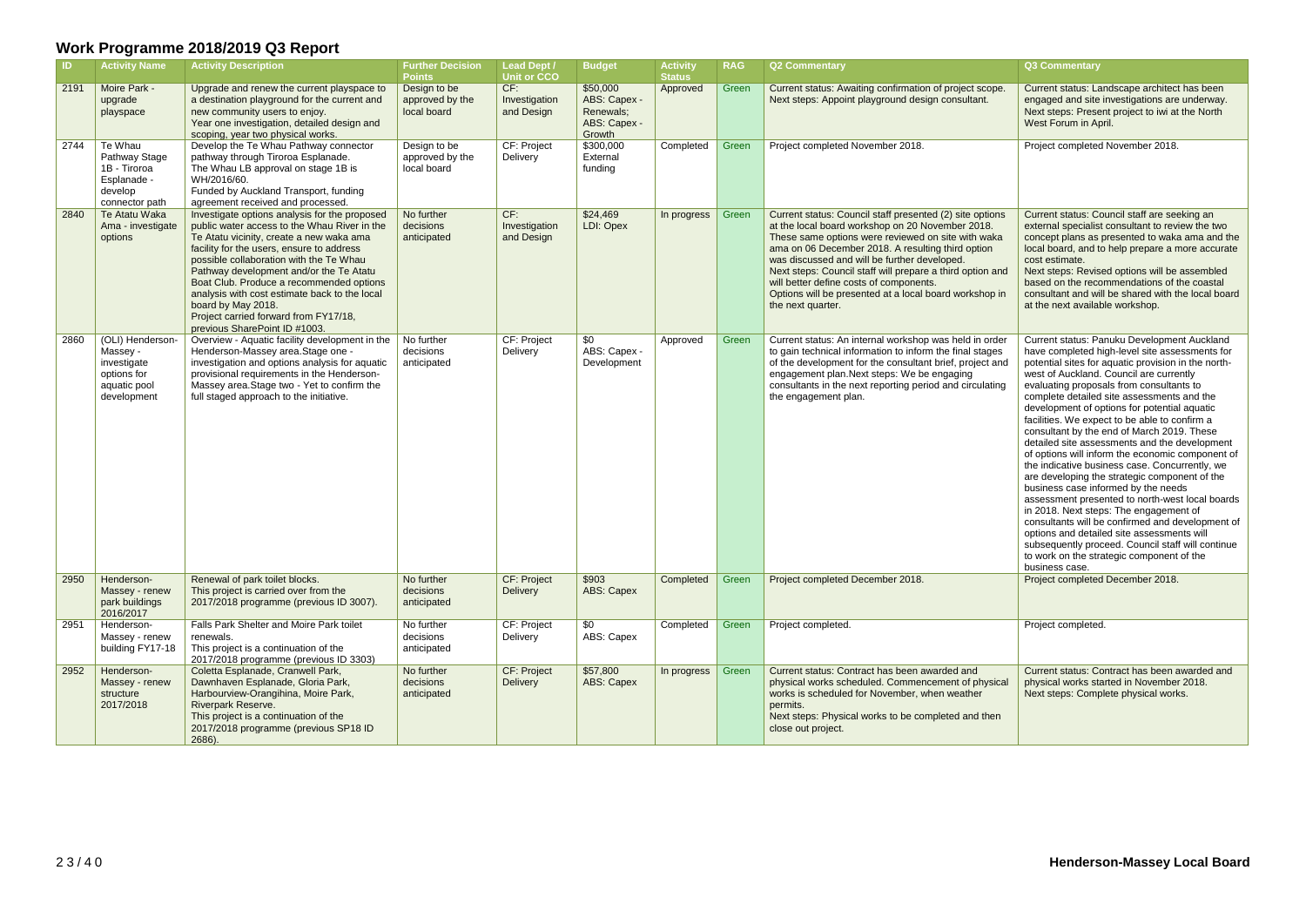| <b>ID</b> | <b>Activity Name</b>                                                                      | <b>Activity Description</b>                                                                                                                                                                                                                                                                                                                                                                                                                                               | <b>Further Decision</b><br><b>Points</b>       | <b>Lead Dept /</b><br><b>Unit or CCO</b> | <b>Budget</b>                                                   | <b>Activity</b><br><b>Status</b> | <b>RAG</b> | <b>Q2 Commentary</b>                                                                                                                                                                                                                                                                                                                                                                                                                                           | Q3 Commentary                                                                                                                                                                                                                                                                                                                                                                                                                                                                                                                                                                                                                                                                                                                                                                                                                                                                                                                                                                                              |
|-----------|-------------------------------------------------------------------------------------------|---------------------------------------------------------------------------------------------------------------------------------------------------------------------------------------------------------------------------------------------------------------------------------------------------------------------------------------------------------------------------------------------------------------------------------------------------------------------------|------------------------------------------------|------------------------------------------|-----------------------------------------------------------------|----------------------------------|------------|----------------------------------------------------------------------------------------------------------------------------------------------------------------------------------------------------------------------------------------------------------------------------------------------------------------------------------------------------------------------------------------------------------------------------------------------------------------|------------------------------------------------------------------------------------------------------------------------------------------------------------------------------------------------------------------------------------------------------------------------------------------------------------------------------------------------------------------------------------------------------------------------------------------------------------------------------------------------------------------------------------------------------------------------------------------------------------------------------------------------------------------------------------------------------------------------------------------------------------------------------------------------------------------------------------------------------------------------------------------------------------------------------------------------------------------------------------------------------------|
| 2191      | Moire Park -<br>upgrade<br>playspace                                                      | Upgrade and renew the current playspace to<br>a destination playground for the current and<br>new community users to enjoy.<br>Year one investigation, detailed design and<br>scoping, year two physical works.                                                                                                                                                                                                                                                           | Design to be<br>approved by the<br>local board | CF:<br>Investigation<br>and Design       | \$50,000<br>ABS: Capex -<br>Renewals;<br>ABS: Capex -<br>Growth | Approved                         | Green      | Current status: Awaiting confirmation of project scope.<br>Next steps: Appoint playground design consultant.                                                                                                                                                                                                                                                                                                                                                   | Current status: Landscape architect has been<br>engaged and site investigations are underway.<br>Next steps: Present project to iwi at the North<br>West Forum in April.                                                                                                                                                                                                                                                                                                                                                                                                                                                                                                                                                                                                                                                                                                                                                                                                                                   |
| 2744      | Te Whau<br>Pathway Stage<br>1B - Tiroroa<br>Esplanade -<br>develop<br>connector path      | Develop the Te Whau Pathway connector<br>pathway through Tiroroa Esplanade.<br>The Whau LB approval on stage 1B is<br>WH/2016/60.<br>Funded by Auckland Transport, funding<br>agreement received and processed.                                                                                                                                                                                                                                                           | Design to be<br>approved by the<br>local board | CF: Project<br>Delivery                  | \$300,000<br>External<br>funding                                | Completed                        | Green      | Project completed November 2018.                                                                                                                                                                                                                                                                                                                                                                                                                               | Project completed November 2018.                                                                                                                                                                                                                                                                                                                                                                                                                                                                                                                                                                                                                                                                                                                                                                                                                                                                                                                                                                           |
| 2840      | Te Atatu Waka<br>Ama - investigate<br>options                                             | Investigate options analysis for the proposed<br>public water access to the Whau River in the<br>Te Atatu vicinity, create a new waka ama<br>facility for the users, ensure to address<br>possible collaboration with the Te Whau<br>Pathway development and/or the Te Atatu<br>Boat Club. Produce a recommended options<br>analysis with cost estimate back to the local<br>board by May 2018.<br>Project carried forward from FY17/18,<br>previous SharePoint ID #1003. | No further<br>decisions<br>anticipated         | CF:<br>Investigation<br>and Design       | \$24,469<br>LDI: Opex                                           | In progress                      | Green      | Current status: Council staff presented (2) site options<br>at the local board workshop on 20 November 2018.<br>These same options were reviewed on site with waka<br>ama on 06 December 2018. A resulting third option<br>was discussed and will be further developed.<br>Next steps: Council staff will prepare a third option and<br>will better define costs of components.<br>Options will be presented at a local board workshop in<br>the next quarter. | Current status: Council staff are seeking an<br>external specialist consultant to review the two<br>concept plans as presented to waka ama and the<br>local board, and to help prepare a more accurate<br>cost estimate.<br>Next steps: Revised options will be assembled<br>based on the recommendations of the coastal<br>consultant and will be shared with the local board<br>at the next available workshop.                                                                                                                                                                                                                                                                                                                                                                                                                                                                                                                                                                                          |
| 2860      | (OLI) Henderson-<br>Massey -<br>investigate<br>options for<br>aquatic pool<br>development | Overview - Aquatic facility development in the<br>Henderson-Massey area.Stage one -<br>investigation and options analysis for aquatic<br>provisional requirements in the Henderson-<br>Massey area. Stage two - Yet to confirm the<br>full staged approach to the initiative.                                                                                                                                                                                             | No further<br>decisions<br>anticipated         | CF: Project<br>Delivery                  | \$0<br>ABS: Capex -<br>Development                              | Approved                         | Green      | Current status: An internal workshop was held in order<br>to gain technical information to inform the final stages<br>of the development for the consultant brief, project and<br>engagement plan. Next steps: We be engaging<br>consultants in the next reporting period and circulating<br>the engagement plan.                                                                                                                                              | Current status: Panuku Development Auckland<br>have completed high-level site assessments for<br>potential sites for aquatic provision in the north-<br>west of Auckland. Council are currently<br>evaluating proposals from consultants to<br>complete detailed site assessments and the<br>development of options for potential aquatic<br>facilities. We expect to be able to confirm a<br>consultant by the end of March 2019. These<br>detailed site assessments and the development<br>of options will inform the economic component of<br>the indicative business case. Concurrently, we<br>are developing the strategic component of the<br>business case informed by the needs<br>assessment presented to north-west local boards<br>in 2018. Next steps: The engagement of<br>consultants will be confirmed and development of<br>options and detailed site assessments will<br>subsequently proceed. Council staff will continue<br>to work on the strategic component of the<br>business case. |
| 2950      | Henderson-<br>Massey - renew<br>park buildings<br>2016/2017                               | Renewal of park toilet blocks.<br>This project is carried over from the<br>2017/2018 programme (previous ID 3007).                                                                                                                                                                                                                                                                                                                                                        | No further<br>decisions<br>anticipated         | CF: Project<br>Delivery                  | \$903<br>ABS: Capex                                             | Completed                        | Green      | Project completed December 2018.                                                                                                                                                                                                                                                                                                                                                                                                                               | Project completed December 2018.                                                                                                                                                                                                                                                                                                                                                                                                                                                                                                                                                                                                                                                                                                                                                                                                                                                                                                                                                                           |
| 2951      | Henderson-<br>Massey - renew<br>building FY17-18                                          | Falls Park Shelter and Moire Park toilet<br>renewals.<br>This project is a continuation of the<br>2017/2018 programme (previous ID 3303)                                                                                                                                                                                                                                                                                                                                  | No further<br>decisions<br>anticipated         | CF: Project<br>Delivery                  | \$0<br>ABS: Capex                                               | Completed                        | Green      | Project completed.                                                                                                                                                                                                                                                                                                                                                                                                                                             | Project completed.                                                                                                                                                                                                                                                                                                                                                                                                                                                                                                                                                                                                                                                                                                                                                                                                                                                                                                                                                                                         |
| 2952      | Henderson-<br>Massey - renew<br>structure<br>2017/2018                                    | Coletta Esplanade, Cranwell Park,<br>Dawnhaven Esplanade, Gloria Park,<br>Harbourview-Orangihina, Moire Park,<br><b>Riverpark Reserve.</b><br>This project is a continuation of the<br>2017/2018 programme (previous SP18 ID<br>2686).                                                                                                                                                                                                                                    | No further<br>decisions<br>anticipated         | CF: Project<br>Delivery                  | \$57,800<br>ABS: Capex                                          | In progress $\vert$              | Green      | Current status: Contract has been awarded and<br>physical works scheduled. Commencement of physical<br>works is scheduled for November, when weather<br>permits.<br>Next steps: Physical works to be completed and then<br>close out project.                                                                                                                                                                                                                  | Current status: Contract has been awarded and<br>physical works started in November 2018.<br>Next steps: Complete physical works.                                                                                                                                                                                                                                                                                                                                                                                                                                                                                                                                                                                                                                                                                                                                                                                                                                                                          |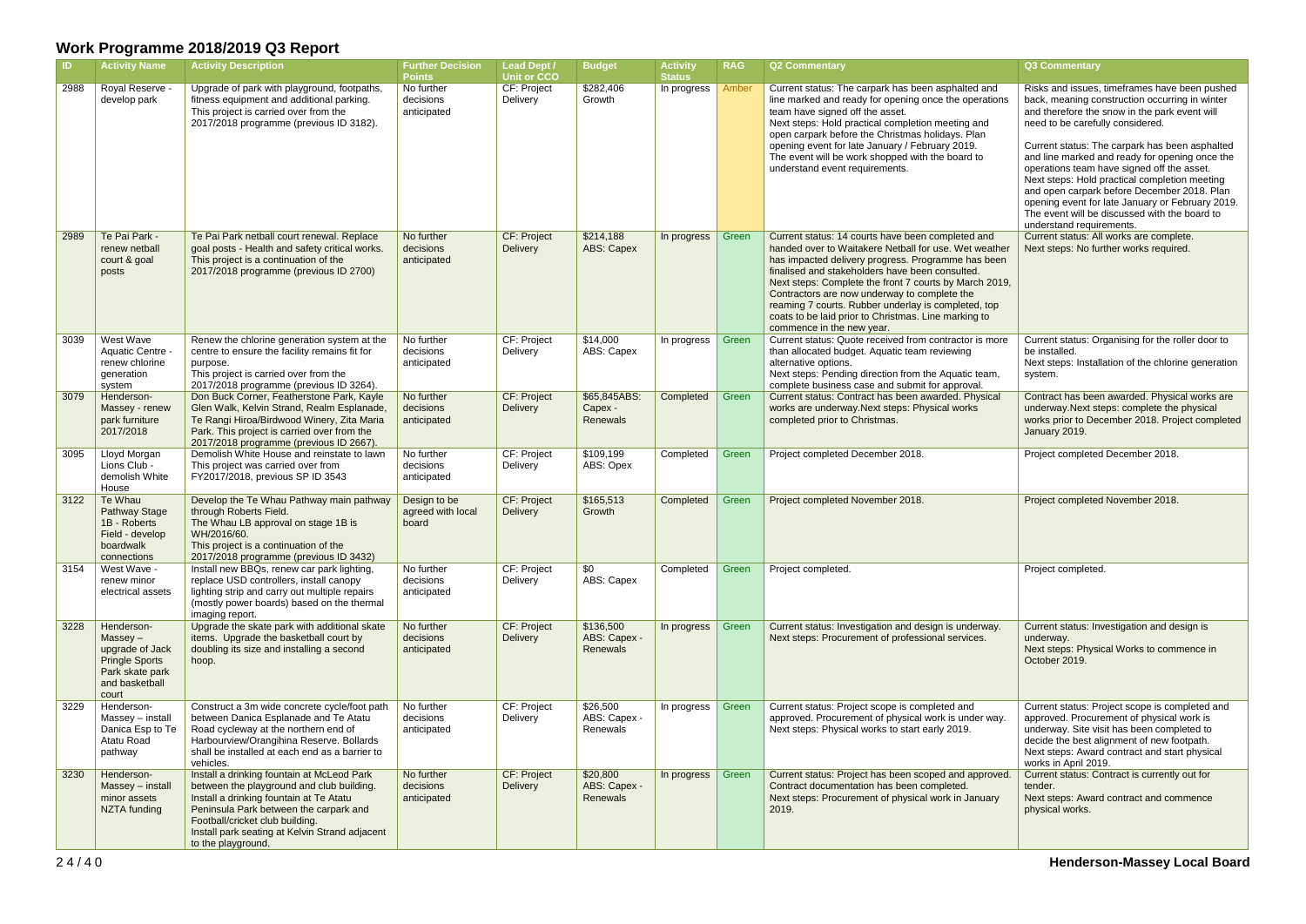| -ID. | <b>Activity Name</b>                                                                                               | <b>Activity Description</b>                                                                                                                                                                                                                                                             | <b>Further Decision</b><br><b>Points</b>   | Lead Dept /<br><b>Unit or CCO</b>     | <b>Budget</b>                         | <b>Activity</b><br><b>Status</b> | <b>RAG</b> | <b>Q2 Commentary</b>                                                                                                                                                                                                                                                                                                                                                                                                                                                      | <b>Q3 Commentary</b>                                                                                                                                                                                                                                                                                                                                                                                                                                                                                                                                                    |
|------|--------------------------------------------------------------------------------------------------------------------|-----------------------------------------------------------------------------------------------------------------------------------------------------------------------------------------------------------------------------------------------------------------------------------------|--------------------------------------------|---------------------------------------|---------------------------------------|----------------------------------|------------|---------------------------------------------------------------------------------------------------------------------------------------------------------------------------------------------------------------------------------------------------------------------------------------------------------------------------------------------------------------------------------------------------------------------------------------------------------------------------|-------------------------------------------------------------------------------------------------------------------------------------------------------------------------------------------------------------------------------------------------------------------------------------------------------------------------------------------------------------------------------------------------------------------------------------------------------------------------------------------------------------------------------------------------------------------------|
| 2988 | Royal Reserve<br>develop park                                                                                      | Upgrade of park with playground, footpaths,<br>fitness equipment and additional parking.<br>This project is carried over from the<br>2017/2018 programme (previous ID 3182).                                                                                                            | No further<br>decisions<br>anticipated     | CF: Project<br>Delivery               | \$282,406<br>Growth                   | In progress                      | Amber      | Current status: The carpark has been asphalted and<br>line marked and ready for opening once the operations<br>team have signed off the asset.<br>Next steps: Hold practical completion meeting and<br>open carpark before the Christmas holidays. Plan<br>opening event for late January / February 2019.<br>The event will be work shopped with the board to<br>understand event requirements.                                                                          | Risks and issues, timeframes have been pushed<br>back, meaning construction occurring in winter<br>and therefore the snow in the park event will<br>need to be carefully considered.<br>Current status: The carpark has been asphalted<br>and line marked and ready for opening once the<br>operations team have signed off the asset.<br>Next steps: Hold practical completion meeting<br>and open carpark before December 2018. Plan<br>opening event for late January or February 2019.<br>The event will be discussed with the board to<br>understand requirements. |
| 2989 | Te Pai Park -<br>renew netball<br>court & goal<br>posts                                                            | Te Pai Park netball court renewal. Replace<br>goal posts - Health and safety critical works.<br>This project is a continuation of the<br>2017/2018 programme (previous ID 2700)                                                                                                         | No further<br>decisions<br>anticipated     | CF: Project<br>Delivery               | \$214,188<br><b>ABS: Capex</b>        | In progress                      | Green      | Current status: 14 courts have been completed and<br>handed over to Waitakere Netball for use. Wet weather<br>has impacted delivery progress. Programme has been<br>finalised and stakeholders have been consulted.<br>Next steps: Complete the front 7 courts by March 2019,<br>Contractors are now underway to complete the<br>reaming 7 courts. Rubber underlay is completed, top<br>coats to be laid prior to Christmas. Line marking to<br>commence in the new year. | Current status: All works are complete.<br>Next steps: No further works required.                                                                                                                                                                                                                                                                                                                                                                                                                                                                                       |
| 3039 | West Wave<br><b>Aquatic Centre</b><br>renew chlorine<br>generation<br>system                                       | Renew the chlorine generation system at the<br>centre to ensure the facility remains fit for<br>purpose.<br>This project is carried over from the<br>2017/2018 programme (previous ID 3264).                                                                                            | No further<br>decisions<br>anticipated     | CF: Project<br>Delivery               | \$14,000<br>ABS: Capex                | In progress                      | Green      | Current status: Quote received from contractor is more<br>than allocated budget. Aquatic team reviewing<br>alternative options.<br>Next steps: Pending direction from the Aquatic team,<br>complete business case and submit for approval.                                                                                                                                                                                                                                | Current status: Organising for the roller door to<br>be installed.<br>Next steps: Installation of the chlorine generation<br>system.                                                                                                                                                                                                                                                                                                                                                                                                                                    |
| 3079 | Henderson-<br>Massey - renew<br>park furniture<br>2017/2018                                                        | Don Buck Corner, Featherstone Park, Kayle<br>Glen Walk, Kelvin Strand, Realm Esplanade,<br>Te Rangi Hiroa/Birdwood Winery, Zita Maria<br>Park. This project is carried over from the<br>2017/2018 programme (previous ID 2667).                                                         | No further<br>decisions<br>anticipated     | <b>CF: Project</b><br><b>Delivery</b> | \$65,845ABS:<br>Capex -<br>Renewals   | Completed                        | Green      | Current status: Contract has been awarded. Physical<br>works are underway. Next steps: Physical works<br>completed prior to Christmas.                                                                                                                                                                                                                                                                                                                                    | Contract has been awarded. Physical works are<br>underway. Next steps: complete the physical<br>works prior to December 2018. Project completed<br>January 2019.                                                                                                                                                                                                                                                                                                                                                                                                        |
| 3095 | Lloyd Morgan<br>Lions Club -<br>demolish White<br>House                                                            | Demolish White House and reinstate to lawn<br>This project was carried over from<br>FY2017/2018, previous SP ID 3543                                                                                                                                                                    | No further<br>decisions<br>anticipated     | CF: Project<br>Delivery               | \$109,199<br>ABS: Opex                | Completed                        | Green      | Project completed December 2018.                                                                                                                                                                                                                                                                                                                                                                                                                                          | Project completed December 2018.                                                                                                                                                                                                                                                                                                                                                                                                                                                                                                                                        |
| 3122 | Te Whau<br><b>Pathway Stage</b><br>1B - Roberts<br>Field - develop<br>boardwalk<br>connections                     | Develop the Te Whau Pathway main pathway<br>through Roberts Field.<br>The Whau LB approval on stage 1B is<br>WH/2016/60.<br>This project is a continuation of the<br>2017/2018 programme (previous ID 3432)                                                                             | Design to be<br>agreed with local<br>board | <b>CF: Project</b><br>Delivery        | \$165,513<br>Growth                   | Completed                        | Green      | Project completed November 2018.                                                                                                                                                                                                                                                                                                                                                                                                                                          | Project completed November 2018.                                                                                                                                                                                                                                                                                                                                                                                                                                                                                                                                        |
| 3154 | West Wave -<br>renew minor<br>electrical assets                                                                    | Install new BBQs, renew car park lighting,<br>replace USD controllers, install canopy<br>lighting strip and carry out multiple repairs<br>(mostly power boards) based on the thermal<br>imaging report.                                                                                 | No further<br>decisions<br>anticipated     | CF: Project<br>Delivery               | \$0<br>ABS: Capex                     | Completed                        | Green      | Project completed.                                                                                                                                                                                                                                                                                                                                                                                                                                                        | Project completed.                                                                                                                                                                                                                                                                                                                                                                                                                                                                                                                                                      |
| 3228 | Henderson-<br>$Massey -$<br>upgrade of Jack<br><b>Pringle Sports</b><br>Park skate park<br>and basketball<br>court | Upgrade the skate park with additional skate<br>items. Upgrade the basketball court by<br>doubling its size and installing a second<br>hoop.                                                                                                                                            | No further<br>decisions<br>anticipated     | CF: Project<br>Delivery               | \$136,500<br>ABS: Capex -<br>Renewals | In progress                      | Green      | Current status: Investigation and design is underway.<br>Next steps: Procurement of professional services.                                                                                                                                                                                                                                                                                                                                                                | Current status: Investigation and design is<br>underway.<br>Next steps: Physical Works to commence in<br>October 2019.                                                                                                                                                                                                                                                                                                                                                                                                                                                  |
| 3229 | Henderson-<br>Massey - install<br>Danica Esp to Te<br>Atatu Road<br>pathway                                        | Construct a 3m wide concrete cycle/foot path<br>between Danica Esplanade and Te Atatu<br>Road cycleway at the northern end of<br>Harbourview/Orangihina Reserve. Bollards<br>shall be installed at each end as a barrier to<br>vehicles.                                                | No further<br>decisions<br>anticipated     | CF: Project<br>Delivery               | \$26,500<br>ABS: Capex -<br>Renewals  | In progress                      | Green      | Current status: Project scope is completed and<br>approved. Procurement of physical work is under way.<br>Next steps: Physical works to start early 2019.                                                                                                                                                                                                                                                                                                                 | Current status: Project scope is completed and<br>approved. Procurement of physical work is<br>underway. Site visit has been completed to<br>decide the best alignment of new footpath.<br>Next steps: Award contract and start physical<br>works in April 2019.                                                                                                                                                                                                                                                                                                        |
| 3230 | Henderson-<br>Massey - install<br>minor assets<br>NZTA funding                                                     | Install a drinking fountain at McLeod Park<br>between the playground and club building.<br>Install a drinking fountain at Te Atatu<br>Peninsula Park between the carpark and<br>Football/cricket club building.<br>Install park seating at Kelvin Strand adjacent<br>to the playground. | No further<br>decisions<br>anticipated     | <b>CF: Project</b><br>Delivery        | \$20,800<br>ABS: Capex -<br>Renewals  | In progress                      | Green      | Current status: Project has been scoped and approved.<br>Contract documentation has been completed.<br>Next steps: Procurement of physical work in January<br>2019.                                                                                                                                                                                                                                                                                                       | Current status: Contract is currently out for<br>tender.<br>Next steps: Award contract and commence<br>physical works.                                                                                                                                                                                                                                                                                                                                                                                                                                                  |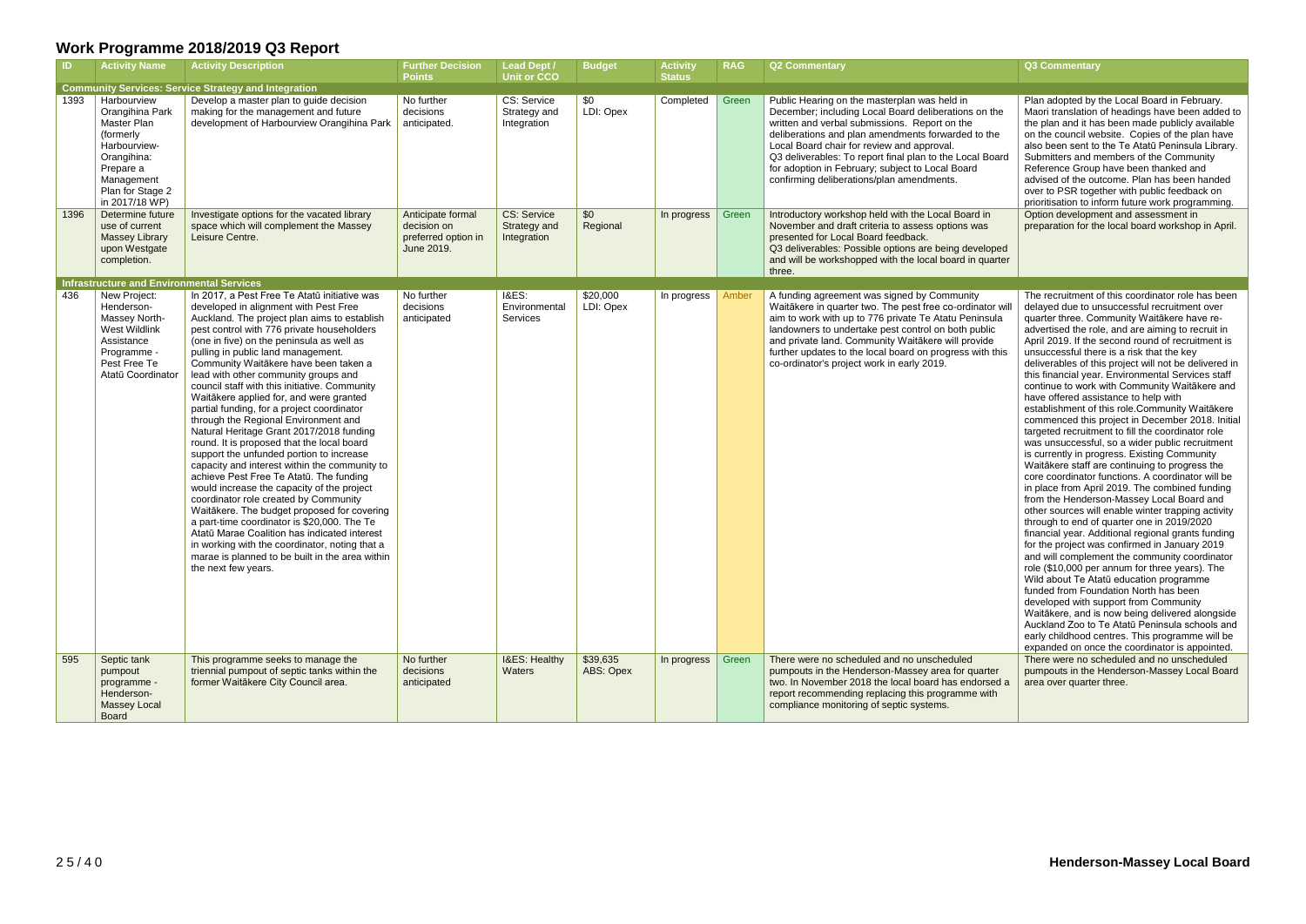| -ID. | <b>Activity Name</b>                                                                                                                                       | <b>Activity Description</b>                                                                                                                                                                                                                                                                                                                                                                                                                                                                                                                                                                                                                                                                                                                                                                                                                                                                                                                                                                                                                                                                                                                  | <b>Further Decision</b><br><b>Points</b>                              | <b>Lead Dept /</b><br><b>Unit or CCO</b>          | <b>Budget</b>         | <b>Activity</b><br><b>Status</b> | <b>RAG</b> | <b>Q2 Commentary</b>                                                                                                                                                                                                                                                                                                                                                                                                   | Q3 Commentary                                                                                                                                                                                                                                                                                                                                                                                                                                                                                                                                                                                                                                                                                                                                                                                                                                                                                                                                                                                                                                                                                                                                                                                                                                                                                                                                                                                                                                                                                                                                                                          |
|------|------------------------------------------------------------------------------------------------------------------------------------------------------------|----------------------------------------------------------------------------------------------------------------------------------------------------------------------------------------------------------------------------------------------------------------------------------------------------------------------------------------------------------------------------------------------------------------------------------------------------------------------------------------------------------------------------------------------------------------------------------------------------------------------------------------------------------------------------------------------------------------------------------------------------------------------------------------------------------------------------------------------------------------------------------------------------------------------------------------------------------------------------------------------------------------------------------------------------------------------------------------------------------------------------------------------|-----------------------------------------------------------------------|---------------------------------------------------|-----------------------|----------------------------------|------------|------------------------------------------------------------------------------------------------------------------------------------------------------------------------------------------------------------------------------------------------------------------------------------------------------------------------------------------------------------------------------------------------------------------------|----------------------------------------------------------------------------------------------------------------------------------------------------------------------------------------------------------------------------------------------------------------------------------------------------------------------------------------------------------------------------------------------------------------------------------------------------------------------------------------------------------------------------------------------------------------------------------------------------------------------------------------------------------------------------------------------------------------------------------------------------------------------------------------------------------------------------------------------------------------------------------------------------------------------------------------------------------------------------------------------------------------------------------------------------------------------------------------------------------------------------------------------------------------------------------------------------------------------------------------------------------------------------------------------------------------------------------------------------------------------------------------------------------------------------------------------------------------------------------------------------------------------------------------------------------------------------------------|
|      |                                                                                                                                                            | <b>Community Services: Service Strategy and Integration</b>                                                                                                                                                                                                                                                                                                                                                                                                                                                                                                                                                                                                                                                                                                                                                                                                                                                                                                                                                                                                                                                                                  |                                                                       |                                                   |                       |                                  |            |                                                                                                                                                                                                                                                                                                                                                                                                                        |                                                                                                                                                                                                                                                                                                                                                                                                                                                                                                                                                                                                                                                                                                                                                                                                                                                                                                                                                                                                                                                                                                                                                                                                                                                                                                                                                                                                                                                                                                                                                                                        |
| 1393 | Harbourview<br>Orangihina Park<br>Master Plan<br>(formerly<br>Harbourview-<br>Orangihina:<br>Prepare a<br>Management<br>Plan for Stage 2<br>in 2017/18 WP) | Develop a master plan to guide decision<br>making for the management and future<br>development of Harbourview Orangihina Park                                                                                                                                                                                                                                                                                                                                                                                                                                                                                                                                                                                                                                                                                                                                                                                                                                                                                                                                                                                                                | No further<br>decisions<br>anticipated.                               | CS: Service<br>Strategy and<br>Integration        | \$0<br>LDI: Opex      | Completed                        | Green      | Public Hearing on the masterplan was held in<br>December; including Local Board deliberations on the<br>written and verbal submissions. Report on the<br>deliberations and plan amendments forwarded to the<br>Local Board chair for review and approval.<br>Q3 deliverables: To report final plan to the Local Board<br>for adoption in February; subject to Local Board<br>confirming deliberations/plan amendments. | Plan adopted by the Local Board in February.<br>Maori translation of headings have been added to<br>the plan and it has been made publicly available<br>on the council website. Copies of the plan have<br>also been sent to the Te Atatū Peninsula Library.<br>Submitters and members of the Community<br>Reference Group have been thanked and<br>advised of the outcome. Plan has been handed<br>over to PSR together with public feedback on<br>prioritisation to inform future work programming.                                                                                                                                                                                                                                                                                                                                                                                                                                                                                                                                                                                                                                                                                                                                                                                                                                                                                                                                                                                                                                                                                  |
| 1396 | Determine future<br>use of current<br><b>Massey Library</b><br>upon Westgate<br>completion.<br>Infrastructure and Environmental Services                   | Investigate options for the vacated library<br>space which will complement the Massey<br>Leisure Centre.                                                                                                                                                                                                                                                                                                                                                                                                                                                                                                                                                                                                                                                                                                                                                                                                                                                                                                                                                                                                                                     | Anticipate formal<br>decision on<br>preferred option in<br>June 2019. | <b>CS: Service</b><br>Strategy and<br>Integration | \$0<br>Regional       | In progress                      | Green      | Introductory workshop held with the Local Board in<br>November and draft criteria to assess options was<br>presented for Local Board feedback.<br>Q3 deliverables: Possible options are being developed<br>and will be workshopped with the local board in quarter<br>three.                                                                                                                                           | Option development and assessment in<br>preparation for the local board workshop in April.                                                                                                                                                                                                                                                                                                                                                                                                                                                                                                                                                                                                                                                                                                                                                                                                                                                                                                                                                                                                                                                                                                                                                                                                                                                                                                                                                                                                                                                                                             |
| 436  | New Project:<br>Henderson-<br>Massey North-<br>West Wildlink<br>Assistance<br>Programme -<br>Pest Free Te<br>Atatū Coordinator                             | In 2017, a Pest Free Te Atatū initiative was<br>developed in alignment with Pest Free<br>Auckland. The project plan aims to establish<br>pest control with 776 private householders<br>(one in five) on the peninsula as well as<br>pulling in public land management.<br>Community Waitākere have been taken a<br>lead with other community groups and<br>council staff with this initiative. Community<br>Waitākere applied for, and were granted<br>partial funding, for a project coordinator<br>through the Regional Environment and<br>Natural Heritage Grant 2017/2018 funding<br>round. It is proposed that the local board<br>support the unfunded portion to increase<br>capacity and interest within the community to<br>achieve Pest Free Te Atatū. The funding<br>would increase the capacity of the project<br>coordinator role created by Community<br>Waitākere. The budget proposed for covering<br>a part-time coordinator is \$20,000. The Te<br>Atatū Marae Coalition has indicated interest<br>in working with the coordinator, noting that a<br>marae is planned to be built in the area within<br>the next few years. | No further<br>decisions<br>anticipated                                | <b>I&amp;ES:</b><br>Environmental<br>Services     | \$20,000<br>LDI: Opex | In progress                      | Amber      | A funding agreement was signed by Community<br>Waitākere in quarter two. The pest free co-ordinator will<br>aim to work with up to 776 private Te Atatu Peninsula<br>landowners to undertake pest control on both public<br>and private land. Community Waitakere will provide<br>further updates to the local board on progress with this<br>co-ordinator's project work in early 2019.                               | The recruitment of this coordinator role has been<br>delayed due to unsuccessful recruitment over<br>quarter three. Community Waitākere have re-<br>advertised the role, and are aiming to recruit in<br>April 2019. If the second round of recruitment is<br>unsuccessful there is a risk that the key<br>deliverables of this project will not be delivered in<br>this financial year. Environmental Services staff<br>continue to work with Community Waitakere and<br>have offered assistance to help with<br>establishment of this role. Community Waitākere<br>commenced this project in December 2018. Initial<br>targeted recruitment to fill the coordinator role<br>was unsuccessful, so a wider public recruitment<br>is currently in progress. Existing Community<br>Waitākere staff are continuing to progress the<br>core coordinator functions. A coordinator will be<br>in place from April 2019. The combined funding<br>from the Henderson-Massey Local Board and<br>other sources will enable winter trapping activity<br>through to end of quarter one in 2019/2020<br>financial year. Additional regional grants funding<br>for the project was confirmed in January 2019<br>and will complement the community coordinator<br>role (\$10,000 per annum for three years). The<br>Wild about Te Atatū education programme<br>funded from Foundation North has been<br>developed with support from Community<br>Waitākere, and is now being delivered alongside<br>Auckland Zoo to Te Atatū Peninsula schools and<br>early childhood centres. This programme will be |
| 595  | Septic tank<br>pumpout<br>programme -<br>Henderson-<br><b>Massey Local</b><br><b>Board</b>                                                                 | This programme seeks to manage the<br>triennial pumpout of septic tanks within the<br>former Waitākere City Council area.                                                                                                                                                                                                                                                                                                                                                                                                                                                                                                                                                                                                                                                                                                                                                                                                                                                                                                                                                                                                                    | No further<br>decisions<br>anticipated                                | I&ES: Healthy<br>Waters                           | \$39,635<br>ABS: Opex | In progress                      | Green      | There were no scheduled and no unscheduled<br>pumpouts in the Henderson-Massey area for quarter<br>two. In November 2018 the local board has endorsed a<br>report recommending replacing this programme with<br>compliance monitoring of septic systems.                                                                                                                                                               | expanded on once the coordinator is appointed.<br>There were no scheduled and no unscheduled<br>pumpouts in the Henderson-Massey Local Board<br>area over quarter three.                                                                                                                                                                                                                                                                                                                                                                                                                                                                                                                                                                                                                                                                                                                                                                                                                                                                                                                                                                                                                                                                                                                                                                                                                                                                                                                                                                                                               |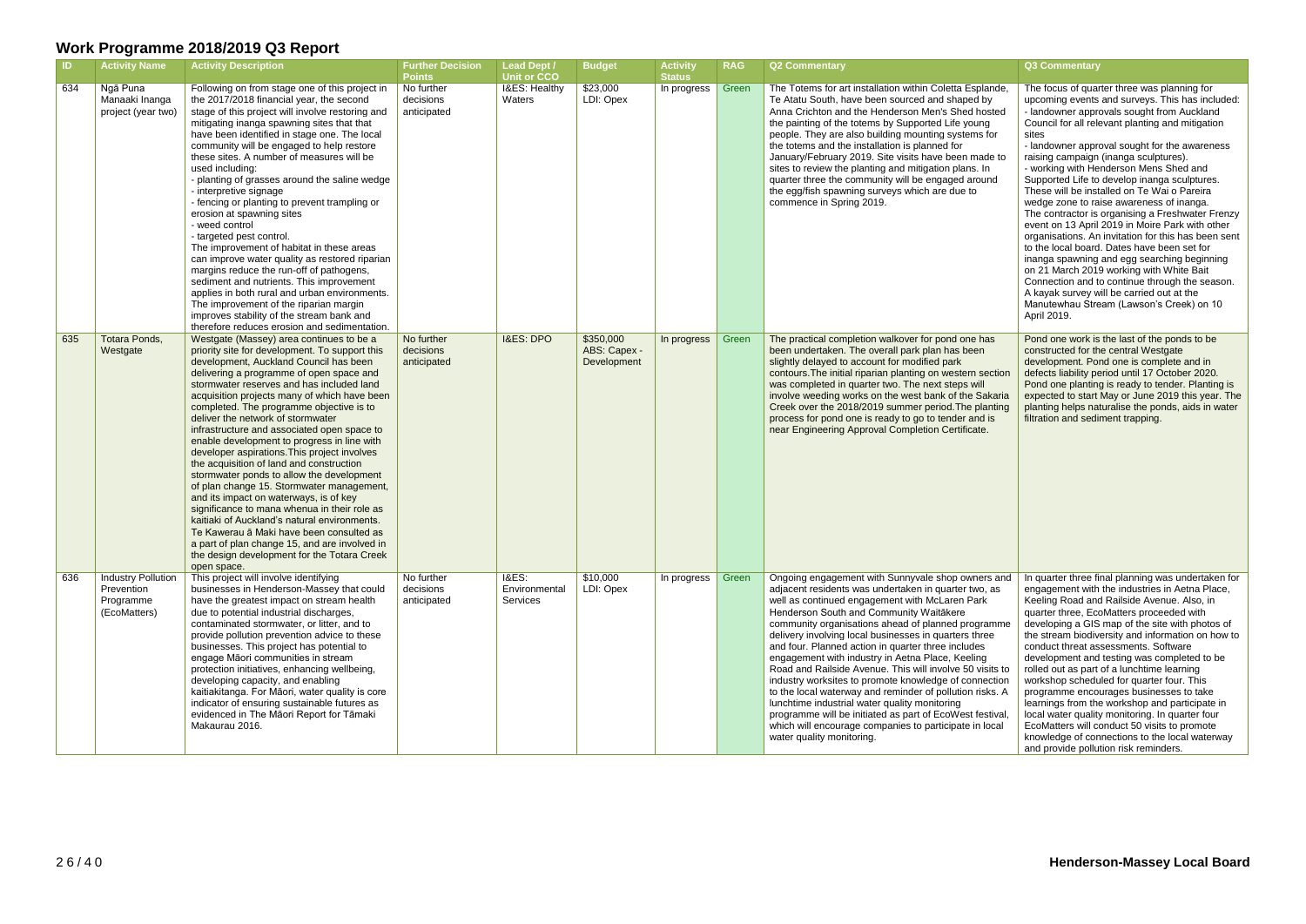| <b>ID</b> | <b>Activity Name</b>                                          | <b>Activity Description</b>                                                                                                                                                                                                                                                                                                                                                                                                                                                                                                                                                                                                                                                                                                                                                                                                                                                                                                                             | <b>Further Decision</b><br><b>Points</b> | Lead Dept /<br><b>Unit or CCO</b>             | <b>Budget</b>                            | <b>Activity</b><br><b>Status</b> | <b>RAG</b> | <b>Q2 Commentary</b>                                                                                                                                                                                                                                                                                                                                                                                                                                                                                                                                                                                                                                                                                                                                                                                                 | Q3 Commentary                                                                                                                                                                                                                                                                                                                                                                                                                                                                                                                                                                                                                                                                                                                                                                                                                                                                                                                                              |
|-----------|---------------------------------------------------------------|---------------------------------------------------------------------------------------------------------------------------------------------------------------------------------------------------------------------------------------------------------------------------------------------------------------------------------------------------------------------------------------------------------------------------------------------------------------------------------------------------------------------------------------------------------------------------------------------------------------------------------------------------------------------------------------------------------------------------------------------------------------------------------------------------------------------------------------------------------------------------------------------------------------------------------------------------------|------------------------------------------|-----------------------------------------------|------------------------------------------|----------------------------------|------------|----------------------------------------------------------------------------------------------------------------------------------------------------------------------------------------------------------------------------------------------------------------------------------------------------------------------------------------------------------------------------------------------------------------------------------------------------------------------------------------------------------------------------------------------------------------------------------------------------------------------------------------------------------------------------------------------------------------------------------------------------------------------------------------------------------------------|------------------------------------------------------------------------------------------------------------------------------------------------------------------------------------------------------------------------------------------------------------------------------------------------------------------------------------------------------------------------------------------------------------------------------------------------------------------------------------------------------------------------------------------------------------------------------------------------------------------------------------------------------------------------------------------------------------------------------------------------------------------------------------------------------------------------------------------------------------------------------------------------------------------------------------------------------------|
| 634       | Ngā Puna<br>Manaaki Inanga<br>project (year two)              | Following on from stage one of this project in<br>the 2017/2018 financial year, the second<br>stage of this project will involve restoring and<br>mitigating inanga spawning sites that that<br>have been identified in stage one. The local<br>community will be engaged to help restore<br>these sites. A number of measures will be<br>used including:<br>- planting of grasses around the saline wedge<br>- interpretive signage<br>- fencing or planting to prevent trampling or<br>erosion at spawning sites<br>- weed control<br>- targeted pest control.<br>The improvement of habitat in these areas<br>can improve water quality as restored riparian<br>margins reduce the run-off of pathogens,<br>sediment and nutrients. This improvement<br>applies in both rural and urban environments.<br>The improvement of the riparian margin<br>improves stability of the stream bank and<br>therefore reduces erosion and sedimentation.         | No further<br>decisions<br>anticipated   | I&ES: Healthy<br>Waters                       | \$23,000<br>LDI: Opex                    | In progress                      | Green      | The Totems for art installation within Coletta Esplande,<br>Te Atatu South, have been sourced and shaped by<br>Anna Crichton and the Henderson Men's Shed hosted<br>the painting of the totems by Supported Life young<br>people. They are also building mounting systems for<br>the totems and the installation is planned for<br>January/February 2019. Site visits have been made to<br>sites to review the planting and mitigation plans. In<br>quarter three the community will be engaged around<br>the egg/fish spawning surveys which are due to<br>commence in Spring 2019.                                                                                                                                                                                                                                 | The focus of quarter three was planning for<br>upcoming events and surveys. This has included:<br>- landowner approvals sought from Auckland<br>Council for all relevant planting and mitigation<br>sites<br>- landowner approval sought for the awareness<br>raising campaign (inanga sculptures).<br>- working with Henderson Mens Shed and<br>Supported Life to develop inanga sculptures.<br>These will be installed on Te Wai o Pareira<br>wedge zone to raise awareness of inanga.<br>The contractor is organising a Freshwater Frenzy<br>event on 13 April 2019 in Moire Park with other<br>organisations. An invitation for this has been sent<br>to the local board. Dates have been set for<br>inanga spawning and egg searching beginning<br>on 21 March 2019 working with White Bait<br>Connection and to continue through the season.<br>A kayak survey will be carried out at the<br>Manutewhau Stream (Lawson's Creek) on 10<br>April 2019. |
| 635       | Totara Ponds,<br>Westgate                                     | Westgate (Massey) area continues to be a<br>priority site for development. To support this<br>development, Auckland Council has been<br>delivering a programme of open space and<br>stormwater reserves and has included land<br>acquisition projects many of which have been<br>completed. The programme objective is to<br>deliver the network of stormwater<br>infrastructure and associated open space to<br>enable development to progress in line with<br>developer aspirations. This project involves<br>the acquisition of land and construction<br>stormwater ponds to allow the development<br>of plan change 15. Stormwater management,<br>and its impact on waterways, is of key<br>significance to mana whenua in their role as<br>kaitiaki of Auckland's natural environments.<br>Te Kawerau ā Maki have been consulted as<br>a part of plan change 15, and are involved in<br>the design development for the Totara Creek<br>open space. | No further<br>decisions<br>anticipated   | <b>I&amp;ES: DPO</b>                          | \$350,000<br>ABS: Capex -<br>Development | In progress                      | Green      | The practical completion walkover for pond one has<br>been undertaken. The overall park plan has been<br>slightly delayed to account for modified park<br>contours. The initial riparian planting on western section<br>was completed in quarter two. The next steps will<br>involve weeding works on the west bank of the Sakaria<br>Creek over the 2018/2019 summer period. The planting<br>process for pond one is ready to go to tender and is<br>near Engineering Approval Completion Certificate.                                                                                                                                                                                                                                                                                                              | Pond one work is the last of the ponds to be<br>constructed for the central Westgate<br>development. Pond one is complete and in<br>defects liability period until 17 October 2020.<br>Pond one planting is ready to tender. Planting is<br>expected to start May or June 2019 this year. The<br>planting helps naturalise the ponds, aids in water<br>filtration and sediment trapping.                                                                                                                                                                                                                                                                                                                                                                                                                                                                                                                                                                   |
| 636       | Industry Pollution<br>Prevention<br>Programme<br>(EcoMatters) | This project will involve identifying<br>businesses in Henderson-Massey that could<br>have the greatest impact on stream health<br>due to potential industrial discharges,<br>contaminated stormwater, or litter, and to<br>provide pollution prevention advice to these<br>businesses. This project has potential to<br>engage Māori communities in stream<br>protection initiatives, enhancing wellbeing,<br>developing capacity, and enabling<br>kaitiakitanga. For Māori, water quality is core<br>indicator of ensuring sustainable futures as<br>evidenced in The Māori Report for Tāmaki<br>Makaurau 2016.                                                                                                                                                                                                                                                                                                                                       | No further<br>decisions<br>anticipated   | <b>I&amp;ES:</b><br>Environmental<br>Services | \$10,000<br>LDI: Opex                    | In progress                      | Green      | Ongoing engagement with Sunnyvale shop owners and<br>adjacent residents was undertaken in quarter two, as<br>well as continued engagement with McLaren Park<br>Henderson South and Community Waitākere<br>community organisations ahead of planned programme<br>delivery involving local businesses in quarters three<br>and four. Planned action in quarter three includes<br>engagement with industry in Aetna Place, Keeling<br>Road and Railside Avenue. This will involve 50 visits to<br>industry worksites to promote knowledge of connection<br>to the local waterway and reminder of pollution risks. A<br>lunchtime industrial water quality monitoring<br>programme will be initiated as part of EcoWest festival,<br>which will encourage companies to participate in local<br>water quality monitoring. | In quarter three final planning was undertaken for<br>engagement with the industries in Aetna Place,<br>Keeling Road and Railside Avenue. Also, in<br>quarter three, EcoMatters proceeded with<br>developing a GIS map of the site with photos of<br>the stream biodiversity and information on how to<br>conduct threat assessments. Software<br>development and testing was completed to be<br>rolled out as part of a lunchtime learning<br>workshop scheduled for quarter four. This<br>programme encourages businesses to take<br>learnings from the workshop and participate in<br>local water quality monitoring. In quarter four<br>EcoMatters will conduct 50 visits to promote<br>knowledge of connections to the local waterway<br>and provide pollution risk reminders.                                                                                                                                                                        |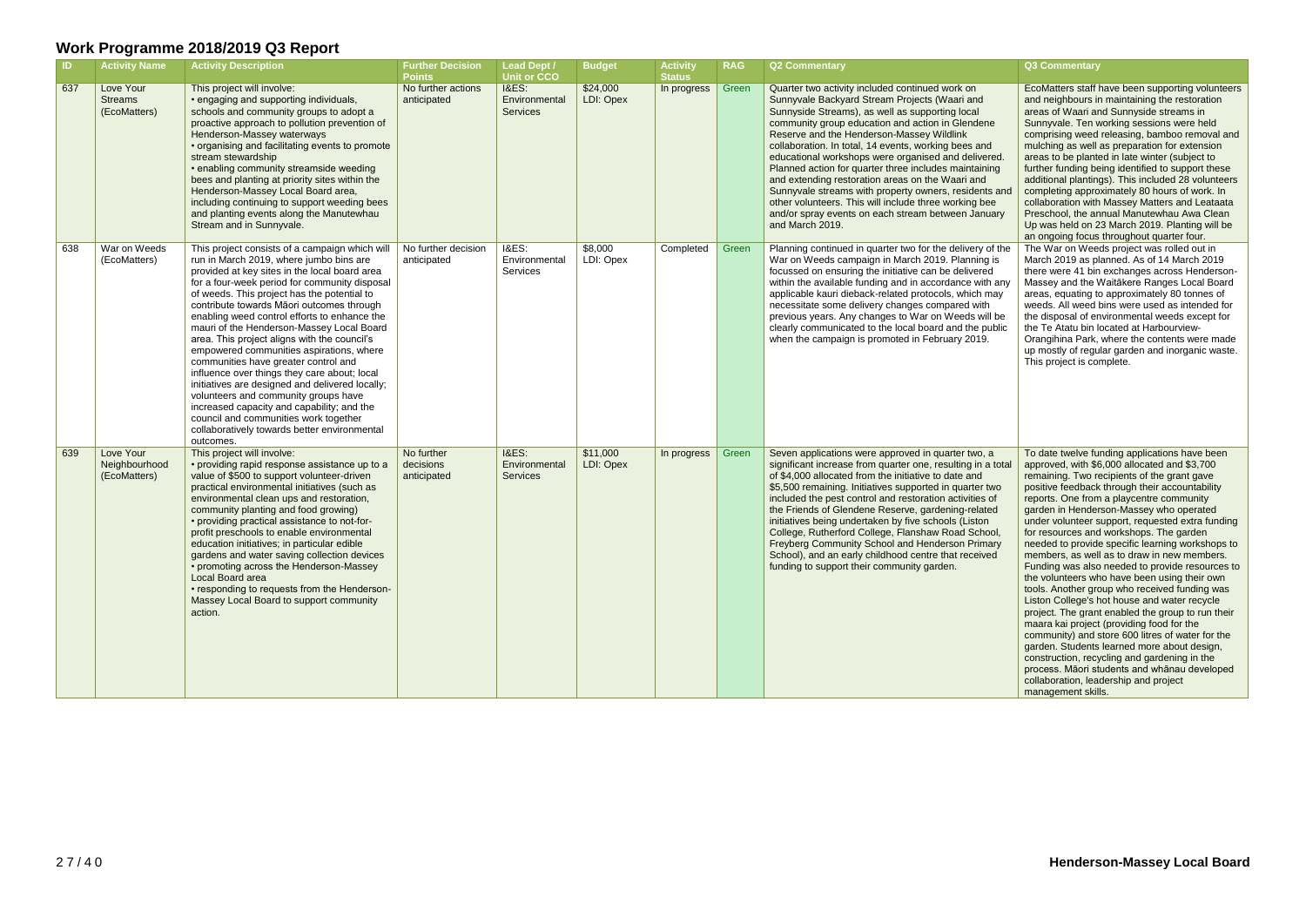| <b>ID</b> | <b>Activity Name</b>                        | <b>Activity Description</b>                                                                                                                                                                                                                                                                                                                                                                                                                                                                                                                                                                                                                                                                                                                                                                                             | <b>Further Decision</b><br><b>Points</b> | <b>Lead Dept /</b><br><b>Unit or CCO</b>             | <b>Budget</b>         | <b>Activity</b><br><b>Status</b> | <b>RAG</b> | <b>Q2 Commentary</b>                                                                                                                                                                                                                                                                                                                                                                                                                                                                                                                                                                                                                                                        | <b>Q3 Commentary</b>                                                                                                                                                                                                                                                                                                                                                                                                                                                                                                                                                                                                                                                                                                                                                                                                                                                                                                                                                                                                                                            |
|-----------|---------------------------------------------|-------------------------------------------------------------------------------------------------------------------------------------------------------------------------------------------------------------------------------------------------------------------------------------------------------------------------------------------------------------------------------------------------------------------------------------------------------------------------------------------------------------------------------------------------------------------------------------------------------------------------------------------------------------------------------------------------------------------------------------------------------------------------------------------------------------------------|------------------------------------------|------------------------------------------------------|-----------------------|----------------------------------|------------|-----------------------------------------------------------------------------------------------------------------------------------------------------------------------------------------------------------------------------------------------------------------------------------------------------------------------------------------------------------------------------------------------------------------------------------------------------------------------------------------------------------------------------------------------------------------------------------------------------------------------------------------------------------------------------|-----------------------------------------------------------------------------------------------------------------------------------------------------------------------------------------------------------------------------------------------------------------------------------------------------------------------------------------------------------------------------------------------------------------------------------------------------------------------------------------------------------------------------------------------------------------------------------------------------------------------------------------------------------------------------------------------------------------------------------------------------------------------------------------------------------------------------------------------------------------------------------------------------------------------------------------------------------------------------------------------------------------------------------------------------------------|
| 637       | Love Your<br><b>Streams</b><br>(EcoMatters) | This project will involve:<br>• engaging and supporting individuals,<br>schools and community groups to adopt a<br>proactive approach to pollution prevention of<br>Henderson-Massey waterways<br>• organising and facilitating events to promote<br>stream stewardship<br>• enabling community streamside weeding<br>bees and planting at priority sites within the<br>Henderson-Massey Local Board area,<br>including continuing to support weeding bees<br>and planting events along the Manutewhau<br>Stream and in Sunnyvale.                                                                                                                                                                                                                                                                                      | No further actions<br>anticipated        | <b>I&amp;ES:</b><br>Environmental<br><b>Services</b> | \$24,000<br>LDI: Opex | In progress                      | Green      | Quarter two activity included continued work on<br>Sunnyvale Backyard Stream Projects (Waari and<br>Sunnyside Streams), as well as supporting local<br>community group education and action in Glendene<br>Reserve and the Henderson-Massey Wildlink<br>collaboration. In total, 14 events, working bees and<br>educational workshops were organised and delivered.<br>Planned action for quarter three includes maintaining<br>and extending restoration areas on the Waari and<br>Sunnyvale streams with property owners, residents and<br>other volunteers. This will include three working bee<br>and/or spray events on each stream between January<br>and March 2019. | EcoMatters staff have been supporting volunteers<br>and neighbours in maintaining the restoration<br>areas of Waari and Sunnyside streams in<br>Sunnyvale. Ten working sessions were held<br>comprising weed releasing, bamboo removal and<br>mulching as well as preparation for extension<br>areas to be planted in late winter (subject to<br>further funding being identified to support these<br>additional plantings). This included 28 volunteers<br>completing approximately 80 hours of work. In<br>collaboration with Massey Matters and Leataata<br>Preschool, the annual Manutewhau Awa Clean<br>Up was held on 23 March 2019. Planting will be<br>an ongoing focus throughout quarter four.                                                                                                                                                                                                                                                                                                                                                        |
| 638       | War on Weeds<br>(EcoMatters)                | This project consists of a campaign which will<br>run in March 2019, where jumbo bins are<br>provided at key sites in the local board area<br>for a four-week period for community disposal<br>of weeds. This project has the potential to<br>contribute towards Māori outcomes through<br>enabling weed control efforts to enhance the<br>mauri of the Henderson-Massey Local Board<br>area. This project aligns with the council's<br>empowered communities aspirations, where<br>communities have greater control and<br>influence over things they care about; local<br>initiatives are designed and delivered locally;<br>volunteers and community groups have<br>increased capacity and capability; and the<br>council and communities work together<br>collaboratively towards better environmental<br>outcomes. | No further decision<br>anticipated       | <b>I&amp;ES:</b><br>Environmental<br>Services        | \$8,000<br>LDI: Opex  | Completed                        | Green      | Planning continued in quarter two for the delivery of the<br>War on Weeds campaign in March 2019. Planning is<br>focussed on ensuring the initiative can be delivered<br>within the available funding and in accordance with any<br>applicable kauri dieback-related protocols, which may<br>necessitate some delivery changes compared with<br>previous years. Any changes to War on Weeds will be<br>clearly communicated to the local board and the public<br>when the campaign is promoted in February 2019.                                                                                                                                                            | The War on Weeds project was rolled out in<br>March 2019 as planned. As of 14 March 2019<br>there were 41 bin exchanges across Henderson-<br>Massey and the Waitakere Ranges Local Board<br>areas, equating to approximately 80 tonnes of<br>weeds. All weed bins were used as intended for<br>the disposal of environmental weeds except for<br>the Te Atatu bin located at Harbourview-<br>Orangihina Park, where the contents were made<br>up mostly of regular garden and inorganic waste.<br>This project is complete.                                                                                                                                                                                                                                                                                                                                                                                                                                                                                                                                     |
| 639       | Love Your<br>Neighbourhood<br>(EcoMatters)  | This project will involve:<br>• providing rapid response assistance up to a<br>value of \$500 to support volunteer-driven<br>practical environmental initiatives (such as<br>environmental clean ups and restoration,<br>community planting and food growing)<br>• providing practical assistance to not-for-<br>profit preschools to enable environmental<br>education initiatives; in particular edible<br>gardens and water saving collection devices<br>• promoting across the Henderson-Massey<br>Local Board area<br>• responding to requests from the Henderson-<br>Massey Local Board to support community<br>action.                                                                                                                                                                                           | No further<br>decisions<br>anticipated   | <b>I&amp;ES:</b><br>Environmental<br><b>Services</b> | \$11,000<br>LDI: Opex | In progress                      | Green      | Seven applications were approved in quarter two, a<br>significant increase from quarter one, resulting in a total<br>of \$4,000 allocated from the initiative to date and<br>\$5,500 remaining. Initiatives supported in quarter two<br>included the pest control and restoration activities of<br>the Friends of Glendene Reserve, gardening-related<br>initiatives being undertaken by five schools (Liston<br>College, Rutherford College, Flanshaw Road School,<br>Freyberg Community School and Henderson Primary<br>School), and an early childhood centre that received<br>funding to support their community garden.                                                | To date twelve funding applications have been<br>approved, with \$6,000 allocated and \$3,700<br>remaining. Two recipients of the grant gave<br>positive feedback through their accountability<br>reports. One from a playcentre community<br>garden in Henderson-Massey who operated<br>under volunteer support, requested extra funding<br>for resources and workshops. The garden<br>needed to provide specific learning workshops to<br>members, as well as to draw in new members.<br>Funding was also needed to provide resources to<br>the volunteers who have been using their own<br>tools. Another group who received funding was<br>Liston College's hot house and water recycle<br>project. The grant enabled the group to run their<br>maara kai project (providing food for the<br>community) and store 600 litres of water for the<br>garden. Students learned more about design,<br>construction, recycling and gardening in the<br>process. Māori students and whānau developed<br>collaboration, leadership and project<br>management skills. |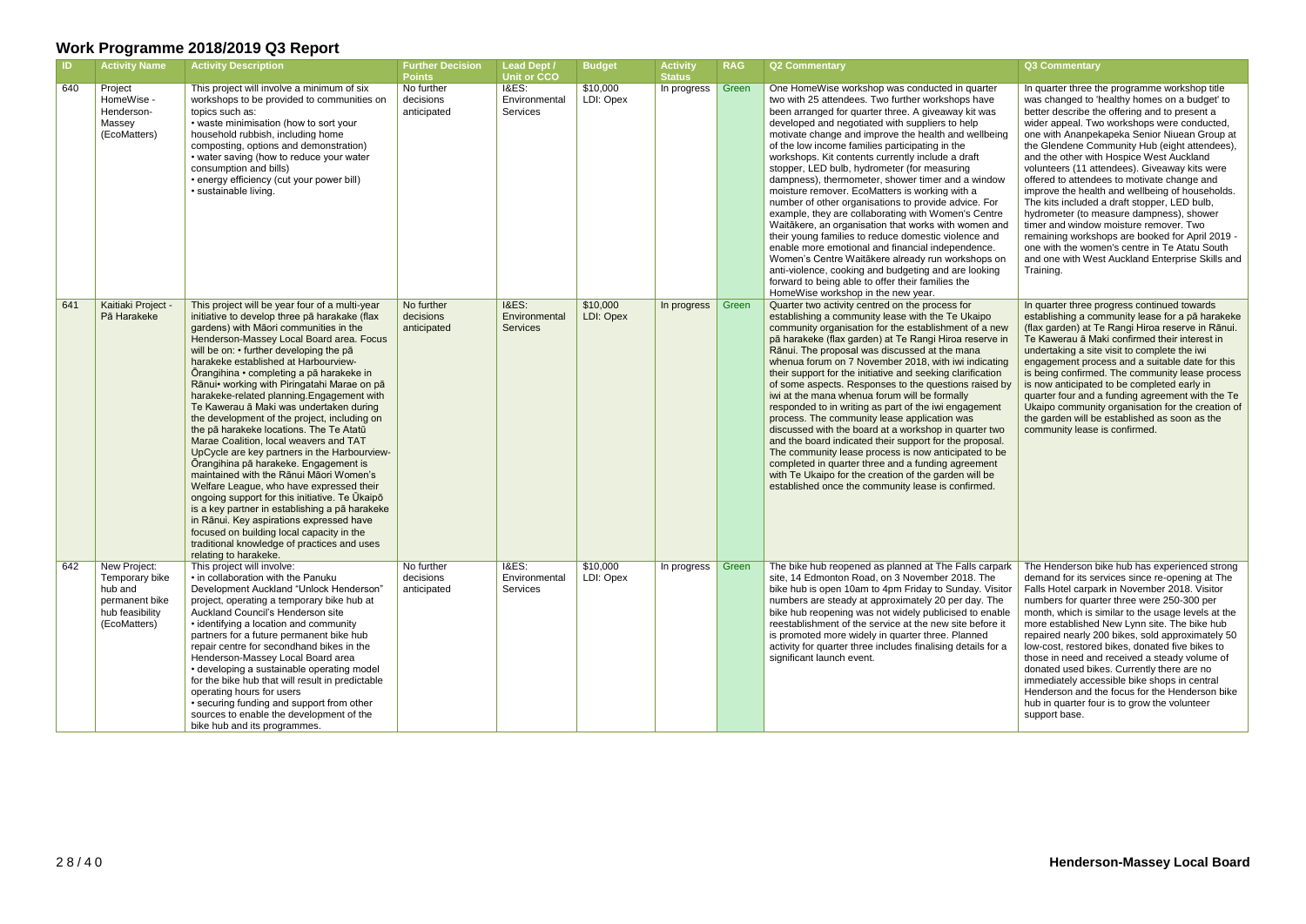| <b>ID</b> | <b>Activity Name</b>                                                                           | <b>Activity Description</b>                                                                                                                                                                                                                                                                                                                                                                                                                                                                                                                                                                                                                                                                                                                                                                                                                                                                                                                                                                                                                            | <b>Further Decision</b><br><b>Points</b> | Lead Dept /<br><b>Unit or CCO</b>                    | <b>Budget</b>         | <b>Activity</b><br><b>Status</b> | <b>RAG</b> | <b>Q2 Commentary</b>                                                                                                                                                                                                                                                                                                                                                                                                                                                                                                                                                                                                                                                                                                                                                                                                                                                                                                                                                                                                             | Q3 Commentary                                                                                                                                                                                                                                                                                                                                                                                                                                                                                                                                                                                                                                                                                                                                                                                             |
|-----------|------------------------------------------------------------------------------------------------|--------------------------------------------------------------------------------------------------------------------------------------------------------------------------------------------------------------------------------------------------------------------------------------------------------------------------------------------------------------------------------------------------------------------------------------------------------------------------------------------------------------------------------------------------------------------------------------------------------------------------------------------------------------------------------------------------------------------------------------------------------------------------------------------------------------------------------------------------------------------------------------------------------------------------------------------------------------------------------------------------------------------------------------------------------|------------------------------------------|------------------------------------------------------|-----------------------|----------------------------------|------------|----------------------------------------------------------------------------------------------------------------------------------------------------------------------------------------------------------------------------------------------------------------------------------------------------------------------------------------------------------------------------------------------------------------------------------------------------------------------------------------------------------------------------------------------------------------------------------------------------------------------------------------------------------------------------------------------------------------------------------------------------------------------------------------------------------------------------------------------------------------------------------------------------------------------------------------------------------------------------------------------------------------------------------|-----------------------------------------------------------------------------------------------------------------------------------------------------------------------------------------------------------------------------------------------------------------------------------------------------------------------------------------------------------------------------------------------------------------------------------------------------------------------------------------------------------------------------------------------------------------------------------------------------------------------------------------------------------------------------------------------------------------------------------------------------------------------------------------------------------|
| 640       | Project<br>HomeWise -<br>Henderson-<br>Massey<br>(EcoMatters)                                  | This project will involve a minimum of six<br>workshops to be provided to communities on<br>topics such as:<br>• waste minimisation (how to sort your<br>household rubbish, including home<br>composting, options and demonstration)<br>• water saving (how to reduce your water<br>consumption and bills)<br>• energy efficiency (cut your power bill)<br>• sustainable living.                                                                                                                                                                                                                                                                                                                                                                                                                                                                                                                                                                                                                                                                       | No further<br>decisions<br>anticipated   | I&ES:<br>Environmental<br>Services                   | \$10,000<br>LDI: Opex | In progress                      | Green      | One HomeWise workshop was conducted in quarter<br>two with 25 attendees. Two further workshops have<br>been arranged for quarter three. A giveaway kit was<br>developed and negotiated with suppliers to help<br>motivate change and improve the health and wellbeing<br>of the low income families participating in the<br>workshops. Kit contents currently include a draft<br>stopper, LED bulb, hydrometer (for measuring<br>dampness), thermometer, shower timer and a window<br>moisture remover. EcoMatters is working with a<br>number of other organisations to provide advice. For<br>example, they are collaborating with Women's Centre<br>Waitākere, an organisation that works with women and<br>their young families to reduce domestic violence and<br>enable more emotional and financial independence.<br>Women's Centre Waitākere already run workshops on<br>anti-violence, cooking and budgeting and are looking<br>forward to being able to offer their families the<br>HomeWise workshop in the new year. | In quarter three the programme workshop title<br>was changed to 'healthy homes on a budget' to<br>better describe the offering and to present a<br>wider appeal. Two workshops were conducted,<br>one with Ananpekapeka Senior Niuean Group at<br>the Glendene Community Hub (eight attendees),<br>and the other with Hospice West Auckland<br>volunteers (11 attendees). Giveaway kits were<br>offered to attendees to motivate change and<br>improve the health and wellbeing of households.<br>The kits included a draft stopper, LED bulb,<br>hydrometer (to measure dampness), shower<br>timer and window moisture remover. Two<br>remaining workshops are booked for April 2019 -<br>one with the women's centre in Te Atatu South<br>and one with West Auckland Enterprise Skills and<br>Training. |
| 641       | Kaitiaki Project<br>Pā Harakeke                                                                | This project will be year four of a multi-year<br>initiative to develop three pā harakake (flax<br>gardens) with Māori communities in the<br>Henderson-Massey Local Board area. Focus<br>will be on: • further developing the pā<br>harakeke established at Harbourview-<br>Ōrangihina • completing a pā harakeke in<br>Rānui• working with Piringatahi Marae on pā<br>harakeke-related planning. Engagement with<br>Te Kawerau ā Maki was undertaken during<br>the development of the project, including on<br>the pā harakeke locations. The Te Atatū<br>Marae Coalition, local weavers and TAT<br>UpCycle are key partners in the Harbourview-<br>Ōrangihina pā harakeke. Engagement is<br>maintained with the Rānui Māori Women's<br>Welfare League, who have expressed their<br>ongoing support for this initiative. Te Ukaipo<br>is a key partner in establishing a pā harakeke<br>in Rānui. Key aspirations expressed have<br>focused on building local capacity in the<br>traditional knowledge of practices and uses<br>relating to harakeke. | No further<br>decisions<br>anticipated   | <b>I&amp;ES:</b><br>Environmental<br><b>Services</b> | \$10,000<br>LDI: Opex | In progress                      | Green      | Quarter two activity centred on the process for<br>establishing a community lease with the Te Ukaipo<br>community organisation for the establishment of a new<br>pā harakeke (flax garden) at Te Rangi Hiroa reserve in<br>Rānui. The proposal was discussed at the mana<br>whenua forum on 7 November 2018, with iwi indicating<br>their support for the initiative and seeking clarification<br>of some aspects. Responses to the questions raised by<br>iwi at the mana whenua forum will be formally<br>responded to in writing as part of the iwi engagement<br>process. The community lease application was<br>discussed with the board at a workshop in quarter two<br>and the board indicated their support for the proposal.<br>The community lease process is now anticipated to be<br>completed in quarter three and a funding agreement<br>with Te Ukaipo for the creation of the garden will be<br>established once the community lease is confirmed.                                                               | In quarter three progress continued towards<br>establishing a community lease for a pā harakeke<br>(flax garden) at Te Rangi Hiroa reserve in Rānui.<br>Te Kawerau ā Maki confirmed their interest in<br>undertaking a site visit to complete the iwi<br>engagement process and a suitable date for this<br>is being confirmed. The community lease process<br>is now anticipated to be completed early in<br>quarter four and a funding agreement with the Te<br>Ukaipo community organisation for the creation of<br>the garden will be established as soon as the<br>community lease is confirmed.                                                                                                                                                                                                     |
| 642       | New Project:<br>Temporary bike<br>hub and<br>permanent bike<br>hub feasibility<br>(EcoMatters) | This project will involve:<br>• in collaboration with the Panuku<br>Development Auckland "Unlock Henderson"<br>project, operating a temporary bike hub at<br>Auckland Council's Henderson site<br>• identifying a location and community<br>partners for a future permanent bike hub<br>repair centre for secondhand bikes in the<br>Henderson-Massey Local Board area<br>• developing a sustainable operating model<br>for the bike hub that will result in predictable<br>operating hours for users<br>• securing funding and support from other<br>sources to enable the development of the<br>bike hub and its programmes.                                                                                                                                                                                                                                                                                                                                                                                                                         | No further<br>decisions<br>anticipated   | <b>I&amp;ES:</b><br>Environmental<br>Services        | \$10,000<br>LDI: Opex | In progress   Green              |            | The bike hub reopened as planned at The Falls carpark<br>site, 14 Edmonton Road, on 3 November 2018. The<br>bike hub is open 10am to 4pm Friday to Sunday. Visitor<br>numbers are steady at approximately 20 per day. The<br>bike hub reopening was not widely publicised to enable<br>reestablishment of the service at the new site before it<br>is promoted more widely in quarter three. Planned<br>activity for quarter three includes finalising details for a<br>significant launch event.                                                                                                                                                                                                                                                                                                                                                                                                                                                                                                                                | The Henderson bike hub has experienced strong<br>demand for its services since re-opening at The<br>Falls Hotel carpark in November 2018. Visitor<br>numbers for quarter three were 250-300 per<br>month, which is similar to the usage levels at the<br>more established New Lynn site. The bike hub<br>repaired nearly 200 bikes, sold approximately 50<br>low-cost, restored bikes, donated five bikes to<br>those in need and received a steady volume of<br>donated used bikes. Currently there are no<br>immediately accessible bike shops in central<br>Henderson and the focus for the Henderson bike<br>hub in quarter four is to grow the volunteer<br>support base.                                                                                                                            |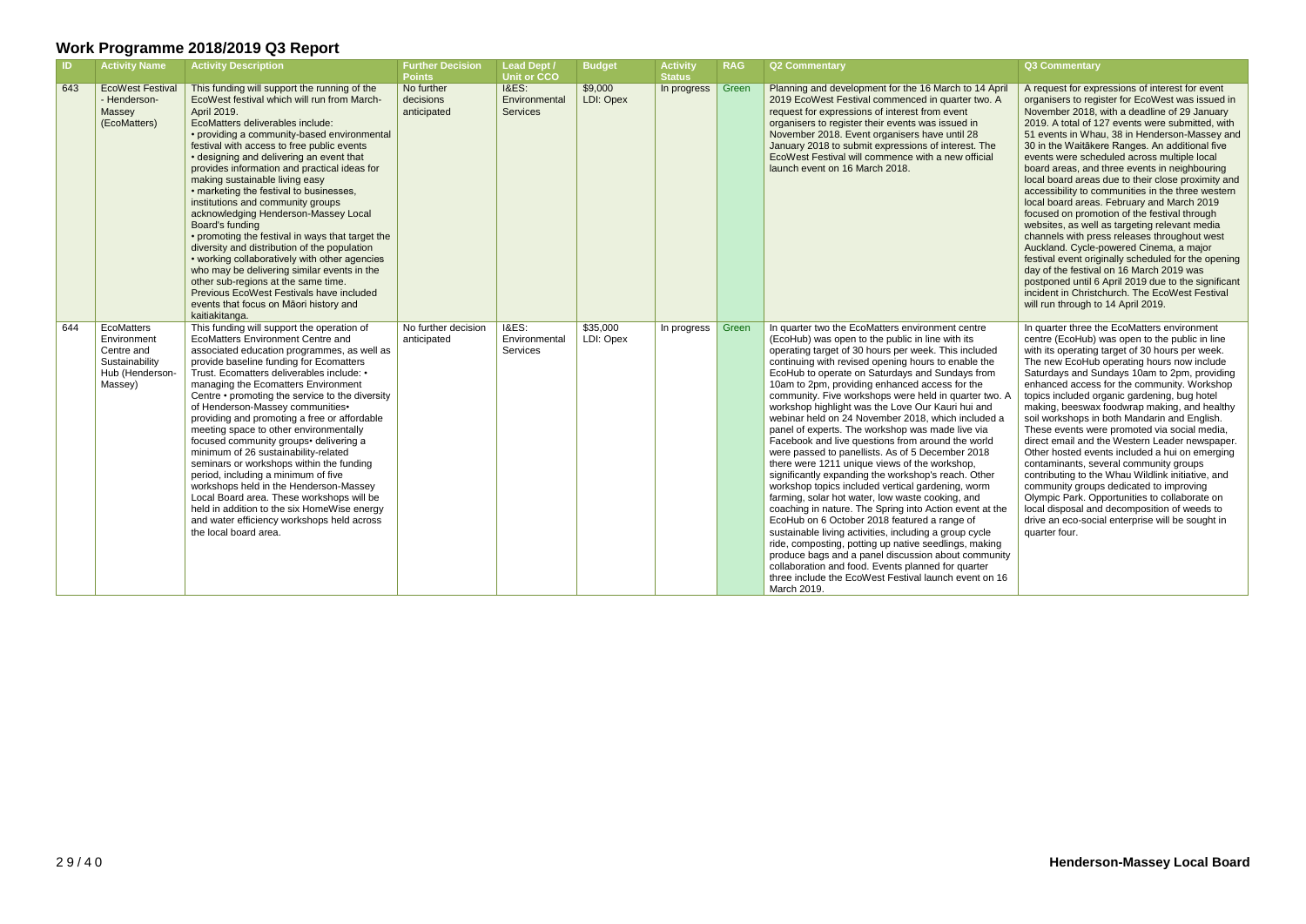| $\blacksquare$ | <b>Activity Name</b>                                                                    | <b>Activity Description</b>                                                                                                                                                                                                                                                                                                                                                                                                                                                                                                                                                                                                                                                                                                                                                                                                                                             | <b>Further Decision</b><br><b>Points</b> | <b>Lead Dept /</b><br>Unit or CCO                    | <b>Budget</b>         | <b>Activity</b><br><b>Status</b> | <b>RAG</b> | <b>Q2 Commentary</b>                                                                                                                                                                                                                                                                                                                                                                                                                                                                                                                                                                                                                                                                                                                                                                                                                                                                                                                                                                                                                                                                                                                                                                                                                                                                          | Q3 Commentary                                                                                                                                                                                                                                                                                                                                                                                                                                                                                                                                                                                                                                                                                                                                                                                                                                                                                                                                                                                                     |
|----------------|-----------------------------------------------------------------------------------------|-------------------------------------------------------------------------------------------------------------------------------------------------------------------------------------------------------------------------------------------------------------------------------------------------------------------------------------------------------------------------------------------------------------------------------------------------------------------------------------------------------------------------------------------------------------------------------------------------------------------------------------------------------------------------------------------------------------------------------------------------------------------------------------------------------------------------------------------------------------------------|------------------------------------------|------------------------------------------------------|-----------------------|----------------------------------|------------|-----------------------------------------------------------------------------------------------------------------------------------------------------------------------------------------------------------------------------------------------------------------------------------------------------------------------------------------------------------------------------------------------------------------------------------------------------------------------------------------------------------------------------------------------------------------------------------------------------------------------------------------------------------------------------------------------------------------------------------------------------------------------------------------------------------------------------------------------------------------------------------------------------------------------------------------------------------------------------------------------------------------------------------------------------------------------------------------------------------------------------------------------------------------------------------------------------------------------------------------------------------------------------------------------|-------------------------------------------------------------------------------------------------------------------------------------------------------------------------------------------------------------------------------------------------------------------------------------------------------------------------------------------------------------------------------------------------------------------------------------------------------------------------------------------------------------------------------------------------------------------------------------------------------------------------------------------------------------------------------------------------------------------------------------------------------------------------------------------------------------------------------------------------------------------------------------------------------------------------------------------------------------------------------------------------------------------|
| 643            | <b>EcoWest Festival</b><br>- Henderson-<br>Massey<br>(EcoMatters)                       | This funding will support the running of the<br>EcoWest festival which will run from March-<br>April 2019.<br>EcoMatters deliverables include:<br>• providing a community-based environmental<br>festival with access to free public events<br>• designing and delivering an event that<br>provides information and practical ideas for<br>making sustainable living easy<br>• marketing the festival to businesses,<br>institutions and community groups<br>acknowledging Henderson-Massey Local<br>Board's funding<br>• promoting the festival in ways that target the<br>diversity and distribution of the population<br>• working collaboratively with other agencies<br>who may be delivering similar events in the<br>other sub-regions at the same time.<br>Previous EcoWest Festivals have included<br>events that focus on Māori history and<br>kaitiakitanga. | No further<br>decisions<br>anticipated   | <b>I&amp;ES:</b><br>Environmental<br><b>Services</b> | \$9,000<br>LDI: Opex  | In progress                      | Green      | Planning and development for the 16 March to 14 April<br>2019 EcoWest Festival commenced in quarter two. A<br>request for expressions of interest from event<br>organisers to register their events was issued in<br>November 2018. Event organisers have until 28<br>January 2018 to submit expressions of interest. The<br>EcoWest Festival will commence with a new official<br>launch event on 16 March 2018.                                                                                                                                                                                                                                                                                                                                                                                                                                                                                                                                                                                                                                                                                                                                                                                                                                                                             | A request for expressions of interest for event<br>organisers to register for EcoWest was issued in<br>November 2018, with a deadline of 29 January<br>2019. A total of 127 events were submitted, with<br>51 events in Whau, 38 in Henderson-Massey and<br>30 in the Waitākere Ranges. An additional five<br>events were scheduled across multiple local<br>board areas, and three events in neighbouring<br>local board areas due to their close proximity and<br>accessibility to communities in the three western<br>local board areas. February and March 2019<br>focused on promotion of the festival through<br>websites, as well as targeting relevant media<br>channels with press releases throughout west<br>Auckland. Cycle-powered Cinema, a major<br>festival event originally scheduled for the opening<br>day of the festival on 16 March 2019 was<br>postponed until 6 April 2019 due to the significant<br>incident in Christchurch. The EcoWest Festival<br>will run through to 14 April 2019. |
| 644            | EcoMatters<br>Environment<br>Centre and<br>Sustainability<br>Hub (Henderson-<br>Massey) | This funding will support the operation of<br><b>EcoMatters Environment Centre and</b><br>associated education programmes, as well as<br>provide baseline funding for Ecomatters<br>Trust. Ecomatters deliverables include: •<br>managing the Ecomatters Environment<br>Centre • promoting the service to the diversity<br>of Henderson-Massey communities•<br>providing and promoting a free or affordable<br>meeting space to other environmentally<br>focused community groups• delivering a<br>minimum of 26 sustainability-related<br>seminars or workshops within the funding<br>period, including a minimum of five<br>workshops held in the Henderson-Massey<br>Local Board area. These workshops will be<br>held in addition to the six HomeWise energy<br>and water efficiency workshops held across<br>the local board area.                                 | No further decision<br>anticipated       | <b>I&amp;ES:</b><br>Environmental<br>Services        | \$35,000<br>LDI: Opex | In progress                      | Green      | In quarter two the EcoMatters environment centre<br>(EcoHub) was open to the public in line with its<br>operating target of 30 hours per week. This included<br>continuing with revised opening hours to enable the<br>EcoHub to operate on Saturdays and Sundays from<br>10am to 2pm, providing enhanced access for the<br>community. Five workshops were held in quarter two. A<br>workshop highlight was the Love Our Kauri hui and<br>webinar held on 24 November 2018, which included a<br>panel of experts. The workshop was made live via<br>Facebook and live questions from around the world<br>were passed to panellists. As of 5 December 2018<br>there were 1211 unique views of the workshop,<br>significantly expanding the workshop's reach. Other<br>workshop topics included vertical gardening, worm<br>farming, solar hot water, low waste cooking, and<br>coaching in nature. The Spring into Action event at the<br>EcoHub on 6 October 2018 featured a range of<br>sustainable living activities, including a group cycle<br>ride, composting, potting up native seedlings, making<br>produce bags and a panel discussion about community<br>collaboration and food. Events planned for quarter<br>three include the EcoWest Festival launch event on 16<br>March 2019. | In quarter three the EcoMatters environment<br>centre (EcoHub) was open to the public in line<br>with its operating target of 30 hours per week.<br>The new EcoHub operating hours now include<br>Saturdays and Sundays 10am to 2pm, providing<br>enhanced access for the community. Workshop<br>topics included organic gardening, bug hotel<br>making, beeswax foodwrap making, and healthy<br>soil workshops in both Mandarin and English.<br>These events were promoted via social media,<br>direct email and the Western Leader newspaper.<br>Other hosted events included a hui on emerging<br>contaminants, several community groups<br>contributing to the Whau Wildlink initiative, and<br>community groups dedicated to improving<br>Olympic Park. Opportunities to collaborate on<br>local disposal and decomposition of weeds to<br>drive an eco-social enterprise will be sought in<br>quarter four.                                                                                                 |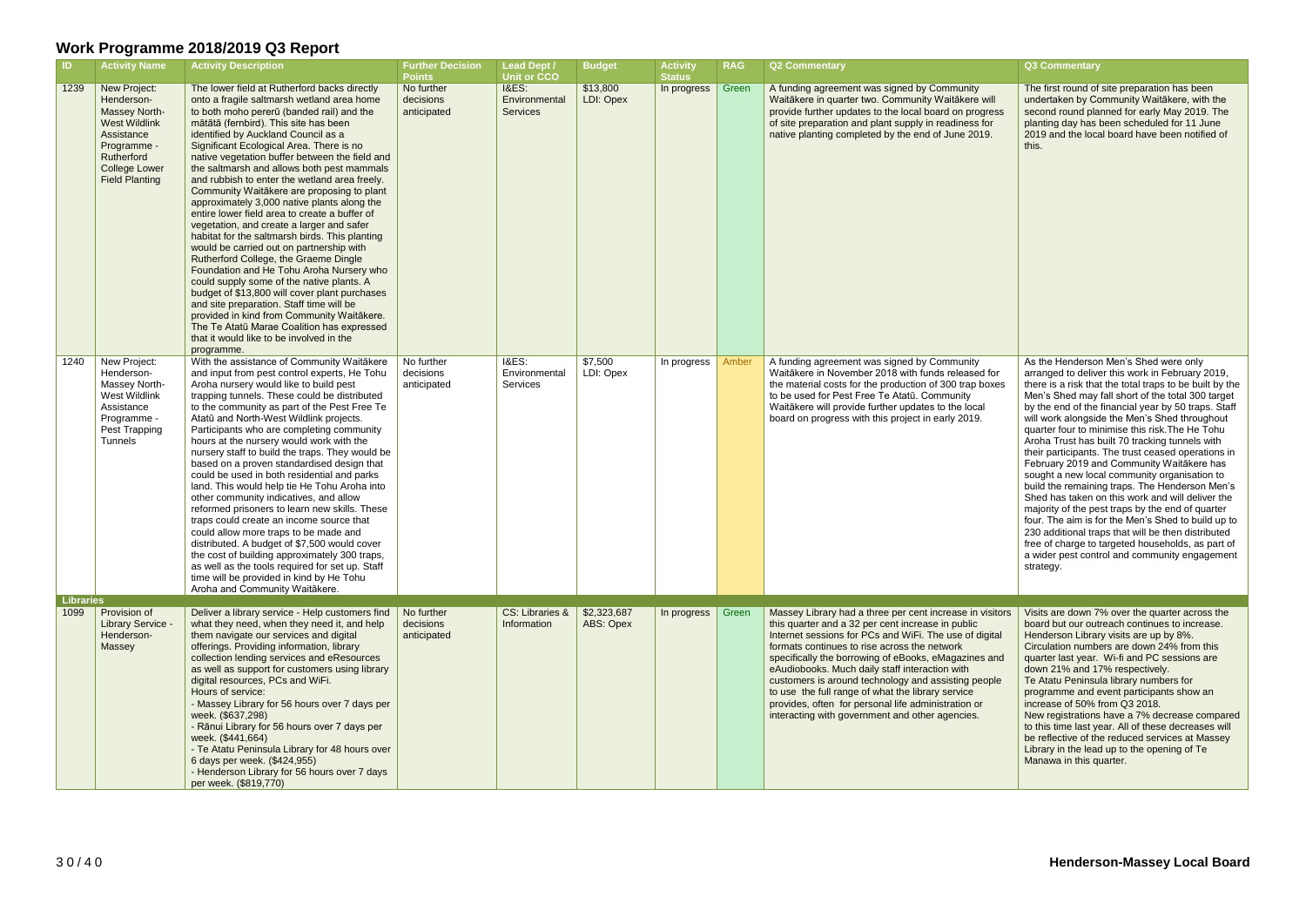| $\blacksquare$           | <b>Activity Name</b>                                                                                                                                            | <b>Activity Description</b>                                                                                                                                                                                                                                                                                                                                                                                                                                                                                                                                                                                                                                                                                                                                                                                                                                                                                                                                                                                                                                                                        | <b>Further Decision</b>                                 | <b>Lead Dept /</b>                                                         | <b>Budget</b>            | <b>Activity</b>              | <b>RAG</b> | <b>Q2 Commentary</b>                                                                                                                                                                                                                                                                                                                                                                                                                                                                                                                                    | Q3 Commentary                                                                                                                                                                                                                                                                                                                                                                                            |
|--------------------------|-----------------------------------------------------------------------------------------------------------------------------------------------------------------|----------------------------------------------------------------------------------------------------------------------------------------------------------------------------------------------------------------------------------------------------------------------------------------------------------------------------------------------------------------------------------------------------------------------------------------------------------------------------------------------------------------------------------------------------------------------------------------------------------------------------------------------------------------------------------------------------------------------------------------------------------------------------------------------------------------------------------------------------------------------------------------------------------------------------------------------------------------------------------------------------------------------------------------------------------------------------------------------------|---------------------------------------------------------|----------------------------------------------------------------------------|--------------------------|------------------------------|------------|---------------------------------------------------------------------------------------------------------------------------------------------------------------------------------------------------------------------------------------------------------------------------------------------------------------------------------------------------------------------------------------------------------------------------------------------------------------------------------------------------------------------------------------------------------|----------------------------------------------------------------------------------------------------------------------------------------------------------------------------------------------------------------------------------------------------------------------------------------------------------------------------------------------------------------------------------------------------------|
| 1239                     | New Project:<br>Henderson-<br><b>Massey North-</b><br>West Wildlink<br>Assistance<br>Programme -<br>Rutherford<br><b>College Lower</b><br><b>Field Planting</b> | The lower field at Rutherford backs directly<br>onto a fragile saltmarsh wetland area home<br>to both moho pererū (banded rail) and the<br>mātātā (fernbird). This site has been<br>identified by Auckland Council as a<br>Significant Ecological Area. There is no<br>native vegetation buffer between the field and<br>the saltmarsh and allows both pest mammals<br>and rubbish to enter the wetland area freely.<br>Community Waitakere are proposing to plant<br>approximately 3,000 native plants along the<br>entire lower field area to create a buffer of<br>vegetation, and create a larger and safer<br>habitat for the saltmarsh birds. This planting<br>would be carried out on partnership with<br>Rutherford College, the Graeme Dingle<br>Foundation and He Tohu Aroha Nursery who<br>could supply some of the native plants. A<br>budget of \$13,800 will cover plant purchases<br>and site preparation. Staff time will be<br>provided in kind from Community Waitākere.<br>The Te Atatū Marae Coalition has expressed<br>that it would like to be involved in the<br>programme. | <b>Points</b><br>No further<br>decisions<br>anticipated | <b>Unit or CCO</b><br><b>I&amp;ES:</b><br>Environmental<br><b>Services</b> | \$13,800<br>LDI: Opex    | <b>Status</b><br>In progress | Green      | A funding agreement was signed by Community<br>Waitākere in quarter two. Community Waitākere will<br>provide further updates to the local board on progress<br>of site preparation and plant supply in readiness for<br>native planting completed by the end of June 2019.                                                                                                                                                                                                                                                                              | The first round of<br>undertaken by Co<br>second round pla<br>planting day has<br>2019 and the loca<br>this.                                                                                                                                                                                                                                                                                             |
| 1240                     | New Project:<br>Henderson-<br>Massey North-<br>West Wildlink<br>Assistance<br>Programme -<br>Pest Trapping<br>Tunnels                                           | With the assistance of Community Waitākere<br>and input from pest control experts, He Tohu<br>Aroha nursery would like to build pest<br>trapping tunnels. These could be distributed<br>to the community as part of the Pest Free Te<br>Atatū and North-West Wildlink projects.<br>Participants who are completing community<br>hours at the nursery would work with the<br>nursery staff to build the traps. They would be<br>based on a proven standardised design that<br>could be used in both residential and parks<br>land. This would help tie He Tohu Aroha into<br>other community indicatives, and allow<br>reformed prisoners to learn new skills. These<br>traps could create an income source that<br>could allow more traps to be made and<br>distributed. A budget of \$7,500 would cover<br>the cost of building approximately 300 traps,<br>as well as the tools required for set up. Staff<br>time will be provided in kind by He Tohu<br>Aroha and Community Waitākere.                                                                                                         | No further<br>decisions<br>anticipated                  | <b>I&amp;ES:</b><br>Environmental<br>Services                              | \$7,500<br>LDI: Opex     | In progress                  | Amber      | A funding agreement was signed by Community<br>Waitākere in November 2018 with funds released for<br>the material costs for the production of 300 trap boxes<br>to be used for Pest Free Te Atatū. Community<br>Waitākere will provide further updates to the local<br>board on progress with this project in early 2019.                                                                                                                                                                                                                               | As the Hendersor<br>arranged to delive<br>there is a risk tha<br>Men's Shed may<br>by the end of the<br>will work alongsic<br>quarter four to mi<br>Aroha Trust has I<br>their participants.<br>February 2019 ar<br>sought a new loc<br>build the remainir<br>Shed has taken o<br>majority of the pe<br>four. The aim is fo<br>230 additional tra<br>free of charge to<br>a wider pest cont<br>strategy. |
| <b>Libraries</b><br>1099 | Provision of<br>Library Service -<br>Henderson-<br>Massey                                                                                                       | Deliver a library service - Help customers find<br>what they need, when they need it, and help<br>them navigate our services and digital<br>offerings. Providing information, library<br>collection lending services and eResources<br>as well as support for customers using library<br>digital resources, PCs and WiFi.<br>Hours of service:<br>- Massey Library for 56 hours over 7 days per<br>week. (\$637,298)<br>- Rānui Library for 56 hours over 7 days per<br>week. (\$441,664)<br>- Te Atatu Peninsula Library for 48 hours over<br>6 days per week. (\$424,955)<br>- Henderson Library for 56 hours over 7 days<br>per week. (\$819,770)                                                                                                                                                                                                                                                                                                                                                                                                                                               | No further<br>decisions<br>anticipated                  | CS: Libraries &<br>Information                                             | \$2,323,687<br>ABS: Opex | In progress                  | Green      | Massey Library had a three per cent increase in visitors<br>this quarter and a 32 per cent increase in public<br>Internet sessions for PCs and WiFi. The use of digital<br>formats continues to rise across the network<br>specifically the borrowing of eBooks, eMagazines and<br>eAudiobooks. Much daily staff interaction with<br>customers is around technology and assisting people<br>to use the full range of what the library service<br>provides, often for personal life administration or<br>interacting with government and other agencies. | Visits are down 7<br>board but our out<br><b>Henderson Librar</b><br>Circulation numb<br>quarter last year.<br>down 21% and 1<br><b>Te Atatu Peninsu</b><br>programme and<br>increase of 50%<br>New registrations<br>to this time last yo<br>be reflective of th<br>Library in the lead<br>Manawa in this q                                                                                              |

| The first round of site preparation has been<br>undertaken by Community Waitākere, with the<br>second round planned for early May 2019. The<br>planting day has been scheduled for 11 June                                                                                                                                                                                                                                                                                                                                                                                                                                                                                                                                                                                                                                                                                                                                                           |
|------------------------------------------------------------------------------------------------------------------------------------------------------------------------------------------------------------------------------------------------------------------------------------------------------------------------------------------------------------------------------------------------------------------------------------------------------------------------------------------------------------------------------------------------------------------------------------------------------------------------------------------------------------------------------------------------------------------------------------------------------------------------------------------------------------------------------------------------------------------------------------------------------------------------------------------------------|
| 2019 and the local board have been notified of                                                                                                                                                                                                                                                                                                                                                                                                                                                                                                                                                                                                                                                                                                                                                                                                                                                                                                       |
| As the Henderson Men's Shed were only<br>arranged to deliver this work in February 2019,<br>there is a risk that the total traps to be built by the<br>Men's Shed may fall short of the total 300 target<br>by the end of the financial year by 50 traps. Staff<br>will work alongside the Men's Shed throughout<br>quarter four to minimise this risk. The He Tohu<br>Aroha Trust has built 70 tracking tunnels with<br>their participants. The trust ceased operations in<br>February 2019 and Community Waitākere has<br>sought a new local community organisation to<br>build the remaining traps. The Henderson Men's<br>Shed has taken on this work and will deliver the<br>majority of the pest traps by the end of quarter<br>four. The aim is for the Men's Shed to build up to<br>230 additional traps that will be then distributed<br>free of charge to targeted households, as part of<br>a wider pest control and community engagement |
|                                                                                                                                                                                                                                                                                                                                                                                                                                                                                                                                                                                                                                                                                                                                                                                                                                                                                                                                                      |
| Visits are down 7% over the quarter across the<br>board but our outreach continues to increase.<br>Henderson Library visits are up by 8%.<br>Circulation numbers are down 24% from this<br>quarter last year. Wi-fi and PC sessions are<br>down 21% and 17% respectively.<br>Te Atatu Peninsula library numbers for<br>programme and event participants show an<br>increase of 50% from Q3 2018.<br>New registrations have a 7% decrease compared<br>to this time last year. All of these decreases will<br>be reflective of the reduced services at Massey<br>Library in the lead up to the opening of Te<br>Manawa in this quarter.                                                                                                                                                                                                                                                                                                                |
|                                                                                                                                                                                                                                                                                                                                                                                                                                                                                                                                                                                                                                                                                                                                                                                                                                                                                                                                                      |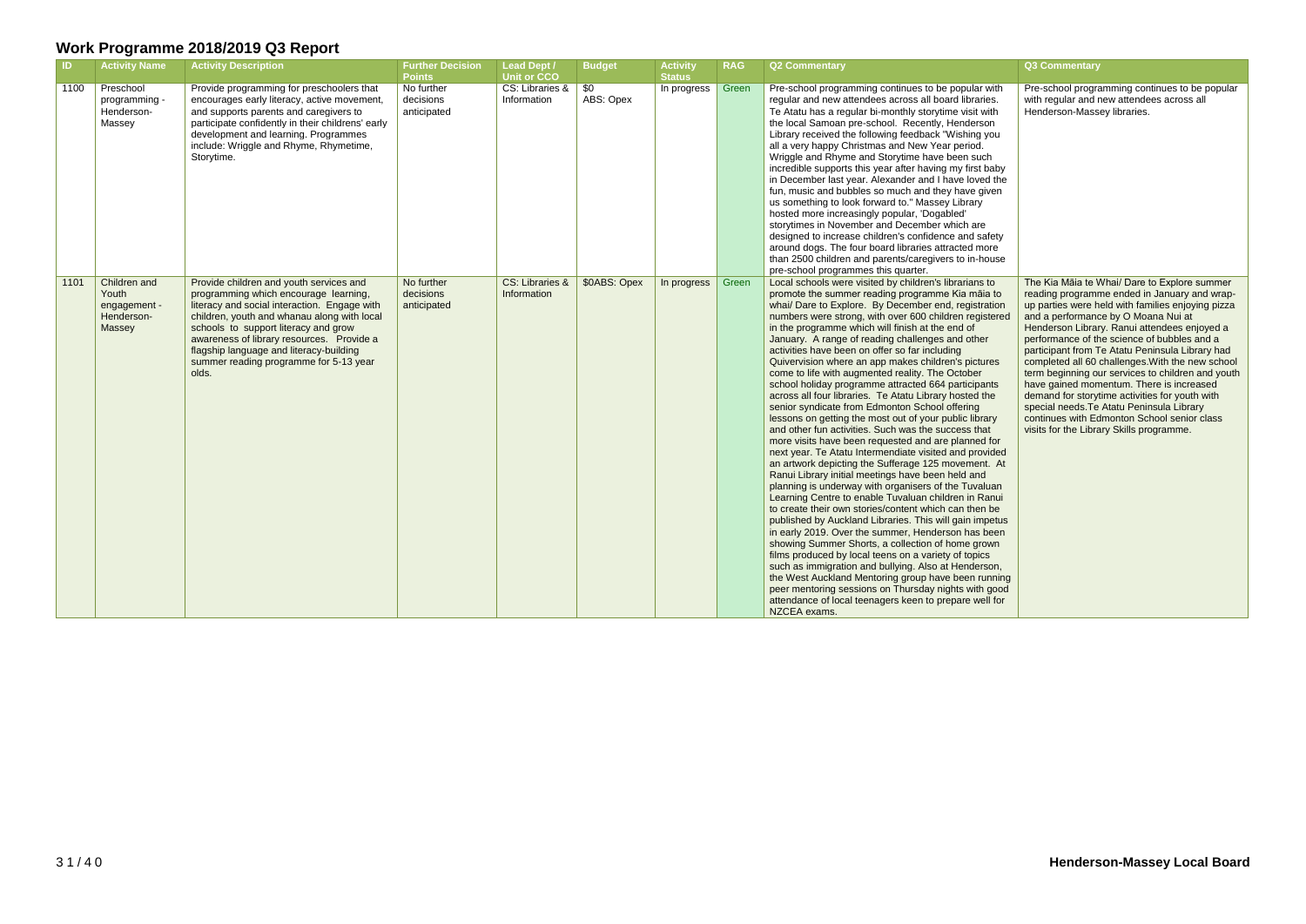| <b>ID</b> | <b>Activity Name</b>                                          | <b>Activity Description</b>                                                                                                                                                                                                                                                                                                                                        | <b>Further Decision</b><br><b>Points</b> | <b>Lead Dept /</b><br><b>Unit or CCO</b> | <b>Budget</b>          | <b>Activity</b><br><b>Status</b> | <b>RAG</b> | <b>Q2 Commentary</b>                                                                                                                                                                                                                                                                                                                                                                                                                                                                                                                                                                                                                                                                                                                                                                                                                                                                                                                                                                                                                                                                                                                                                                                                                                                                                                                                                                                                                                                                                                                                                                                                                                                       | Q3 Commentary                                                                                                                                                                                                                                                                                                                                                                                                                                                                                                                                                                                                                                                                             |
|-----------|---------------------------------------------------------------|--------------------------------------------------------------------------------------------------------------------------------------------------------------------------------------------------------------------------------------------------------------------------------------------------------------------------------------------------------------------|------------------------------------------|------------------------------------------|------------------------|----------------------------------|------------|----------------------------------------------------------------------------------------------------------------------------------------------------------------------------------------------------------------------------------------------------------------------------------------------------------------------------------------------------------------------------------------------------------------------------------------------------------------------------------------------------------------------------------------------------------------------------------------------------------------------------------------------------------------------------------------------------------------------------------------------------------------------------------------------------------------------------------------------------------------------------------------------------------------------------------------------------------------------------------------------------------------------------------------------------------------------------------------------------------------------------------------------------------------------------------------------------------------------------------------------------------------------------------------------------------------------------------------------------------------------------------------------------------------------------------------------------------------------------------------------------------------------------------------------------------------------------------------------------------------------------------------------------------------------------|-------------------------------------------------------------------------------------------------------------------------------------------------------------------------------------------------------------------------------------------------------------------------------------------------------------------------------------------------------------------------------------------------------------------------------------------------------------------------------------------------------------------------------------------------------------------------------------------------------------------------------------------------------------------------------------------|
| 1100      | Preschool<br>programming -<br>Henderson-<br>Massey            | Provide programming for preschoolers that<br>encourages early literacy, active movement,<br>and supports parents and caregivers to<br>participate confidently in their childrens' early<br>development and learning. Programmes<br>include: Wriggle and Rhyme, Rhymetime,<br>Storytime.                                                                            | No further<br>decisions<br>anticipated   | CS: Libraries &<br>Information           | <b>SO</b><br>ABS: Opex | In progress                      | Green      | Pre-school programming continues to be popular with<br>regular and new attendees across all board libraries.<br>Te Atatu has a regular bi-monthly storytime visit with<br>the local Samoan pre-school. Recently, Henderson<br>Library received the following feedback "Wishing you<br>all a very happy Christmas and New Year period.<br>Wriggle and Rhyme and Storytime have been such<br>incredible supports this year after having my first baby<br>in December last year. Alexander and I have loved the<br>fun, music and bubbles so much and they have given<br>us something to look forward to." Massey Library<br>hosted more increasingly popular, 'Dogabled'<br>storytimes in November and December which are<br>designed to increase children's confidence and safety<br>around dogs. The four board libraries attracted more<br>than 2500 children and parents/caregivers to in-house<br>pre-school programmes this quarter.                                                                                                                                                                                                                                                                                                                                                                                                                                                                                                                                                                                                                                                                                                                                   | Pre-school programming continues to be popular<br>with regular and new attendees across all<br>Henderson-Massey libraries.                                                                                                                                                                                                                                                                                                                                                                                                                                                                                                                                                                |
| 1101      | Children and<br>Youth<br>engagement -<br>Henderson-<br>Massey | Provide children and youth services and<br>programming which encourage learning,<br>literacy and social interaction. Engage with<br>children, youth and whanau along with local<br>schools to support literacy and grow<br>awareness of library resources. Provide a<br>flagship language and literacy-building<br>summer reading programme for 5-13 year<br>olds. | No further<br>decisions<br>anticipated   | CS: Libraries &<br>Information           | \$0ABS: Opex           | In progress $\parallel$          | Green      | Local schools were visited by children's librarians to<br>promote the summer reading programme Kia māia to<br>whai/ Dare to Explore. By December end, registration<br>numbers were strong, with over 600 children registered<br>in the programme which will finish at the end of<br>January. A range of reading challenges and other<br>activities have been on offer so far including<br>Quivervision where an app makes children's pictures<br>come to life with augmented reality. The October<br>school holiday programme attracted 664 participants<br>across all four libraries. Te Atatu Library hosted the<br>senior syndicate from Edmonton School offering<br>lessons on getting the most out of your public library<br>and other fun activities. Such was the success that<br>more visits have been requested and are planned for<br>next year. Te Atatu Intermendiate visited and provided<br>an artwork depicting the Sufferage 125 movement. At<br>Ranui Library initial meetings have been held and<br>planning is underway with organisers of the Tuvaluan<br>Learning Centre to enable Tuvaluan children in Ranui<br>to create their own stories/content which can then be<br>published by Auckland Libraries. This will gain impetus<br>in early 2019. Over the summer, Henderson has been<br>showing Summer Shorts, a collection of home grown<br>films produced by local teens on a variety of topics<br>such as immigration and bullying. Also at Henderson,<br>the West Auckland Mentoring group have been running<br>peer mentoring sessions on Thursday nights with good<br>attendance of local teenagers keen to prepare well for<br>NZCEA exams. | The Kia Māia te Whai/ Dare to Explore summer<br>reading programme ended in January and wrap-<br>up parties were held with families enjoying pizza<br>and a performance by O Moana Nui at<br>Henderson Library. Ranui attendees enjoyed a<br>performance of the science of bubbles and a<br>participant from Te Atatu Peninsula Library had<br>completed all 60 challenges. With the new school<br>term beginning our services to children and youth<br>have gained momentum. There is increased<br>demand for storytime activities for youth with<br>special needs. Te Atatu Peninsula Library<br>continues with Edmonton School senior class<br>visits for the Library Skills programme. |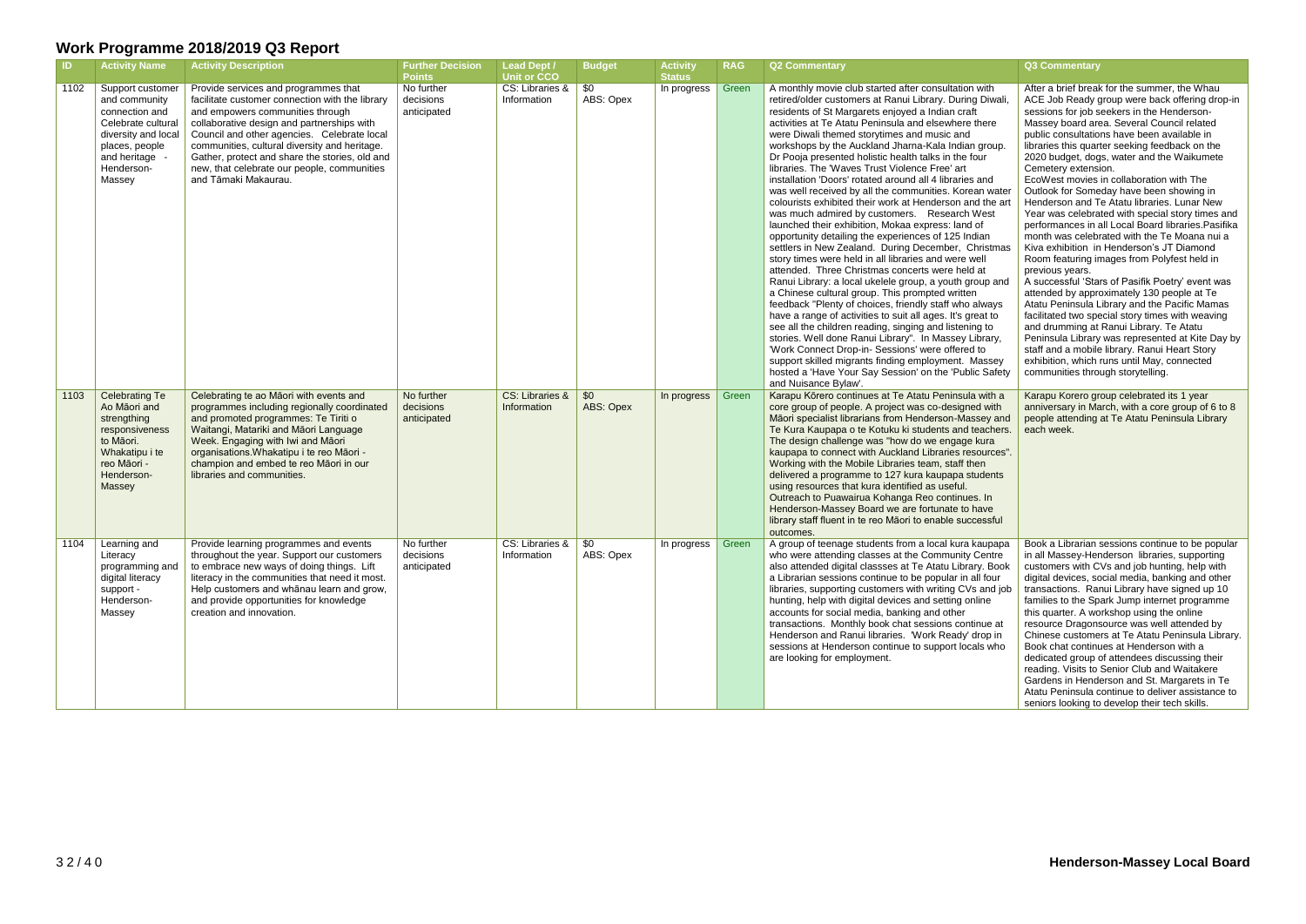| -ID. | <b>Activity Name</b>                                                                                                                                         | <b>Activity Description</b>                                                                                                                                                                                                                                                                                                                                                                        | <b>Further Decision</b><br><b>Points</b> | <b>Lead Dept /</b><br>Unit or CCO | <b>Budget</b>     | <b>Activity</b><br><b>Status</b> | <b>RAG</b> | Q2 Commentary                                                                                                                                                                                                                                                                                                                                                                                                                                                                                                                                                                                                                                                                                                                                                                                                                                                                                                                                                                                                                                                                                                                                                                                                                                                                                                                                                                                                                                                                                                     | Q3 Commentary                                                                                                                                                                                                                                                                                                                                                                                                                                                                                                                                                                                                                                                                                                                                                                                                                                                                                                                                                                                                                                                                                                                                                                                                                |
|------|--------------------------------------------------------------------------------------------------------------------------------------------------------------|----------------------------------------------------------------------------------------------------------------------------------------------------------------------------------------------------------------------------------------------------------------------------------------------------------------------------------------------------------------------------------------------------|------------------------------------------|-----------------------------------|-------------------|----------------------------------|------------|-------------------------------------------------------------------------------------------------------------------------------------------------------------------------------------------------------------------------------------------------------------------------------------------------------------------------------------------------------------------------------------------------------------------------------------------------------------------------------------------------------------------------------------------------------------------------------------------------------------------------------------------------------------------------------------------------------------------------------------------------------------------------------------------------------------------------------------------------------------------------------------------------------------------------------------------------------------------------------------------------------------------------------------------------------------------------------------------------------------------------------------------------------------------------------------------------------------------------------------------------------------------------------------------------------------------------------------------------------------------------------------------------------------------------------------------------------------------------------------------------------------------|------------------------------------------------------------------------------------------------------------------------------------------------------------------------------------------------------------------------------------------------------------------------------------------------------------------------------------------------------------------------------------------------------------------------------------------------------------------------------------------------------------------------------------------------------------------------------------------------------------------------------------------------------------------------------------------------------------------------------------------------------------------------------------------------------------------------------------------------------------------------------------------------------------------------------------------------------------------------------------------------------------------------------------------------------------------------------------------------------------------------------------------------------------------------------------------------------------------------------|
| 1102 | Support customer<br>and community<br>connection and<br>Celebrate cultural<br>diversity and local<br>places, people<br>and heritage -<br>Henderson-<br>Massey | Provide services and programmes that<br>facilitate customer connection with the library<br>and empowers communities through<br>collaborative design and partnerships with<br>Council and other agencies. Celebrate local<br>communities, cultural diversity and heritage.<br>Gather, protect and share the stories, old and<br>new, that celebrate our people, communities<br>and Tāmaki Makaurau. | No further<br>decisions<br>anticipated   | CS: Libraries &<br>Information    | \$0<br>ABS: Opex  | In progress                      | Green      | A monthly movie club started after consultation with<br>retired/older customers at Ranui Library. During Diwali,<br>residents of St Margarets enjoyed a Indian craft<br>activities at Te Atatu Peninsula and elsewhere there<br>were Diwali themed storytimes and music and<br>workshops by the Auckland Jharna-Kala Indian group.<br>Dr Pooja presented holistic health talks in the four<br>libraries. The 'Waves Trust Violence Free' art<br>installation 'Doors' rotated around all 4 libraries and<br>was well received by all the communities. Korean water<br>colourists exhibited their work at Henderson and the art<br>was much admired by customers. Research West<br>launched their exhibition, Mokaa express: land of<br>opportunity detailing the experiences of 125 Indian<br>settlers in New Zealand. During December, Christmas<br>story times were held in all libraries and were well<br>attended. Three Christmas concerts were held at<br>Ranui Library: a local ukelele group, a youth group and<br>a Chinese cultural group. This prompted written<br>feedback "Plenty of choices, friendly staff who always<br>have a range of activities to suit all ages. It's great to<br>see all the children reading, singing and listening to<br>stories. Well done Ranui Library". In Massey Library,<br>'Work Connect Drop-in- Sessions' were offered to<br>support skilled migrants finding employment. Massey<br>hosted a 'Have Your Say Session' on the 'Public Safety<br>and Nuisance Bylaw'. | After a brief break for the summer, the Whau<br>ACE Job Ready group were back offering drop-in<br>sessions for job seekers in the Henderson-<br>Massey board area. Several Council related<br>public consultations have been available in<br>libraries this quarter seeking feedback on the<br>2020 budget, dogs, water and the Waikumete<br>Cemetery extension.<br>EcoWest movies in collaboration with The<br>Outlook for Someday have been showing in<br>Henderson and Te Atatu libraries. Lunar New<br>Year was celebrated with special story times and<br>performances in all Local Board libraries. Pasifika<br>month was celebrated with the Te Moana nui a<br>Kiva exhibition in Henderson's JT Diamond<br>Room featuring images from Polyfest held in<br>previous years.<br>A successful 'Stars of Pasifik Poetry' event was<br>attended by approximately 130 people at Te<br>Atatu Peninsula Library and the Pacific Mamas<br>facilitated two special story times with weaving<br>and drumming at Ranui Library. Te Atatu<br>Peninsula Library was represented at Kite Day by<br>staff and a mobile library. Ranui Heart Story<br>exhibition, which runs until May, connected<br>communities through storytelling. |
| 1103 | <b>Celebrating Te</b><br>Ao Māori and<br>strengthing<br>responsiveness<br>to Māori.<br>Whakatipu i te<br>reo Māori -<br>Henderson-<br>Massey                 | Celebrating te ao Māori with events and<br>programmes including regionally coordinated<br>and promoted programmes: Te Tiriti o<br>Waitangi, Matariki and Māori Language<br>Week. Engaging with Iwi and Māori<br>organisations. Whakatipu i te reo Māori -<br>champion and embed te reo Māori in our<br>libraries and communities.                                                                  | No further<br>decisions<br>anticipated   | CS: Libraries &<br>Information    | \$0<br>ABS: Opex  | In progress                      | Green      | Karapu Kōrero continues at Te Atatu Peninsula with a<br>core group of people. A project was co-designed with<br>Māori specialist librarians from Henderson-Massey and<br>Te Kura Kaupapa o te Kotuku ki students and teachers.<br>The design challenge was "how do we engage kura"<br>kaupapa to connect with Auckland Libraries resources".<br>Working with the Mobile Libraries team, staff then<br>delivered a programme to 127 kura kaupapa students<br>using resources that kura identified as useful.<br>Outreach to Puawairua Kohanga Reo continues. In<br>Henderson-Massey Board we are fortunate to have<br>library staff fluent in te reo Māori to enable successful<br>outcomes.                                                                                                                                                                                                                                                                                                                                                                                                                                                                                                                                                                                                                                                                                                                                                                                                                       | Karapu Korero group celebrated its 1 year<br>anniversary in March, with a core group of 6 to 8<br>people attending at Te Atatu Peninsula Library<br>each week.                                                                                                                                                                                                                                                                                                                                                                                                                                                                                                                                                                                                                                                                                                                                                                                                                                                                                                                                                                                                                                                               |
| 1104 | Learning and<br>Literacy<br>programming and<br>digital literacy<br>support -<br>Henderson-<br>Massey                                                         | Provide learning programmes and events<br>throughout the year. Support our customers<br>to embrace new ways of doing things. Lift<br>literacy in the communities that need it most.<br>Help customers and whanau learn and grow,<br>and provide opportunities for knowledge<br>creation and innovation.                                                                                            | No further<br>decisions<br>anticipated   | CS: Libraries &  <br>Information  | -\$0<br>ABS: Opex | In progress                      | Green      | A group of teenage students from a local kura kaupapa<br>who were attending classes at the Community Centre<br>also attended digital classses at Te Atatu Library. Book<br>a Librarian sessions continue to be popular in all four<br>libraries, supporting customers with writing CVs and job<br>hunting, help with digital devices and setting online<br>accounts for social media, banking and other<br>transactions. Monthly book chat sessions continue at<br>Henderson and Ranui libraries. 'Work Ready' drop in<br>sessions at Henderson continue to support locals who<br>are looking for employment.                                                                                                                                                                                                                                                                                                                                                                                                                                                                                                                                                                                                                                                                                                                                                                                                                                                                                                     | Book a Librarian sessions continue to be popular<br>in all Massey-Henderson libraries, supporting<br>customers with CVs and job hunting, help with<br>digital devices, social media, banking and other<br>transactions. Ranui Library have signed up 10<br>families to the Spark Jump internet programme<br>this quarter. A workshop using the online<br>resource Dragonsource was well attended by<br>Chinese customers at Te Atatu Peninsula Library.<br>Book chat continues at Henderson with a<br>dedicated group of attendees discussing their<br>reading. Visits to Senior Club and Waitakere<br>Gardens in Henderson and St. Margarets in Te<br>Atatu Peninsula continue to deliver assistance to<br>seniors looking to develop their tech skills.                                                                                                                                                                                                                                                                                                                                                                                                                                                                    |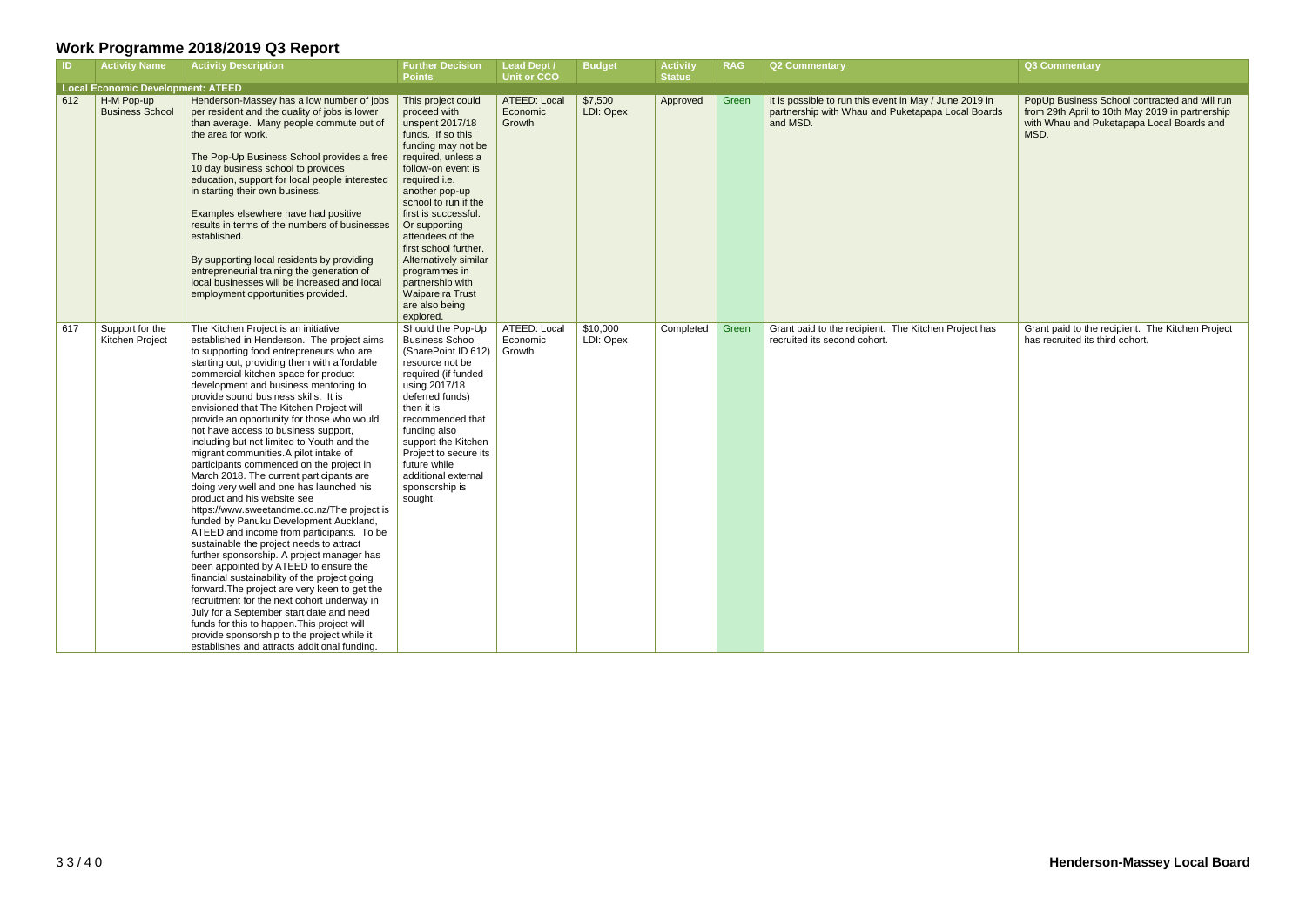|                     | Q3 Commentary                                                                                                                                         |
|---------------------|-------------------------------------------------------------------------------------------------------------------------------------------------------|
| ) in<br><b>ards</b> | PopUp Business School contracted and will run<br>from 29th April to 10th May 2019 in partnership<br>with Whau and Puketapapa Local Boards and<br>MSD. |
| has                 | Grant paid to the recipient. The Kitchen Project<br>has recruited its third cohort.                                                                   |

| $\blacksquare$ | <b>Activity Name</b>                     | <b>Activity Description</b>                                                                                                                                                                                                                                                                                                                                                                                                                                                                                                                                                                                                                                                                                                                                                                                                                                                                                                                                                                                                                                                                                                                                                                                                                                                                                             | <b>Further Decision</b><br><b>Points</b>                                                                                                                                                                                                                                                                                                                                                                              | <b>Lead Dept /</b><br><b>Unit or CCO</b> | <b>Budget</b>         | <b>Activity</b> | <b>RAG</b> | <b>Q2 Commentary</b>                                                                                                    | Q3 Commentary                                                   |
|----------------|------------------------------------------|-------------------------------------------------------------------------------------------------------------------------------------------------------------------------------------------------------------------------------------------------------------------------------------------------------------------------------------------------------------------------------------------------------------------------------------------------------------------------------------------------------------------------------------------------------------------------------------------------------------------------------------------------------------------------------------------------------------------------------------------------------------------------------------------------------------------------------------------------------------------------------------------------------------------------------------------------------------------------------------------------------------------------------------------------------------------------------------------------------------------------------------------------------------------------------------------------------------------------------------------------------------------------------------------------------------------------|-----------------------------------------------------------------------------------------------------------------------------------------------------------------------------------------------------------------------------------------------------------------------------------------------------------------------------------------------------------------------------------------------------------------------|------------------------------------------|-----------------------|-----------------|------------|-------------------------------------------------------------------------------------------------------------------------|-----------------------------------------------------------------|
|                | <b>Local Economic Development: ATEED</b> |                                                                                                                                                                                                                                                                                                                                                                                                                                                                                                                                                                                                                                                                                                                                                                                                                                                                                                                                                                                                                                                                                                                                                                                                                                                                                                                         |                                                                                                                                                                                                                                                                                                                                                                                                                       |                                          |                       | <b>Status</b>   |            |                                                                                                                         |                                                                 |
| 612            | H-M Pop-up<br><b>Business School</b>     | Henderson-Massey has a low number of jobs<br>per resident and the quality of jobs is lower<br>than average. Many people commute out of<br>the area for work.<br>The Pop-Up Business School provides a free<br>10 day business school to provides<br>education, support for local people interested<br>in starting their own business.<br>Examples elsewhere have had positive<br>results in terms of the numbers of businesses<br>established.<br>By supporting local residents by providing<br>entrepreneurial training the generation of<br>local businesses will be increased and local<br>employment opportunities provided.                                                                                                                                                                                                                                                                                                                                                                                                                                                                                                                                                                                                                                                                                        | This project could<br>proceed with<br>unspent 2017/18<br>funds. If so this<br>funding may not be<br>required, unless a<br>follow-on event is<br>required i.e.<br>another pop-up<br>school to run if the<br>first is successful.<br>Or supporting<br>attendees of the<br>first school further.<br>Alternatively similar<br>programmes in<br>partnership with<br><b>Waipareira Trust</b><br>are also being<br>explored. | ATEED: Local<br>Economic<br>Growth       | \$7,500<br>LDI: Opex  | Approved        | Green      | It is possible to run this event in May / June 2019 in<br>partnership with Whau and Puketapapa Local Boards<br>and MSD. | PopUp Business<br>from 29th April to<br>with Whau and P<br>MSD. |
| 617            | Support for the<br>Kitchen Project       | The Kitchen Project is an initiative<br>established in Henderson. The project aims<br>to supporting food entrepreneurs who are<br>starting out, providing them with affordable<br>commercial kitchen space for product<br>development and business mentoring to<br>provide sound business skills. It is<br>envisioned that The Kitchen Project will<br>provide an opportunity for those who would<br>not have access to business support,<br>including but not limited to Youth and the<br>migrant communities.A pilot intake of<br>participants commenced on the project in<br>March 2018. The current participants are<br>doing very well and one has launched his<br>product and his website see<br>https://www.sweetandme.co.nz/The project is<br>funded by Panuku Development Auckland,<br>ATEED and income from participants. To be<br>sustainable the project needs to attract<br>further sponsorship. A project manager has<br>been appointed by ATEED to ensure the<br>financial sustainability of the project going<br>forward. The project are very keen to get the<br>recruitment for the next cohort underway in<br>July for a September start date and need<br>funds for this to happen. This project will<br>provide sponsorship to the project while it<br>establishes and attracts additional funding. | Should the Pop-Up<br><b>Business School</b><br>(SharePoint ID 612)<br>resource not be<br>required (if funded<br>using 2017/18<br>deferred funds)<br>then it is<br>recommended that<br>funding also<br>support the Kitchen<br>Project to secure its<br>future while<br>additional external<br>sponsorship is<br>sought.                                                                                                | ATEED: Local<br>Economic<br>Growth       | \$10,000<br>LDI: Opex | Completed       | Green      | Grant paid to the recipient. The Kitchen Project has<br>recruited its second cohort.                                    | Grant paid to the<br>has recruited its t                        |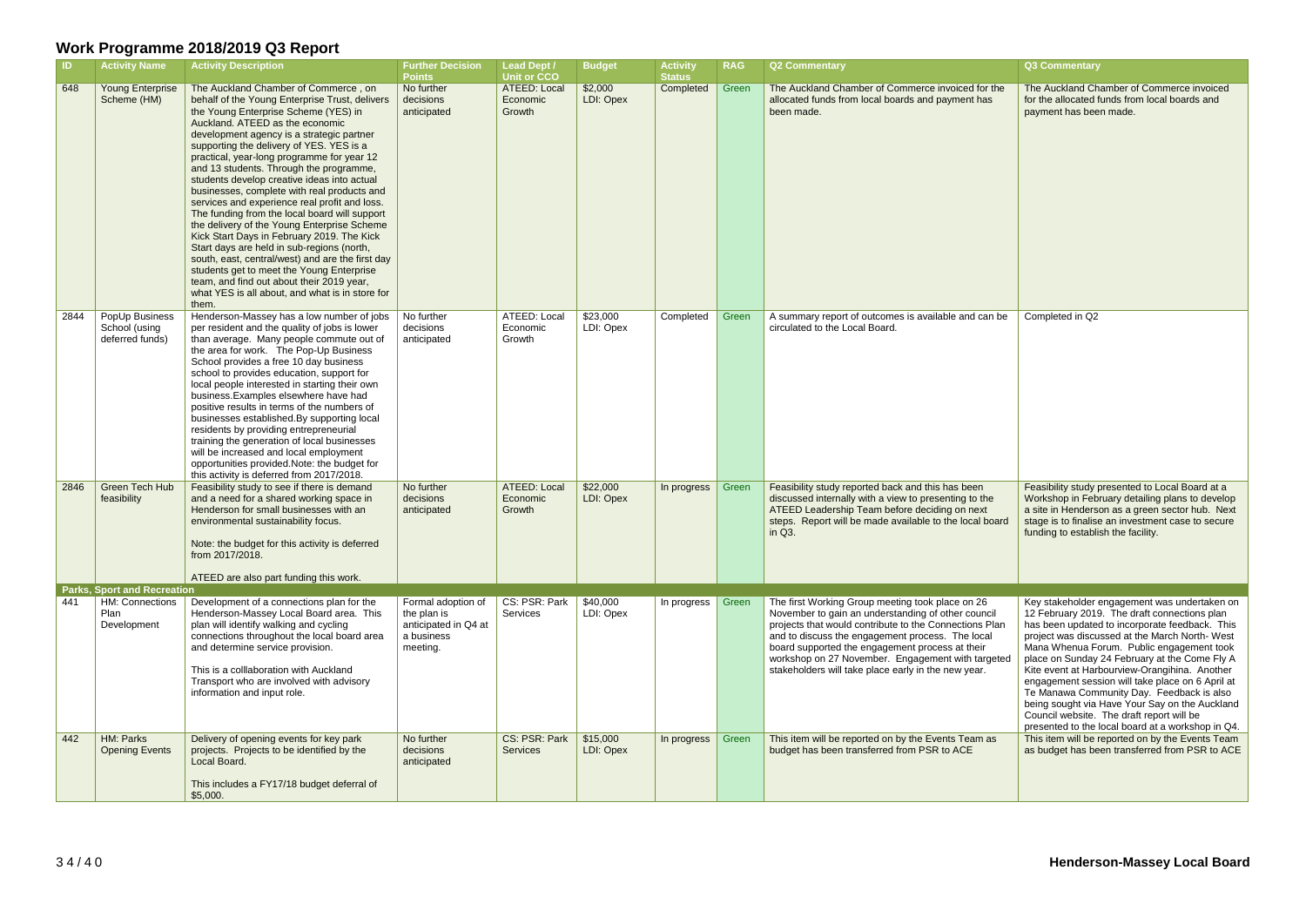| $\blacksquare$ | <b>Activity Name</b>                               | <b>Activity Description</b>                                                                                                                                                                                                                                                                                                                                                                                                                                                                                                                                                                                                                                                                                                                                                                                                                                                                              | <b>Further Decision</b><br><b>Points</b>                                            | <b>Lead Dept /</b><br><b>Unit or CCO</b>  | <b>Budget</b>         | <b>Activity</b><br><b>Status</b> | <b>RAG</b> | <b>Q2 Commentary</b>                                                                                                                                                                                                                                                                                                                                                                | <b>Q3 Commentary</b>                                                                                                                                                                                                                                                                                                                                                                                                                                                                                                                                                                                |
|----------------|----------------------------------------------------|----------------------------------------------------------------------------------------------------------------------------------------------------------------------------------------------------------------------------------------------------------------------------------------------------------------------------------------------------------------------------------------------------------------------------------------------------------------------------------------------------------------------------------------------------------------------------------------------------------------------------------------------------------------------------------------------------------------------------------------------------------------------------------------------------------------------------------------------------------------------------------------------------------|-------------------------------------------------------------------------------------|-------------------------------------------|-----------------------|----------------------------------|------------|-------------------------------------------------------------------------------------------------------------------------------------------------------------------------------------------------------------------------------------------------------------------------------------------------------------------------------------------------------------------------------------|-----------------------------------------------------------------------------------------------------------------------------------------------------------------------------------------------------------------------------------------------------------------------------------------------------------------------------------------------------------------------------------------------------------------------------------------------------------------------------------------------------------------------------------------------------------------------------------------------------|
| 648            | <b>Young Enterprise</b><br>Scheme (HM)             | The Auckland Chamber of Commerce, on<br>behalf of the Young Enterprise Trust, delivers<br>the Young Enterprise Scheme (YES) in<br>Auckland. ATEED as the economic<br>development agency is a strategic partner<br>supporting the delivery of YES. YES is a<br>practical, year-long programme for year 12<br>and 13 students. Through the programme,<br>students develop creative ideas into actual<br>businesses, complete with real products and<br>services and experience real profit and loss.<br>The funding from the local board will support<br>the delivery of the Young Enterprise Scheme<br>Kick Start Days in February 2019. The Kick<br>Start days are held in sub-regions (north,<br>south, east, central/west) and are the first day<br>students get to meet the Young Enterprise<br>team, and find out about their 2019 year,<br>what YES is all about, and what is in store for<br>them. | No further<br>decisions<br>anticipated                                              | <b>ATEED: Local</b><br>Economic<br>Growth | \$2,000<br>LDI: Opex  | Completed                        | Green      | The Auckland Chamber of Commerce invoiced for the<br>allocated funds from local boards and payment has<br>been made.                                                                                                                                                                                                                                                                | The Auckland Chamber of Commerce invoiced<br>for the allocated funds from local boards and<br>payment has been made.                                                                                                                                                                                                                                                                                                                                                                                                                                                                                |
| 2844           | PopUp Business<br>School (using<br>deferred funds) | Henderson-Massey has a low number of jobs<br>per resident and the quality of jobs is lower<br>than average. Many people commute out of<br>the area for work. The Pop-Up Business<br>School provides a free 10 day business<br>school to provides education, support for<br>local people interested in starting their own<br>business. Examples elsewhere have had<br>positive results in terms of the numbers of<br>businesses established.By supporting local<br>residents by providing entrepreneurial<br>training the generation of local businesses<br>will be increased and local employment<br>opportunities provided. Note: the budget for<br>this activity is deferred from 2017/2018.                                                                                                                                                                                                           | No further<br>decisions<br>anticipated                                              | ATEED: Local<br>Economic<br>Growth        | \$23,000<br>LDI: Opex | Completed                        | Green      | A summary report of outcomes is available and can be<br>circulated to the Local Board.                                                                                                                                                                                                                                                                                              | Completed in Q2                                                                                                                                                                                                                                                                                                                                                                                                                                                                                                                                                                                     |
| 2846           | <b>Green Tech Hub</b><br>feasibility               | Feasibility study to see if there is demand<br>and a need for a shared working space in<br>Henderson for small businesses with an<br>environmental sustainability focus.<br>Note: the budget for this activity is deferred<br>from 2017/2018.<br>ATEED are also part funding this work.                                                                                                                                                                                                                                                                                                                                                                                                                                                                                                                                                                                                                  | No further<br>decisions<br>anticipated                                              | ATEED: Local<br>Economic<br>Growth        | \$22,000<br>LDI: Opex | In progress                      | Green      | Feasibility study reported back and this has been<br>discussed internally with a view to presenting to the<br>ATEED Leadership Team before deciding on next<br>steps. Report will be made available to the local board<br>in Q3.                                                                                                                                                    | Feasibility study presented to Local Board at a<br>Workshop in February detailing plans to develop<br>a site in Henderson as a green sector hub. Next<br>stage is to finalise an investment case to secure<br>funding to establish the facility.                                                                                                                                                                                                                                                                                                                                                    |
|                | <b>Parks, Sport and Recreation</b>                 |                                                                                                                                                                                                                                                                                                                                                                                                                                                                                                                                                                                                                                                                                                                                                                                                                                                                                                          |                                                                                     |                                           |                       |                                  |            |                                                                                                                                                                                                                                                                                                                                                                                     |                                                                                                                                                                                                                                                                                                                                                                                                                                                                                                                                                                                                     |
| 441            | <b>HM: Connections</b><br>Plan<br>Development      | Development of a connections plan for the<br>Henderson-Massey Local Board area. This<br>plan will identify walking and cycling<br>connections throughout the local board area<br>and determine service provision.<br>This is a colllaboration with Auckland<br>Transport who are involved with advisory<br>information and input role.                                                                                                                                                                                                                                                                                                                                                                                                                                                                                                                                                                   | Formal adoption of<br>the plan is<br>anticipated in Q4 at<br>a business<br>meeting. | CS: PSR: Park<br>Services                 | \$40,000<br>LDI: Opex | In progress                      | Green      | The first Working Group meeting took place on 26<br>November to gain an understanding of other council<br>projects that would contribute to the Connections Plan<br>and to discuss the engagement process. The local<br>board supported the engagement process at their<br>workshop on 27 November. Engagement with targeted<br>stakeholders will take place early in the new year. | Key stakeholder engagement was undertaken on<br>12 February 2019. The draft connections plan<br>has been updated to incorporate feedback. This<br>project was discussed at the March North-West<br>Mana Whenua Forum. Public engagement took<br>place on Sunday 24 February at the Come Fly A<br>Kite event at Harbourview-Orangihina. Another<br>engagement session will take place on 6 April at<br>Te Manawa Community Day. Feedback is also<br>being sought via Have Your Say on the Auckland<br>Council website. The draft report will be<br>presented to the local board at a workshop in Q4. |
| 442            | HM: Parks<br><b>Opening Events</b>                 | Delivery of opening events for key park<br>projects. Projects to be identified by the<br>Local Board.<br>This includes a FY17/18 budget deferral of<br>\$5,000.                                                                                                                                                                                                                                                                                                                                                                                                                                                                                                                                                                                                                                                                                                                                          | No further<br>decisions<br>anticipated                                              | CS: PSR: Park<br><b>Services</b>          | \$15,000<br>LDI: Opex | In progress                      | Green      | This item will be reported on by the Events Team as<br>budget has been transferred from PSR to ACE                                                                                                                                                                                                                                                                                  | This item will be reported on by the Events Team<br>as budget has been transferred from PSR to ACE                                                                                                                                                                                                                                                                                                                                                                                                                                                                                                  |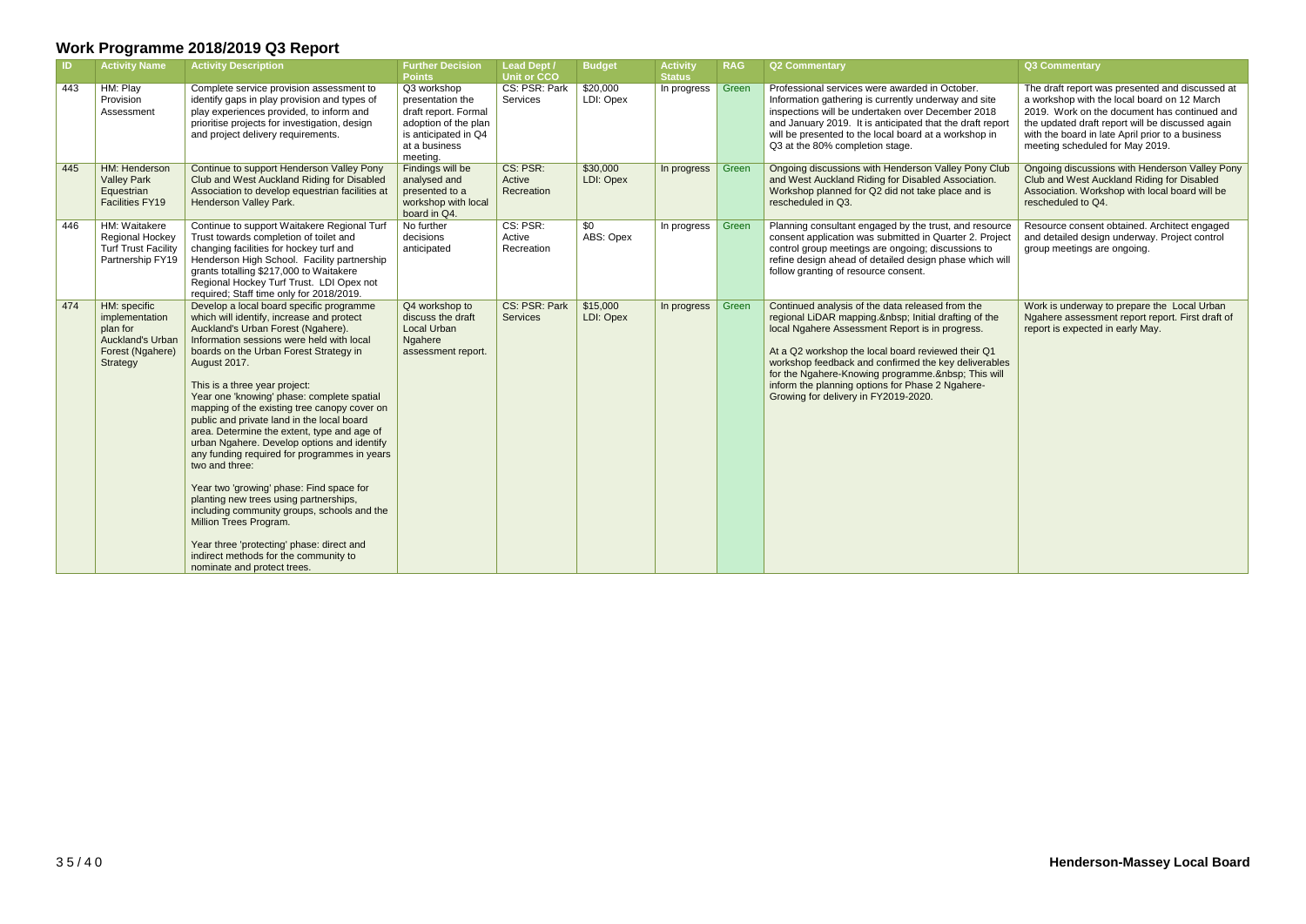| IID. | <b>Activity Name</b>                                                                                  | <b>Activity Description</b>                                                                                                                                                                                                                                                                                                                                                                                                                                                                                                                                                                                                                                                                                                                                                                                                                                         | <b>Further Decision</b><br><b>Points</b>                                                                                             | <b>Lead Dept /</b><br><b>Unit or CCO</b> | <b>Budget</b>         | <b>Activity</b><br><b>Status</b> | <b>RAG</b> | <b>Q2 Commentary</b>                                                                                                                                                                                                                                                                                                                                                                                               | Q3 Commentary                                                                                                                                                                                                                                                                             |
|------|-------------------------------------------------------------------------------------------------------|---------------------------------------------------------------------------------------------------------------------------------------------------------------------------------------------------------------------------------------------------------------------------------------------------------------------------------------------------------------------------------------------------------------------------------------------------------------------------------------------------------------------------------------------------------------------------------------------------------------------------------------------------------------------------------------------------------------------------------------------------------------------------------------------------------------------------------------------------------------------|--------------------------------------------------------------------------------------------------------------------------------------|------------------------------------------|-----------------------|----------------------------------|------------|--------------------------------------------------------------------------------------------------------------------------------------------------------------------------------------------------------------------------------------------------------------------------------------------------------------------------------------------------------------------------------------------------------------------|-------------------------------------------------------------------------------------------------------------------------------------------------------------------------------------------------------------------------------------------------------------------------------------------|
| 443  | HM: Play<br>Provision<br>Assessment                                                                   | Complete service provision assessment to<br>identify gaps in play provision and types of<br>play experiences provided, to inform and<br>prioritise projects for investigation, design<br>and project delivery requirements.                                                                                                                                                                                                                                                                                                                                                                                                                                                                                                                                                                                                                                         | Q3 workshop<br>presentation the<br>draft report. Formal<br>adoption of the plan<br>is anticipated in Q4<br>at a business<br>meeting. | CS: PSR: Park<br>Services                | \$20,000<br>LDI: Opex | In progress                      | Green      | Professional services were awarded in October.<br>Information gathering is currently underway and site<br>inspections will be undertaken over December 2018<br>and January 2019. It is anticipated that the draft report<br>will be presented to the local board at a workshop in<br>Q3 at the 80% completion stage.                                                                                               | The draft report was presented and discussed at<br>a workshop with the local board on 12 March<br>2019. Work on the document has continued and<br>the updated draft report will be discussed again<br>with the board in late April prior to a business<br>meeting scheduled for May 2019. |
| 445  | HM: Henderson<br><b>Valley Park</b><br>Equestrian<br><b>Facilities FY19</b>                           | Continue to support Henderson Valley Pony<br>Club and West Auckland Riding for Disabled<br>Association to develop equestrian facilities at<br>Henderson Valley Park.                                                                                                                                                                                                                                                                                                                                                                                                                                                                                                                                                                                                                                                                                                | Findings will be<br>analysed and<br>presented to a<br>workshop with local<br>board in Q4.                                            | CS: PSR:<br>Active<br>Recreation         | \$30,000<br>LDI: Opex | In progress                      | Green      | Ongoing discussions with Henderson Valley Pony Club<br>and West Auckland Riding for Disabled Association.<br>Workshop planned for Q2 did not take place and is<br>rescheduled in Q3.                                                                                                                                                                                                                               | Ongoing discussions with Henderson Valley Pony<br>Club and West Auckland Riding for Disabled<br>Association. Workshop with local board will be<br>rescheduled to Q4.                                                                                                                      |
| 446  | HM: Waitakere<br>Regional Hockey<br><b>Turf Trust Facility</b><br>Partnership FY19                    | Continue to support Waitakere Regional Turf<br>Trust towards completion of toilet and<br>changing facilities for hockey turf and<br>Henderson High School. Facility partnership<br>grants totalling \$217,000 to Waitakere<br>Regional Hockey Turf Trust. LDI Opex not<br>required; Staff time only for 2018/2019.                                                                                                                                                                                                                                                                                                                                                                                                                                                                                                                                                  | No further<br>decisions<br>anticipated                                                                                               | CS: PSR:<br>Active<br>Recreation         | \$0<br>ABS: Opex      | In progress                      | Green      | Planning consultant engaged by the trust, and resource<br>consent application was submitted in Quarter 2. Project<br>control group meetings are ongoing; discussions to<br>refine design ahead of detailed design phase which will<br>follow granting of resource consent.                                                                                                                                         | Resource consent obtained. Architect engaged<br>and detailed design underway. Project control<br>group meetings are ongoing.                                                                                                                                                              |
| 474  | HM: specific<br>implementation<br>plan for<br><b>Auckland's Urban</b><br>Forest (Ngahere)<br>Strategy | Develop a local board specific programme<br>which will identify, increase and protect<br>Auckland's Urban Forest (Ngahere).<br>Information sessions were held with local<br>boards on the Urban Forest Strategy in<br>August 2017.<br>This is a three year project:<br>Year one 'knowing' phase: complete spatial<br>mapping of the existing tree canopy cover on<br>public and private land in the local board<br>area. Determine the extent, type and age of<br>urban Ngahere. Develop options and identify<br>any funding required for programmes in years<br>two and three:<br>Year two 'growing' phase: Find space for<br>planting new trees using partnerships,<br>including community groups, schools and the<br>Million Trees Program.<br>Year three 'protecting' phase: direct and<br>indirect methods for the community to<br>nominate and protect trees. | Q4 workshop to<br>discuss the draft<br>Local Urban<br>Ngahere<br>assessment report.                                                  | CS: PSR: Park<br><b>Services</b>         | \$15,000<br>LDI: Opex | In progress                      | Green      | Continued analysis of the data released from the<br>regional LiDAR mapping.  Initial drafting of the<br>local Ngahere Assessment Report is in progress.<br>At a Q2 workshop the local board reviewed their Q1<br>workshop feedback and confirmed the key deliverables<br>for the Ngahere-Knowing programme.  This will<br>inform the planning options for Phase 2 Ngahere-<br>Growing for delivery in FY2019-2020. | Work is underway to prepare the Local Urban<br>Ngahere assessment report report. First draft of<br>report is expected in early May.                                                                                                                                                       |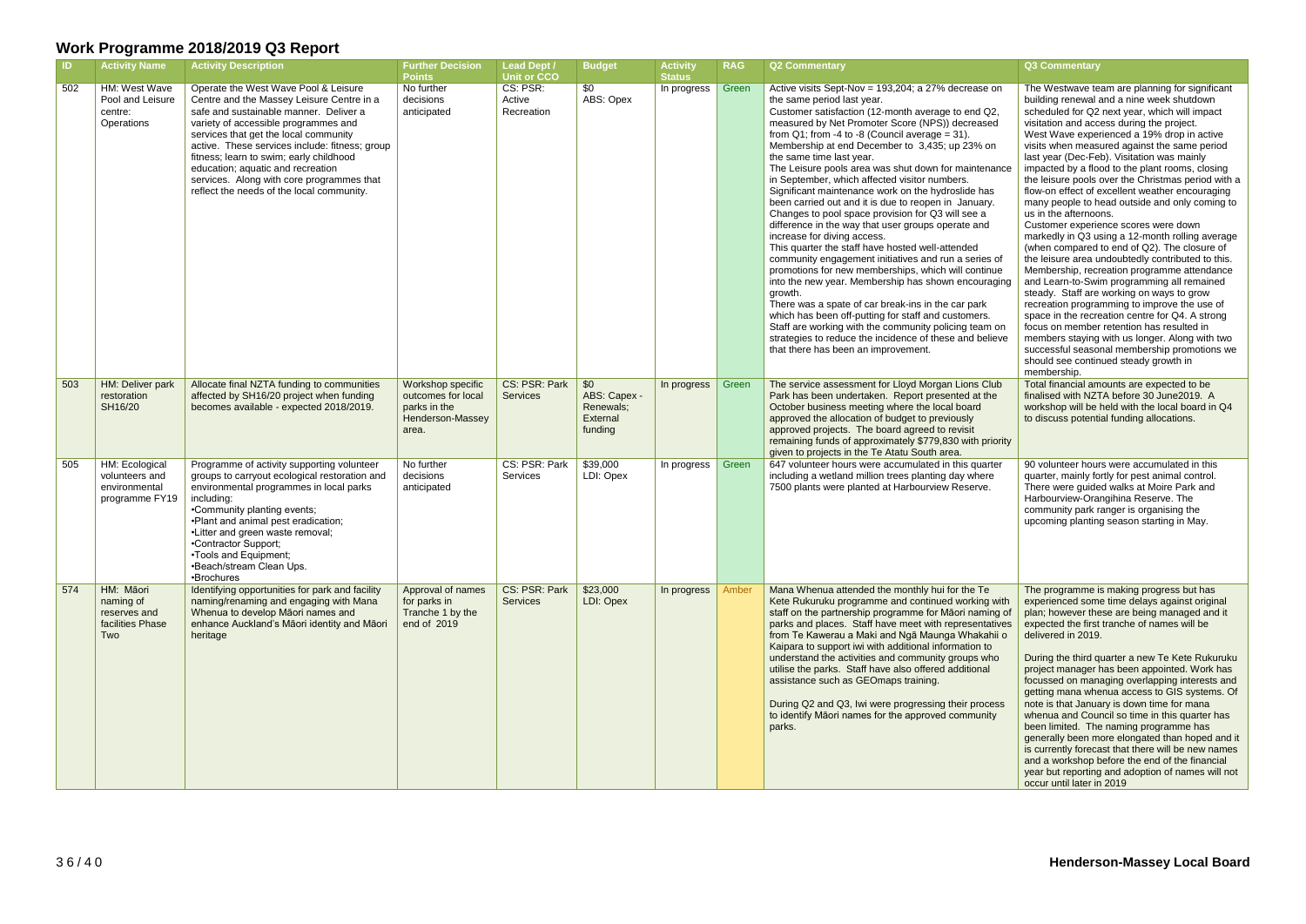| -ID- | <b>Activity Name</b>                                                | <b>Activity Description</b>                                                                                                                                                                                                                                                                                                                                                                                                              | <b>Further Decision</b><br><b>Points</b>                                             | <b>Lead Dept /</b><br><b>Unit or CCO</b> | <b>Budget</b>                                           | <b>Activity</b><br><b>Status</b> | <b>RAG</b> | <b>Q2 Commentary</b>                                                                                                                                                                                                                                                                                                                                                                                                                                                                                                                                                                                                                                                                                                                                                                                                                                                                                                                                                                                                                                                                                                                                                                                        | Q3 Commentary                                                                                                                                                                                                                                                                                                                                                                                                                                                                                                                                                                                                                                                                                                                                                                                                                                                                                                                                                                                                                                                                                                                                                                                                                    |
|------|---------------------------------------------------------------------|------------------------------------------------------------------------------------------------------------------------------------------------------------------------------------------------------------------------------------------------------------------------------------------------------------------------------------------------------------------------------------------------------------------------------------------|--------------------------------------------------------------------------------------|------------------------------------------|---------------------------------------------------------|----------------------------------|------------|-------------------------------------------------------------------------------------------------------------------------------------------------------------------------------------------------------------------------------------------------------------------------------------------------------------------------------------------------------------------------------------------------------------------------------------------------------------------------------------------------------------------------------------------------------------------------------------------------------------------------------------------------------------------------------------------------------------------------------------------------------------------------------------------------------------------------------------------------------------------------------------------------------------------------------------------------------------------------------------------------------------------------------------------------------------------------------------------------------------------------------------------------------------------------------------------------------------|----------------------------------------------------------------------------------------------------------------------------------------------------------------------------------------------------------------------------------------------------------------------------------------------------------------------------------------------------------------------------------------------------------------------------------------------------------------------------------------------------------------------------------------------------------------------------------------------------------------------------------------------------------------------------------------------------------------------------------------------------------------------------------------------------------------------------------------------------------------------------------------------------------------------------------------------------------------------------------------------------------------------------------------------------------------------------------------------------------------------------------------------------------------------------------------------------------------------------------|
| 502  | HM: West Wave<br>Pool and Leisure<br>centre:<br>Operations          | Operate the West Wave Pool & Leisure<br>Centre and the Massey Leisure Centre in a<br>safe and sustainable manner. Deliver a<br>variety of accessible programmes and<br>services that get the local community<br>active. These services include: fitness; group<br>fitness; learn to swim; early childhood<br>education; aquatic and recreation<br>services. Along with core programmes that<br>reflect the needs of the local community. | No further<br>decisions<br>anticipated                                               | CS: PSR:<br>Active<br>Recreation         | \$0<br>ABS: Opex                                        | In progress                      | Green      | Active visits Sept-Nov = 193,204; a 27% decrease on<br>the same period last year.<br>Customer satisfaction (12-month average to end Q2,<br>measured by Net Promoter Score (NPS)) decreased<br>from $Q1$ ; from -4 to -8 (Council average = 31).<br>Membership at end December to 3,435; up 23% on<br>the same time last year.<br>The Leisure pools area was shut down for maintenance<br>in September, which affected visitor numbers.<br>Significant maintenance work on the hydroslide has<br>been carried out and it is due to reopen in January.<br>Changes to pool space provision for Q3 will see a<br>difference in the way that user groups operate and<br>increase for diving access.<br>This quarter the staff have hosted well-attended<br>community engagement initiatives and run a series of<br>promotions for new memberships, which will continue<br>into the new year. Membership has shown encouraging<br>growth.<br>There was a spate of car break-ins in the car park<br>which has been off-putting for staff and customers.<br>Staff are working with the community policing team on<br>strategies to reduce the incidence of these and believe<br>that there has been an improvement. | The Westwave team are planning for significant<br>building renewal and a nine week shutdown<br>scheduled for Q2 next year, which will impact<br>visitation and access during the project.<br>West Wave experienced a 19% drop in active<br>visits when measured against the same period<br>last year (Dec-Feb). Visitation was mainly<br>impacted by a flood to the plant rooms, closing<br>the leisure pools over the Christmas period with a<br>flow-on effect of excellent weather encouraging<br>many people to head outside and only coming to<br>us in the afternoons.<br>Customer experience scores were down<br>markedly in Q3 using a 12-month rolling average<br>(when compared to end of Q2). The closure of<br>the leisure area undoubtedly contributed to this.<br>Membership, recreation programme attendance<br>and Learn-to-Swim programming all remained<br>steady. Staff are working on ways to grow<br>recreation programming to improve the use of<br>space in the recreation centre for Q4. A strong<br>focus on member retention has resulted in<br>members staying with us longer. Along with two<br>successful seasonal membership promotions we<br>should see continued steady growth in<br>membership. |
| 503  | HM: Deliver park<br>restoration<br>SH16/20                          | Allocate final NZTA funding to communities<br>affected by SH16/20 project when funding<br>becomes available - expected 2018/2019.                                                                                                                                                                                                                                                                                                        | Workshop specific<br>outcomes for local<br>parks in the<br>Henderson-Massey<br>area. | CS: PSR: Park<br><b>Services</b>         | \$0<br>ABS: Capex -<br>Renewals;<br>External<br>funding | In progress                      | Green      | The service assessment for Lloyd Morgan Lions Club<br>Park has been undertaken. Report presented at the<br>October business meeting where the local board<br>approved the allocation of budget to previously<br>approved projects. The board agreed to revisit<br>remaining funds of approximately \$779,830 with priority<br>given to projects in the Te Atatu South area.                                                                                                                                                                                                                                                                                                                                                                                                                                                                                                                                                                                                                                                                                                                                                                                                                                 | Total financial amounts are expected to be<br>finalised with NZTA before 30 June2019. A<br>workshop will be held with the local board in Q4<br>to discuss potential funding allocations.                                                                                                                                                                                                                                                                                                                                                                                                                                                                                                                                                                                                                                                                                                                                                                                                                                                                                                                                                                                                                                         |
| 505  | HM: Ecological<br>volunteers and<br>environmental<br>programme FY19 | Programme of activity supporting volunteer<br>groups to carryout ecological restoration and<br>environmental programmes in local parks<br>including:<br>•Community planting events;<br>•Plant and animal pest eradication;<br>•Litter and green waste removal;<br>•Contractor Support;<br>•Tools and Equipment;<br>•Beach/stream Clean Ups.<br>•Brochures                                                                                | No further<br>decisions<br>anticipated                                               | CS: PSR: Park<br>Services                | \$39,000<br>LDI: Opex                                   | In progress                      | Green      | 647 volunteer hours were accumulated in this quarter<br>including a wetland million trees planting day where<br>7500 plants were planted at Harbourview Reserve.                                                                                                                                                                                                                                                                                                                                                                                                                                                                                                                                                                                                                                                                                                                                                                                                                                                                                                                                                                                                                                            | 90 volunteer hours were accumulated in this<br>quarter, mainly fortly for pest animal control.<br>There were guided walks at Moire Park and<br>Harbourview-Orangihina Reserve. The<br>community park ranger is organising the<br>upcoming planting season starting in May.                                                                                                                                                                                                                                                                                                                                                                                                                                                                                                                                                                                                                                                                                                                                                                                                                                                                                                                                                       |
| 574  | HM: Māori<br>naming of<br>reserves and<br>facilities Phase<br>Two   | Identifying opportunities for park and facility<br>naming/renaming and engaging with Mana<br>Whenua to develop Māori names and<br>enhance Auckland's Māori identity and Māori<br>heritage                                                                                                                                                                                                                                                | Approval of names<br>for parks in<br>Tranche 1 by the<br>end of 2019                 | CS: PSR: Park<br><b>Services</b>         | \$23,000<br>LDI: Opex                                   | In progress                      | Amber      | Mana Whenua attended the monthly hui for the Te<br>Kete Rukuruku programme and continued working with<br>staff on the partnership programme for Māori naming of<br>parks and places. Staff have meet with representatives<br>from Te Kawerau a Maki and Ngā Maunga Whakahii o<br>Kaipara to support iwi with additional information to<br>understand the activities and community groups who<br>utilise the parks. Staff have also offered additional<br>assistance such as GEOmaps training.<br>During Q2 and Q3, Iwi were progressing their process<br>to identify Māori names for the approved community<br>parks.                                                                                                                                                                                                                                                                                                                                                                                                                                                                                                                                                                                       | The programme is making progress but has<br>experienced some time delays against original<br>plan; however these are being managed and it<br>expected the first tranche of names will be<br>delivered in 2019.<br>During the third quarter a new Te Kete Rukuruku<br>project manager has been appointed. Work has<br>focussed on managing overlapping interests and<br>getting mana whenua access to GIS systems. Of<br>note is that January is down time for mana<br>whenua and Council so time in this quarter has<br>been limited. The naming programme has<br>generally been more elongated than hoped and it<br>is currently forecast that there will be new names<br>and a workshop before the end of the financial<br>year but reporting and adoption of names will not<br>occur until later in 2019                                                                                                                                                                                                                                                                                                                                                                                                                      |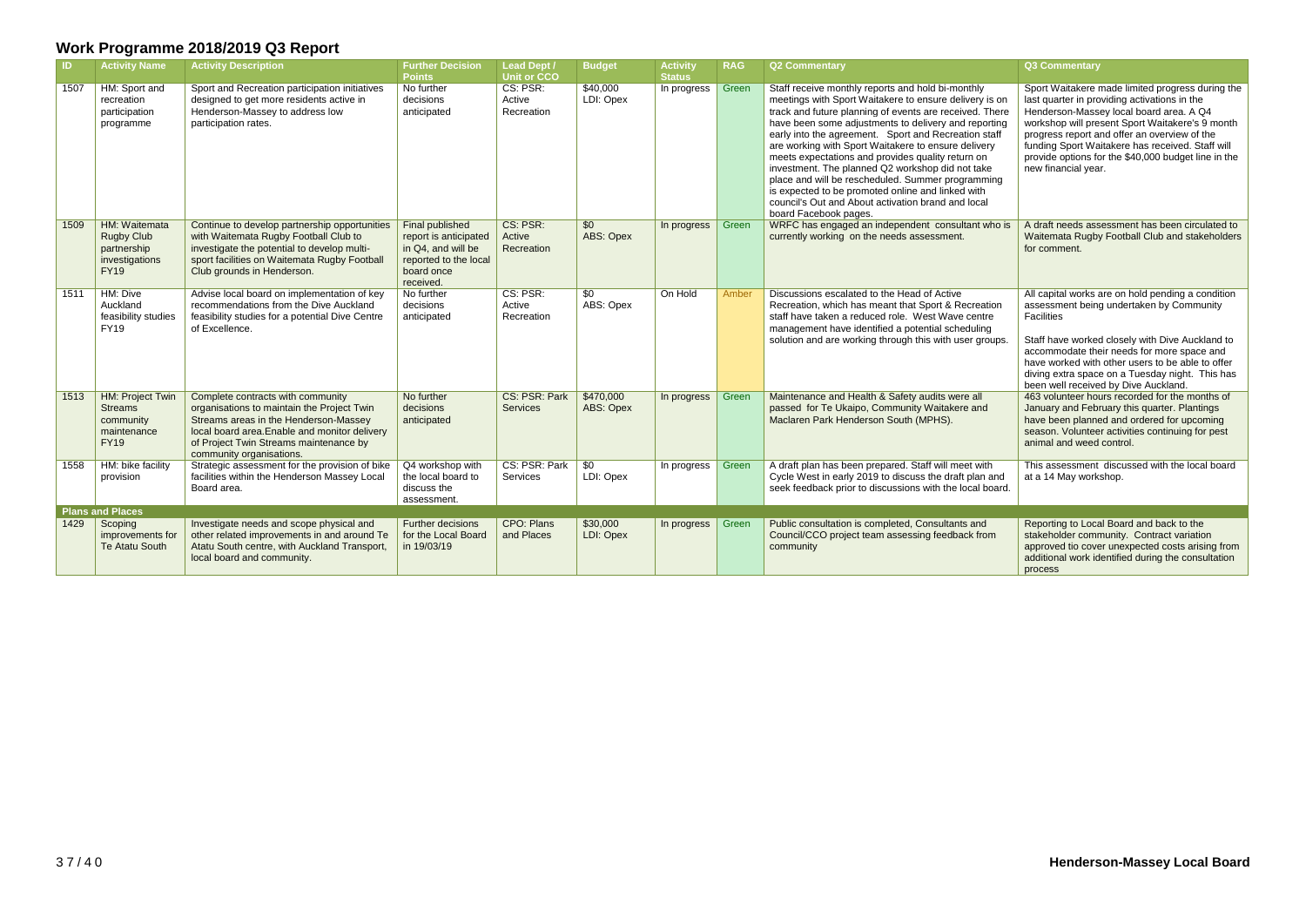| <b>ID</b> | <b>Activity Name</b>                                                               | <b>Activity Description</b>                                                                                                                                                                                                                     | <b>Further Decision</b><br><b>Points</b>                                                                           | <b>Lead Dept /</b><br><b>Unit or CCO</b> | <b>Budget</b>          | <b>Activity</b><br><b>Status</b> | <b>RAG</b> | <b>Q2 Commentary</b>                                                                                                                                                                                                                                                                                                                                                                                                                                                                                                                                                                                                                            | Q3 Commentary                                                                                                                                                                                                                                                                                                                                                                    |
|-----------|------------------------------------------------------------------------------------|-------------------------------------------------------------------------------------------------------------------------------------------------------------------------------------------------------------------------------------------------|--------------------------------------------------------------------------------------------------------------------|------------------------------------------|------------------------|----------------------------------|------------|-------------------------------------------------------------------------------------------------------------------------------------------------------------------------------------------------------------------------------------------------------------------------------------------------------------------------------------------------------------------------------------------------------------------------------------------------------------------------------------------------------------------------------------------------------------------------------------------------------------------------------------------------|----------------------------------------------------------------------------------------------------------------------------------------------------------------------------------------------------------------------------------------------------------------------------------------------------------------------------------------------------------------------------------|
| 1507      | HM: Sport and<br>recreation<br>participation<br>programme                          | Sport and Recreation participation initiatives<br>designed to get more residents active in<br>Henderson-Massey to address low<br>participation rates.                                                                                           | No further<br>decisions<br>anticipated                                                                             | CS: PSR:<br>Active<br>Recreation         | \$40,000<br>LDI: Opex  | In progress                      | Green      | Staff receive monthly reports and hold bi-monthly<br>meetings with Sport Waitakere to ensure delivery is on<br>track and future planning of events are received. There<br>have been some adjustments to delivery and reporting<br>early into the agreement. Sport and Recreation staff<br>are working with Sport Waitakere to ensure delivery<br>meets expectations and provides quality return on<br>investment. The planned Q2 workshop did not take<br>place and will be rescheduled. Summer programming<br>is expected to be promoted online and linked with<br>council's Out and About activation brand and local<br>board Facebook pages. | Sport Waitakere made limited progress during the<br>last quarter in providing activations in the<br>Henderson-Massey local board area. A Q4<br>workshop will present Sport Waitakere's 9 month<br>progress report and offer an overview of the<br>funding Sport Waitakere has received. Staff will<br>provide options for the \$40,000 budget line in the<br>new financial year. |
| 1509      | HM: Waitemata<br><b>Rugby Club</b><br>partnership<br>investigations<br><b>FY19</b> | Continue to develop partnership opportunities<br>with Waitemata Rugby Football Club to<br>investigate the potential to develop multi-<br>sport facilities on Waitemata Rugby Football<br>Club grounds in Henderson.                             | Final published<br>report is anticipated<br>in Q4, and will be<br>reported to the local<br>board once<br>received. | CS: PSR:<br>Active<br>Recreation         | \$0<br>ABS: Opex       | In progress                      | Green      | WRFC has engaged an independent consultant who is<br>currently working on the needs assessment.                                                                                                                                                                                                                                                                                                                                                                                                                                                                                                                                                 | A draft needs assessment has been circulated to<br>Waitemata Rugby Football Club and stakeholders<br>for comment.                                                                                                                                                                                                                                                                |
| 1511      | HM: Dive<br>Auckland<br>feasibility studies<br><b>FY19</b>                         | Advise local board on implementation of key<br>recommendations from the Dive Auckland<br>feasibility studies for a potential Dive Centre<br>of Excellence.                                                                                      | No further<br>decisions<br>anticipated                                                                             | CS: PSR:<br>Active<br>Recreation         | \$0<br>ABS: Opex       | On Hold                          | Amber      | Discussions escalated to the Head of Active<br>Recreation, which has meant that Sport & Recreation<br>staff have taken a reduced role. West Wave centre<br>management have identified a potential scheduling<br>solution and are working through this with user groups.                                                                                                                                                                                                                                                                                                                                                                         | All capital works are on hold pending a condition<br>assessment being undertaken by Community<br>Facilities<br>Staff have worked closely with Dive Auckland to<br>accommodate their needs for more space and<br>have worked with other users to be able to offer<br>diving extra space on a Tuesday night. This has<br>been well received by Dive Auckland.                      |
| 1513      | HM: Project Twin<br><b>Streams</b><br>community<br>maintenance<br><b>FY19</b>      | Complete contracts with community<br>organisations to maintain the Project Twin<br>Streams areas in the Henderson-Massey<br>local board area. Enable and monitor delivery<br>of Project Twin Streams maintenance by<br>community organisations. | No further<br>decisions<br>anticipated                                                                             | CS: PSR: Park<br>Services                | \$470,000<br>ABS: Opex | In progress                      | Green      | Maintenance and Health & Safety audits were all<br>passed for Te Ukaipo, Community Waitakere and<br>Maclaren Park Henderson South (MPHS).                                                                                                                                                                                                                                                                                                                                                                                                                                                                                                       | 463 volunteer hours recorded for the months of<br>January and February this quarter. Plantings<br>have been planned and ordered for upcoming<br>season. Volunteer activities continuing for pest<br>animal and weed control.                                                                                                                                                     |
| 1558      | HM: bike facility<br>provision                                                     | Strategic assessment for the provision of bike<br>facilities within the Henderson Massey Local<br>Board area.                                                                                                                                   | Q4 workshop with<br>the local board to<br>discuss the<br>assessment.                                               | CS: PSR: Park<br>Services                | \$0<br>LDI: Opex       | In progress                      | Green      | A draft plan has been prepared. Staff will meet with<br>Cycle West in early 2019 to discuss the draft plan and<br>seek feedback prior to discussions with the local board.                                                                                                                                                                                                                                                                                                                                                                                                                                                                      | This assessment discussed with the local board<br>at a 14 May workshop.                                                                                                                                                                                                                                                                                                          |
|           | <b>Plans and Places</b>                                                            |                                                                                                                                                                                                                                                 |                                                                                                                    |                                          |                        |                                  |            |                                                                                                                                                                                                                                                                                                                                                                                                                                                                                                                                                                                                                                                 |                                                                                                                                                                                                                                                                                                                                                                                  |
| 1429      | Scoping<br>improvements for<br><b>Te Atatu South</b>                               | Investigate needs and scope physical and<br>other related improvements in and around Te<br>Atatu South centre, with Auckland Transport,<br>local board and community.                                                                           | <b>Further decisions</b><br>for the Local Board<br>in 19/03/19                                                     | CPO: Plans<br>and Places                 | \$30,000<br>LDI: Opex  | In progress $\vert$              | Green      | Public consultation is completed, Consultants and<br>Council/CCO project team assessing feedback from<br>community                                                                                                                                                                                                                                                                                                                                                                                                                                                                                                                              | Reporting to Local Board and back to the<br>stakeholder community. Contract variation<br>approved tio cover unexpected costs arising from<br>additional work identified during the consultation<br>process                                                                                                                                                                       |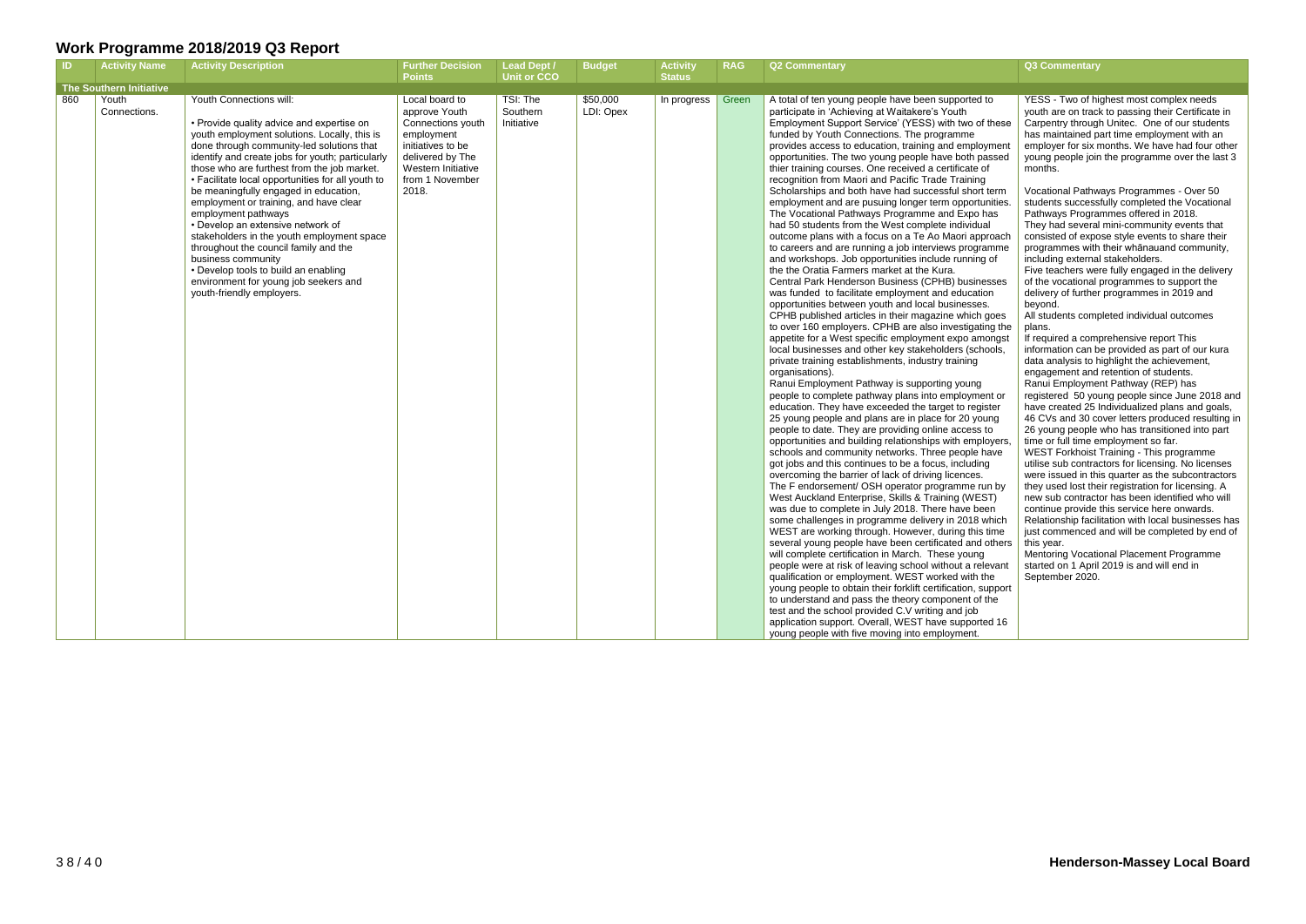| - ID. | <b>Activity Name</b>    | <b>Activity Description</b>                                                                                                                                                                                                                                                                                                                                                                                                                                                                                                                                                                                                                                                                         | <b>Further Decision</b><br><b>Points</b>                                                                                                                      | Lead Dept /<br><b>Unit or CCO</b>  | <b>Budget</b>         | <b>Activity</b><br><b>Status</b> | <b>RAG</b> | <b>Q2 Commentary</b>                                                                                                                                                                                                                                                                                                                                                                                                                                                                                                                                                                                                                                                                                                                                                                                                                                                                                                                                                                                                                                                                                                                                                                                                                                                                                                                                                                                                                                                                                                                                                                                                                                                                                                                                                                                                                                                                                                                                                                                                                                                                                                                                                                                                                                                                                                                                                                                                                                                                                                                                                                                                                                                             | <b>Q3 Commentary</b>                                                                                                                                                                                                                                                                                                                                                                                                                                                                                                                                                                                                                                                                                                                                                                                                                                                                                                                                                                                                                                                                                                                                                                                                                                                                                                                                                                                                                                                                                                                                                                                                                                                                                                                                                                                                                                                                             |
|-------|-------------------------|-----------------------------------------------------------------------------------------------------------------------------------------------------------------------------------------------------------------------------------------------------------------------------------------------------------------------------------------------------------------------------------------------------------------------------------------------------------------------------------------------------------------------------------------------------------------------------------------------------------------------------------------------------------------------------------------------------|---------------------------------------------------------------------------------------------------------------------------------------------------------------|------------------------------------|-----------------------|----------------------------------|------------|----------------------------------------------------------------------------------------------------------------------------------------------------------------------------------------------------------------------------------------------------------------------------------------------------------------------------------------------------------------------------------------------------------------------------------------------------------------------------------------------------------------------------------------------------------------------------------------------------------------------------------------------------------------------------------------------------------------------------------------------------------------------------------------------------------------------------------------------------------------------------------------------------------------------------------------------------------------------------------------------------------------------------------------------------------------------------------------------------------------------------------------------------------------------------------------------------------------------------------------------------------------------------------------------------------------------------------------------------------------------------------------------------------------------------------------------------------------------------------------------------------------------------------------------------------------------------------------------------------------------------------------------------------------------------------------------------------------------------------------------------------------------------------------------------------------------------------------------------------------------------------------------------------------------------------------------------------------------------------------------------------------------------------------------------------------------------------------------------------------------------------------------------------------------------------------------------------------------------------------------------------------------------------------------------------------------------------------------------------------------------------------------------------------------------------------------------------------------------------------------------------------------------------------------------------------------------------------------------------------------------------------------------------------------------------|--------------------------------------------------------------------------------------------------------------------------------------------------------------------------------------------------------------------------------------------------------------------------------------------------------------------------------------------------------------------------------------------------------------------------------------------------------------------------------------------------------------------------------------------------------------------------------------------------------------------------------------------------------------------------------------------------------------------------------------------------------------------------------------------------------------------------------------------------------------------------------------------------------------------------------------------------------------------------------------------------------------------------------------------------------------------------------------------------------------------------------------------------------------------------------------------------------------------------------------------------------------------------------------------------------------------------------------------------------------------------------------------------------------------------------------------------------------------------------------------------------------------------------------------------------------------------------------------------------------------------------------------------------------------------------------------------------------------------------------------------------------------------------------------------------------------------------------------------------------------------------------------------|
|       | The Southern Initiative |                                                                                                                                                                                                                                                                                                                                                                                                                                                                                                                                                                                                                                                                                                     |                                                                                                                                                               |                                    |                       |                                  |            |                                                                                                                                                                                                                                                                                                                                                                                                                                                                                                                                                                                                                                                                                                                                                                                                                                                                                                                                                                                                                                                                                                                                                                                                                                                                                                                                                                                                                                                                                                                                                                                                                                                                                                                                                                                                                                                                                                                                                                                                                                                                                                                                                                                                                                                                                                                                                                                                                                                                                                                                                                                                                                                                                  |                                                                                                                                                                                                                                                                                                                                                                                                                                                                                                                                                                                                                                                                                                                                                                                                                                                                                                                                                                                                                                                                                                                                                                                                                                                                                                                                                                                                                                                                                                                                                                                                                                                                                                                                                                                                                                                                                                  |
| 860   | Youth<br>Connections.   | Youth Connections will:<br>• Provide quality advice and expertise on<br>youth employment solutions. Locally, this is<br>done through community-led solutions that<br>identify and create jobs for youth; particularly<br>those who are furthest from the job market.<br>• Facilitate local opportunities for all youth to<br>be meaningfully engaged in education,<br>employment or training, and have clear<br>employment pathways<br>• Develop an extensive network of<br>stakeholders in the youth employment space<br>throughout the council family and the<br>business community<br>• Develop tools to build an enabling<br>environment for young job seekers and<br>youth-friendly employers. | Local board to<br>approve Youth<br>Connections youth<br>employment<br>initiatives to be<br>delivered by The<br>Western Initiative<br>from 1 November<br>2018. | TSI: The<br>Southern<br>Initiative | \$50,000<br>LDI: Opex | In progress                      | Green      | A total of ten young people have been supported to<br>participate in 'Achieving at Waitakere's Youth<br>Employment Support Service' (YESS) with two of these<br>funded by Youth Connections. The programme<br>provides access to education, training and employment<br>opportunities. The two young people have both passed<br>thier training courses. One received a certificate of<br>recognition from Maori and Pacific Trade Training<br>Scholarships and both have had successful short term<br>employment and are pusuing longer term opportunities.<br>The Vocational Pathways Programme and Expo has<br>had 50 students from the West complete individual<br>outcome plans with a focus on a Te Ao Maori approach<br>to careers and are running a job interviews programme<br>and workshops. Job opportunities include running of<br>the the Oratia Farmers market at the Kura.<br>Central Park Henderson Business (CPHB) businesses<br>was funded to facilitate employment and education<br>opportunities between youth and local businesses.<br>CPHB published articles in their magazine which goes<br>to over 160 employers. CPHB are also investigating the<br>appetite for a West specific employment expo amongst<br>local businesses and other key stakeholders (schools,<br>private training establishments, industry training<br>organisations).<br>Ranui Employment Pathway is supporting young<br>people to complete pathway plans into employment or<br>education. They have exceeded the target to register<br>25 young people and plans are in place for 20 young<br>people to date. They are providing online access to<br>opportunities and building relationships with employers,<br>schools and community networks. Three people have<br>got jobs and this continues to be a focus, including<br>overcoming the barrier of lack of driving licences.<br>The F endorsement/ OSH operator programme run by<br>West Auckland Enterprise, Skills & Training (WEST)<br>was due to complete in July 2018. There have been<br>some challenges in programme delivery in 2018 which<br>WEST are working through. However, during this time<br>several young people have been certificated and others<br>will complete certification in March. These young<br>people were at risk of leaving school without a relevant<br>qualification or employment. WEST worked with the<br>young people to obtain their forklift certification, support<br>to understand and pass the theory component of the<br>test and the school provided C.V writing and job<br>application support. Overall, WEST have supported 16<br>young people with five moving into employment. | YESS - Two of highest most complex needs<br>youth are on track to passing their Certificate in<br>Carpentry through Unitec. One of our students<br>has maintained part time employment with an<br>employer for six months. We have had four other<br>young people join the programme over the last 3<br>months.<br>Vocational Pathways Programmes - Over 50<br>students successfully completed the Vocational<br>Pathways Programmes offered in 2018.<br>They had several mini-community events that<br>consisted of expose style events to share their<br>programmes with their whanauand community,<br>including external stakeholders.<br>Five teachers were fully engaged in the delivery<br>of the vocational programmes to support the<br>delivery of further programmes in 2019 and<br>beyond.<br>All students completed individual outcomes<br>plans.<br>If required a comprehensive report This<br>information can be provided as part of our kura<br>data analysis to highlight the achievement,<br>engagement and retention of students.<br>Ranui Employment Pathway (REP) has<br>registered 50 young people since June 2018 and<br>have created 25 Individualized plans and goals,<br>46 CVs and 30 cover letters produced resulting in<br>26 young people who has transitioned into part<br>time or full time employment so far.<br>WEST Forkhoist Training - This programme<br>utilise sub contractors for licensing. No licenses<br>were issued in this quarter as the subcontractors<br>they used lost their registration for licensing. A<br>new sub contractor has been identified who will<br>continue provide this service here onwards.<br>Relationship facilitation with local businesses has<br>just commenced and will be completed by end of<br>this year.<br>Mentoring Vocational Placement Programme<br>started on 1 April 2019 is and will end in<br>September 2020. |

| Q3_Commentary |  |
|---------------|--|
|               |  |
|               |  |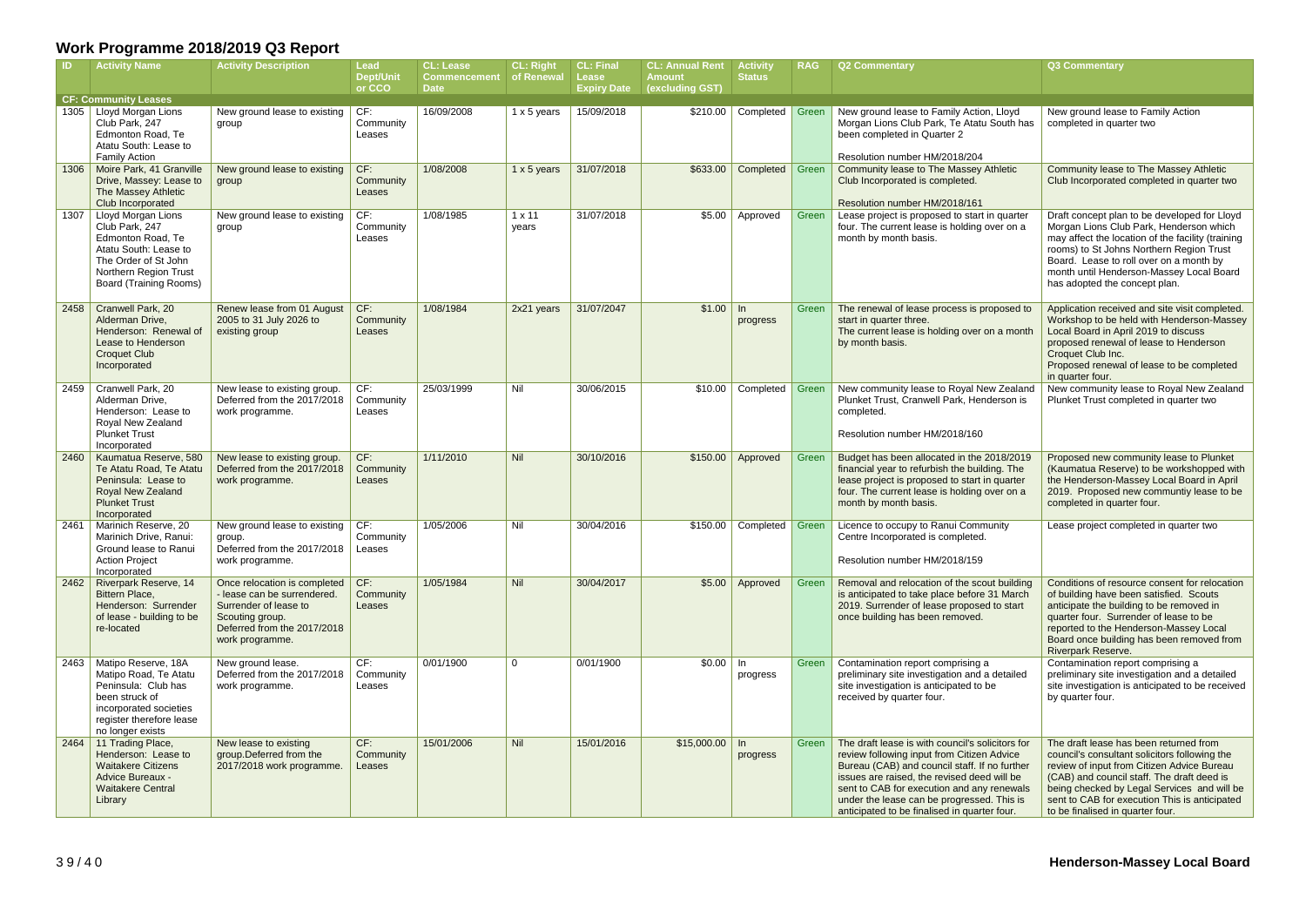|      | <b>Activity Name</b>                                                                                                                                                 | <b>Activity Description</b>                                                                                                                               | Lead<br><b>Dept/Unit</b><br>or CCO | <b>CL: Lease</b><br><b>Commencement</b><br><b>Date</b> | <b>CL: Right</b><br>of Renewal | <b>CL: Final</b><br>Lease<br><b>Expiry Date</b> | <b>CL: Annual Rent</b><br><b>Amount</b><br>(excluding GST) | <b>Activity</b><br><b>Status</b> | <b>RAG</b> | <b>Q2 Commentary</b>                                                                                                                                                                                                                                                                                                                       | Q3 Commentary                                                                                                                                                                                                                                                                                                           |
|------|----------------------------------------------------------------------------------------------------------------------------------------------------------------------|-----------------------------------------------------------------------------------------------------------------------------------------------------------|------------------------------------|--------------------------------------------------------|--------------------------------|-------------------------------------------------|------------------------------------------------------------|----------------------------------|------------|--------------------------------------------------------------------------------------------------------------------------------------------------------------------------------------------------------------------------------------------------------------------------------------------------------------------------------------------|-------------------------------------------------------------------------------------------------------------------------------------------------------------------------------------------------------------------------------------------------------------------------------------------------------------------------|
|      | <b>CF: Community Leases</b>                                                                                                                                          |                                                                                                                                                           |                                    |                                                        |                                |                                                 |                                                            |                                  |            |                                                                                                                                                                                                                                                                                                                                            |                                                                                                                                                                                                                                                                                                                         |
|      | 1305   Lloyd Morgan Lions<br>Club Park, 247<br>Edmonton Road, Te<br>Atatu South: Lease to<br><b>Family Action</b>                                                    | New ground lease to existing<br>group                                                                                                                     | CF:<br>Community<br>Leases         | 16/09/2008                                             | 1 x 5 years                    | 15/09/2018                                      | \$210.00                                                   | Completed                        | Green      | New ground lease to Family Action, Lloyd<br>Morgan Lions Club Park, Te Atatu South has<br>been completed in Quarter 2<br>Resolution number HM/2018/204                                                                                                                                                                                     | New ground lease to Family Action<br>completed in quarter two                                                                                                                                                                                                                                                           |
| 1306 | Moire Park, 41 Granville<br>Drive, Massey: Lease to<br>The Massey Athletic<br>Club Incorporated                                                                      | New ground lease to existing<br>group                                                                                                                     | CF:<br>Community<br>Leases         | 1/08/2008                                              | 1 x 5 years                    | 31/07/2018                                      | \$633.00                                                   | Completed                        | Green      | Community lease to The Massey Athletic<br>Club Incorporated is completed.<br>Resolution number HM/2018/161                                                                                                                                                                                                                                 | Community lease to The Massey Athletic<br>Club Incorporated completed in quarter two                                                                                                                                                                                                                                    |
| 1307 | Lloyd Morgan Lions<br>Club Park, 247<br>Edmonton Road, Te<br>Atatu South: Lease to<br>The Order of St John<br>Northern Region Trust<br><b>Board (Training Rooms)</b> | New ground lease to existing<br>group                                                                                                                     | CF:<br>Community<br>Leases         | 1/08/1985                                              | $1 \times 11$<br>years         | 31/07/2018                                      | \$5.00                                                     | Approved                         | Green      | Lease project is proposed to start in quarter<br>four. The current lease is holding over on a<br>month by month basis.                                                                                                                                                                                                                     | Draft concept plan to be developed for Lloyd<br>Morgan Lions Club Park, Henderson which<br>may affect the location of the facility (training<br>rooms) to St Johns Northern Region Trust<br>Board. Lease to roll over on a month by<br>month until Henderson-Massey Local Board<br>has adopted the concept plan.        |
| 2458 | Cranwell Park, 20<br>Alderman Drive,<br>Henderson: Renewal of<br>Lease to Henderson<br><b>Croquet Club</b><br>Incorporated                                           | Renew lease from 01 August<br>2005 to 31 July 2026 to<br>existing group                                                                                   | CF:<br>Community<br>Leases         | 1/08/1984                                              | 2x21 years                     | 31/07/2047                                      | \$1.00                                                     | $\ln$<br>progress                | Green      | The renewal of lease process is proposed to<br>start in quarter three.<br>The current lease is holding over on a month<br>by month basis.                                                                                                                                                                                                  | Application received and site visit completed.<br>Workshop to be held with Henderson-Massey<br>Local Board in April 2019 to discuss<br>proposed renewal of lease to Henderson<br>Croquet Club Inc.<br>Proposed renewal of lease to be completed<br>in quarter four.                                                     |
| 2459 | Cranwell Park, 20<br>Alderman Drive,<br>Henderson: Lease to<br>Royal New Zealand<br><b>Plunket Trust</b><br>Incorporated                                             | New lease to existing group.<br>Deferred from the 2017/2018<br>work programme.                                                                            | CF:<br>Community<br>Leases         | 25/03/1999                                             | Nil                            | 30/06/2015                                      | \$10.00                                                    | Completed                        | Green      | New community lease to Royal New Zealand<br>Plunket Trust, Cranwell Park, Henderson is<br>completed.<br>Resolution number HM/2018/160                                                                                                                                                                                                      | New community lease to Royal New Zealand<br>Plunket Trust completed in quarter two                                                                                                                                                                                                                                      |
| 2460 | Kaumatua Reserve, 580<br>Te Atatu Road, Te Atatu<br>Peninsula: Lease to<br>Royal New Zealand<br><b>Plunket Trust</b><br>Incorporated                                 | New lease to existing group.<br>Deferred from the 2017/2018<br>work programme.                                                                            | CF:<br>Community<br>Leases         | 1/11/2010                                              | Nil                            | 30/10/2016                                      |                                                            | $$150.00$ Approved               | Green      | Budget has been allocated in the 2018/2019<br>financial year to refurbish the building. The<br>lease project is proposed to start in quarter<br>four. The current lease is holding over on a<br>month by month basis.                                                                                                                      | Proposed new community lease to Plunket<br>(Kaumatua Reserve) to be workshopped with<br>the Henderson-Massey Local Board in April<br>2019. Proposed new communtiy lease to be<br>completed in quarter four.                                                                                                             |
| 2461 | Marinich Reserve, 20<br>Marinich Drive, Ranui:<br>Ground lease to Ranui<br><b>Action Project</b><br>Incorporated                                                     | New ground lease to existing<br>group.<br>Deferred from the 2017/2018   Leases<br>work programme.                                                         | CF:<br>Community                   | 1/05/2006                                              | Nil                            | 30/04/2016                                      | \$150.00                                                   | Completed                        | Green      | Licence to occupy to Ranui Community<br>Centre Incorporated is completed.<br>Resolution number HM/2018/159                                                                                                                                                                                                                                 | Lease project completed in quarter two                                                                                                                                                                                                                                                                                  |
| 2462 | Riverpark Reserve, 14<br><b>Bittern Place,</b><br>Henderson: Surrender<br>of lease - building to be<br>re-located                                                    | Once relocation is completed<br>- lease can be surrendered.<br>Surrender of lease to<br>Scouting group.<br>Deferred from the 2017/2018<br>work programme. | CF:<br>Community<br>Leases         | 1/05/1984                                              | Nil                            | 30/04/2017                                      |                                                            | $$5.00$ Approved                 | Green      | Removal and relocation of the scout building<br>is anticipated to take place before 31 March<br>2019. Surrender of lease proposed to start<br>once building has been removed.                                                                                                                                                              | Conditions of resource consent for relocation<br>of building have been satisfied. Scouts<br>anticipate the building to be removed in<br>quarter four. Surrender of lease to be<br>reported to the Henderson-Massey Local<br>Board once building has been removed from<br>Riverpark Reserve.                             |
| 2463 | Matipo Reserve, 18A<br>Matipo Road, Te Atatu<br>Peninsula: Club has<br>been struck of<br>incorporated societies<br>register therefore lease<br>no longer exists      | New ground lease.<br>Deferred from the 2017/2018<br>work programme.                                                                                       | CF:<br>Community<br>Leases         | 0/01/1900                                              | $\overline{0}$                 | 0/01/1900                                       | $$0.00$ In                                                 | progress                         | Green      | Contamination report comprising a<br>preliminary site investigation and a detailed<br>site investigation is anticipated to be<br>received by quarter four.                                                                                                                                                                                 | Contamination report comprising a<br>preliminary site investigation and a detailed<br>site investigation is anticipated to be received<br>by quarter four.                                                                                                                                                              |
| 2464 | 11 Trading Place,<br>Henderson: Lease to<br><b>Waitakere Citizens</b><br>Advice Bureaux -<br><b>Waitakere Central</b><br>Library                                     | New lease to existing<br>group.Deferred from the<br>2017/2018 work programme.                                                                             | CF:<br>Community<br>Leases         | 15/01/2006                                             | Nil                            | 15/01/2016                                      | $$15,000.00$ In                                            | progress                         | Green      | The draft lease is with council's solicitors for<br>review following input from Citizen Advice<br>Bureau (CAB) and council staff. If no further<br>issues are raised, the revised deed will be<br>sent to CAB for execution and any renewals<br>under the lease can be progressed. This is<br>anticipated to be finalised in quarter four. | The draft lease has been returned from<br>council's consultant solicitors following the<br>review of input from Citizen Advice Bureau<br>(CAB) and council staff. The draft deed is<br>being checked by Legal Services and will be<br>sent to CAB for execution This is anticipated<br>to be finalised in quarter four. |